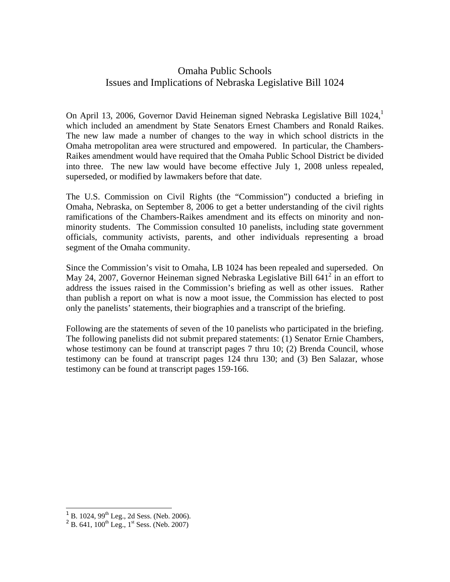## Omaha Public Schools Issues and Implications of Nebraska Legislative Bill 1024

On April 13, 2006, Governor David Heineman signed Nebraska Legislative Bill  $1024$ , which included an amendment by State Senators Ernest Chambers and Ronald Raikes. The new law made a number of changes to the way in which school districts in the Omaha metropolitan area were structured and empowered. In particular, the Chambers-Raikes amendment would have required that the Omaha Public School District be divided into three. The new law would have become effective July 1, 2008 unless repealed, superseded, or modified by lawmakers before that date.

The U.S. Commission on Civil Rights (the "Commission") conducted a briefing in Omaha, Nebraska, on September 8, 2006 to get a better understanding of the civil rights ramifications of the Chambers-Raikes amendment and its effects on minority and nonminority students. The Commission consulted 10 panelists, including state government officials, community activists, parents, and other individuals representing a broad segment of the Omaha community.

Since the Commission's visit to Omaha, LB 1024 has been repealed and superseded. On May 24, 2007, Governor Heineman signed Nebraska Legislative Bill  $641^2$  in an effort to address the issues raised in the Commission's briefing as well as other issues. Rather than publish a report on what is now a moot issue, the Commission has elected to post only the panelists' statements, their biographies and a transcript of the briefing.

Following are the statements of seven of the 10 panelists who participated in the briefing. The following panelists did not submit prepared statements: (1) Senator Ernie Chambers, whose testimony can be found at transcript pages 7 thru 10; (2) Brenda Council, whose testimony can be found at transcript pages 124 thru 130; and (3) Ben Salazar, whose testimony can be found at transcript pages 159-166.

1

<span id="page-0-0"></span><sup>&</sup>lt;sup>1</sup> B. 1024, 99<sup>th</sup> Leg., 2d Sess. (Neb. 2006).

<span id="page-0-1"></span><sup>&</sup>lt;sup>2</sup> B. 641, 100<sup>th</sup> Leg., 1<sup>st</sup> Sess. (Neb. 2007)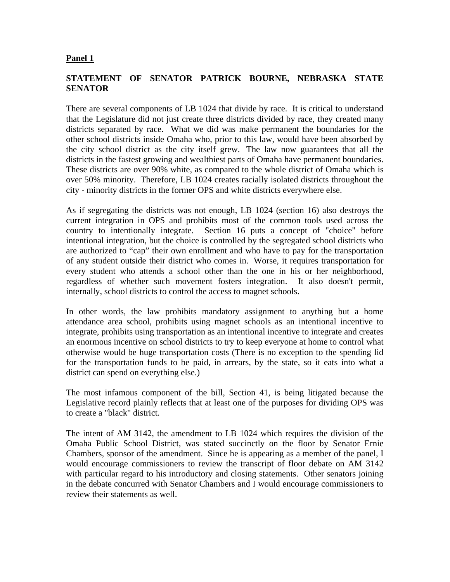### **Panel 1**

### **STATEMENT OF SENATOR PATRICK BOURNE, NEBRASKA STATE SENATOR**

There are several components of LB 1024 that divide by race. It is critical to understand that the Legislature did not just create three districts divided by race, they created many districts separated by race. What we did was make permanent the boundaries for the other school districts inside Omaha who, prior to this law, would have been absorbed by the city school district as the city itself grew. The law now guarantees that all the districts in the fastest growing and wealthiest parts of Omaha have permanent boundaries. These districts are over 90% white, as compared to the whole district of Omaha which is over 50% minority. Therefore, LB 1024 creates racially isolated districts throughout the city - minority districts in the former OPS and white districts everywhere else.

As if segregating the districts was not enough, LB 1024 (section 16) also destroys the current integration in OPS and prohibits most of the common tools used across the country to intentionally integrate. Section 16 puts a concept of "choice" before intentional integration, but the choice is controlled by the segregated school districts who are authorized to "cap" their own enrollment and who have to pay for the transportation of any student outside their district who comes in. Worse, it requires transportation for every student who attends a school other than the one in his or her neighborhood, regardless of whether such movement fosters integration. It also doesn't permit, internally, school districts to control the access to magnet schools.

In other words, the law prohibits mandatory assignment to anything but a home attendance area school, prohibits using magnet schools as an intentional incentive to integrate, prohibits using transportation as an intentional incentive to integrate and creates an enormous incentive on school districts to try to keep everyone at home to control what otherwise would be huge transportation costs (There is no exception to the spending lid for the transportation funds to be paid, in arrears, by the state, so it eats into what a district can spend on everything else.)

The most infamous component of the bill, Section 41, is being litigated because the Legislative record plainly reflects that at least one of the purposes for dividing OPS was to create a "black" district.

The intent of AM 3142, the amendment to LB 1024 which requires the division of the Omaha Public School District, was stated succinctly on the floor by Senator Ernie Chambers, sponsor of the amendment. Since he is appearing as a member of the panel, I would encourage commissioners to review the transcript of floor debate on AM 3142 with particular regard to his introductory and closing statements. Other senators joining in the debate concurred with Senator Chambers and I would encourage commissioners to review their statements as well.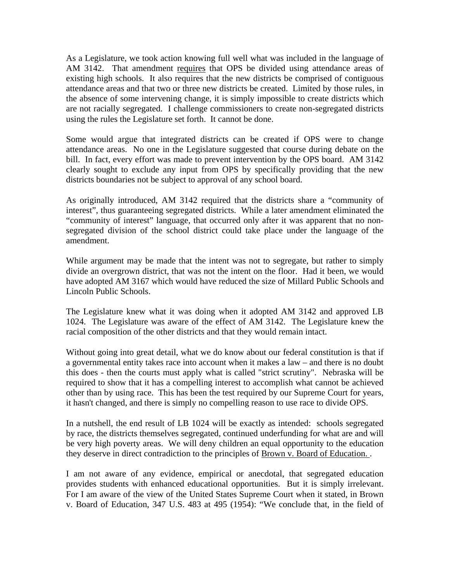As a Legislature, we took action knowing full well what was included in the language of AM 3142. That amendment requires that OPS be divided using attendance areas of existing high schools. It also requires that the new districts be comprised of contiguous attendance areas and that two or three new districts be created. Limited by those rules, in the absence of some intervening change, it is simply impossible to create districts which are not racially segregated. I challenge commissioners to create non-segregated districts using the rules the Legislature set forth. It cannot be done.

Some would argue that integrated districts can be created if OPS were to change attendance areas. No one in the Legislature suggested that course during debate on the bill. In fact, every effort was made to prevent intervention by the OPS board. AM 3142 clearly sought to exclude any input from OPS by specifically providing that the new districts boundaries not be subject to approval of any school board.

As originally introduced, AM 3142 required that the districts share a "community of interest", thus guaranteeing segregated districts. While a later amendment eliminated the "community of interest" language, that occurred only after it was apparent that no nonsegregated division of the school district could take place under the language of the amendment.

While argument may be made that the intent was not to segregate, but rather to simply divide an overgrown district, that was not the intent on the floor. Had it been, we would have adopted AM 3167 which would have reduced the size of Millard Public Schools and Lincoln Public Schools.

The Legislature knew what it was doing when it adopted AM 3142 and approved LB 1024. The Legislature was aware of the effect of AM 3142. The Legislature knew the racial composition of the other districts and that they would remain intact.

Without going into great detail, what we do know about our federal constitution is that if a governmental entity takes race into account when it makes a law – and there is no doubt this does - then the courts must apply what is called "strict scrutiny". Nebraska will be required to show that it has a compelling interest to accomplish what cannot be achieved other than by using race. This has been the test required by our Supreme Court for years, it hasn't changed, and there is simply no compelling reason to use race to divide OPS.

In a nutshell, the end result of LB 1024 will be exactly as intended: schools segregated by race, the districts themselves segregated, continued underfunding for what are and will be very high poverty areas. We will deny children an equal opportunity to the education they deserve in direct contradiction to the principles of Brown v. Board of Education. .

I am not aware of any evidence, empirical or anecdotal, that segregated education provides students with enhanced educational opportunities. But it is simply irrelevant. For I am aware of the view of the United States Supreme Court when it stated, in Brown v. Board of Education, 347 U.S. 483 at 495 (1954): "We conclude that, in the field of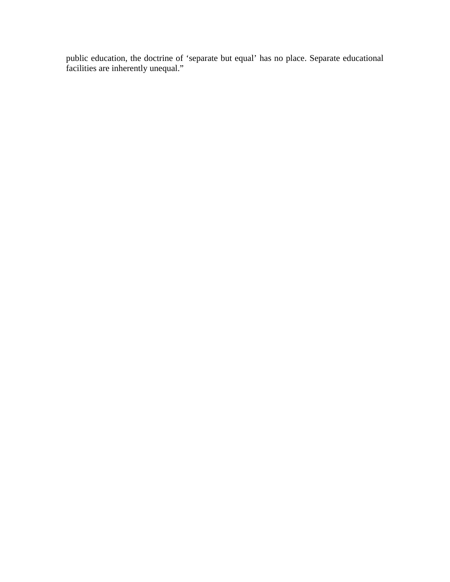public education, the doctrine of 'separate but equal' has no place. Separate educational facilities are inherently unequal."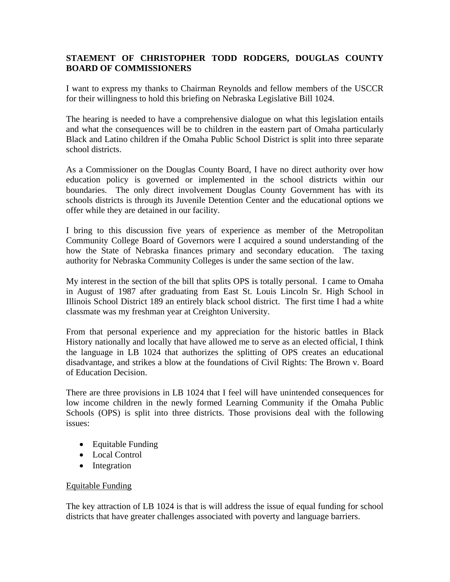## **STAEMENT OF CHRISTOPHER TODD RODGERS, DOUGLAS COUNTY BOARD OF COMMISSIONERS**

I want to express my thanks to Chairman Reynolds and fellow members of the USCCR for their willingness to hold this briefing on Nebraska Legislative Bill 1024.

The hearing is needed to have a comprehensive dialogue on what this legislation entails and what the consequences will be to children in the eastern part of Omaha particularly Black and Latino children if the Omaha Public School District is split into three separate school districts.

As a Commissioner on the Douglas County Board, I have no direct authority over how education policy is governed or implemented in the school districts within our boundaries. The only direct involvement Douglas County Government has with its schools districts is through its Juvenile Detention Center and the educational options we offer while they are detained in our facility.

I bring to this discussion five years of experience as member of the Metropolitan Community College Board of Governors were I acquired a sound understanding of the how the State of Nebraska finances primary and secondary education. The taxing authority for Nebraska Community Colleges is under the same section of the law.

My interest in the section of the bill that splits OPS is totally personal. I came to Omaha in August of 1987 after graduating from East St. Louis Lincoln Sr. High School in Illinois School District 189 an entirely black school district. The first time I had a white classmate was my freshman year at Creighton University.

From that personal experience and my appreciation for the historic battles in Black History nationally and locally that have allowed me to serve as an elected official, I think the language in LB 1024 that authorizes the splitting of OPS creates an educational disadvantage, and strikes a blow at the foundations of Civil Rights: The Brown v. Board of Education Decision.

There are three provisions in LB 1024 that I feel will have unintended consequences for low income children in the newly formed Learning Community if the Omaha Public Schools (OPS) is split into three districts. Those provisions deal with the following issues:

- Equitable Funding
- Local Control
- Integration

### Equitable Funding

The key attraction of LB 1024 is that is will address the issue of equal funding for school districts that have greater challenges associated with poverty and language barriers.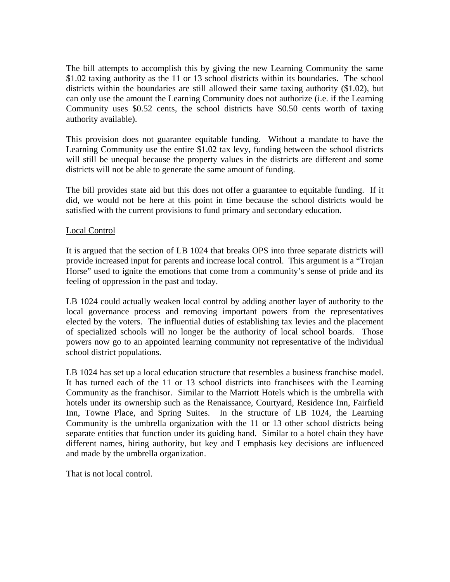The bill attempts to accomplish this by giving the new Learning Community the same \$1.02 taxing authority as the 11 or 13 school districts within its boundaries. The school districts within the boundaries are still allowed their same taxing authority (\$1.02), but can only use the amount the Learning Community does not authorize (i.e. if the Learning Community uses \$0.52 cents, the school districts have \$0.50 cents worth of taxing authority available).

This provision does not guarantee equitable funding. Without a mandate to have the Learning Community use the entire \$1.02 tax levy, funding between the school districts will still be unequal because the property values in the districts are different and some districts will not be able to generate the same amount of funding.

The bill provides state aid but this does not offer a guarantee to equitable funding. If it did, we would not be here at this point in time because the school districts would be satisfied with the current provisions to fund primary and secondary education.

### Local Control

It is argued that the section of LB 1024 that breaks OPS into three separate districts will provide increased input for parents and increase local control. This argument is a "Trojan Horse" used to ignite the emotions that come from a community's sense of pride and its feeling of oppression in the past and today.

LB 1024 could actually weaken local control by adding another layer of authority to the local governance process and removing important powers from the representatives elected by the voters. The influential duties of establishing tax levies and the placement of specialized schools will no longer be the authority of local school boards. Those powers now go to an appointed learning community not representative of the individual school district populations.

LB 1024 has set up a local education structure that resembles a business franchise model. It has turned each of the 11 or 13 school districts into franchisees with the Learning Community as the franchisor. Similar to the Marriott Hotels which is the umbrella with hotels under its ownership such as the Renaissance, Courtyard, Residence Inn, Fairfield Inn, Towne Place, and Spring Suites. In the structure of LB 1024, the Learning Community is the umbrella organization with the 11 or 13 other school districts being separate entities that function under its guiding hand. Similar to a hotel chain they have different names, hiring authority, but key and I emphasis key decisions are influenced and made by the umbrella organization.

That is not local control.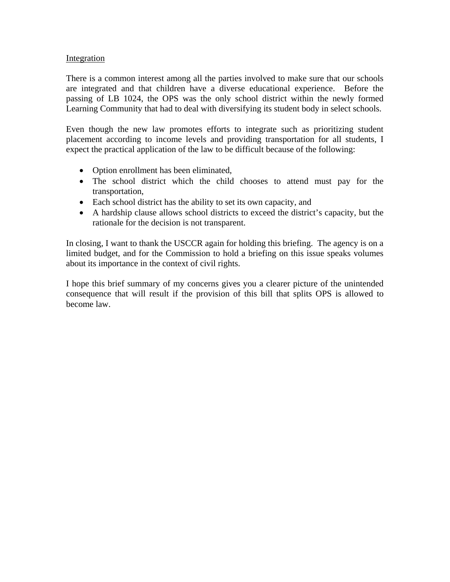### **Integration**

There is a common interest among all the parties involved to make sure that our schools are integrated and that children have a diverse educational experience. Before the passing of LB 1024, the OPS was the only school district within the newly formed Learning Community that had to deal with diversifying its student body in select schools.

Even though the new law promotes efforts to integrate such as prioritizing student placement according to income levels and providing transportation for all students, I expect the practical application of the law to be difficult because of the following:

- Option enrollment has been eliminated,
- The school district which the child chooses to attend must pay for the transportation,
- Each school district has the ability to set its own capacity, and
- A hardship clause allows school districts to exceed the district's capacity, but the rationale for the decision is not transparent.

In closing, I want to thank the USCCR again for holding this briefing. The agency is on a limited budget, and for the Commission to hold a briefing on this issue speaks volumes about its importance in the context of civil rights.

I hope this brief summary of my concerns gives you a clearer picture of the unintended consequence that will result if the provision of this bill that splits OPS is allowed to become law.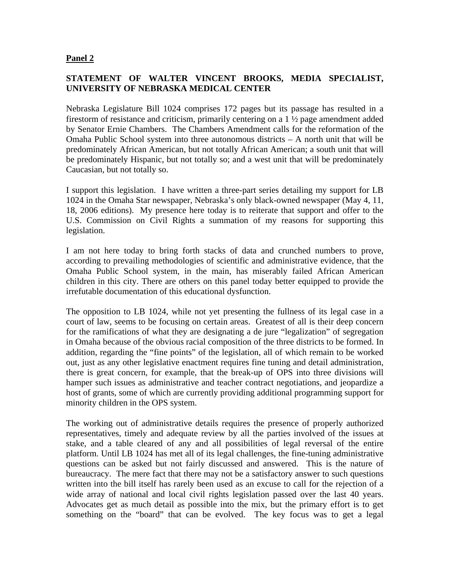### **Panel 2**

### **STATEMENT OF WALTER VINCENT BROOKS, MEDIA SPECIALIST, UNIVERSITY OF NEBRASKA MEDICAL CENTER**

Nebraska Legislature Bill 1024 comprises 172 pages but its passage has resulted in a firestorm of resistance and criticism, primarily centering on a 1 ½ page amendment added by Senator Ernie Chambers. The Chambers Amendment calls for the reformation of the Omaha Public School system into three autonomous districts – A north unit that will be predominately African American, but not totally African American; a south unit that will be predominately Hispanic, but not totally so; and a west unit that will be predominately Caucasian, but not totally so.

I support this legislation. I have written a three-part series detailing my support for LB 1024 in the Omaha Star newspaper, Nebraska's only black-owned newspaper (May 4, 11, 18, 2006 editions). My presence here today is to reiterate that support and offer to the U.S. Commission on Civil Rights a summation of my reasons for supporting this legislation.

I am not here today to bring forth stacks of data and crunched numbers to prove, according to prevailing methodologies of scientific and administrative evidence, that the Omaha Public School system, in the main, has miserably failed African American children in this city. There are others on this panel today better equipped to provide the irrefutable documentation of this educational dysfunction.

The opposition to LB 1024, while not yet presenting the fullness of its legal case in a court of law, seems to be focusing on certain areas. Greatest of all is their deep concern for the ramifications of what they are designating a de jure "legalization" of segregation in Omaha because of the obvious racial composition of the three districts to be formed. In addition, regarding the "fine points" of the legislation, all of which remain to be worked out, just as any other legislative enactment requires fine tuning and detail administration, there is great concern, for example, that the break-up of OPS into three divisions will hamper such issues as administrative and teacher contract negotiations, and jeopardize a host of grants, some of which are currently providing additional programming support for minority children in the OPS system.

The working out of administrative details requires the presence of properly authorized representatives, timely and adequate review by all the parties involved of the issues at stake, and a table cleared of any and all possibilities of legal reversal of the entire platform. Until LB 1024 has met all of its legal challenges, the fine-tuning administrative questions can be asked but not fairly discussed and answered. This is the nature of bureaucracy. The mere fact that there may not be a satisfactory answer to such questions written into the bill itself has rarely been used as an excuse to call for the rejection of a wide array of national and local civil rights legislation passed over the last 40 years. Advocates get as much detail as possible into the mix, but the primary effort is to get something on the "board" that can be evolved. The key focus was to get a legal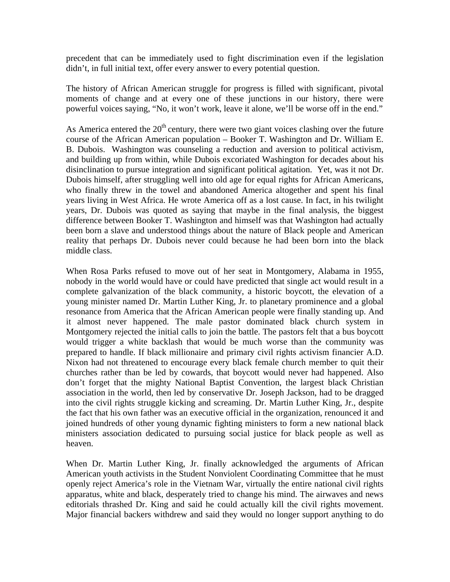precedent that can be immediately used to fight discrimination even if the legislation didn't, in full initial text, offer every answer to every potential question.

The history of African American struggle for progress is filled with significant, pivotal moments of change and at every one of these junctions in our history, there were powerful voices saying, "No, it won't work, leave it alone, we'll be worse off in the end."

As America entered the  $20<sup>th</sup>$  century, there were two giant voices clashing over the future course of the African American population – Booker T. Washington and Dr. William E. B. Dubois. Washington was counseling a reduction and aversion to political activism, and building up from within, while Dubois excoriated Washington for decades about his disinclination to pursue integration and significant political agitation. Yet, was it not Dr. Dubois himself, after struggling well into old age for equal rights for African Americans, who finally threw in the towel and abandoned America altogether and spent his final years living in West Africa. He wrote America off as a lost cause. In fact, in his twilight years, Dr. Dubois was quoted as saying that maybe in the final analysis, the biggest difference between Booker T. Washington and himself was that Washington had actually been born a slave and understood things about the nature of Black people and American reality that perhaps Dr. Dubois never could because he had been born into the black middle class.

When Rosa Parks refused to move out of her seat in Montgomery, Alabama in 1955, nobody in the world would have or could have predicted that single act would result in a complete galvanization of the black community, a historic boycott, the elevation of a young minister named Dr. Martin Luther King, Jr. to planetary prominence and a global resonance from America that the African American people were finally standing up. And it almost never happened. The male pastor dominated black church system in Montgomery rejected the initial calls to join the battle. The pastors felt that a bus boycott would trigger a white backlash that would be much worse than the community was prepared to handle. If black millionaire and primary civil rights activism financier A.D. Nixon had not threatened to encourage every black female church member to quit their churches rather than be led by cowards, that boycott would never had happened. Also don't forget that the mighty National Baptist Convention, the largest black Christian association in the world, then led by conservative Dr. Joseph Jackson, had to be dragged into the civil rights struggle kicking and screaming. Dr. Martin Luther King, Jr., despite the fact that his own father was an executive official in the organization, renounced it and joined hundreds of other young dynamic fighting ministers to form a new national black ministers association dedicated to pursuing social justice for black people as well as heaven.

When Dr. Martin Luther King, Jr. finally acknowledged the arguments of African American youth activists in the Student Nonviolent Coordinating Committee that he must openly reject America's role in the Vietnam War, virtually the entire national civil rights apparatus, white and black, desperately tried to change his mind. The airwaves and news editorials thrashed Dr. King and said he could actually kill the civil rights movement. Major financial backers withdrew and said they would no longer support anything to do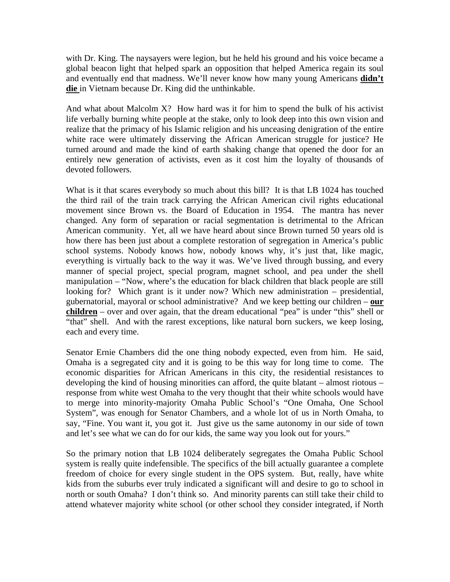with Dr. King. The naysayers were legion, but he held his ground and his voice became a global beacon light that helped spark an opposition that helped America regain its soul and eventually end that madness. We'll never know how many young Americans **didn't die** in Vietnam because Dr. King did the unthinkable.

And what about Malcolm X? How hard was it for him to spend the bulk of his activist life verbally burning white people at the stake, only to look deep into this own vision and realize that the primacy of his Islamic religion and his unceasing denigration of the entire white race were ultimately disserving the African American struggle for justice? He turned around and made the kind of earth shaking change that opened the door for an entirely new generation of activists, even as it cost him the loyalty of thousands of devoted followers.

What is it that scares everybody so much about this bill? It is that LB 1024 has touched the third rail of the train track carrying the African American civil rights educational movement since Brown vs. the Board of Education in 1954. The mantra has never changed. Any form of separation or racial segmentation is detrimental to the African American community. Yet, all we have heard about since Brown turned 50 years old is how there has been just about a complete restoration of segregation in America's public school systems. Nobody knows how, nobody knows why, it's just that, like magic, everything is virtually back to the way it was. We've lived through bussing, and every manner of special project, special program, magnet school, and pea under the shell manipulation – "Now, where's the education for black children that black people are still looking for? Which grant is it under now? Which new administration – presidential, gubernatorial, mayoral or school administrative? And we keep betting our children – **our children** – over and over again, that the dream educational "pea" is under "this" shell or "that" shell. And with the rarest exceptions, like natural born suckers, we keep losing, each and every time.

Senator Ernie Chambers did the one thing nobody expected, even from him. He said, Omaha is a segregated city and it is going to be this way for long time to come. The economic disparities for African Americans in this city, the residential resistances to developing the kind of housing minorities can afford, the quite blatant – almost riotous – response from white west Omaha to the very thought that their white schools would have to merge into minority-majority Omaha Public School's "One Omaha, One School System", was enough for Senator Chambers, and a whole lot of us in North Omaha, to say, "Fine. You want it, you got it. Just give us the same autonomy in our side of town and let's see what we can do for our kids, the same way you look out for yours."

So the primary notion that LB 1024 deliberately segregates the Omaha Public School system is really quite indefensible. The specifics of the bill actually guarantee a complete freedom of choice for every single student in the OPS system. But, really, have white kids from the suburbs ever truly indicated a significant will and desire to go to school in north or south Omaha? I don't think so. And minority parents can still take their child to attend whatever majority white school (or other school they consider integrated, if North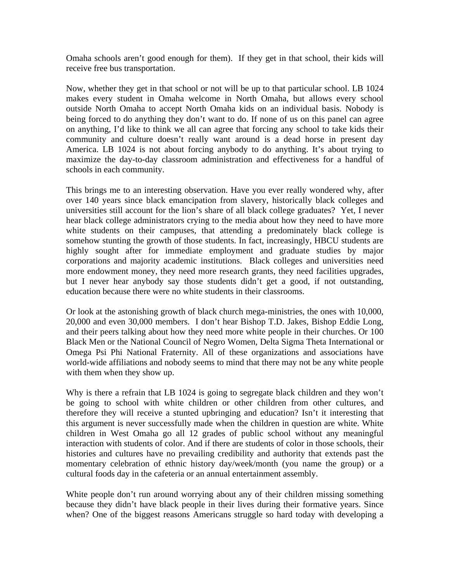Omaha schools aren't good enough for them). If they get in that school, their kids will receive free bus transportation.

Now, whether they get in that school or not will be up to that particular school. LB 1024 makes every student in Omaha welcome in North Omaha, but allows every school outside North Omaha to accept North Omaha kids on an individual basis. Nobody is being forced to do anything they don't want to do. If none of us on this panel can agree on anything, I'd like to think we all can agree that forcing any school to take kids their community and culture doesn't really want around is a dead horse in present day America. LB 1024 is not about forcing anybody to do anything. It's about trying to maximize the day-to-day classroom administration and effectiveness for a handful of schools in each community.

This brings me to an interesting observation. Have you ever really wondered why, after over 140 years since black emancipation from slavery, historically black colleges and universities still account for the lion's share of all black college graduates? Yet, I never hear black college administrators crying to the media about how they need to have more white students on their campuses, that attending a predominately black college is somehow stunting the growth of those students. In fact, increasingly, HBCU students are highly sought after for immediate employment and graduate studies by major corporations and majority academic institutions. Black colleges and universities need more endowment money, they need more research grants, they need facilities upgrades, but I never hear anybody say those students didn't get a good, if not outstanding, education because there were no white students in their classrooms.

Or look at the astonishing growth of black church mega-ministries, the ones with 10,000, 20,000 and even 30,000 members. I don't hear Bishop T.D. Jakes, Bishop Eddie Long, and their peers talking about how they need more white people in their churches. Or 100 Black Men or the National Council of Negro Women, Delta Sigma Theta International or Omega Psi Phi National Fraternity. All of these organizations and associations have world-wide affiliations and nobody seems to mind that there may not be any white people with them when they show up.

Why is there a refrain that LB 1024 is going to segregate black children and they won't be going to school with white children or other children from other cultures, and therefore they will receive a stunted upbringing and education? Isn't it interesting that this argument is never successfully made when the children in question are white. White children in West Omaha go all 12 grades of public school without any meaningful interaction with students of color. And if there are students of color in those schools, their histories and cultures have no prevailing credibility and authority that extends past the momentary celebration of ethnic history day/week/month (you name the group) or a cultural foods day in the cafeteria or an annual entertainment assembly.

White people don't run around worrying about any of their children missing something because they didn't have black people in their lives during their formative years. Since when? One of the biggest reasons Americans struggle so hard today with developing a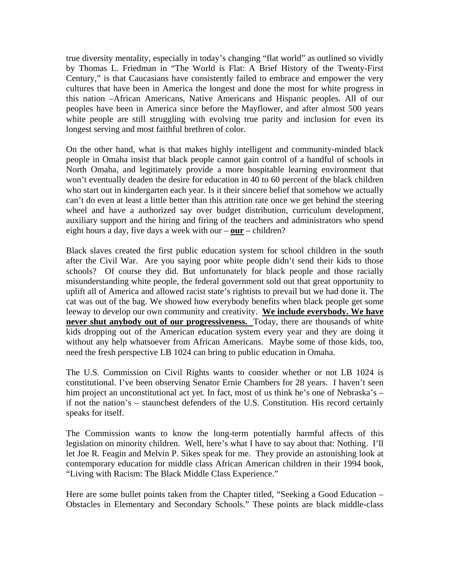true diversity mentality, especially in today's changing "flat world" as outlined so vividly by Thomas L. Friedman in "The World is Flat: A Brief History of the Twenty-First Century," is that Caucasians have consistently failed to embrace and empower the very cultures that have been in America the longest and done the most for white progress in this nation –African Americans, Native Americans and Hispanic peoples. All of our peoples have been in America since before the Mayflower, and after almost 500 years white people are still struggling with evolving true parity and inclusion for even its longest serving and most faithful brethren of color.

On the other hand, what is that makes highly intelligent and community-minded black people in Omaha insist that black people cannot gain control of a handful of schools in North Omaha, and legitimately provide a more hospitable learning environment that won't eventually deaden the desire for education in 40 to 60 percent of the black children who start out in kindergarten each year. Is it their sincere belief that somehow we actually can't do even at least a little better than this attrition rate once we get behind the steering wheel and have a authorized say over budget distribution, curriculum development, auxiliary support and the hiring and firing of the teachers and administrators who spend eight hours a day, five days a week with our – **our** – children?

Black slaves created the first public education system for school children in the south after the Civil War. Are you saying poor white people didn't send their kids to those schools? Of course they did. But unfortunately for black people and those racially misunderstanding white people, the federal government sold out that great opportunity to uplift all of America and allowed racist state's rightists to prevail but we had done it. The cat was out of the bag. We showed how everybody benefits when black people get some leeway to develop our own community and creativity. **We include everybody. We have never shut anybody out of our progressiveness.** Today, there are thousands of white kids dropping out of the American education system every year and they are doing it without any help whatsoever from African Americans. Maybe some of those kids, too, need the fresh perspective LB 1024 can bring to public education in Omaha.

The U.S. Commission on Civil Rights wants to consider whether or not LB 1024 is constitutional. I've been observing Senator Ernie Chambers for 28 years. I haven't seen him project an unconstitutional act yet. In fact, most of us think he's one of Nebraska's – if not the nation's – staunchest defenders of the U.S. Constitution. His record certainly speaks for itself.

The Commission wants to know the long-term potentially harmful affects of this legislation on minority children. Well, here's what I have to say about that: Nothing. I'll let Joe R. Feagin and Melvin P. Sikes speak for me. They provide an astonishing look at contemporary education for middle class African American children in their 1994 book, "Living with Racism: The Black Middle Class Experience."

Here are some bullet points taken from the Chapter titled, "Seeking a Good Education – Obstacles in Elementary and Secondary Schools." These points are black middle-class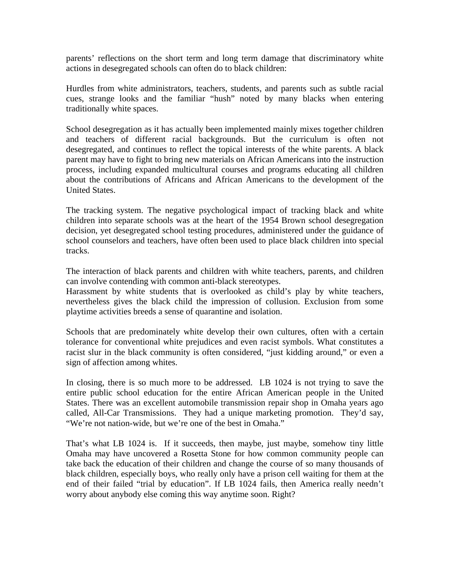parents' reflections on the short term and long term damage that discriminatory white actions in desegregated schools can often do to black children:

Hurdles from white administrators, teachers, students, and parents such as subtle racial cues, strange looks and the familiar "hush" noted by many blacks when entering traditionally white spaces.

School desegregation as it has actually been implemented mainly mixes together children and teachers of different racial backgrounds. But the curriculum is often not desegregated, and continues to reflect the topical interests of the white parents. A black parent may have to fight to bring new materials on African Americans into the instruction process, including expanded multicultural courses and programs educating all children about the contributions of Africans and African Americans to the development of the United States.

The tracking system. The negative psychological impact of tracking black and white children into separate schools was at the heart of the 1954 Brown school desegregation decision, yet desegregated school testing procedures, administered under the guidance of school counselors and teachers, have often been used to place black children into special tracks.

The interaction of black parents and children with white teachers, parents, and children can involve contending with common anti-black stereotypes.

Harassment by white students that is overlooked as child's play by white teachers, nevertheless gives the black child the impression of collusion. Exclusion from some playtime activities breeds a sense of quarantine and isolation.

Schools that are predominately white develop their own cultures, often with a certain tolerance for conventional white prejudices and even racist symbols. What constitutes a racist slur in the black community is often considered, "just kidding around," or even a sign of affection among whites.

In closing, there is so much more to be addressed. LB 1024 is not trying to save the entire public school education for the entire African American people in the United States. There was an excellent automobile transmission repair shop in Omaha years ago called, All-Car Transmissions. They had a unique marketing promotion. They'd say, "We're not nation-wide, but we're one of the best in Omaha."

That's what LB 1024 is. If it succeeds, then maybe, just maybe, somehow tiny little Omaha may have uncovered a Rosetta Stone for how common community people can take back the education of their children and change the course of so many thousands of black children, especially boys, who really only have a prison cell waiting for them at the end of their failed "trial by education". If LB 1024 fails, then America really needn't worry about anybody else coming this way anytime soon. Right?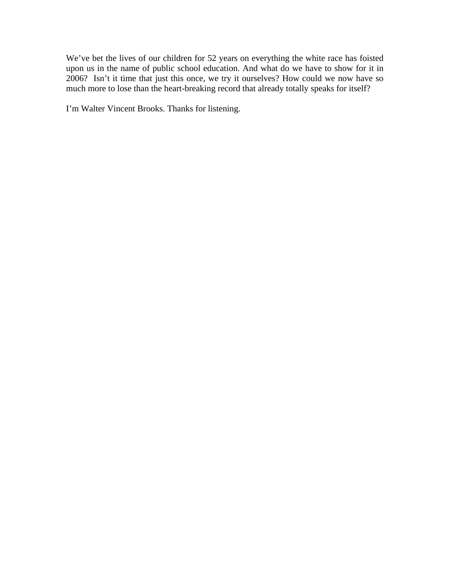We've bet the lives of our children for 52 years on everything the white race has foisted upon us in the name of public school education. And what do we have to show for it in 2006? Isn't it time that just this once, we try it ourselves? How could we now have so much more to lose than the heart-breaking record that already totally speaks for itself?

I'm Walter Vincent Brooks. Thanks for listening.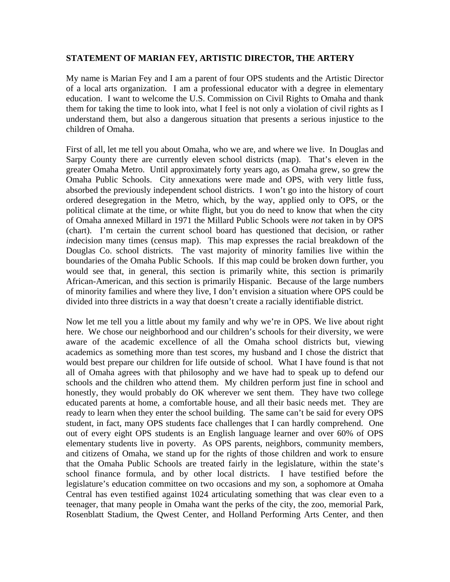### **STATEMENT OF MARIAN FEY, ARTISTIC DIRECTOR, THE ARTERY**

My name is Marian Fey and I am a parent of four OPS students and the Artistic Director of a local arts organization. I am a professional educator with a degree in elementary education. I want to welcome the U.S. Commission on Civil Rights to Omaha and thank them for taking the time to look into, what I feel is not only a violation of civil rights as I understand them, but also a dangerous situation that presents a serious injustice to the children of Omaha.

First of all, let me tell you about Omaha, who we are, and where we live. In Douglas and Sarpy County there are currently eleven school districts (map). That's eleven in the greater Omaha Metro. Until approximately forty years ago, as Omaha grew, so grew the Omaha Public Schools. City annexations were made and OPS, with very little fuss, absorbed the previously independent school districts. I won't go into the history of court ordered desegregation in the Metro, which, by the way, applied only to OPS, or the political climate at the time, or white flight, but you do need to know that when the city of Omaha annexed Millard in 1971 the Millard Public Schools were *not* taken in by OPS (chart). I'm certain the current school board has questioned that decision, or rather *in*decision many times (census map). This map expresses the racial breakdown of the Douglas Co. school districts. The vast majority of minority families live within the boundaries of the Omaha Public Schools. If this map could be broken down further, you would see that, in general, this section is primarily white, this section is primarily African-American, and this section is primarily Hispanic. Because of the large numbers of minority families and where they live, I don't envision a situation where OPS could be divided into three districts in a way that doesn't create a racially identifiable district.

Now let me tell you a little about my family and why we're in OPS. We live about right here. We chose our neighborhood and our children's schools for their diversity, we were aware of the academic excellence of all the Omaha school districts but, viewing academics as something more than test scores, my husband and I chose the district that would best prepare our children for life outside of school. What I have found is that not all of Omaha agrees with that philosophy and we have had to speak up to defend our schools and the children who attend them. My children perform just fine in school and honestly, they would probably do OK wherever we sent them. They have two college educated parents at home, a comfortable house, and all their basic needs met. They are ready to learn when they enter the school building. The same can't be said for every OPS student, in fact, many OPS students face challenges that I can hardly comprehend. One out of every eight OPS students is an English language learner and over 60% of OPS elementary students live in poverty. As OPS parents, neighbors, community members, and citizens of Omaha, we stand up for the rights of those children and work to ensure that the Omaha Public Schools are treated fairly in the legislature, within the state's school finance formula, and by other local districts. I have testified before the legislature's education committee on two occasions and my son, a sophomore at Omaha Central has even testified against 1024 articulating something that was clear even to a teenager, that many people in Omaha want the perks of the city, the zoo, memorial Park, Rosenblatt Stadium, the Qwest Center, and Holland Performing Arts Center, and then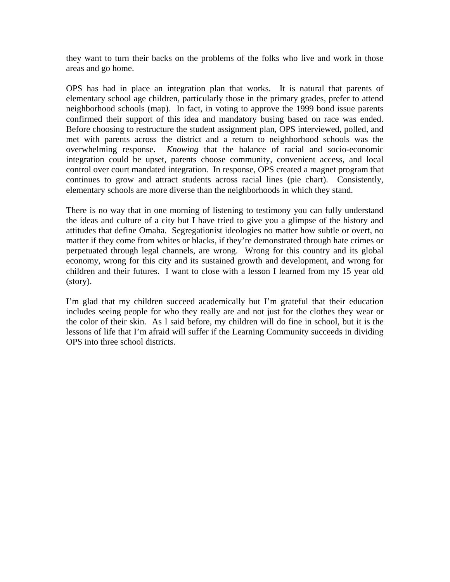they want to turn their backs on the problems of the folks who live and work in those areas and go home.

OPS has had in place an integration plan that works. It is natural that parents of elementary school age children, particularly those in the primary grades, prefer to attend neighborhood schools (map). In fact, in voting to approve the 1999 bond issue parents confirmed their support of this idea and mandatory busing based on race was ended. Before choosing to restructure the student assignment plan, OPS interviewed, polled, and met with parents across the district and a return to neighborhood schools was the overwhelming response. *Knowing* that the balance of racial and socio-economic integration could be upset, parents choose community, convenient access, and local control over court mandated integration. In response, OPS created a magnet program that continues to grow and attract students across racial lines (pie chart). Consistently, elementary schools are more diverse than the neighborhoods in which they stand.

There is no way that in one morning of listening to testimony you can fully understand the ideas and culture of a city but I have tried to give you a glimpse of the history and attitudes that define Omaha. Segregationist ideologies no matter how subtle or overt, no matter if they come from whites or blacks, if they're demonstrated through hate crimes or perpetuated through legal channels, are wrong. Wrong for this country and its global economy, wrong for this city and its sustained growth and development, and wrong for children and their futures. I want to close with a lesson I learned from my 15 year old (story).

I'm glad that my children succeed academically but I'm grateful that their education includes seeing people for who they really are and not just for the clothes they wear or the color of their skin. As I said before, my children will do fine in school, but it is the lessons of life that I'm afraid will suffer if the Learning Community succeeds in dividing OPS into three school districts.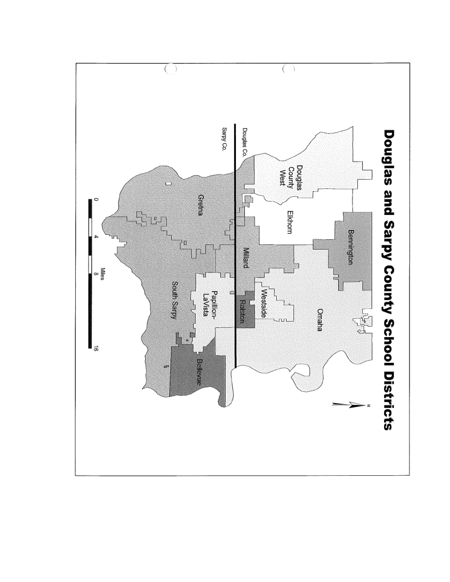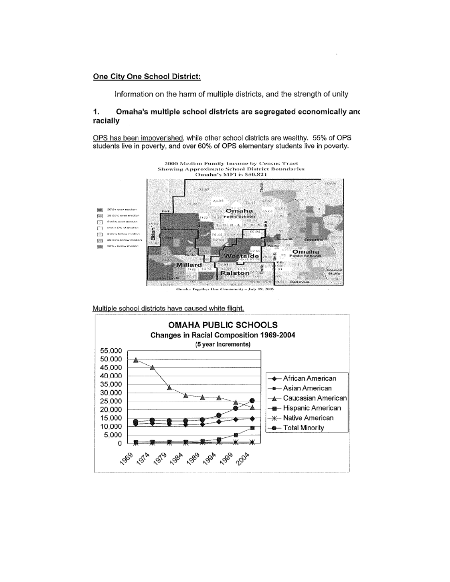### One City One School District:

Information on the harm of multiple districts, and the strength of unity

#### $\mathbf{1}$ Omaha's multiple school districts are segregated economically and racially

OPS has been impoverished, while other school districts are wealthy. 55% of OPS students live in poverty, and over 60% of OPS elementary students live in poverty.



Multiple school districts have caused white flight.

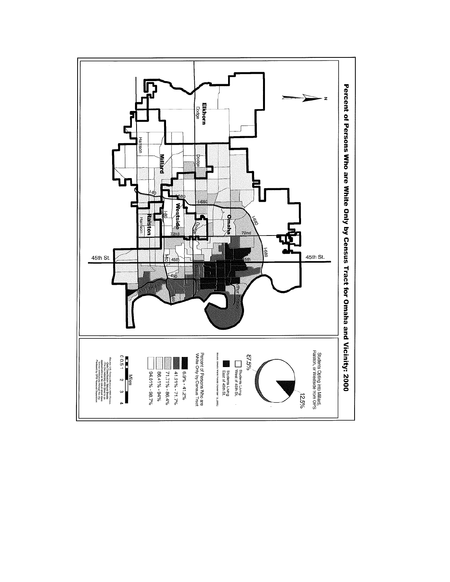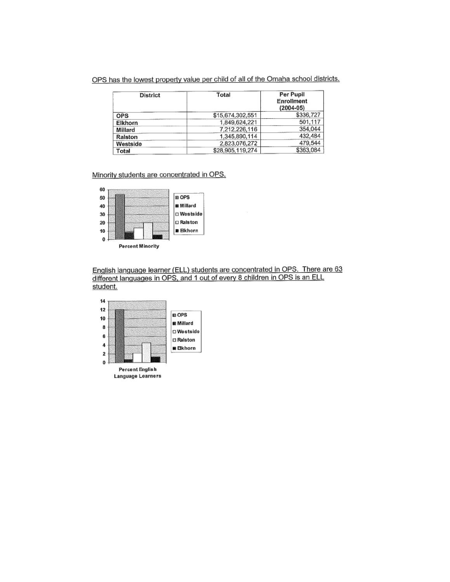OPS has the lowest property value per child of all of the Omaha school districts.

| District   | Total            | Per Pupil<br>Enrollment<br>$(2004 - 05)$ |
|------------|------------------|------------------------------------------|
| <b>OPS</b> | \$15,674,302,551 | \$336,727                                |
| Elkhorn    | 1,849,624,221    | 501.117                                  |
| Millard    | 7,212,226,116    | 354.044                                  |
| Ralston    | 1,345,890,114    | 432,484                                  |
| Westside   | 2,823,076,272    | 479,544                                  |
| Total      | \$28,905,119,274 | \$363,084                                |

### Minority students are concentrated in OPS.



English language learner (ELL) students are concentrated in OPS. There are 63 different languages in OPS, and 1 out of every 8 children in OPS is an ELL student.

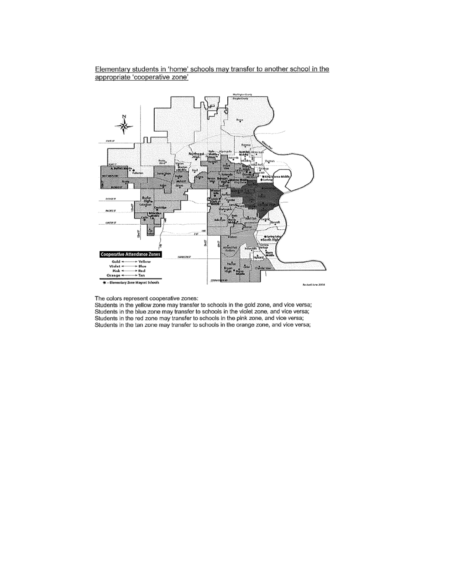

### Elementary students in 'home' schools may transfer to another school in the appropriate 'cooperative zone'

The colors represent cooperative zones:

Students in the yellow zone may transfer to schools in the gold zone, and vice versa;<br>Students in the yellow zone may transfer to schools in the violet zone, and vice versa; Students in the red zone may transfer to schools in the pink zone, and vice versa; Students in the tan zone may transfer to schools in the orange zone, and vice versa;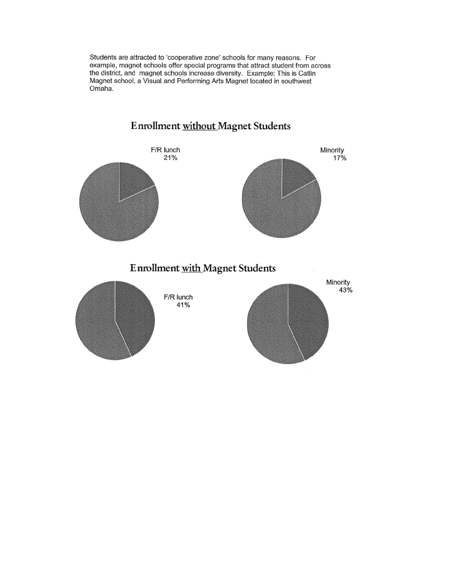Students are attracted to 'cooperative zone' schools for many reasons. For example, magnet schools offer special programs that attract student from across the district, and magnet schools increase diversity. Example: This is Catlin Magnet school, a Visual and Performing Arts Magnet located in southwest Omaha.



# **Enrollment without Magnet Students**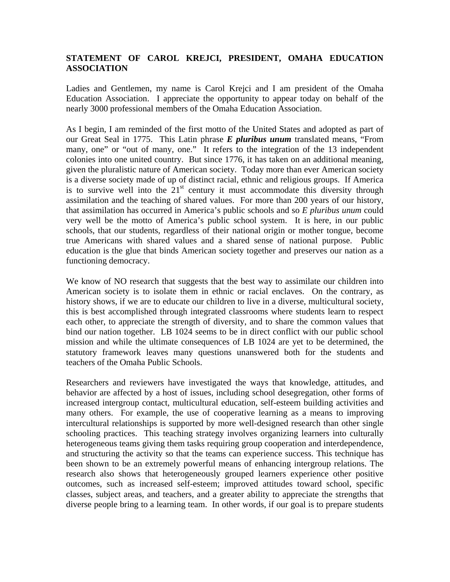### **STATEMENT OF CAROL KREJCI, PRESIDENT, OMAHA EDUCATION ASSOCIATION**

Ladies and Gentlemen, my name is Carol Krejci and I am president of the Omaha Education Association. I appreciate the opportunity to appear today on behalf of the nearly 3000 professional members of the Omaha Education Association.

As I begin, I am reminded of the first motto of the United States and adopted as part of our Great Seal in 1775. This Latin phrase *E pluribus unum* translated means, "From many, one" or "out of many, one." It refers to the integration of the 13 independent colonies into one united country. But since 1776, it has taken on an additional meaning, given the pluralistic nature of American society. Today more than ever American society is a diverse society made of up of distinct racial, ethnic and religious groups. If America is to survive well into the  $21<sup>st</sup>$  century it must accommodate this diversity through assimilation and the teaching of shared values. For more than 200 years of our history, that assimilation has occurred in America's public schools and so *E pluribus unum* could very well be the motto of America's public school system. It is here, in our public schools, that our students, regardless of their national origin or mother tongue, become true Americans with shared values and a shared sense of national purpose. Public education is the glue that binds American society together and preserves our nation as a functioning democracy.

We know of NO research that suggests that the best way to assimilate our children into American society is to isolate them in ethnic or racial enclaves. On the contrary, as history shows, if we are to educate our children to live in a diverse, multicultural society, this is best accomplished through integrated classrooms where students learn to respect each other, to appreciate the strength of diversity, and to share the common values that bind our nation together. LB 1024 seems to be in direct conflict with our public school mission and while the ultimate consequences of LB 1024 are yet to be determined, the statutory framework leaves many questions unanswered both for the students and teachers of the Omaha Public Schools.

Researchers and reviewers have investigated the ways that knowledge, attitudes, and behavior are affected by a host of issues, including school desegregation, other forms of increased intergroup contact, multicultural education, self-esteem building activities and many others. For example, the use of cooperative learning as a means to improving intercultural relationships is supported by more well-designed research than other single schooling practices. This teaching strategy involves organizing learners into culturally heterogeneous teams giving them tasks requiring group cooperation and interdependence, and structuring the activity so that the teams can experience success. This technique has been shown to be an extremely powerful means of enhancing intergroup relations. The research also shows that heterogeneously grouped learners experience other positive outcomes, such as increased self-esteem; improved attitudes toward school, specific classes, subject areas, and teachers, and a greater ability to appreciate the strengths that diverse people bring to a learning team. In other words, if our goal is to prepare students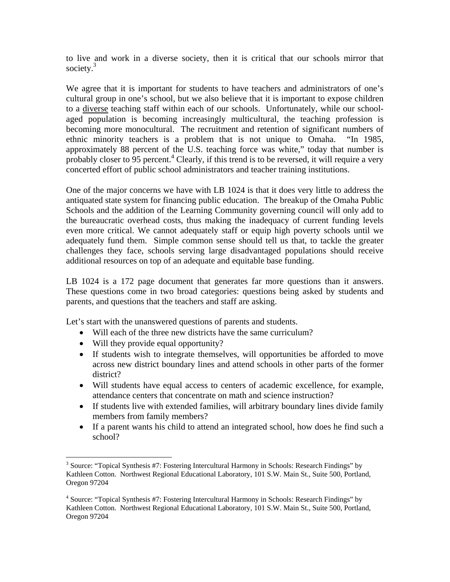to live and work in a diverse society, then it is critical that our schools mirror that society. $3$ 

We agree that it is important for students to have teachers and administrators of one's cultural group in one's school, but we also believe that it is important to expose children to a diverse teaching staff within each of our schools. Unfortunately, while our schoolaged population is becoming increasingly multicultural, the teaching profession is becoming more monocultural. The recruitment and retention of significant numbers of ethnic minority teachers is a problem that is not unique to Omaha. "In 1985, approximately 88 percent of the U.S. teaching force was white," today that number is probably closer to  $95$  percent.<sup>4</sup> Clearly, if this trend is to be reversed, it will require a very concerted effort of public school administrators and teacher training institutions.

One of the major concerns we have with LB 1024 is that it does very little to address the antiquated state system for financing public education. The breakup of the Omaha Public Schools and the addition of the Learning Community governing council will only add to the bureaucratic overhead costs, thus making the inadequacy of current funding levels even more critical. We cannot adequately staff or equip high poverty schools until we adequately fund them. Simple common sense should tell us that, to tackle the greater challenges they face, schools serving large disadvantaged populations should receive additional resources on top of an adequate and equitable base funding.

LB 1024 is a 172 page document that generates far more questions than it answers. These questions come in two broad categories: questions being asked by students and parents, and questions that the teachers and staff are asking.

Let's start with the unanswered questions of parents and students.

- Will each of the three new districts have the same curriculum?
- Will they provide equal opportunity?

 $\overline{a}$ 

- If students wish to integrate themselves, will opportunities be afforded to move across new district boundary lines and attend schools in other parts of the former district?
- Will students have equal access to centers of academic excellence, for example, attendance centers that concentrate on math and science instruction?
- If students live with extended families, will arbitrary boundary lines divide family members from family members?
- If a parent wants his child to attend an integrated school, how does he find such a school?

<span id="page-23-0"></span><sup>&</sup>lt;sup>3</sup> Source: "Topical Synthesis #7: Fostering Intercultural Harmony in Schools: Research Findings" by Kathleen Cotton. Northwest Regional Educational Laboratory, 101 S.W. Main St., Suite 500, Portland, Oregon 97204

<span id="page-23-1"></span><sup>&</sup>lt;sup>4</sup> Source: "Topical Synthesis #7: Fostering Intercultural Harmony in Schools: Research Findings" by Kathleen Cotton. Northwest Regional Educational Laboratory, 101 S.W. Main St., Suite 500, Portland, Oregon 97204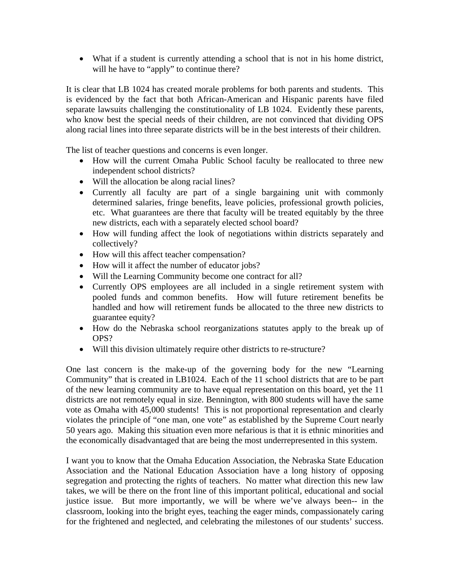• What if a student is currently attending a school that is not in his home district, will he have to "apply" to continue there?

It is clear that LB 1024 has created morale problems for both parents and students. This is evidenced by the fact that both African-American and Hispanic parents have filed separate lawsuits challenging the constitutionality of LB 1024. Evidently these parents, who know best the special needs of their children, are not convinced that dividing OPS along racial lines into three separate districts will be in the best interests of their children.

The list of teacher questions and concerns is even longer.

- How will the current Omaha Public School faculty be reallocated to three new independent school districts?
- Will the allocation be along racial lines?
- Currently all faculty are part of a single bargaining unit with commonly determined salaries, fringe benefits, leave policies, professional growth policies, etc. What guarantees are there that faculty will be treated equitably by the three new districts, each with a separately elected school board?
- How will funding affect the look of negotiations within districts separately and collectively?
- How will this affect teacher compensation?
- How will it affect the number of educator jobs?
- Will the Learning Community become one contract for all?
- Currently OPS employees are all included in a single retirement system with pooled funds and common benefits. How will future retirement benefits be handled and how will retirement funds be allocated to the three new districts to guarantee equity?
- How do the Nebraska school reorganizations statutes apply to the break up of OPS?
- Will this division ultimately require other districts to re-structure?

One last concern is the make-up of the governing body for the new "Learning Community" that is created in LB1024. Each of the 11 school districts that are to be part of the new learning community are to have equal representation on this board, yet the 11 districts are not remotely equal in size. Bennington, with 800 students will have the same vote as Omaha with 45,000 students! This is not proportional representation and clearly violates the principle of "one man, one vote" as established by the Supreme Court nearly 50 years ago. Making this situation even more nefarious is that it is ethnic minorities and the economically disadvantaged that are being the most underrepresented in this system.

I want you to know that the Omaha Education Association, the Nebraska State Education Association and the National Education Association have a long history of opposing segregation and protecting the rights of teachers. No matter what direction this new law takes, we will be there on the front line of this important political, educational and social justice issue. But more importantly, we will be where we've always been-- in the classroom, looking into the bright eyes, teaching the eager minds, compassionately caring for the frightened and neglected, and celebrating the milestones of our students' success.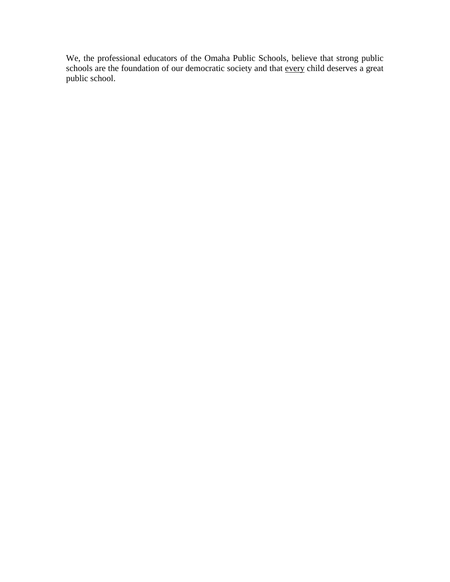We, the professional educators of the Omaha Public Schools, believe that strong public schools are the foundation of our democratic society and that every child deserves a great public school.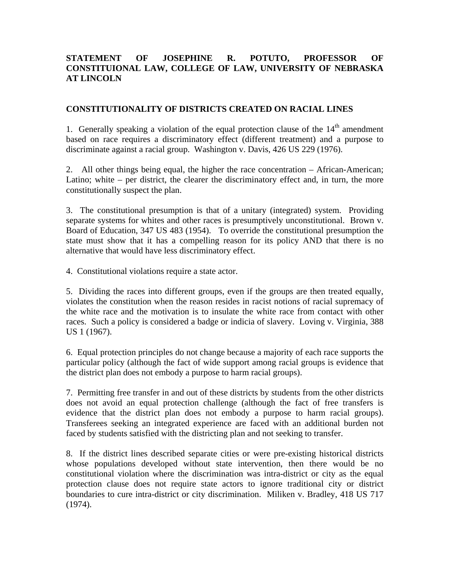## **STATEMENT OF JOSEPHINE R. POTUTO, PROFESSOR OF CONSTITUIONAL LAW, COLLEGE OF LAW, UNIVERSITY OF NEBRASKA AT LINCOLN**

### **CONSTITUTIONALITY OF DISTRICTS CREATED ON RACIAL LINES**

1. Generally speaking a violation of the equal protection clause of the  $14<sup>th</sup>$  amendment based on race requires a discriminatory effect (different treatment) and a purpose to discriminate against a racial group. Washington v. Davis, 426 US 229 (1976).

2. All other things being equal, the higher the race concentration – African-American; Latino; white – per district, the clearer the discriminatory effect and, in turn, the more constitutionally suspect the plan.

3. The constitutional presumption is that of a unitary (integrated) system. Providing separate systems for whites and other races is presumptively unconstitutional. Brown v. Board of Education, 347 US 483 (1954). To override the constitutional presumption the state must show that it has a compelling reason for its policy AND that there is no alternative that would have less discriminatory effect.

4. Constitutional violations require a state actor.

5. Dividing the races into different groups, even if the groups are then treated equally, violates the constitution when the reason resides in racist notions of racial supremacy of the white race and the motivation is to insulate the white race from contact with other races. Such a policy is considered a badge or indicia of slavery. Loving v. Virginia, 388 US 1 (1967).

6. Equal protection principles do not change because a majority of each race supports the particular policy (although the fact of wide support among racial groups is evidence that the district plan does not embody a purpose to harm racial groups).

7. Permitting free transfer in and out of these districts by students from the other districts does not avoid an equal protection challenge (although the fact of free transfers is evidence that the district plan does not embody a purpose to harm racial groups). Transferees seeking an integrated experience are faced with an additional burden not faced by students satisfied with the districting plan and not seeking to transfer.

8. If the district lines described separate cities or were pre-existing historical districts whose populations developed without state intervention, then there would be no constitutional violation where the discrimination was intra-district or city as the equal protection clause does not require state actors to ignore traditional city or district boundaries to cure intra-district or city discrimination. Miliken v. Bradley, 418 US 717 (1974).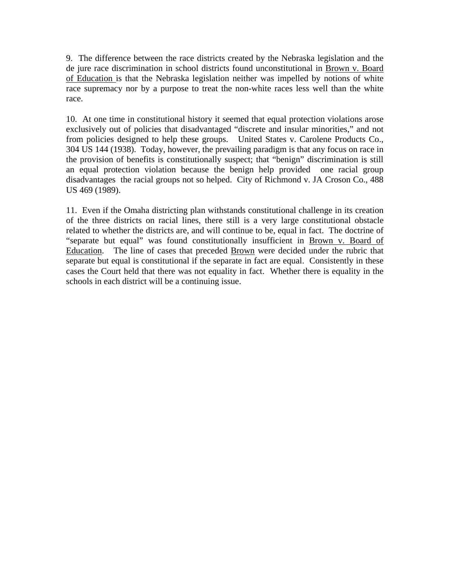9. The difference between the race districts created by the Nebraska legislation and the de jure race discrimination in school districts found unconstitutional in Brown v. Board of Education is that the Nebraska legislation neither was impelled by notions of white race supremacy nor by a purpose to treat the non-white races less well than the white race.

10. At one time in constitutional history it seemed that equal protection violations arose exclusively out of policies that disadvantaged "discrete and insular minorities," and not from policies designed to help these groups. United States v. Carolene Products Co., 304 US 144 (1938). Today, however, the prevailing paradigm is that any focus on race in the provision of benefits is constitutionally suspect; that "benign" discrimination is still an equal protection violation because the benign help provided one racial group disadvantages the racial groups not so helped. City of Richmond v. JA Croson Co., 488 US 469 (1989).

11. Even if the Omaha districting plan withstands constitutional challenge in its creation of the three districts on racial lines, there still is a very large constitutional obstacle related to whether the districts are, and will continue to be, equal in fact. The doctrine of "separate but equal" was found constitutionally insufficient in Brown v. Board of Education. The line of cases that preceded Brown were decided under the rubric that separate but equal is constitutional if the separate in fact are equal. Consistently in these cases the Court held that there was not equality in fact. Whether there is equality in the schools in each district will be a continuing issue.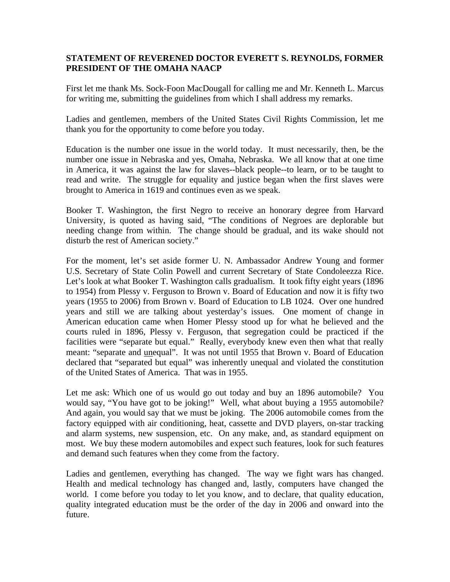### **STATEMENT OF REVERENED DOCTOR EVERETT S. REYNOLDS, FORMER PRESIDENT OF THE OMAHA NAACP**

First let me thank Ms. Sock-Foon MacDougall for calling me and Mr. Kenneth L. Marcus for writing me, submitting the guidelines from which I shall address my remarks.

Ladies and gentlemen, members of the United States Civil Rights Commission, let me thank you for the opportunity to come before you today.

Education is the number one issue in the world today. It must necessarily, then, be the number one issue in Nebraska and yes, Omaha, Nebraska. We all know that at one time in America, it was against the law for slaves--black people--to learn, or to be taught to read and write. The struggle for equality and justice began when the first slaves were brought to America in 1619 and continues even as we speak.

Booker T. Washington, the first Negro to receive an honorary degree from Harvard University, is quoted as having said, "The conditions of Negroes are deplorable but needing change from within. The change should be gradual, and its wake should not disturb the rest of American society."

For the moment, let's set aside former U. N. Ambassador Andrew Young and former U.S. Secretary of State Colin Powell and current Secretary of State Condoleezza Rice. Let's look at what Booker T. Washington calls gradualism. It took fifty eight years (1896 to 1954) from Plessy v. Ferguson to Brown v. Board of Education and now it is fifty two years (1955 to 2006) from Brown v. Board of Education to LB 1024. Over one hundred years and still we are talking about yesterday's issues. One moment of change in American education came when Homer Plessy stood up for what he believed and the courts ruled in 1896, Plessy v. Ferguson, that segregation could be practiced if the facilities were "separate but equal." Really, everybody knew even then what that really meant: "separate and unequal". It was not until 1955 that Brown v. Board of Education declared that "separated but equal" was inherently unequal and violated the constitution of the United States of America. That was in 1955.

Let me ask: Which one of us would go out today and buy an 1896 automobile? You would say, "You have got to be joking!" Well, what about buying a 1955 automobile? And again, you would say that we must be joking. The 2006 automobile comes from the factory equipped with air conditioning, heat, cassette and DVD players, on-star tracking and alarm systems, new suspension, etc. On any make, and, as standard equipment on most. We buy these modern automobiles and expect such features, look for such features and demand such features when they come from the factory.

Ladies and gentlemen, everything has changed. The way we fight wars has changed. Health and medical technology has changed and, lastly, computers have changed the world. I come before you today to let you know, and to declare, that quality education, quality integrated education must be the order of the day in 2006 and onward into the future.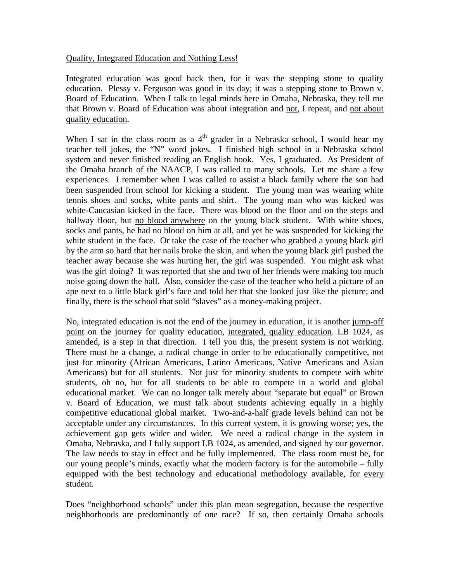### Quality, Integrated Education and Nothing Less!

Integrated education was good back then, for it was the stepping stone to quality education. Plessy v. Ferguson was good in its day; it was a stepping stone to Brown v. Board of Education. When I talk to legal minds here in Omaha, Nebraska, they tell me that Brown v. Board of Education was about integration and not, I repeat, and not about quality education.

When I sat in the class room as a  $4<sup>th</sup>$  grader in a Nebraska school, I would hear my teacher tell jokes, the "N" word jokes. I finished high school in a Nebraska school system and never finished reading an English book. Yes, I graduated. As President of the Omaha branch of the NAACP, I was called to many schools. Let me share a few experiences. I remember when I was called to assist a black family where the son had been suspended from school for kicking a student. The young man was wearing white tennis shoes and socks, white pants and shirt. The young man who was kicked was white-Caucasian kicked in the face. There was blood on the floor and on the steps and hallway floor, but no blood anywhere on the young black student. With white shoes, socks and pants, he had no blood on him at all, and yet he was suspended for kicking the white student in the face. Or take the case of the teacher who grabbed a young black girl by the arm so hard that her nails broke the skin, and when the young black girl pushed the teacher away because she was hurting her, the girl was suspended. You might ask what was the girl doing? It was reported that she and two of her friends were making too much noise going down the hall. Also, consider the case of the teacher who held a picture of an ape next to a little black girl's face and told her that she looked just like the picture; and finally, there is the school that sold "slaves" as a money-making project.

No, integrated education is not the end of the journey in education, it is another jump-off point on the journey for quality education, integrated, quality education. LB 1024, as amended, is a step in that direction. I tell you this, the present system is not working. There must be a change, a radical change in order to be educationally competitive, not just for minority (African Americans, Latino Americans, Native Americans and Asian Americans) but for all students. Not just for minority students to compete with white students, oh no, but for all students to be able to compete in a world and global educational market. We can no longer talk merely about "separate but equal" or Brown v. Board of Education, we must talk about students achieving equally in a highly competitive educational global market. Two-and-a-half grade levels behind can not be acceptable under any circumstances. In this current system, it is growing worse; yes, the achievement gap gets wider and wider. We need a radical change in the system in Omaha, Nebraska, and I fully support LB 1024, as amended, and signed by our governor. The law needs to stay in effect and be fully implemented. The class room must be, for our young people's minds, exactly what the modern factory is for the automobile – fully equipped with the best technology and educational methodology available, for every student.

Does "neighborhood schools" under this plan mean segregation, because the respective neighborhoods are predominantly of one race? If so, then certainly Omaha schools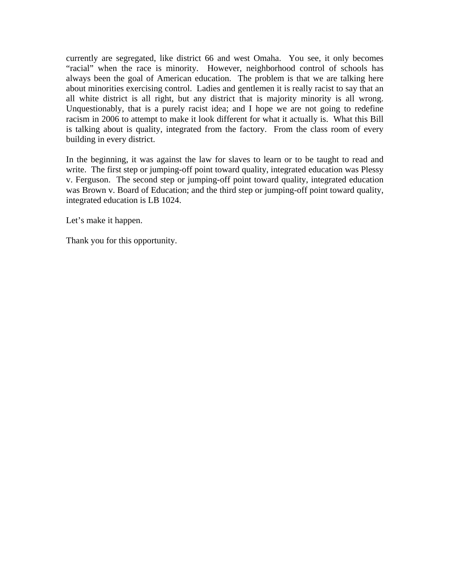currently are segregated, like district 66 and west Omaha. You see, it only becomes "racial" when the race is minority. However, neighborhood control of schools has always been the goal of American education. The problem is that we are talking here about minorities exercising control. Ladies and gentlemen it is really racist to say that an all white district is all right, but any district that is majority minority is all wrong. Unquestionably, that is a purely racist idea; and I hope we are not going to redefine racism in 2006 to attempt to make it look different for what it actually is. What this Bill is talking about is quality, integrated from the factory. From the class room of every building in every district.

In the beginning, it was against the law for slaves to learn or to be taught to read and write. The first step or jumping-off point toward quality, integrated education was Plessy v. Ferguson. The second step or jumping-off point toward quality, integrated education was Brown v. Board of Education; and the third step or jumping-off point toward quality, integrated education is LB 1024.

Let's make it happen.

Thank you for this opportunity.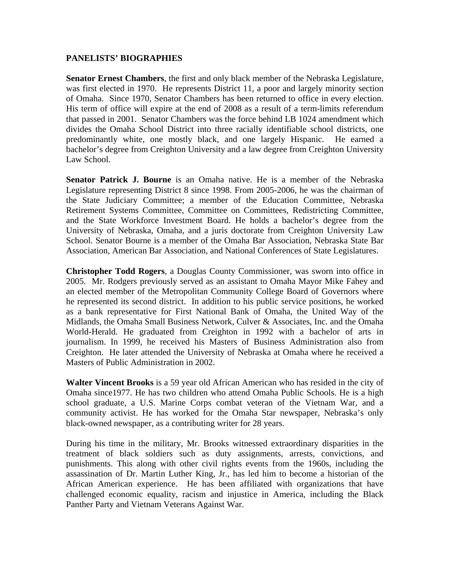### **PANELISTS' BIOGRAPHIES**

**Senator Ernest Chambers**, the first and only black member of the Nebraska Legislature, was first elected in 1970. He represents District 11, a poor and largely minority section of Omaha. Since 1970, Senator Chambers has been returned to office in every election. His term of office will expire at the end of 2008 as a result of a term-limits referendum that passed in 2001. Senator Chambers was the force behind LB 1024 amendment which divides the Omaha School District into three racially identifiable school districts, one predominantly white, one mostly black, and one largely Hispanic. He earned a bachelor's degree from Creighton University and a law degree from Creighton University Law School.

**Senator Patrick J. Bourne** is an Omaha native. He is a member of the Nebraska Legislature representing District 8 since 1998. From 2005-2006, he was the chairman of the State Judiciary Committee; a member of the Education Committee, Nebraska Retirement Systems Committee, Committee on Committees, Redistricting Committee, and the State Workforce Investment Board. He holds a bachelor's degree from the University of Nebraska, Omaha, and a juris doctorate from Creighton University Law School. Senator Bourne is a member of the Omaha Bar Association, Nebraska State Bar Association, American Bar Association, and National Conferences of State Legislatures.

**Christopher Todd Rogers**, a Douglas County Commissioner, was sworn into office in 2005. Mr. Rodgers previously served as an assistant to Omaha Mayor Mike Fahey and an elected member of the Metropolitan Community College Board of Governors where he represented its second district. In addition to his public service positions, he worked as a bank representative for First National Bank of Omaha, the United Way of the Midlands, the Omaha Small Business Network, Culver & Associates, Inc. and the Omaha World-Herald. He graduated from Creighton in 1992 with a bachelor of arts in journalism. In 1999, he received his Masters of Business Administration also from Creighton. He later attended the University of Nebraska at Omaha where he received a Masters of Public Administration in 2002.

**Walter Vincent Brooks** is a 59 year old African American who has resided in the city of Omaha since1977. He has two children who attend Omaha Public Schools. He is a high school graduate, a U.S. Marine Corps combat veteran of the Vietnam War, and a community activist. He has worked for the Omaha Star newspaper, Nebraska's only black-owned newspaper, as a contributing writer for 28 years.

During his time in the military, Mr. Brooks witnessed extraordinary disparities in the treatment of black soldiers such as duty assignments, arrests, convictions, and punishments. This along with other civil rights events from the 1960s, including the assassination of Dr. Martin Luther King, Jr., has led him to become a historian of the African American experience. He has been affiliated with organizations that have challenged economic equality, racism and injustice in America, including the Black Panther Party and Vietnam Veterans Against War.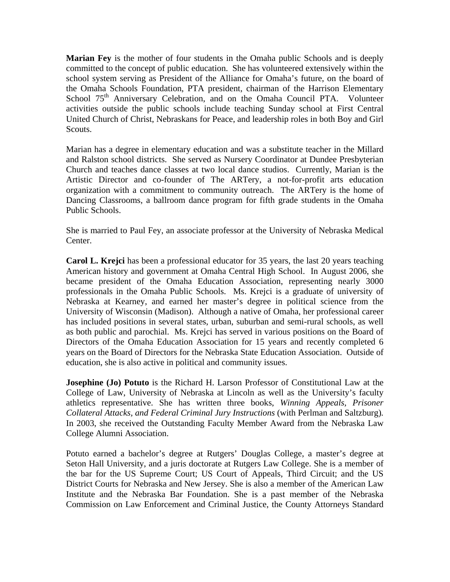**Marian Fey** is the mother of four students in the Omaha public Schools and is deeply committed to the concept of public education. She has volunteered extensively within the school system serving as President of the Alliance for Omaha's future, on the board of the Omaha Schools Foundation, PTA president, chairman of the Harrison Elementary School 75<sup>th</sup> Anniversary Celebration, and on the Omaha Council PTA. Volunteer activities outside the public schools include teaching Sunday school at First Central United Church of Christ, Nebraskans for Peace, and leadership roles in both Boy and Girl Scouts.

Marian has a degree in elementary education and was a substitute teacher in the Millard and Ralston school districts. She served as Nursery Coordinator at Dundee Presbyterian Church and teaches dance classes at two local dance studios. Currently, Marian is the Artistic Director and co-founder of The ARTery, a not-for-profit arts education organization with a commitment to community outreach. The ARTery is the home of Dancing Classrooms, a ballroom dance program for fifth grade students in the Omaha Public Schools.

She is married to Paul Fey, an associate professor at the University of Nebraska Medical Center.

**Carol L. Krejci** has been a professional educator for 35 years, the last 20 years teaching American history and government at Omaha Central High School. In August 2006, she became president of the Omaha Education Association, representing nearly 3000 professionals in the Omaha Public Schools. Ms. Krejci is a graduate of university of Nebraska at Kearney, and earned her master's degree in political science from the University of Wisconsin (Madison). Although a native of Omaha, her professional career has included positions in several states, urban, suburban and semi-rural schools, as well as both public and parochial. Ms. Krejci has served in various positions on the Board of Directors of the Omaha Education Association for 15 years and recently completed 6 years on the Board of Directors for the Nebraska State Education Association. Outside of education, she is also active in political and community issues.

**Josephine (Jo) Potuto** is the Richard H. Larson Professor of Constitutional Law at the College of Law, University of Nebraska at Lincoln as well as the University's faculty athletics representative. She has written three books, *Winning Appeals, Prisoner Collateral Attacks, and Federal Criminal Jury Instructions* (with Perlman and Saltzburg)*.*  In 2003, she received the Outstanding Faculty Member Award from the Nebraska Law College Alumni Association.

Potuto earned a bachelor's degree at Rutgers' Douglas College, a master's degree at Seton Hall University, and a juris doctorate at Rutgers Law College. She is a member of the bar for the US Supreme Court; US Court of Appeals, Third Circuit; and the US District Courts for Nebraska and New Jersey. She is also a member of the American Law Institute and the Nebraska Bar Foundation. She is a past member of the Nebraska Commission on Law Enforcement and Criminal Justice, the County Attorneys Standard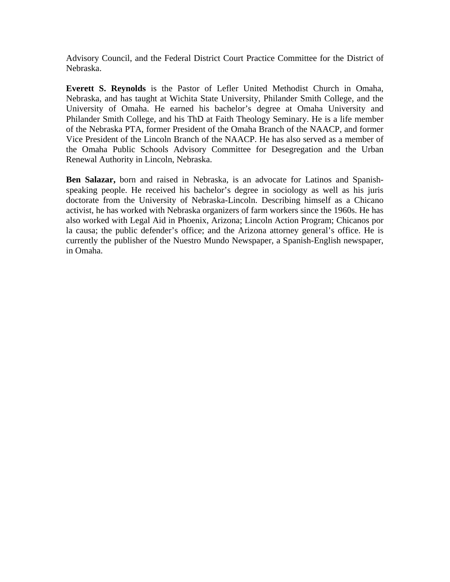Advisory Council, and the Federal District Court Practice Committee for the District of Nebraska.

**Everett S. Reynolds** is the Pastor of Lefler United Methodist Church in Omaha, Nebraska, and has taught at Wichita State University, Philander Smith College, and the University of Omaha. He earned his bachelor's degree at Omaha University and Philander Smith College, and his ThD at Faith Theology Seminary. He is a life member of the Nebraska PTA, former President of the Omaha Branch of the NAACP, and former Vice President of the Lincoln Branch of the NAACP. He has also served as a member of the Omaha Public Schools Advisory Committee for Desegregation and the Urban Renewal Authority in Lincoln, Nebraska.

**Ben Salazar,** born and raised in Nebraska, is an advocate for Latinos and Spanishspeaking people. He received his bachelor's degree in sociology as well as his juris doctorate from the University of Nebraska-Lincoln. Describing himself as a Chicano activist, he has worked with Nebraska organizers of farm workers since the 1960s. He has also worked with Legal Aid in Phoenix, Arizona; Lincoln Action Program; Chicanos por la causa; the public defender's office; and the Arizona attorney general's office. He is currently the publisher of the Nuestro Mundo Newspaper, a Spanish-English newspaper, in Omaha.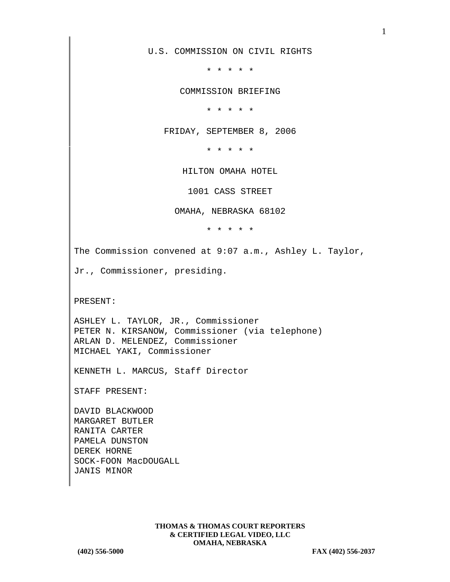U.S. COMMISSION ON CIVIL RIGHTS

\* \* \* \* \*

COMMISSION BRIEFING

\* \* \* \* \*

FRIDAY, SEPTEMBER 8, 2006

\* \* \* \* \*

HILTON OMAHA HOTEL

1001 CASS STREET

OMAHA, NEBRASKA 68102

\* \* \* \* \*

The Commission convened at 9:07 a.m., Ashley L. Taylor,

Jr., Commissioner, presiding.

PRESENT:

ASHLEY L. TAYLOR, JR., Commissioner PETER N. KIRSANOW, Commissioner (via telephone) ARLAN D. MELENDEZ, Commissioner MICHAEL YAKI, Commissioner

KENNETH L. MARCUS, Staff Director

STAFF PRESENT:

DAVID BLACKWOOD MARGARET BUTLER RANITA CARTER PAMELA DUNSTON DEREK HORNE SOCK-FOON MacDOUGALL JANIS MINOR

> **THOMAS & THOMAS COURT REPORTERS & CERTIFIED LEGAL VIDEO, LLC OMAHA, NEBRASKA**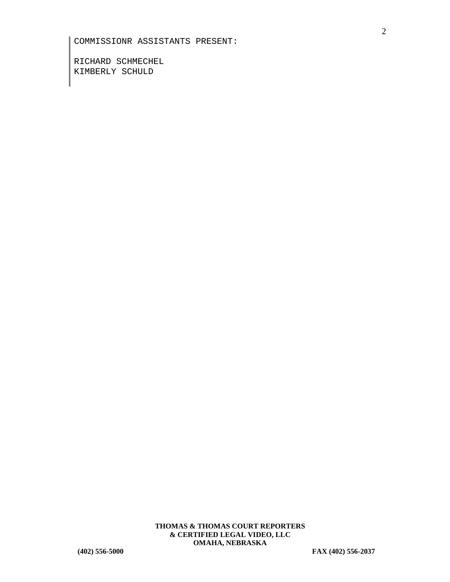RICHARD SCHMECHEL KIMBERLY SCHULD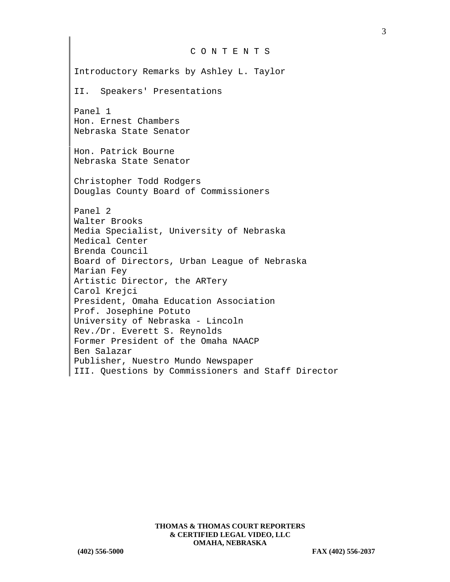## C O N T E N T S

Introductory Remarks by Ashley L. Taylor II. Speakers' Presentations Panel 1 Hon. Ernest Chambers Nebraska State Senator Hon. Patrick Bourne Nebraska State Senator Christopher Todd Rodgers Douglas County Board of Commissioners Panel 2 Walter Brooks Media Specialist, University of Nebraska Medical Center Brenda Council Board of Directors, Urban League of Nebraska Marian Fey Artistic Director, the ARTery Carol Krejci President, Omaha Education Association Prof. Josephine Potuto University of Nebraska - Lincoln Rev./Dr. Everett S. Reynolds Former President of the Omaha NAACP Ben Salazar Publisher, Nuestro Mundo Newspaper III. Questions by Commissioners and Staff Director 3

**THOMAS & THOMAS COURT REPORTERS & CERTIFIED LEGAL VIDEO, LLC OMAHA, NEBRASKA**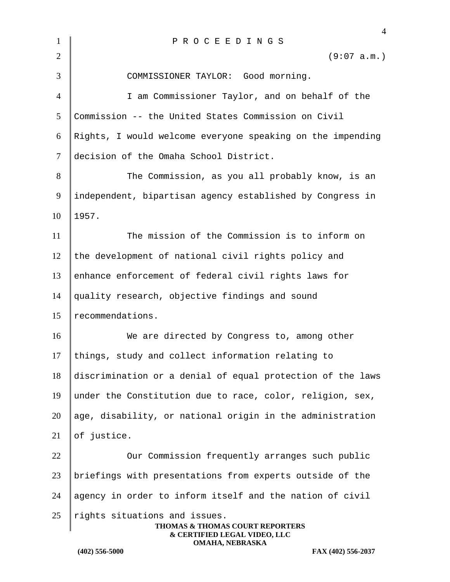| $\mathbf{1}$   | PROCEEDINGS                                                                                      |
|----------------|--------------------------------------------------------------------------------------------------|
| $\overline{2}$ | (9:07 a.m.)                                                                                      |
| 3              | COMMISSIONER TAYLOR: Good morning.                                                               |
| $\overline{4}$ | I am Commissioner Taylor, and on behalf of the                                                   |
| 5              | Commission -- the United States Commission on Civil                                              |
| 6              | Rights, I would welcome everyone speaking on the impending                                       |
| $\tau$         | decision of the Omaha School District.                                                           |
| 8              | The Commission, as you all probably know, is an                                                  |
| 9              | independent, bipartisan agency established by Congress in                                        |
| 10             | 1957.                                                                                            |
| 11             | The mission of the Commission is to inform on                                                    |
| 12             | the development of national civil rights policy and                                              |
| 13             | enhance enforcement of federal civil rights laws for                                             |
| 14             | quality research, objective findings and sound                                                   |
| 15             | recommendations.                                                                                 |
| 16             | We are directed by Congress to, among other                                                      |
| 17             | things, study and collect information relating to                                                |
| 18             | discrimination or a denial of equal protection of the laws                                       |
| 19             | under the Constitution due to race, color, religion, sex,                                        |
| 20             | age, disability, or national origin in the administration                                        |
| 21             | of justice.                                                                                      |
| 22             | Our Commission frequently arranges such public                                                   |
| 23             | briefings with presentations from experts outside of the                                         |
| 24             | agency in order to inform itself and the nation of civil                                         |
| 25             | rights situations and issues.<br>THOMAS & THOMAS COURT REPORTERS<br>& CERTIFIED LEGAL VIDEO, LLC |
|                | OMAHA, NEBRASKA<br>$(402)$ 556-5000<br>FAX (402) 556-2037                                        |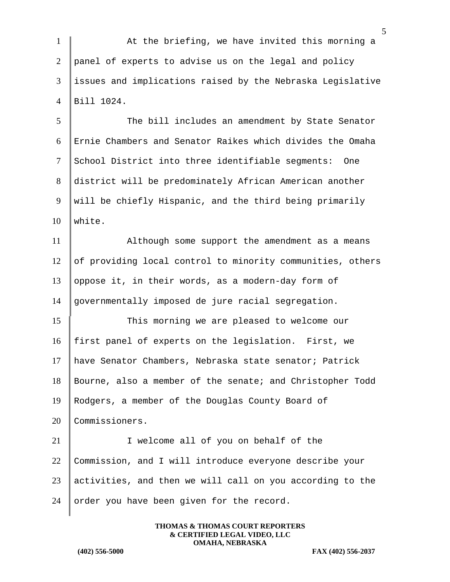1 At the briefing, we have invited this morning a panel of experts to advise us on the legal and policy issues and implications raised by the Nebraska Legislative Bill 1024.

5 The bill includes an amendment by State Senator Ernie Chambers and Senator Raikes which divides the Omaha School District into three identifiable segments: One district will be predominately African American another will be chiefly Hispanic, and the third being primarily 10 white.

 Although some support the amendment as a means 12 of providing local control to minority communities, others oppose it, in their words, as a modern-day form of governmentally imposed de jure racial segregation.

15 This morning we are pleased to welcome our first panel of experts on the legislation. First, we have Senator Chambers, Nebraska state senator; Patrick Bourne, also a member of the senate; and Christopher Todd Rodgers, a member of the Douglas County Board of 20 Commissioners.

21 | I welcome all of you on behalf of the 22 Commission, and I will introduce everyone describe your  $23$  activities, and then we will call on you according to the 24 order you have been given for the record.

> **THOMAS & THOMAS COURT REPORTERS & CERTIFIED LEGAL VIDEO, LLC OMAHA, NEBRASKA**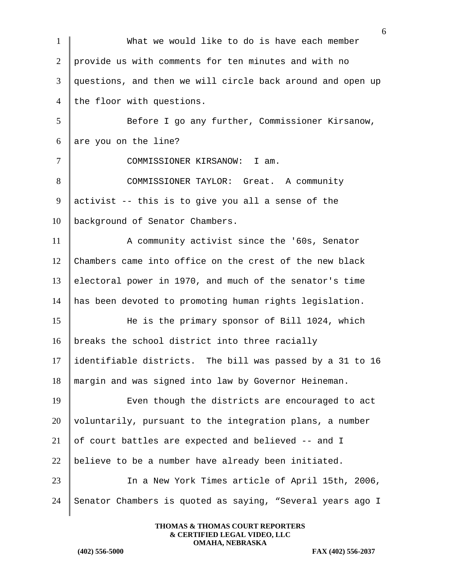|                          | 6                                                          |
|--------------------------|------------------------------------------------------------|
| $\mathbf{1}$             | What we would like to do is have each member               |
| 2                        | provide us with comments for ten minutes and with no       |
| 3                        | questions, and then we will circle back around and open up |
| $\overline{4}$           | the floor with questions.                                  |
| 5                        | Before I go any further, Commissioner Kirsanow,            |
| 6                        | are you on the line?                                       |
| $\overline{\mathcal{L}}$ | COMMISSIONER KIRSANOW: I am.                               |
| 8                        | COMMISSIONER TAYLOR: Great. A community                    |
| 9                        | activist -- this is to give you all a sense of the         |
| 10                       | background of Senator Chambers.                            |
| 11                       | A community activist since the '60s, Senator               |
| 12                       | Chambers came into office on the crest of the new black    |
| 13                       | electoral power in 1970, and much of the senator's time    |
| 14                       | has been devoted to promoting human rights legislation.    |
| 15                       | He is the primary sponsor of Bill 1024, which              |
| 16                       | breaks the school district into three racially             |
| 17                       | identifiable districts. The bill was passed by a 31 to 16  |
| 18                       | margin and was signed into law by Governor Heineman.       |
| 19                       | Even though the districts are encouraged to act            |
| 20                       | voluntarily, pursuant to the integration plans, a number   |
| 21                       | of court battles are expected and believed -- and I        |
| 22                       | believe to be a number have already been initiated.        |
| 23                       | In a New York Times article of April 15th, 2006,           |
| 24                       | Senator Chambers is quoted as saying, "Several years ago I |
|                          |                                                            |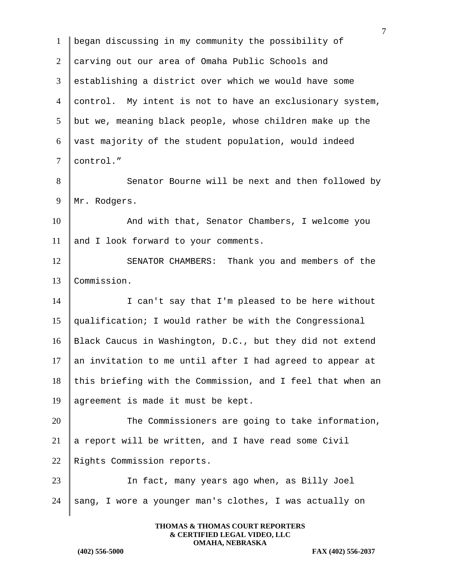7 1 began discussing in my community the possibility of 2 carving out our area of Omaha Public Schools and 3 establishing a district over which we would have some 4 control. My intent is not to have an exclusionary system,  $5$  but we, meaning black people, whose children make up the 6 vast majority of the student population, would indeed 7 control." 8 Senator Bourne will be next and then followed by 9 | Mr. Rodgers. 10 And with that, Senator Chambers, I welcome you 11 and I look forward to your comments. 12 SENATOR CHAMBERS: Thank you and members of the 13 Commission. 14 I can't say that I'm pleased to be here without 15 qualification; I would rather be with the Congressional 16 Black Caucus in Washington, D.C., but they did not extend 17 an invitation to me until after I had agreed to appear at  $18$  this briefing with the Commission, and I feel that when an 19 agreement is made it must be kept. 20 The Commissioners are going to take information, 21 a report will be written, and I have read some Civil 22 Rights Commission reports. 23 In fact, many years ago when, as Billy Joel 24  $\parallel$  sang, I wore a younger man's clothes, I was actually on

> **THOMAS & THOMAS COURT REPORTERS & CERTIFIED LEGAL VIDEO, LLC OMAHA, NEBRASKA**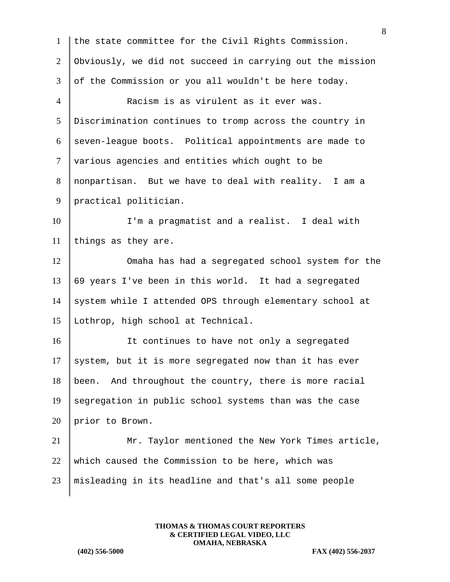| $\mathbf{1}$   | the state committee for the Civil Rights Commission.      |
|----------------|-----------------------------------------------------------|
| $\overline{2}$ | Obviously, we did not succeed in carrying out the mission |
| 3              | of the Commission or you all wouldn't be here today.      |
| $\overline{4}$ | Racism is as virulent as it ever was.                     |
| 5              | Discrimination continues to tromp across the country in   |
| 6              | seven-league boots. Political appointments are made to    |
| $\tau$         | various agencies and entities which ought to be           |
| 8              | nonpartisan. But we have to deal with reality. I am a     |
| 9              | practical politician.                                     |
| 10             | I'm a pragmatist and a realist. I deal with               |
| 11             | things as they are.                                       |
| 12             | Omaha has had a segregated school system for the          |
| 13             | 69 years I've been in this world. It had a segregated     |
| 14             | system while I attended OPS through elementary school at  |
| 15             | Lothrop, high school at Technical.                        |
| 16             | It continues to have not only a segregated                |
| 17             | system, but it is more segregated now than it has ever    |
| 18             | And throughout the country, there is more racial<br>been. |
| 19             | segregation in public school systems than was the case    |
| 20             | prior to Brown.                                           |
| 21             | Mr. Taylor mentioned the New York Times article,          |
| 22             | which caused the Commission to be here, which was         |
| 23             | misleading in its headline and that's all some people     |
|                |                                                           |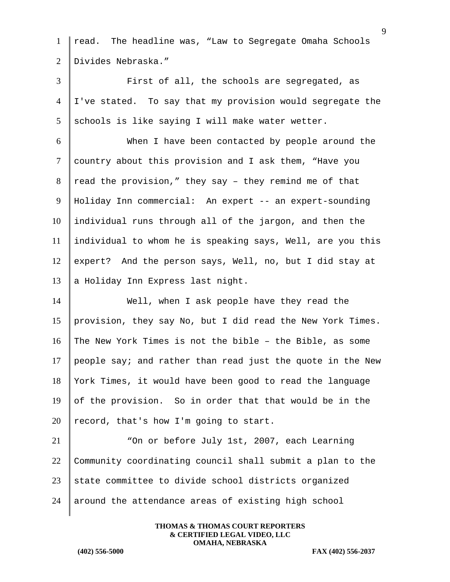| $\mathbf{1}$   | read. The headline was, "Law to Segregate Omaha Schools    |
|----------------|------------------------------------------------------------|
| 2              | Divides Nebraska."                                         |
| 3              | First of all, the schools are segregated, as               |
| $\overline{4}$ | I've stated. To say that my provision would segregate the  |
| 5              | schools is like saying I will make water wetter.           |
| 6              | When I have been contacted by people around the            |
| $\tau$         | country about this provision and I ask them, "Have you     |
| 8              | read the provision," they say - they remind me of that     |
| 9              | Holiday Inn commercial: An expert -- an expert-sounding    |
| 10             | individual runs through all of the jargon, and then the    |
| 11             | individual to whom he is speaking says, Well, are you this |
| 12             | expert? And the person says, Well, no, but I did stay at   |
| 13             | a Holiday Inn Express last night.                          |
| 14             | Well, when I ask people have they read the                 |
| 15             | provision, they say No, but I did read the New York Times. |
| 16             | The New York Times is not the bible - the Bible, as some   |
| 17             | people say; and rather than read just the quote in the New |
| 18             | York Times, it would have been good to read the language   |
| 19             | of the provision. So in order that that would be in the    |
| 20             | record, that's how I'm going to start.                     |
| 21             | "On or before July 1st, 2007, each Learning                |
| 22             | Community coordinating council shall submit a plan to the  |
| 23             | state committee to divide school districts organized       |
| 24             | around the attendance areas of existing high school        |
|                |                                                            |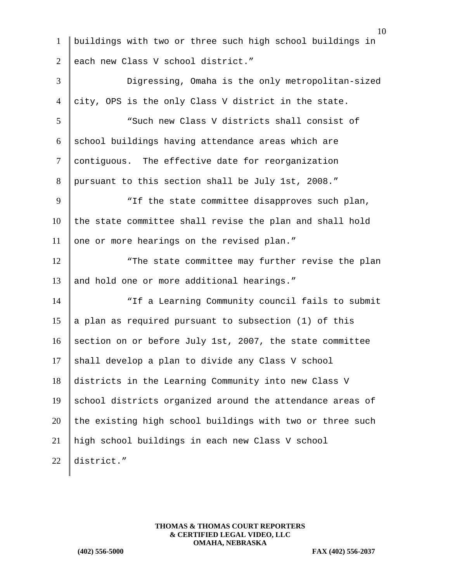1 buildings with two or three such high school buildings in 2 each new Class V school district." 3 Digressing, Omaha is the only metropolitan-sized  $4$  city, OPS is the only Class V district in the state. 5 "Such new Class V districts shall consist of  $6 \parallel$  school buildings having attendance areas which are 7 | contiguous. The effective date for reorganization 8 pursuant to this section shall be July 1st, 2008." 9 | TIF the state committee disapproves such plan,  $10$  the state committee shall revise the plan and shall hold 11 one or more hearings on the revised plan." 12 The state committee may further revise the plan 13 and hold one or more additional hearings." 14 **The State of the State Learning Community council fails to submit** 15 || a plan as required pursuant to subsection (1) of this 16 section on or before July 1st, 2007, the state committee  $17$  shall develop a plan to divide any Class V school 18 districts in the Learning Community into new Class V  $19$  school districts organized around the attendance areas of  $20$  the existing high school buildings with two or three such 21 high school buildings in each new Class V school 22 district."

> **THOMAS & THOMAS COURT REPORTERS & CERTIFIED LEGAL VIDEO, LLC OMAHA, NEBRASKA**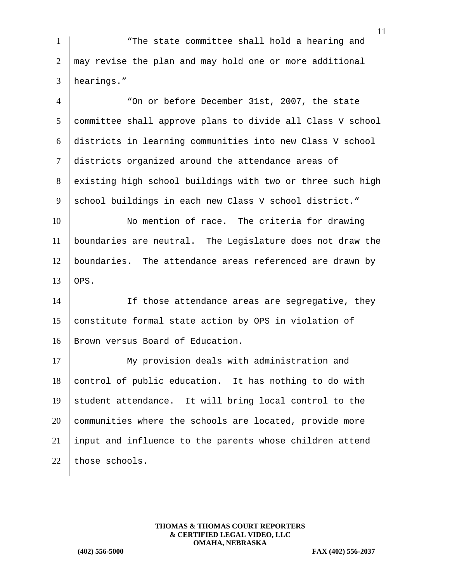1 The state committee shall hold a hearing and  $2 \parallel$  may revise the plan and may hold one or more additional 3 hearings."

4 "On or before December 31st, 2007, the state 5 committee shall approve plans to divide all Class V school 6 districts in learning communities into new Class V school 7 districts organized around the attendance areas of 8 existing high school buildings with two or three such high 9 school buildings in each new Class V school district."

10 No mention of race. The criteria for drawing 11 boundaries are neutral. The Legislature does not draw the 12 boundaries. The attendance areas referenced are drawn by  $13$  OPS.

14 If those attendance areas are segregative, they 15 constitute formal state action by OPS in violation of 16 | Brown versus Board of Education.

17 My provision deals with administration and control of public education. It has nothing to do with student attendance. It will bring local control to the communities where the schools are located, provide more input and influence to the parents whose children attend 22 those schools.

> **THOMAS & THOMAS COURT REPORTERS & CERTIFIED LEGAL VIDEO, LLC OMAHA, NEBRASKA**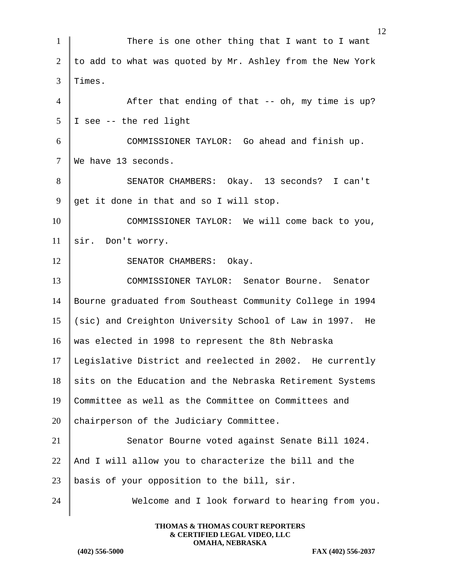| $\mathbf{1}$   | There is one other thing that I want to I want            |
|----------------|-----------------------------------------------------------|
| $\overline{2}$ | to add to what was quoted by Mr. Ashley from the New York |
| 3              | Times.                                                    |
| $\overline{4}$ | After that ending of that -- oh, my time is up?           |
| 5              | I see -- the red light                                    |
| 6              | COMMISSIONER TAYLOR: Go ahead and finish up.              |
| $\tau$         | We have 13 seconds.                                       |
| 8              | SENATOR CHAMBERS: Okay. 13 seconds? I can't               |
| 9              | get it done in that and so I will stop.                   |
| 10             | COMMISSIONER TAYLOR: We will come back to you,            |
| 11             | sir. Don't worry.                                         |
| 12             | SENATOR CHAMBERS: Okay.                                   |
| 13             | COMMISSIONER TAYLOR: Senator Bourne. Senator              |
| 14             | Bourne graduated from Southeast Community College in 1994 |
| 15             | (sic) and Creighton University School of Law in 1997. He  |
| 16             | was elected in 1998 to represent the 8th Nebraska         |
| 17             | Legislative District and reelected in 2002. He currently  |
| 18             | sits on the Education and the Nebraska Retirement Systems |
| 19             | Committee as well as the Committee on Committees and      |
| 20             | chairperson of the Judiciary Committee.                   |
| 21             | Senator Bourne voted against Senate Bill 1024.            |
| 22             | And I will allow you to characterize the bill and the     |
| 23             | basis of your opposition to the bill, sir.                |
| 24             | Welcome and I look forward to hearing from you.           |
|                |                                                           |

**(402) 556-5000 FAX (402) 556-2037**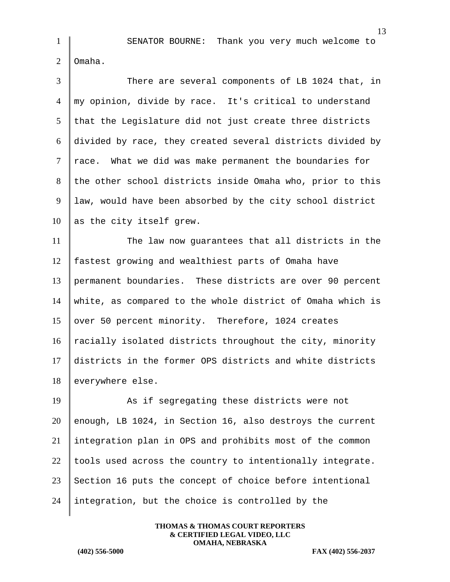SENATOR BOURNE: Thank you very much welcome to 2 Omaha.

 There are several components of LB 1024 that, in my opinion, divide by race. It's critical to understand that the Legislature did not just create three districts divided by race, they created several districts divided by race. What we did was make permanent the boundaries for the other school districts inside Omaha who, prior to this law, would have been absorbed by the city school district as the city itself grew.

 The law now guarantees that all districts in the fastest growing and wealthiest parts of Omaha have permanent boundaries. These districts are over 90 percent white, as compared to the whole district of Omaha which is 15 over 50 percent minority. Therefore, 1024 creates  $\parallel$  racially isolated districts throughout the city, minority districts in the former OPS districts and white districts 18 everywhere else.

19 As if segregating these districts were not 20 enough, LB 1024, in Section 16, also destroys the current integration plan in OPS and prohibits most of the common  $\parallel$  tools used across the country to intentionally integrate. Section 16 puts the concept of choice before intentional integration, but the choice is controlled by the

> **THOMAS & THOMAS COURT REPORTERS & CERTIFIED LEGAL VIDEO, LLC OMAHA, NEBRASKA**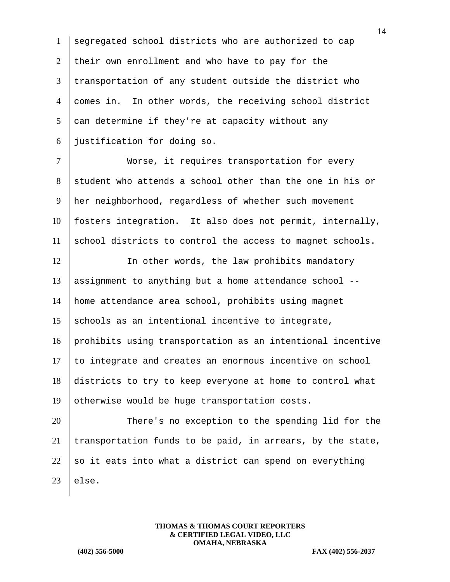segregated school districts who are authorized to cap 2 their own enrollment and who have to pay for the transportation of any student outside the district who comes in. In other words, the receiving school district can determine if they're at capacity without any justification for doing so.

7 | Worse, it requires transportation for every 8 student who attends a school other than the one in his or 9 her neighborhood, regardless of whether such movement 10 fosters integration. It also does not permit, internally, 11 school districts to control the access to magnet schools.

12 In other words, the law prohibits mandatory 13 | assignment to anything but a home attendance school  $--$ 14 home attendance area school, prohibits using magnet 15 schools as an intentional incentive to integrate, 16 prohibits using transportation as an intentional incentive 17 to integrate and creates an enormous incentive on school 18 districts to try to keep everyone at home to control what 19 | otherwise would be huge transportation costs.

20 There's no exception to the spending lid for the 21 transportation funds to be paid, in arrears, by the state, 22 so it eats into what a district can spend on everything  $23$  |else.

> **THOMAS & THOMAS COURT REPORTERS & CERTIFIED LEGAL VIDEO, LLC OMAHA, NEBRASKA**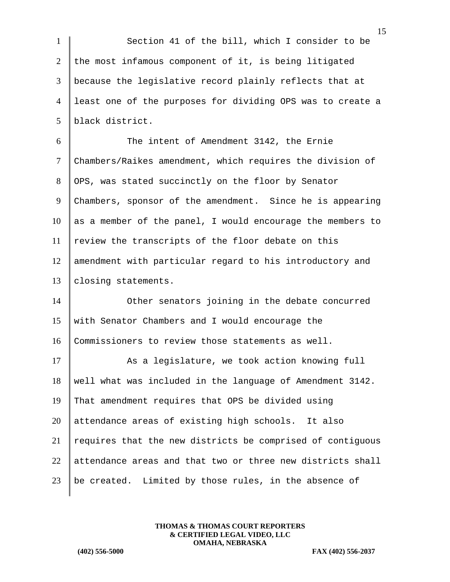1 Section 41 of the bill, which I consider to be 2 the most infamous component of it, is being litigated because the legislative record plainly reflects that at least one of the purposes for dividing OPS was to create a black district. The intent of Amendment 3142, the Ernie Chambers/Raikes amendment, which requires the division of 8 OPS, was stated succinctly on the floor by Senator 9 Chambers, sponsor of the amendment. Since he is appearing 10 as a member of the panel, I would encourage the members to review the transcripts of the floor debate on this amendment with particular regard to his introductory and 13 | closing statements. **Other senators** joining in the debate concurred with Senator Chambers and I would encourage the Commissioners to review those statements as well. 17 As a legislature, we took action knowing full well what was included in the language of Amendment 3142. That amendment requires that OPS be divided using attendance areas of existing high schools. It also requires that the new districts be comprised of contiguous attendance areas and that two or three new districts shall 23 | be created. Limited by those rules, in the absence of

> **THOMAS & THOMAS COURT REPORTERS & CERTIFIED LEGAL VIDEO, LLC OMAHA, NEBRASKA**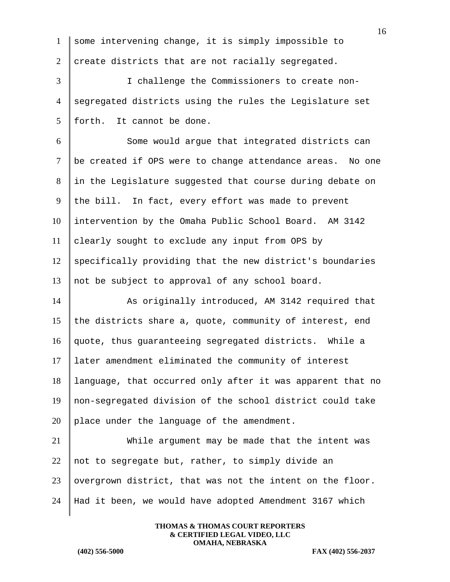|                | 16                                                         |
|----------------|------------------------------------------------------------|
| $\mathbf{1}$   | some intervening change, it is simply impossible to        |
| $\overline{2}$ | create districts that are not racially segregated.         |
| 3              | I challenge the Commissioners to create non-               |
| $\overline{4}$ | segregated districts using the rules the Legislature set   |
| 5              | forth. It cannot be done.                                  |
| 6              | Some would argue that integrated districts can             |
| $\tau$         | be created if OPS were to change attendance areas. No one  |
| 8              | in the Legislature suggested that course during debate on  |
| 9              | the bill. In fact, every effort was made to prevent        |
| 10             | intervention by the Omaha Public School Board. AM 3142     |
| 11             | clearly sought to exclude any input from OPS by            |
| 12             | specifically providing that the new district's boundaries  |
| 13             | not be subject to approval of any school board.            |
| 14             | As originally introduced, AM 3142 required that            |
| 15             | the districts share a, quote, community of interest, end   |
| 16             | quote, thus guaranteeing segregated districts. While a     |
| 17             | later amendment eliminated the community of interest       |
| 18             | language, that occurred only after it was apparent that no |
| 19             | non-segregated division of the school district could take  |
| 20             | place under the language of the amendment.                 |
| 21             | While argument may be made that the intent was             |
| 22             | not to segregate but, rather, to simply divide an          |
| 23             | overgrown district, that was not the intent on the floor.  |
| 24             | Had it been, we would have adopted Amendment 3167 which    |
|                |                                                            |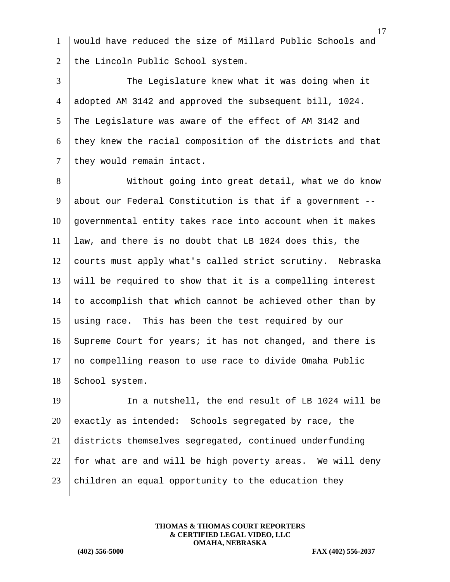1 would have reduced the size of Millard Public Schools and 2 the Lincoln Public School system.

 The Legislature knew what it was doing when it adopted AM 3142 and approved the subsequent bill, 1024. 5 The Legislature was aware of the effect of AM 3142 and they knew the racial composition of the districts and that they would remain intact.

8 Without going into great detail, what we do know 9 about our Federal Constitution is that if a government --10 governmental entity takes race into account when it makes 11 law, and there is no doubt that LB 1024 does this, the 12 courts must apply what's called strict scrutiny. Nebraska  $13$  will be required to show that it is a compelling interest 14  $\parallel$  to accomplish that which cannot be achieved other than by 15 using race. This has been the test required by our 16 Supreme Court for years; it has not changed, and there is 17 no compelling reason to use race to divide Omaha Public 18 School system.

19 In a nutshell, the end result of LB 1024 will be 20 exactly as intended: Schools segregated by race, the 21 districts themselves segregated, continued underfunding 22  $\parallel$  for what are and will be high poverty areas. We will deny 23 children an equal opportunity to the education they

> **THOMAS & THOMAS COURT REPORTERS & CERTIFIED LEGAL VIDEO, LLC OMAHA, NEBRASKA**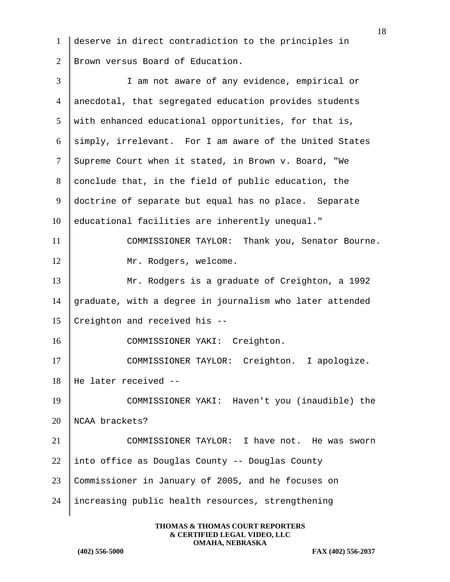1 deserve in direct contradiction to the principles in 2 Brown versus Board of Education.

3 I am not aware of any evidence, empirical or 4 anecdotal, that segregated education provides students  $5 \parallel$  with enhanced educational opportunities, for that is, 6 simply, irrelevant. For I am aware of the United States 7 Supreme Court when it stated, in Brown v. Board, "We 8 conclude that, in the field of public education, the 9 doctrine of separate but equal has no place. Separate 10 educational facilities are inherently unequal." 11 COMMISSIONER TAYLOR: Thank you, Senator Bourne. 12 | Mr. Rodgers, welcome. 13 Mr. Rodgers is a graduate of Creighton, a 1992 14 graduate, with a degree in journalism who later attended 15 Creighton and received his  $-$ 16 COMMISSIONER YAKI: Creighton. 17 | COMMISSIONER TAYLOR: Creighton. I apologize. 18 He later received -- 19 COMMISSIONER YAKI: Haven't you (inaudible) the 20 NCAA brackets? 21 COMMISSIONER TAYLOR: I have not. He was sworn 22 into office as Douglas County -- Douglas County 23 Commissioner in January of 2005, and he focuses on 24 increasing public health resources, strengthening

> **THOMAS & THOMAS COURT REPORTERS & CERTIFIED LEGAL VIDEO, LLC OMAHA, NEBRASKA**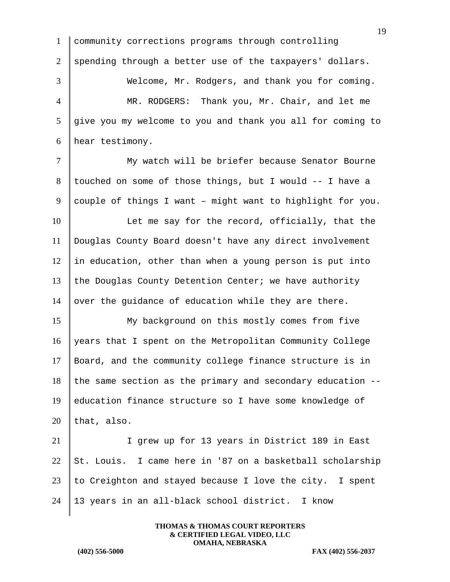19 1 community corrections programs through controlling 2 spending through a better use of the taxpayers' dollars. 3 Welcome, Mr. Rodgers, and thank you for coming. 4 MR. RODGERS: Thank you, Mr. Chair, and let me 5 give you my welcome to you and thank you all for coming to 6 hear testimony. 7 My watch will be briefer because Senator Bourne 8 touched on some of those things, but I would  $-$ - I have a 9 couple of things I want - might want to highlight for you. 10 Let me say for the record, officially, that the 11 Douglas County Board doesn't have any direct involvement  $12$  in education, other than when a young person is put into 13 the Douglas County Detention Center; we have authority 14 over the guidance of education while they are there. 15 My background on this mostly comes from five 16 years that I spent on the Metropolitan Community College 17 Board, and the community college finance structure is in  $18$  the same section as the primary and secondary education  $-$ -19 education finance structure so I have some knowledge of 20 | that, also. 21 I grew up for 13 years in District 189 in East 22  $\|$  St. Louis. I came here in '87 on a basketball scholarship  $23$  to Creighton and stayed because I love the city. I spent 24 | 13 years in an all-black school district. I know

> **THOMAS & THOMAS COURT REPORTERS & CERTIFIED LEGAL VIDEO, LLC OMAHA, NEBRASKA**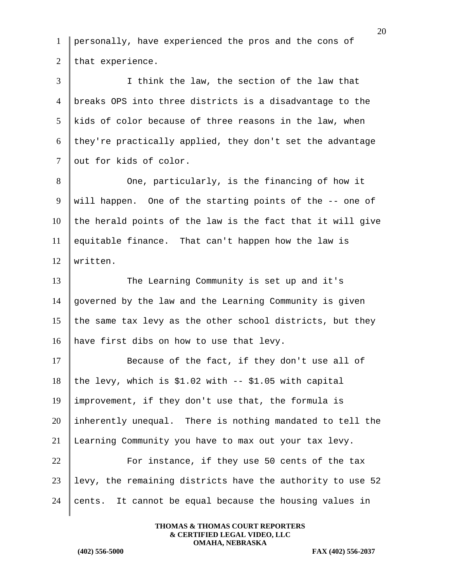1 personally, have experienced the pros and the cons of 2 that experience. 3 I think the law, the section of the law that 4 breaks OPS into three districts is a disadvantage to the  $5$  kids of color because of three reasons in the law, when 6 they're practically applied, they don't set the advantage 7 out for kids of color. 8 One, particularly, is the financing of how it 9 will happen. One of the starting points of the -- one of  $10$  the herald points of the law is the fact that it will give 11 equitable finance. That can't happen how the law is 12 Written. 13 The Learning Community is set up and it's 14 governed by the law and the Learning Community is given 15 the same tax levy as the other school districts, but they 16 have first dibs on how to use that levy. 17 Because of the fact, if they don't use all of 18 the levy, which is \$1.02 with  $-$  \$1.05 with capital 19 improvement, if they don't use that, the formula is 20 inherently unequal. There is nothing mandated to tell the 21 Learning Community you have to max out your tax levy.  $22$   $\parallel$  For instance, if they use 50 cents of the tax  $23$  levy, the remaining districts have the authority to use 52 24 cents. It cannot be equal because the housing values in

> **THOMAS & THOMAS COURT REPORTERS & CERTIFIED LEGAL VIDEO, LLC OMAHA, NEBRASKA**

**(402) 556-5000 FAX (402) 556-2037**

20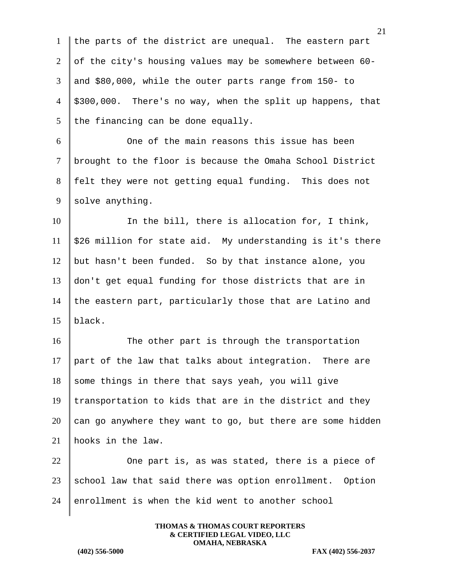1 the parts of the district are unequal. The eastern part 2 of the city's housing values may be somewhere between  $60 3 \parallel$  and \$80,000, while the outer parts range from 150- to  $4 \parallel$  \$300,000. There's no way, when the split up happens, that 5 the financing can be done equally.

6 One of the main reasons this issue has been 7 brought to the floor is because the Omaha School District 8 felt they were not getting equal funding. This does not  $9$  solve anything.

10 In the bill, there is allocation for, I think, 11  $\parallel$  \$26 million for state aid. My understanding is it's there 12 | but hasn't been funded. So by that instance alone, you 13 don't get equal funding for those districts that are in 14 the eastern part, particularly those that are Latino and 15 black.

16 The other part is through the transportation 17  $\parallel$  part of the law that talks about integration. There are  $18$  some things in there that says yeah, you will give 19 transportation to kids that are in the district and they 20 can go anywhere they want to go, but there are some hidden 21 hooks in the law.

 $22$   $\parallel$  One part is, as was stated, there is a piece of 23  $\parallel$  school law that said there was option enrollment. Option  $24$  enrollment is when the kid went to another school

> **THOMAS & THOMAS COURT REPORTERS & CERTIFIED LEGAL VIDEO, LLC OMAHA, NEBRASKA**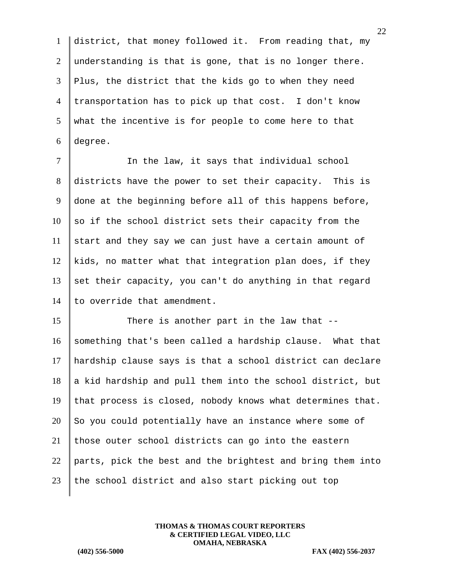1 district, that money followed it. From reading that, my 2 understanding is that is gone, that is no longer there. 3 Plus, the district that the kids go to when they need 4 transportation has to pick up that cost. I don't know  $5 \parallel$  what the incentive is for people to come here to that 6 degree.

7 | The law, it says that individual school 8 districts have the power to set their capacity. This is 9 done at the beginning before all of this happens before,  $10$  so if the school district sets their capacity from the 11 start and they say we can just have a certain amount of 12 kids, no matter what that integration plan does, if they 13 set their capacity, you can't do anything in that regard 14  $\parallel$  to override that amendment.

15 There is another part in the law that --16 something that's been called a hardship clause. What that 17 hardship clause says is that a school district can declare  $18$  a kid hardship and pull them into the school district, but 19 that process is closed, nobody knows what determines that.  $20$  So you could potentially have an instance where some of 21 those outer school districts can go into the eastern 22 parts, pick the best and the brightest and bring them into  $23$  the school district and also start picking out top

> **THOMAS & THOMAS COURT REPORTERS & CERTIFIED LEGAL VIDEO, LLC OMAHA, NEBRASKA**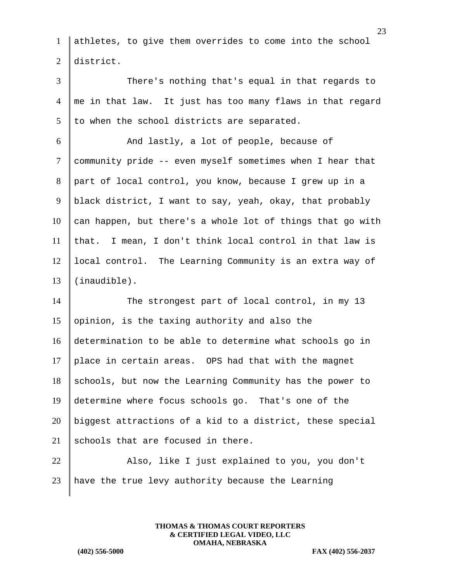1 athletes, to give them overrides to come into the school 2 district.

3 There's nothing that's equal in that regards to  $4 \parallel$  me in that law. It just has too many flaws in that regard  $5$  to when the school districts are separated.

 And lastly, a lot of people, because of community pride -- even myself sometimes when I hear that part of local control, you know, because I grew up in a 9 | black district, I want to say, yeah, okay, that probably can happen, but there's a whole lot of things that go with that. I mean, I don't think local control in that law is 12 | local control. The Learning Community is an extra way of (inaudible).

14 The strongest part of local control, in my 13 15 | opinion, is the taxing authority and also the 16 determination to be able to determine what schools go in 17 place in certain areas. OPS had that with the magnet  $18$  schools, but now the Learning Community has the power to 19 determine where focus schools go. That's one of the 20 biggest attractions of a kid to a district, these special 21 schools that are focused in there.

22 Also, like I just explained to you, you don't  $23$  have the true levy authority because the Learning

> **THOMAS & THOMAS COURT REPORTERS & CERTIFIED LEGAL VIDEO, LLC OMAHA, NEBRASKA**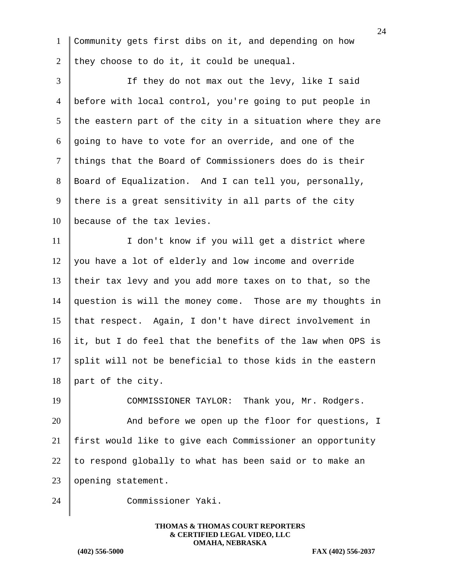| $\mathbf{1}$   | Community gets first dibs on it, and depending on how      |
|----------------|------------------------------------------------------------|
| 2              | they choose to do it, it could be unequal.                 |
| 3              | If they do not max out the levy, like I said               |
| $\overline{4}$ | before with local control, you're going to put people in   |
| 5              | the eastern part of the city in a situation where they are |
| 6              | going to have to vote for an override, and one of the      |
| $\tau$         | things that the Board of Commissioners does do is their    |
| 8              | Board of Equalization. And I can tell you, personally,     |
| 9              | there is a great sensitivity in all parts of the city      |
| 10             | because of the tax levies.                                 |
| 11             | I don't know if you will get a district where              |
| 12             | you have a lot of elderly and low income and override      |
| 13             | their tax levy and you add more taxes on to that, so the   |
| 14             | question is will the money come. Those are my thoughts in  |
| 15             | that respect. Again, I don't have direct involvement in    |
| 16             | it, but I do feel that the benefits of the law when OPS is |
| 17             | split will not be beneficial to those kids in the eastern  |
| 18             | part of the city.                                          |
| 19             | COMMISSIONER TAYLOR: Thank you, Mr. Rodgers.               |
| 20             | And before we open up the floor for questions, I           |
| 21             | first would like to give each Commissioner an opportunity  |
| 22             | to respond globally to what has been said or to make an    |
| 23             | opening statement.                                         |
| 24             | Commissioner Yaki.                                         |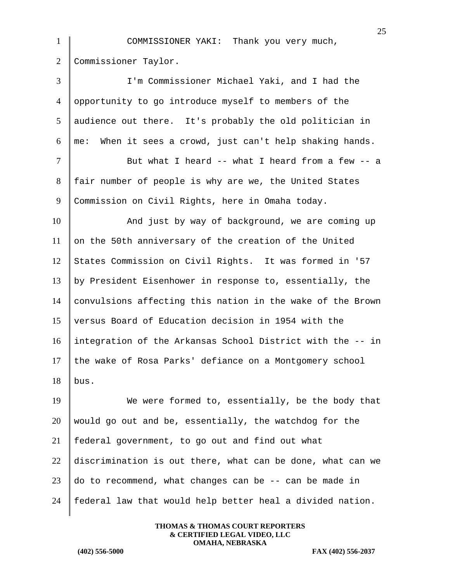|                | 25                                                          |
|----------------|-------------------------------------------------------------|
| $\mathbf{1}$   | COMMISSIONER YAKI: Thank you very much,                     |
| $\overline{2}$ | Commissioner Taylor.                                        |
| 3              | I'm Commissioner Michael Yaki, and I had the                |
| $\overline{4}$ | opportunity to go introduce myself to members of the        |
| 5              | audience out there. It's probably the old politician in     |
| 6              | When it sees a crowd, just can't help shaking hands.<br>me: |
| $\overline{7}$ | But what I heard -- what I heard from a few -- a            |
| 8              | fair number of people is why are we, the United States      |
| 9              | Commission on Civil Rights, here in Omaha today.            |
| 10             | And just by way of background, we are coming up             |
| 11             | on the 50th anniversary of the creation of the United       |
| 12             | States Commission on Civil Rights. It was formed in '57     |
| 13             | by President Eisenhower in response to, essentially, the    |
| 14             | convulsions affecting this nation in the wake of the Brown  |
| 15             | versus Board of Education decision in 1954 with the         |
| 16             | integration of the Arkansas School District with the -- in  |
| 17             | the wake of Rosa Parks' defiance on a Montgomery school     |
| 18             | bus.                                                        |
| 19             | We were formed to, essentially, be the body that            |
| 20             | would go out and be, essentially, the watchdog for the      |
| 21             | federal government, to go out and find out what             |
| 22             | discrimination is out there, what can be done, what can we  |
| 23             | do to recommend, what changes can be -- can be made in      |
| 24             | federal law that would help better heal a divided nation.   |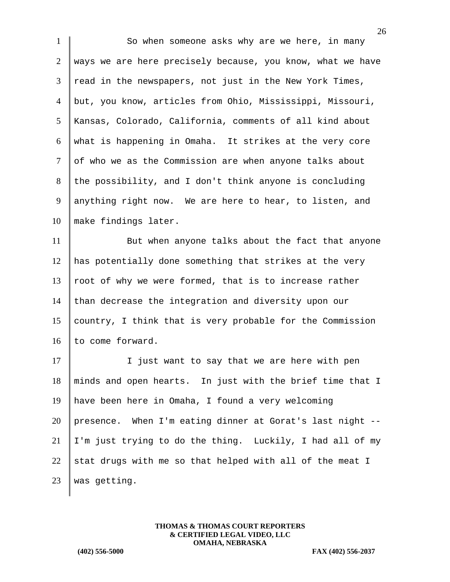1 So when someone asks why are we here, in many 2 ways we are here precisely because, you know, what we have  $3$  read in the newspapers, not just in the New York Times, 4 but, you know, articles from Ohio, Mississippi, Missouri, 5 Kansas, Colorado, California, comments of all kind about 6 what is happening in Omaha. It strikes at the very core  $7$  of who we as the Commission are when anyone talks about 8 the possibility, and I don't think anyone is concluding 9 | anything right now. We are here to hear, to listen, and 10 make findings later. 11 But when anyone talks about the fact that anyone 12 has potentially done something that strikes at the very 13 | root of why we were formed, that is to increase rather 14 than decrease the integration and diversity upon our 15 country, I think that is very probable for the Commission 16 to come forward. 17 | I just want to say that we are here with pen

 minds and open hearts. In just with the brief time that I have been here in Omaha, I found a very welcoming presence. When I'm eating dinner at Gorat's last night  $-$ - | I'm just trying to do the thing. Luckily, I had all of my 22 stat drugs with me so that helped with all of the meat I was getting.

> **THOMAS & THOMAS COURT REPORTERS & CERTIFIED LEGAL VIDEO, LLC OMAHA, NEBRASKA**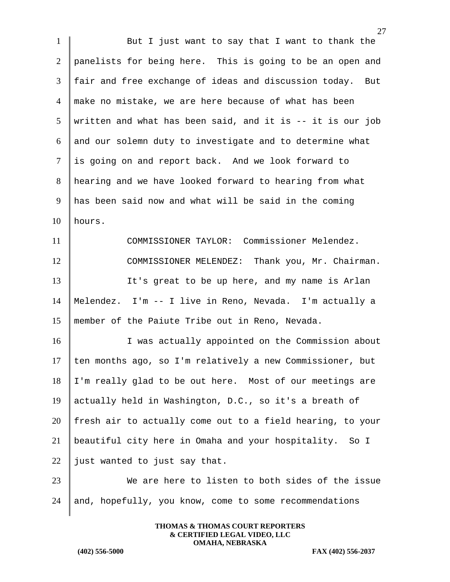1 But I just want to say that I want to thank the 2 panelists for being here. This is going to be an open and 3 fair and free exchange of ideas and discussion today. But 4 make no mistake, we are here because of what has been  $5$  written and what has been said, and it is -- it is our job 6 and our solemn duty to investigate and to determine what 7 is going on and report back. And we look forward to 8 hearing and we have looked forward to hearing from what 9 has been said now and what will be said in the coming  $10$  hours. 11 COMMISSIONER TAYLOR: Commissioner Melendez. 12 COMMISSIONER MELENDEZ: Thank you, Mr. Chairman. 13 It's great to be up here, and my name is Arlan 14 Melendez. I'm -- I live in Reno, Nevada. I'm actually a 15 member of the Paiute Tribe out in Reno, Nevada. 16 I was actually appointed on the Commission about 17  $\parallel$  ten months ago, so I'm relatively a new Commissioner, but 18 I'm really glad to be out here. Most of our meetings are 19 actually held in Washington, D.C., so it's a breath of 20 fresh air to actually come out to a field hearing, to your 21 beautiful city here in Omaha and your hospitality. So I 22 just wanted to just say that. 23 We are here to listen to both sides of the issue 24 and, hopefully, you know, come to some recommendations

> **THOMAS & THOMAS COURT REPORTERS & CERTIFIED LEGAL VIDEO, LLC OMAHA, NEBRASKA**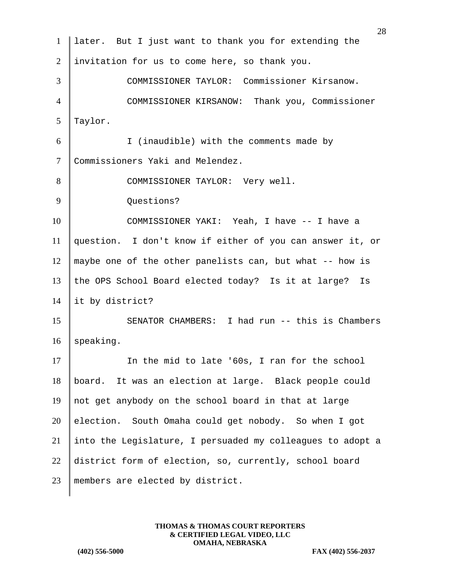|                | 28                                                         |
|----------------|------------------------------------------------------------|
| $\mathbf{1}$   | later. But I just want to thank you for extending the      |
| $\overline{2}$ | invitation for us to come here, so thank you.              |
| 3              | COMMISSIONER TAYLOR: Commissioner Kirsanow.                |
| $\overline{4}$ | COMMISSIONER KIRSANOW: Thank you, Commissioner             |
| 5              | Taylor.                                                    |
| 6              | I (inaudible) with the comments made by                    |
| $\tau$         | Commissioners Yaki and Melendez.                           |
| 8              | COMMISSIONER TAYLOR: Very well.                            |
| 9              | Questions?                                                 |
| 10             | COMMISSIONER YAKI: Yeah, I have -- I have a                |
| 11             | question. I don't know if either of you can answer it, or  |
| 12             | maybe one of the other panelists can, but what -- how is   |
| 13             | the OPS School Board elected today? Is it at large?<br>Is  |
| 14             | it by district?                                            |
| 15             | SENATOR CHAMBERS: I had run -- this is Chambers            |
| 16             | speaking.                                                  |
| 17             | In the mid to late '60s, I ran for the school              |
| 18             | It was an election at large. Black people could<br>board.  |
| 19             | not get anybody on the school board in that at large       |
| 20             | election. South Omaha could get nobody. So when I got      |
| 21             | into the Legislature, I persuaded my colleagues to adopt a |
| 22             | district form of election, so, currently, school board     |
| 23             | members are elected by district.                           |
|                |                                                            |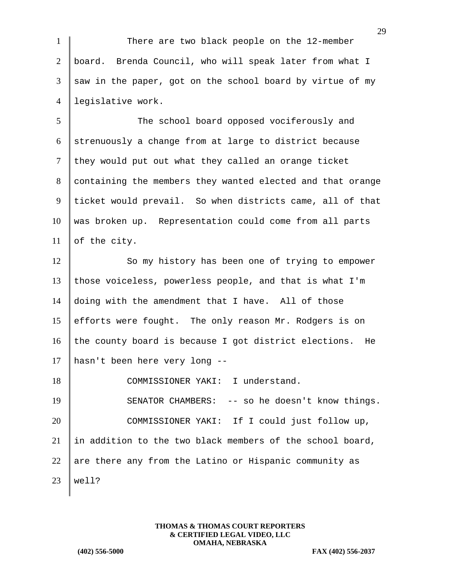1 There are two black people on the 12-member 2 board. Brenda Council, who will speak later from what I  $3 \parallel$  saw in the paper, got on the school board by virtue of my 4 legislative work.

5 The school board opposed vociferously and 6 strenuously a change from at large to district because  $7$  they would put out what they called an orange ticket 8 containing the members they wanted elected and that orange 9 ticket would prevail. So when districts came, all of that 10 was broken up. Representation could come from all parts  $11$  of the city.

12 So my history has been one of trying to empower those voiceless, powerless people, and that is what I'm doing with the amendment that I have. All of those efforts were fought. The only reason Mr. Rodgers is on 16 the county board is because I got district elections. He hasn't been here very long --

18 COMMISSIONER YAKI: I understand. 19 SENATOR CHAMBERS: -- so he doesn't know things. 20 COMMISSIONER YAKI: If I could just follow up, 21  $\parallel$  in addition to the two black members of the school board, 22 are there any from the Latino or Hispanic community as  $23$  | well?

> **THOMAS & THOMAS COURT REPORTERS & CERTIFIED LEGAL VIDEO, LLC OMAHA, NEBRASKA**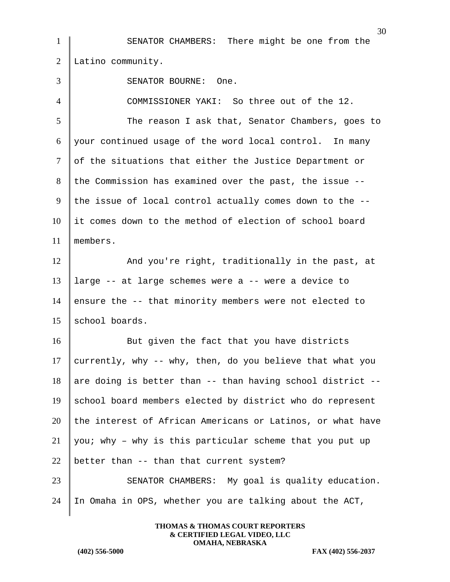|                | 30                                                         |
|----------------|------------------------------------------------------------|
| 1              | SENATOR CHAMBERS: There might be one from the              |
| $\overline{2}$ | Latino community.                                          |
| 3              | SENATOR BOURNE:<br>One.                                    |
| 4              | COMMISSIONER YAKI: So three out of the 12.                 |
| 5              | The reason I ask that, Senator Chambers, goes to           |
| 6              | your continued usage of the word local control. In many    |
| 7              | of the situations that either the Justice Department or    |
| 8              | the Commission has examined over the past, the issue --    |
| 9              | the issue of local control actually comes down to the --   |
| 10             | it comes down to the method of election of school board    |
| 11             | members.                                                   |
| 12             | And you're right, traditionally in the past, at            |
| 13             | large -- at large schemes were a -- were a device to       |
| 14             | ensure the -- that minority members were not elected to    |
| 15             | school boards.                                             |
| 16             | But given the fact that you have districts                 |
| 17             | currently, why -- why, then, do you believe that what you  |
| 18             | are doing is better than -- than having school district -- |
| 19             | school board members elected by district who do represent  |
| 20             | the interest of African Americans or Latinos, or what have |
| 21             | you; why - why is this particular scheme that you put up   |
| 22             | better than -- than that current system?                   |
| 23             | SENATOR CHAMBERS: My goal is quality education.            |
| 24             | In Omaha in OPS, whether you are talking about the ACT,    |
|                |                                                            |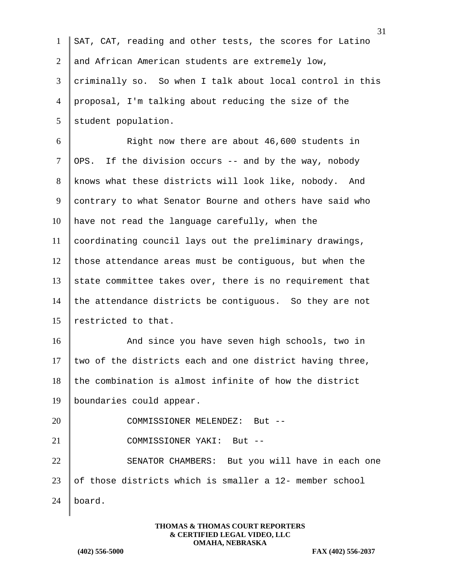| $\mathbf{1}$   | $\cdot$                                                   |
|----------------|-----------------------------------------------------------|
|                | SAT, CAT, reading and other tests, the scores for Latino  |
| $\overline{2}$ | and African American students are extremely low,          |
| 3              | criminally so. So when I talk about local control in this |
| 4              | proposal, I'm talking about reducing the size of the      |
| 5              | student population.                                       |
| 6              | Right now there are about 46,600 students in              |
| $\tau$         | If the division occurs -- and by the way, nobody<br>OPS.  |
| 8              | knows what these districts will look like, nobody.<br>And |
| 9              | contrary to what Senator Bourne and others have said who  |
| 10             | have not read the language carefully, when the            |
| 11             | coordinating council lays out the preliminary drawings,   |
| 12             | those attendance areas must be contiguous, but when the   |
| 13             | state committee takes over, there is no requirement that  |
| 14             | the attendance districts be contiguous. So they are not   |
| 15             | restricted to that.                                       |
| 16             | And since you have seven high schools, two in             |
| 17             | two of the districts each and one district having three,  |
| 18             | the combination is almost infinite of how the district    |
| 19             | boundaries could appear.                                  |
| 20             | COMMISSIONER MELENDEZ: But --                             |
| 21             | COMMISSIONER YAKI: But --                                 |
| 22             | SENATOR CHAMBERS: But you will have in each one           |
| 23             | of those districts which is smaller a 12- member school   |
| 24             | board.                                                    |
|                |                                                           |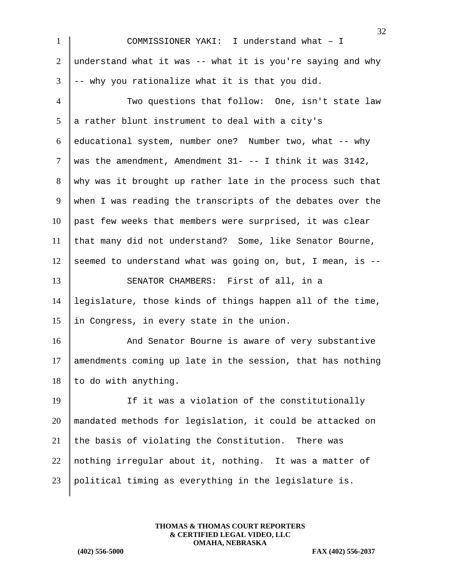| $\mathbf{1}$    | 24<br>COMMISSIONER YAKI: I understand what - I                  |
|-----------------|-----------------------------------------------------------------|
| $\overline{2}$  | understand what it was -- what it is you're saying and why      |
| 3               | -- why you rationalize what it is that you did.                 |
| $\overline{4}$  | Two questions that follow: One, isn't state law                 |
| $5\overline{)}$ | a rather blunt instrument to deal with a city's                 |
| 6               | educational system, number one? Number two, what -- why         |
| $\tau$          | was the amendment, Amendment $31 - - -$ I think it was $3142$ , |
| 8               | why was it brought up rather late in the process such that      |
| 9               | when I was reading the transcripts of the debates over the      |
| 10              | past few weeks that members were surprised, it was clear        |
| 11              | that many did not understand? Some, like Senator Bourne,        |
| 12              | seemed to understand what was going on, but, I mean, is --      |
| 13              | SENATOR CHAMBERS: First of all, in a                            |
| 14              | legislature, those kinds of things happen all of the time,      |
| 15              | in Congress, in every state in the union.                       |
| 16              | And Senator Bourne is aware of very substantive                 |
| 17              | amendments coming up late in the session, that has nothing      |
| 18              | to do with anything.                                            |
| 19              | If it was a violation of the constitutionally                   |
| 20              | mandated methods for legislation, it could be attacked on       |
| 21              | the basis of violating the Constitution. There was              |
| 22              | nothing irregular about it, nothing. It was a matter of         |
| 23              | political timing as everything in the legislature is.           |
|                 |                                                                 |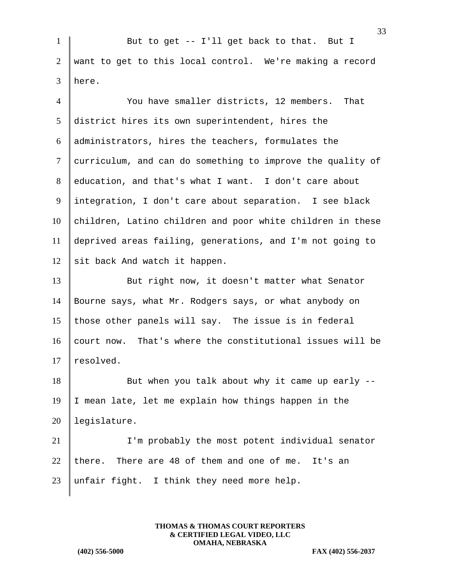1 But to get -- I'll get back to that. But I 2 want to get to this local control. We're making a record 3 here.

 You have smaller districts, 12 members. That district hires its own superintendent, hires the administrators, hires the teachers, formulates the 7 curriculum, and can do something to improve the quality of education, and that's what I want. I don't care about integration, I don't care about separation. I see black children, Latino children and poor white children in these deprived areas failing, generations, and I'm not going to  $\|$  sit back And watch it happen. 13 But right now, it doesn't matter what Senator Bourne says, what Mr. Rodgers says, or what anybody on 15 those other panels will say. The issue is in federal 16 court now. That's where the constitutional issues will be  $|$  resolved. But when you talk about why it came up early  $-$ 19 I mean late, let me explain how things happen in the legislature. I'm probably the most potent individual senator 22 there. There are 48 of them and one of me. It's an

23 | unfair fight. I think they need more help.

**THOMAS & THOMAS COURT REPORTERS & CERTIFIED LEGAL VIDEO, LLC OMAHA, NEBRASKA**

**(402) 556-5000 FAX (402) 556-2037**

33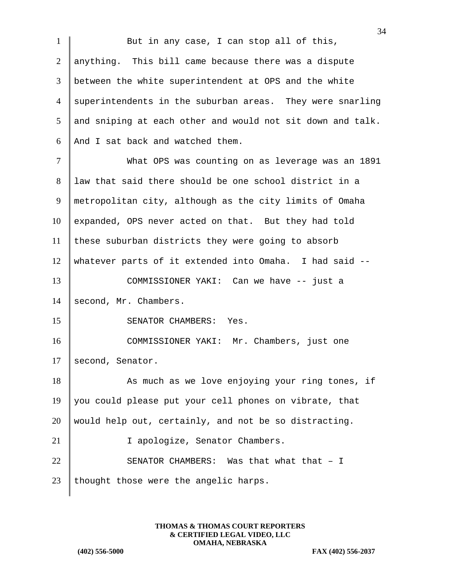1 But in any case, I can stop all of this, 2 anything. This bill came because there was a dispute 3 between the white superintendent at OPS and the white 4 superintendents in the suburban areas. They were snarling  $5$  and sniping at each other and would not sit down and talk. 6 And I sat back and watched them. 7 What OPS was counting on as leverage was an 1891 8 law that said there should be one school district in a 9 metropolitan city, although as the city limits of Omaha 10 expanded, OPS never acted on that. But they had told 11 these suburban districts they were going to absorb 12 whatever parts of it extended into Omaha. I had said -- 13 COMMISSIONER YAKI: Can we have -- just a 14 second, Mr. Chambers. 15 SENATOR CHAMBERS: Yes. 16 COMMISSIONER YAKI: Mr. Chambers, just one 17 second, Senator. 18 As much as we love enjoying your ring tones, if 19 you could please put your cell phones on vibrate, that 20 would help out, certainly, and not be so distracting. 21 | I apologize, Senator Chambers. 22 SENATOR CHAMBERS: Was that what that  $-1$ 23 | thought those were the angelic harps.

> **THOMAS & THOMAS COURT REPORTERS & CERTIFIED LEGAL VIDEO, LLC OMAHA, NEBRASKA**

**(402) 556-5000 FAX (402) 556-2037**

34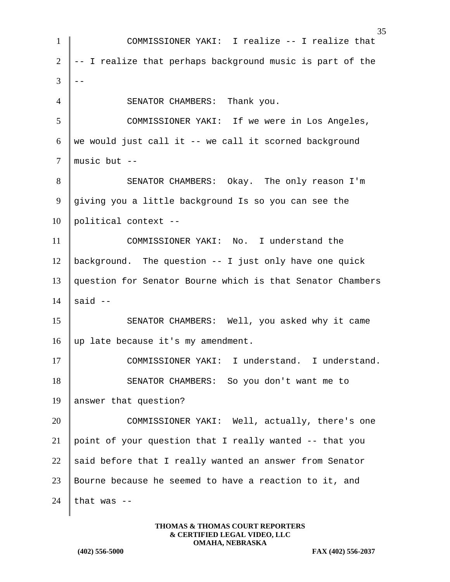35 1 COMMISSIONER YAKI: I realize -- I realize that  $2$   $\vert$  -- I realize that perhaps background music is part of the 3 4 SENATOR CHAMBERS: Thank you. 5 COMMISSIONER YAKI: If we were in Los Angeles, 6 we would just call it  $-$  we call it scorned background  $7 \parallel \text{music but --}$ 8 SENATOR CHAMBERS: Okay. The only reason I'm 9 giving you a little background Is so you can see the  $10$  political context --11 COMMISSIONER YAKI: No. I understand the  $12$  background. The question  $-$ - I just only have one quick 13 question for Senator Bourne which is that Senator Chambers  $14 \parallel$  said  $-$ 15 | SENATOR CHAMBERS: Well, you asked why it came 16 | up late because it's my amendment. 17 COMMISSIONER YAKI: I understand. I understand. 18 SENATOR CHAMBERS: So you don't want me to 19 answer that question? 20 COMMISSIONER YAKI: Well, actually, there's one 21 point of your question that I really wanted  $-$ - that you 22 said before that I really wanted an answer from Senator 23 Bourne because he seemed to have a reaction to it, and 24 that was  $-$ 

> **THOMAS & THOMAS COURT REPORTERS & CERTIFIED LEGAL VIDEO, LLC OMAHA, NEBRASKA**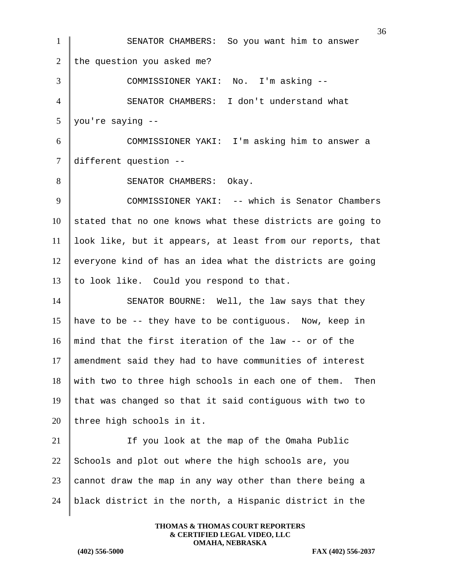36 1 SENATOR CHAMBERS: So you want him to answer 2 the question you asked me? 3 COMMISSIONER YAKI: No. I'm asking -- 4 SENATOR CHAMBERS: I don't understand what 5 you're saying -- 6 COMMISSIONER YAKI: I'm asking him to answer a 7 different question -- 8 SENATOR CHAMBERS: Okay. 9 COMMISSIONER YAKI: -- which is Senator Chambers  $10$  stated that no one knows what these districts are going to 11 look like, but it appears, at least from our reports, that  $12$  everyone kind of has an idea what the districts are going 13 | to look like. Could you respond to that. 14 SENATOR BOURNE: Well, the law says that they 15 have to be -- they have to be contiguous. Now, keep in 16 || mind that the first iteration of the law  $-$  or of the 17 amendment said they had to have communities of interest  $18$  with two to three high schools in each one of them. Then 19 that was changed so that it said contiguous with two to  $20$  three high schools in it. 21 If you look at the map of the Omaha Public 22 Schools and plot out where the high schools are, you 23 cannot draw the map in any way other than there being a 24 | black district in the north, a Hispanic district in the

> **THOMAS & THOMAS COURT REPORTERS & CERTIFIED LEGAL VIDEO, LLC OMAHA, NEBRASKA**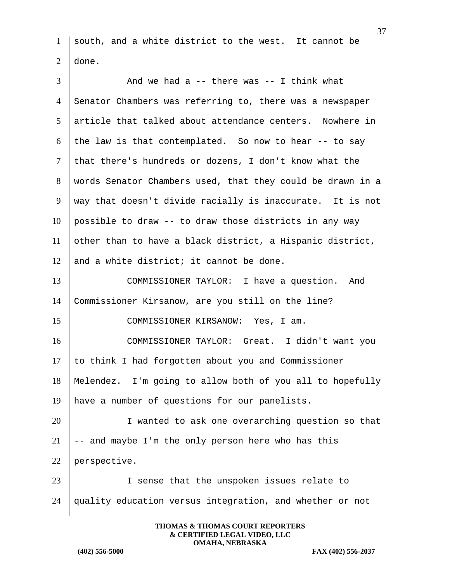1 | south, and a white district to the west. It cannot be  $2 \vert$  done.

| $\overline{3}$  | And we had a $-$ there was $-$ I think what                |
|-----------------|------------------------------------------------------------|
| $\overline{4}$  | Senator Chambers was referring to, there was a newspaper   |
| $5\overline{)}$ | article that talked about attendance centers. Nowhere in   |
| 6               | the law is that contemplated. So now to hear -- to say     |
| $\tau$          | that there's hundreds or dozens, I don't know what the     |
| 8               | words Senator Chambers used, that they could be drawn in a |
| 9               | way that doesn't divide racially is inaccurate. It is not  |
| 10              | possible to draw -- to draw those districts in any way     |
| 11              | other than to have a black district, a Hispanic district,  |
| 12              | and a white district; it cannot be done.                   |
| 13              | COMMISSIONER TAYLOR: I have a question. And                |
| 14              | Commissioner Kirsanow, are you still on the line?          |
| 15              | COMMISSIONER KIRSANOW: Yes, I am.                          |
| 16              | COMMISSIONER TAYLOR: Great. I didn't want you              |
| 17              | to think I had forgotten about you and Commissioner        |
| 18              | Melendez. I'm going to allow both of you all to hopefully  |
| 19              | have a number of questions for our panelists.              |
| 20              | I wanted to ask one overarching question so that           |
| 21              | -- and maybe I'm the only person here who has this         |
| 22              | perspective.                                               |
| 23              | I sense that the unspoken issues relate to                 |
| 24              | quality education versus integration, and whether or not   |
|                 |                                                            |

**THOMAS & THOMAS COURT REPORTERS & CERTIFIED LEGAL VIDEO, LLC OMAHA, NEBRASKA**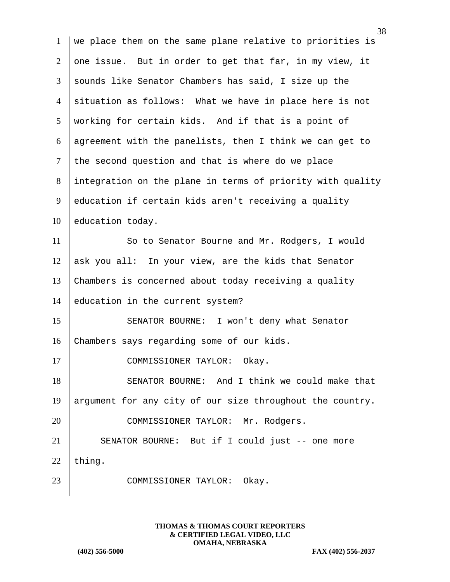1 we place them on the same plane relative to priorities is 2 one issue. But in order to get that far, in my view, it 3 sounds like Senator Chambers has said, I size up the 4 situation as follows: What we have in place here is not 5 working for certain kids. And if that is a point of 6 agreement with the panelists, then I think we can get to  $7$  the second question and that is where do we place 8 integration on the plane in terms of priority with quality 9 education if certain kids aren't receiving a quality 10 education today. 11 So to Senator Bourne and Mr. Rodgers, I would 12 ask you all: In your view, are the kids that Senator 13 Chambers is concerned about today receiving a quality 14 education in the current system? 15 SENATOR BOURNE: I won't deny what Senator 16 Chambers says regarding some of our kids. 17 COMMISSIONER TAYLOR: Okay. 18 SENATOR BOURNE: And I think we could make that 19 argument for any city of our size throughout the country. 20 COMMISSIONER TAYLOR: Mr. Rodgers. 21 SENATOR BOURNE: But if I could just -- one more 22 thing. 23 COMMISSIONER TAYLOR: Okay.

> **THOMAS & THOMAS COURT REPORTERS & CERTIFIED LEGAL VIDEO, LLC OMAHA, NEBRASKA**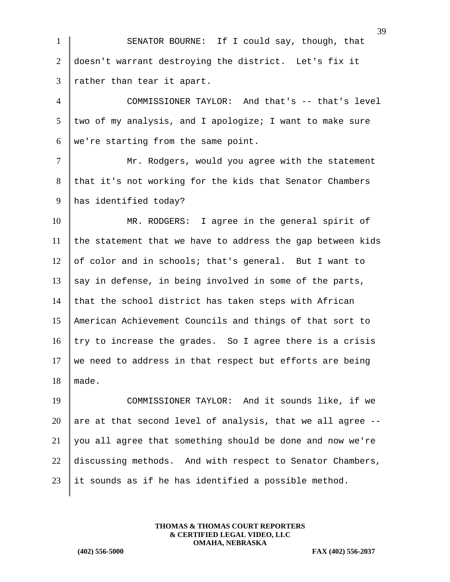1 SENATOR BOURNE: If I could say, though, that 2 doesn't warrant destroying the district. Let's fix it  $3$  rather than tear it apart.

4 COMMISSIONER TAYLOR: And that's -- that's level  $5$  two of my analysis, and I apologize; I want to make sure 6 | we're starting from the same point.

7 | Mr. Rodgers, would you agree with the statement 8 that it's not working for the kids that Senator Chambers 9 has identified today?

10 MR. RODGERS: I agree in the general spirit of  $11$  the statement that we have to address the gap between kids 12 of color and in schools; that's general. But I want to 13 say in defense, in being involved in some of the parts, 14 that the school district has taken steps with African 15 American Achievement Councils and things of that sort to 16  $\vert$  try to increase the grades. So I agree there is a crisis 17 We need to address in that respect but efforts are being 18  $|$  made.

19 COMMISSIONER TAYLOR: And it sounds like, if we 20 are at that second level of analysis, that we all agree  $-$ - $21$  you all agree that something should be done and now we're 22 discussing methods. And with respect to Senator Chambers, 23 | it sounds as if he has identified a possible method.

> **THOMAS & THOMAS COURT REPORTERS & CERTIFIED LEGAL VIDEO, LLC OMAHA, NEBRASKA**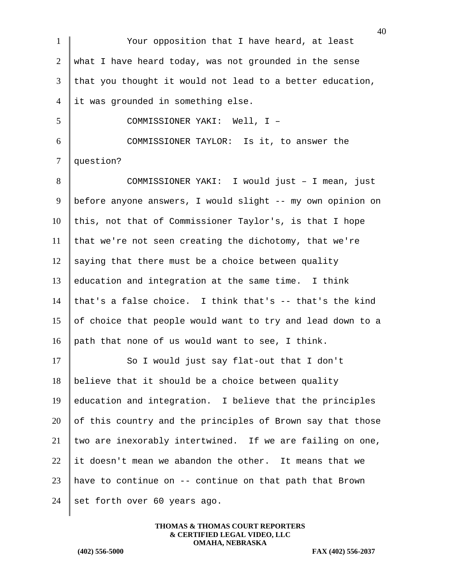40 1 Your opposition that I have heard, at least 2 what I have heard today, was not grounded in the sense  $3$  that you thought it would not lead to a better education, 4 it was grounded in something else. 5 COMMISSIONER YAKI: Well, I – 6 COMMISSIONER TAYLOR: Is it, to answer the 7 question? 8 COMMISSIONER YAKI: I would just - I mean, just 9 | before anyone answers, I would slight -- my own opinion on  $10$  this, not that of Commissioner Taylor's, is that I hope  $11$  that we're not seen creating the dichotomy, that we're  $12$  saying that there must be a choice between quality 13 education and integration at the same time. I think 14 that's a false choice. I think that's  $-$ - that's the kind 15 of choice that people would want to try and lead down to a 16 | path that none of us would want to see, I think. 17 So I would just say flat-out that I don't  $18$  believe that it should be a choice between quality  $19$  education and integration. I believe that the principles  $20$  of this country and the principles of Brown say that those 21 two are inexorably intertwined. If we are failing on one,  $22$  it doesn't mean we abandon the other. It means that we 23 | have to continue on  $-$ - continue on that path that Brown 24 set forth over 60 years ago.

> **THOMAS & THOMAS COURT REPORTERS & CERTIFIED LEGAL VIDEO, LLC OMAHA, NEBRASKA**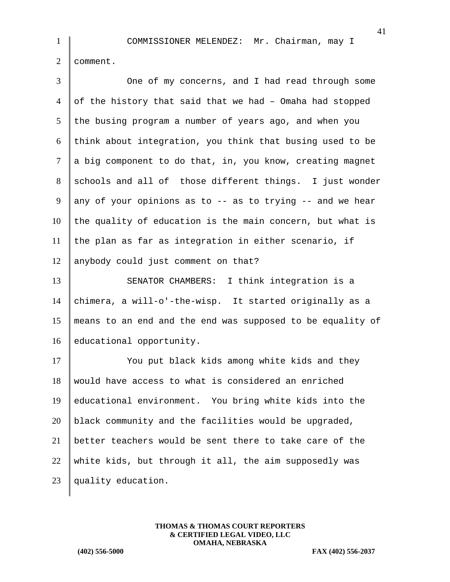2 comment.

| 3              | One of my concerns, and I had read through some            |
|----------------|------------------------------------------------------------|
| $\overline{4}$ | of the history that said that we had - Omaha had stopped   |
| 5              | the busing program a number of years ago, and when you     |
| 6              | think about integration, you think that busing used to be  |
| $\tau$         | a big component to do that, in, you know, creating magnet  |
| 8              | schools and all of those different things. I just wonder   |
| 9              | any of your opinions as to -- as to trying -- and we hear  |
| 10             | the quality of education is the main concern, but what is  |
| 11             | the plan as far as integration in either scenario, if      |
| 12             | anybody could just comment on that?                        |
| 13             | SENATOR CHAMBERS: I think integration is a                 |
| 14             | chimera, a will-o'-the-wisp. It started originally as a    |
| 15             | means to an end and the end was supposed to be equality of |
| 16             | educational opportunity.                                   |
| 17             | You put black kids among white kids and they               |
| 18             | would have access to what is considered an enriched        |
| 19             | educational environment. You bring white kids into the     |
| 20             | black community and the facilities would be upgraded,      |
| 21             | better teachers would be sent there to take care of the    |
| 22             | white kids, but through it all, the aim supposedly was     |
| 23             | quality education.                                         |
|                |                                                            |

**THOMAS & THOMAS COURT REPORTERS & CERTIFIED LEGAL VIDEO, LLC OMAHA, NEBRASKA**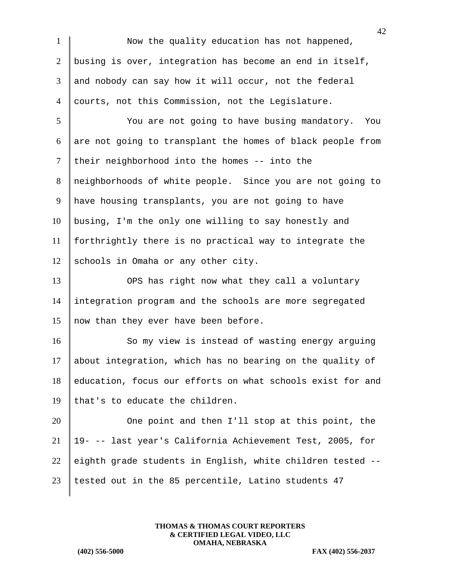1 Now the quality education has not happened, 2 busing is over, integration has become an end in itself, 3 and nobody can say how it will occur, not the federal 4 courts, not this Commission, not the Legislature. 5 | You are not going to have busing mandatory. You 6 are not going to transplant the homes of black people from  $7$  their neighborhood into the homes -- into the 8 neighborhoods of white people. Since you are not going to 9 have housing transplants, you are not going to have  $10$  busing, I'm the only one willing to say honestly and 11 forthrightly there is no practical way to integrate the 12 schools in Omaha or any other city. 13 OPS has right now what they call a voluntary 14 integration program and the schools are more segregated 15  $\parallel$  now than they ever have been before. 16 So my view is instead of wasting energy arguing 17 about integration, which has no bearing on the quality of 18 education, focus our efforts on what schools exist for and 19 | that's to educate the children. 20 One point and then I'll stop at this point, the 21 19- -- last year's California Achievement Test, 2005, for 22 eighth grade students in English, white children tested  $-$ -23 | tested out in the 85 percentile, Latino students 47

> **THOMAS & THOMAS COURT REPORTERS & CERTIFIED LEGAL VIDEO, LLC OMAHA, NEBRASKA**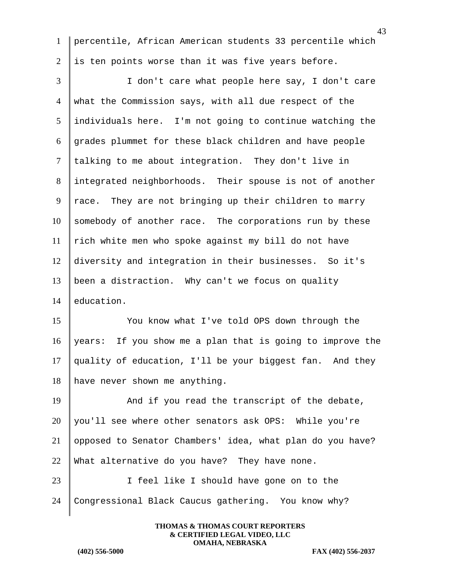percentile, African American students 33 percentile which is ten points worse than it was five years before.

 I don't care what people here say, I don't care what the Commission says, with all due respect of the individuals here. I'm not going to continue watching the grades plummet for these black children and have people talking to me about integration. They don't live in 8 integrated neighborhoods. Their spouse is not of another 9 | race. They are not bringing up their children to marry somebody of another race. The corporations run by these  $\parallel$  rich white men who spoke against my bill do not have diversity and integration in their businesses. So it's been a distraction. Why can't we focus on quality education.

 You know what I've told OPS down through the years: If you show me a plan that is going to improve the quality of education, I'll be your biggest fan. And they 18 have never shown me anything.

19 And if you read the transcript of the debate, 20 | you'll see where other senators ask OPS: While you're opposed to Senator Chambers' idea, what plan do you have? 22 What alternative do you have? They have none.

23 | I feel like I should have gone on to the Congressional Black Caucus gathering. You know why?

> **THOMAS & THOMAS COURT REPORTERS & CERTIFIED LEGAL VIDEO, LLC OMAHA, NEBRASKA**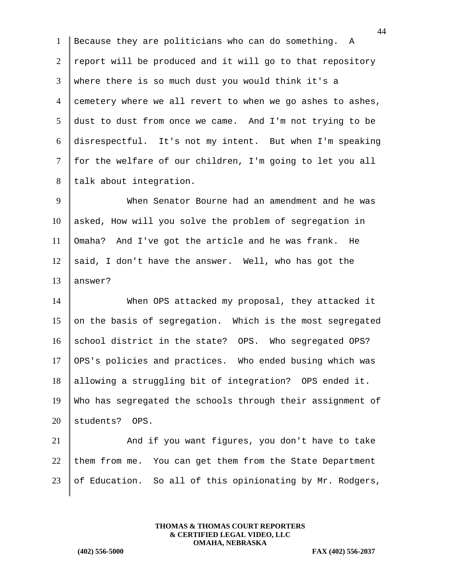Because they are politicians who can do something. A  $2 \parallel$  report will be produced and it will go to that repository where there is so much dust you would think it's a 4 cemetery where we all revert to when we go ashes to ashes, dust to dust from once we came. And I'm not trying to be disrespectful. It's not my intent. But when I'm speaking | for the welfare of our children, I'm going to let you all 8 | talk about integration.

9 When Senator Bourne had an amendment and he was 10 asked, How will you solve the problem of segregation in 11 Omaha? And I've got the article and he was frank. He 12 said, I don't have the answer. Well, who has got the  $13$  answer?

14 When OPS attacked my proposal, they attacked it 15 on the basis of segregation. Which is the most segregated 16 school district in the state? OPS. Who segregated OPS? 17 OPS's policies and practices. Who ended busing which was 18 allowing a struggling bit of integration? OPS ended it. 19 Who has segregated the schools through their assignment of 20 students? OPS.

21 And if you want figures, you don't have to take 22 them from me. You can get them from the State Department 23 of Education. So all of this opinionating by Mr. Rodgers,

> **THOMAS & THOMAS COURT REPORTERS & CERTIFIED LEGAL VIDEO, LLC OMAHA, NEBRASKA**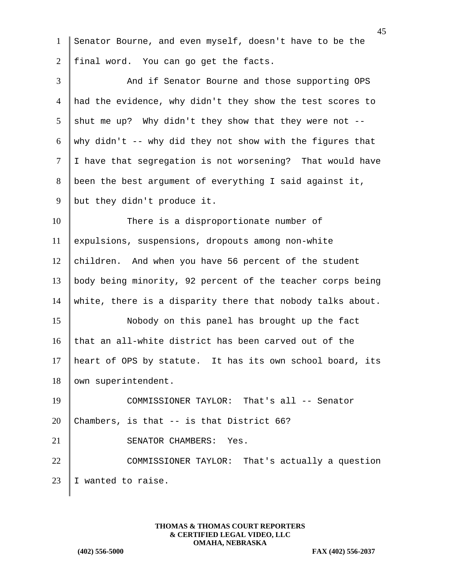1 Senator Bourne, and even myself, doesn't have to be the 2 final word. You can go get the facts. 3 And if Senator Bourne and those supporting OPS 4 had the evidence, why didn't they show the test scores to 5 shut me up? Why didn't they show that they were not  $-$ -6 why didn't -- why did they not show with the figures that  $7$  | I have that segregation is not worsening? That would have 8 been the best argument of everything I said against it, 9 | but they didn't produce it. 10 There is a disproportionate number of 11 expulsions, suspensions, dropouts among non-white 12 children. And when you have 56 percent of the student 13 body being minority, 92 percent of the teacher corps being 14 white, there is a disparity there that nobody talks about. 15 Nobody on this panel has brought up the fact 16 that an all-white district has been carved out of the 17 heart of OPS by statute. It has its own school board, its 18 | own superintendent. 19 COMMISSIONER TAYLOR: That's all -- Senator 20 Chambers, is that  $-$  is that District 66? 21 SENATOR CHAMBERS: Yes. 22 COMMISSIONER TAYLOR: That's actually a question 23 I wanted to raise.

> **THOMAS & THOMAS COURT REPORTERS & CERTIFIED LEGAL VIDEO, LLC OMAHA, NEBRASKA**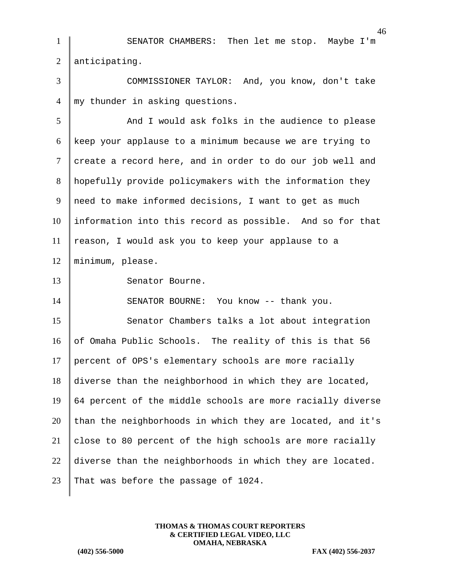| $\mathbf{1}$   | SENATOR CHAMBERS: Then let me stop. Maybe I'm              |
|----------------|------------------------------------------------------------|
| $\overline{2}$ | anticipating.                                              |
| 3              | COMMISSIONER TAYLOR: And, you know, don't take             |
| 4              | my thunder in asking questions.                            |
| 5              | And I would ask folks in the audience to please            |
| 6              | keep your applause to a minimum because we are trying to   |
| $\overline{7}$ | create a record here, and in order to do our job well and  |
| 8              | hopefully provide policymakers with the information they   |
| 9              | need to make informed decisions, I want to get as much     |
| 10             | information into this record as possible. And so for that  |
| 11             | reason, I would ask you to keep your applause to a         |
| 12             | minimum, please.                                           |
| 13             | Senator Bourne.                                            |
| 14             | SENATOR BOURNE: You know -- thank you.                     |
| 15             | Senator Chambers talks a lot about integration             |
| 16             | of Omaha Public Schools. The reality of this is that 56    |
| 17             | percent of OPS's elementary schools are more racially      |
| 18             | diverse than the neighborhood in which they are located,   |
| 19             | 64 percent of the middle schools are more racially diverse |
| 20             | than the neighborhoods in which they are located, and it's |
| 21             | close to 80 percent of the high schools are more racially  |
| 22             | diverse than the neighborhoods in which they are located.  |
| 23             | That was before the passage of 1024.                       |
|                |                                                            |

**THOMAS & THOMAS COURT REPORTERS & CERTIFIED LEGAL VIDEO, LLC OMAHA, NEBRASKA**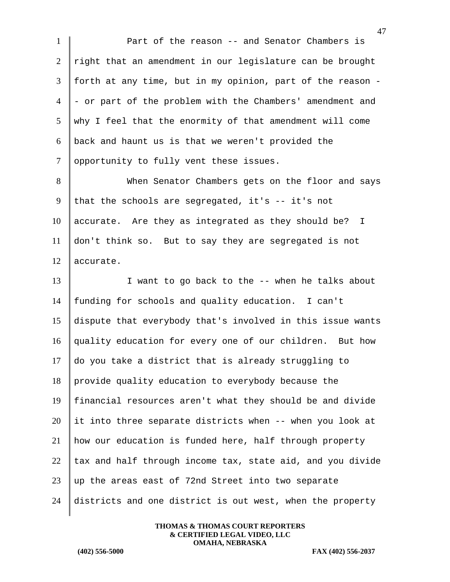1 Part of the reason -- and Senator Chambers is  $2 \parallel$  right that an amendment in our legislature can be brought 3 forth at any time, but in my opinion, part of the reason -  $4$  - or part of the problem with the Chambers' amendment and 5 why I feel that the enormity of that amendment will come  $6 \parallel$  back and haunt us is that we weren't provided the 7 opportunity to fully vent these issues.

8 When Senator Chambers gets on the floor and says 9 that the schools are segregated, it's  $-$  it's not  $10$  accurate. Are they as integrated as they should be? I 11 don't think so. But to say they are segregated is not 12 accurate.

13 I want to go back to the -- when he talks about funding for schools and quality education. I can't dispute that everybody that's involved in this issue wants quality education for every one of our children. But how do you take a district that is already struggling to provide quality education to everybody because the financial resources aren't what they should be and divide it into three separate districts when -- when you look at how our education is funded here, half through property  $\parallel$  tax and half through income tax, state aid, and you divide up the areas east of 72nd Street into two separate districts and one district is out west, when the property

> **THOMAS & THOMAS COURT REPORTERS & CERTIFIED LEGAL VIDEO, LLC OMAHA, NEBRASKA**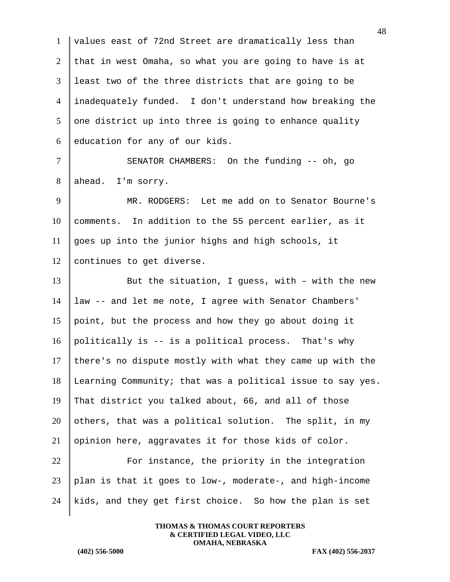| $\mathbf{1}$   | values east of 72nd Street are dramatically less than      |
|----------------|------------------------------------------------------------|
| 2              | that in west Omaha, so what you are going to have is at    |
| 3              | least two of the three districts that are going to be      |
| $\overline{4}$ | inadequately funded. I don't understand how breaking the   |
| 5              | one district up into three is going to enhance quality     |
| 6              | education for any of our kids.                             |
| $\tau$         | SENATOR CHAMBERS: On the funding -- oh, go                 |
| 8              | ahead. I'm sorry.                                          |
| 9              | MR. RODGERS: Let me add on to Senator Bourne's             |
| 10             | comments. In addition to the 55 percent earlier, as it     |
| 11             | goes up into the junior highs and high schools, it         |
| 12             | continues to get diverse.                                  |
| 13             | But the situation, I guess, with - with the new            |
| 14             | law -- and let me note, I agree with Senator Chambers'     |
| 15             | point, but the process and how they go about doing it      |
| 16             | politically is -- is a political process. That's why       |
| 17             | there's no dispute mostly with what they came up with the  |
| 18             | Learning Community; that was a political issue to say yes. |
| 19             | That district you talked about, 66, and all of those       |
| 20             | others, that was a political solution. The split, in my    |
| 21             | opinion here, aggravates it for those kids of color.       |
| 22             | For instance, the priority in the integration              |
| 23             | plan is that it goes to low-, moderate-, and high-income   |
| 24             | kids, and they get first choice. So how the plan is set    |
|                |                                                            |

**THOMAS & THOMAS COURT REPORTERS & CERTIFIED LEGAL VIDEO, LLC OMAHA, NEBRASKA**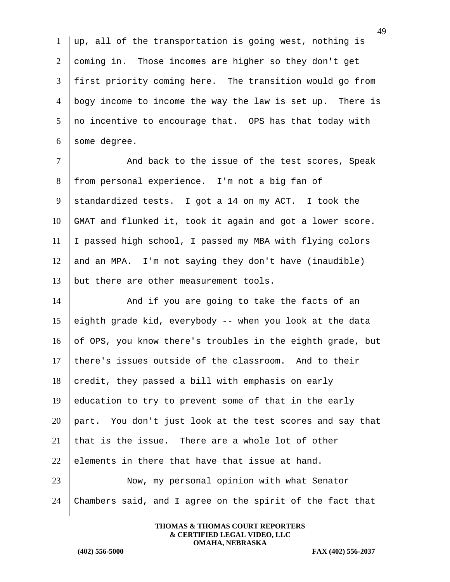$1 \parallel \text{up}$ , all of the transportation is going west, nothing is 2 coming in. Those incomes are higher so they don't get 3 first priority coming here. The transition would go from 4 bogy income to income the way the law is set up. There is 5 no incentive to encourage that. OPS has that today with  $6 \parallel$  some degree.

7 | And back to the issue of the test scores, Speak 8 from personal experience. I'm not a big fan of 9 standardized tests. I got a 14 on my ACT. I took the 10 GMAT and flunked it, took it again and got a lower score. 11 I passed high school, I passed my MBA with flying colors 12 and an MPA. I'm not saying they don't have (inaudible) 13 | but there are other measurement tools.

14 And if you are going to take the facts of an 15 eighth grade kid, everybody  $-$  when you look at the data 16 of OPS, you know there's troubles in the eighth grade, but 17 there's issues outside of the classroom. And to their  $18$  credit, they passed a bill with emphasis on early 19 education to try to prevent some of that in the early 20 part. You don't just look at the test scores and say that 21 that is the issue. There are a whole lot of other 22 elements in there that have that issue at hand. 23 Now, my personal opinion with what Senator 24 Chambers said, and I agree on the spirit of the fact that

> **THOMAS & THOMAS COURT REPORTERS & CERTIFIED LEGAL VIDEO, LLC OMAHA, NEBRASKA**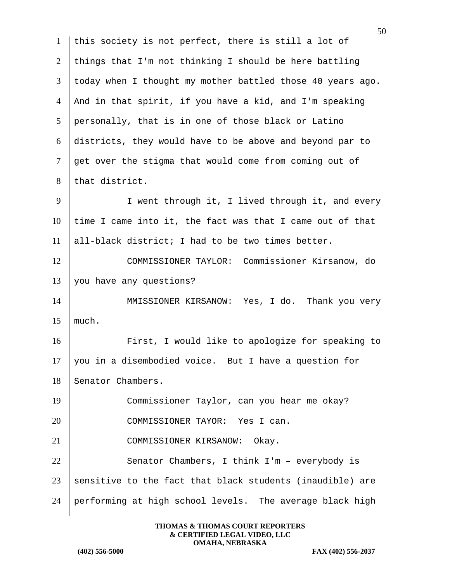|                | 50                                                         |
|----------------|------------------------------------------------------------|
| $\mathbf{1}$   | this society is not perfect, there is still a lot of       |
| $\overline{2}$ | things that I'm not thinking I should be here battling     |
| 3              | today when I thought my mother battled those 40 years ago. |
| $\overline{4}$ | And in that spirit, if you have a kid, and I'm speaking    |
| 5              | personally, that is in one of those black or Latino        |
| 6              | districts, they would have to be above and beyond par to   |
| 7              | get over the stigma that would come from coming out of     |
| 8              | that district.                                             |
| 9              | I went through it, I lived through it, and every           |
| 10             | time I came into it, the fact was that I came out of that  |
| 11             | all-black district; I had to be two times better.          |
| 12             | COMMISSIONER TAYLOR: Commissioner Kirsanow, do             |
| 13             | you have any questions?                                    |
| 14             | MMISSIONER KIRSANOW: Yes, I do. Thank you very             |
| 15             | much.                                                      |
| 16             | First, I would like to apologize for speaking to           |
| 17             | you in a disembodied voice. But I have a question for      |
| 18             | Senator Chambers.                                          |
| 19             | Commissioner Taylor, can you hear me okay?                 |
| 20             | COMMISSIONER TAYOR: Yes I can.                             |
| 21             | COMMISSIONER KIRSANOW:<br>Okay.                            |
| 22             | Senator Chambers, I think I'm - everybody is               |
| 23             | sensitive to the fact that black students (inaudible) are  |
| 24             | performing at high school levels. The average black high   |
|                |                                                            |

**THOMAS & THOMAS COURT REPORTERS & CERTIFIED LEGAL VIDEO, LLC OMAHA, NEBRASKA**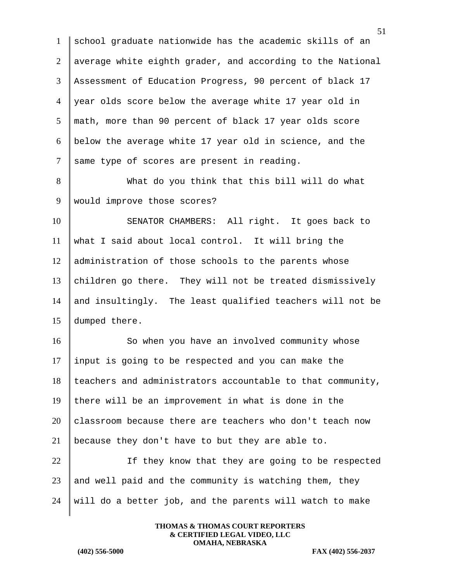school graduate nationwide has the academic skills of an average white eighth grader, and according to the National Assessment of Education Progress, 90 percent of black 17 year olds score below the average white 17 year old in math, more than 90 percent of black 17 year olds score below the average white 17 year old in science, and the same type of scores are present in reading.

8 What do you think that this bill will do what 9 | would improve those scores?

10 SENATOR CHAMBERS: All right. It goes back to 11 what I said about local control. It will bring the 12 administration of those schools to the parents whose 13 children go there. They will not be treated dismissively 14 and insultingly. The least qualified teachers will not be 15 dumped there.

16 So when you have an involved community whose 17 input is going to be respected and you can make the  $18$  teachers and administrators accountable to that community, 19 there will be an improvement in what is done in the  $20$  classroom because there are teachers who don't teach now 21 | because they don't have to but they are able to.

22 | If they know that they are going to be respected  $23$  and well paid and the community is watching them, they  $24$  will do a better job, and the parents will watch to make

> **THOMAS & THOMAS COURT REPORTERS & CERTIFIED LEGAL VIDEO, LLC OMAHA, NEBRASKA**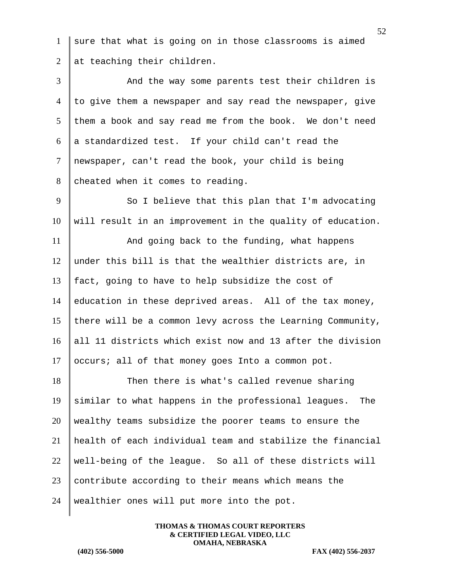1 sure that what is going on in those classrooms is aimed 2 at teaching their children.

3 And the way some parents test their children is  $4 \parallel$  to give them a newspaper and say read the newspaper, give  $5$  them a book and say read me from the book. We don't need 6 a standardized test. If your child can't read the 7 newspaper, can't read the book, your child is being 8 cheated when it comes to reading.

9 So I believe that this plan that I'm advocating  $10$  will result in an improvement in the quality of education.

11 And going back to the funding, what happens  $12$  under this bill is that the wealthier districts are, in 13 fact, going to have to help subsidize the cost of 14 education in these deprived areas. All of the tax money, 15 there will be a common levy across the Learning Community, 16 all 11 districts which exist now and 13 after the division  $17$  occurs; all of that money goes Into a common pot.

18 Then there is what's called revenue sharing 19 similar to what happens in the professional leagues. The 20 wealthy teams subsidize the poorer teams to ensure the 21 health of each individual team and stabilize the financial 22 | well-being of the league. So all of these districts will 23  $\parallel$  contribute according to their means which means the 24 | wealthier ones will put more into the pot.

> **THOMAS & THOMAS COURT REPORTERS & CERTIFIED LEGAL VIDEO, LLC OMAHA, NEBRASKA**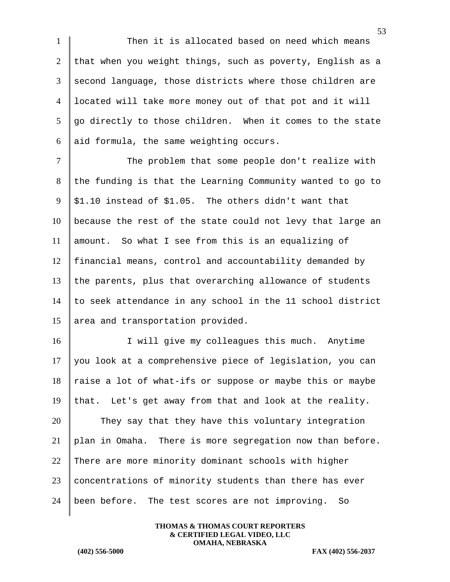1 Then it is allocated based on need which means 2 that when you weight things, such as poverty, English as a 3 second language, those districts where those children are 4 located will take more money out of that pot and it will  $5 \parallel$  go directly to those children. When it comes to the state 6 aid formula, the same weighting occurs.

7 The problem that some people don't realize with the funding is that the Learning Community wanted to go to  $9 \mid $1.10$  instead of \$1.05. The others didn't want that because the rest of the state could not levy that large an amount. So what I see from this is an equalizing of financial means, control and accountability demanded by the parents, plus that overarching allowance of students to seek attendance in any school in the 11 school district 15 area and transportation provided.

16 I will give my colleagues this much. Anytime 17 | you look at a comprehensive piece of legislation, you can  $18$  raise a lot of what-ifs or suppose or maybe this or maybe 19 that. Let's get away from that and look at the reality. 20 They say that they have this voluntary integration 21 plan in Omaha. There is more segregation now than before. 22 There are more minority dominant schools with higher  $23$  concentrations of minority students than there has ever 24 been before. The test scores are not improving. So

> **THOMAS & THOMAS COURT REPORTERS & CERTIFIED LEGAL VIDEO, LLC OMAHA, NEBRASKA**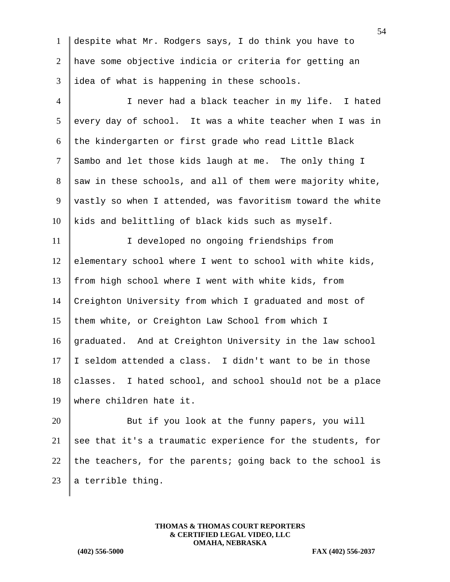1 despite what Mr. Rodgers says, I do think you have to 2 have some objective indicia or criteria for getting an  $3$  idea of what is happening in these schools.

4 I never had a black teacher in my life. I hated  $5 \parallel$  every day of school. It was a white teacher when I was in  $6$  the kindergarten or first grade who read Little Black 7 Sambo and let those kids laugh at me. The only thing I  $8 \parallel$  saw in these schools, and all of them were majority white,  $9$  vastly so when I attended, was favoritism toward the white  $10$  kids and belittling of black kids such as myself.

11 I cleveloped no ongoing friendships from elementary school where I went to school with white kids, from high school where I went with white kids, from Creighton University from which I graduated and most of 15 them white, or Creighton Law School from which I graduated. And at Creighton University in the law school  $\parallel$  I seldom attended a class. I didn't want to be in those classes. I hated school, and school should not be a place where children hate it.

20 But if you look at the funny papers, you will 21 see that it's a traumatic experience for the students, for 22 the teachers, for the parents; going back to the school is 23  $\parallel$  a terrible thing.

> **THOMAS & THOMAS COURT REPORTERS & CERTIFIED LEGAL VIDEO, LLC OMAHA, NEBRASKA**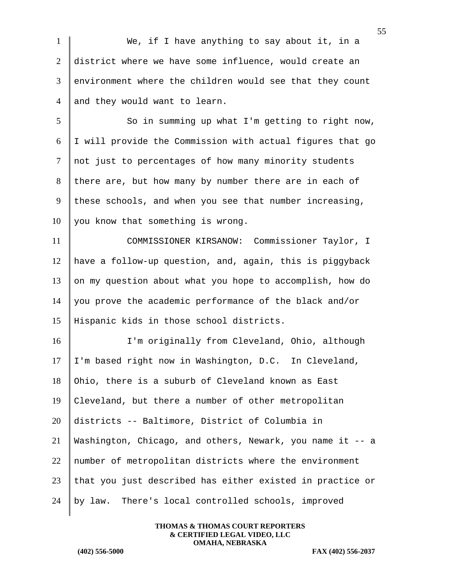1 We, if I have anything to say about it, in a 2 district where we have some influence, would create an  $3$  environment where the children would see that they count 4 and they would want to learn.

5 So in summing up what I'm getting to right now, 6 I will provide the Commission with actual figures that go 7 not just to percentages of how many minority students 8 there are, but how many by number there are in each of 9 these schools, and when you see that number increasing,  $10$  you know that something is wrong.

11 COMMISSIONER KIRSANOW: Commissioner Taylor, I 12 have a follow-up question, and, again, this is piggyback 13 on my question about what you hope to accomplish, how do 14 you prove the academic performance of the black and/or 15 Hispanic kids in those school districts.

16 I'm originally from Cleveland, Ohio, although I'm based right now in Washington, D.C. In Cleveland, 18 Ohio, there is a suburb of Cleveland known as East Cleveland, but there a number of other metropolitan districts -- Baltimore, District of Columbia in Washington, Chicago, and others, Newark, you name it -- a 22 number of metropolitan districts where the environment that you just described has either existed in practice or by law. There's local controlled schools, improved

> **THOMAS & THOMAS COURT REPORTERS & CERTIFIED LEGAL VIDEO, LLC OMAHA, NEBRASKA**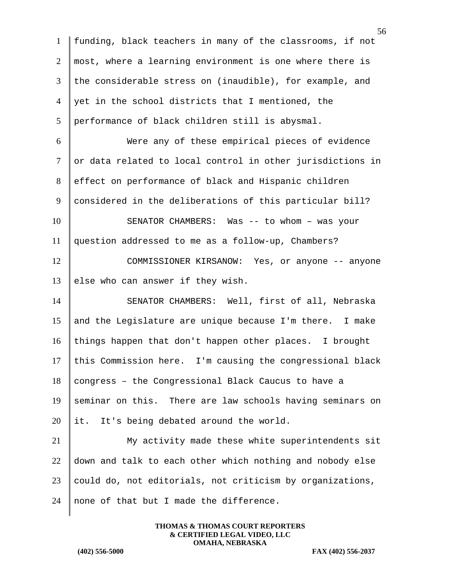1 funding, black teachers in many of the classrooms, if not  $2 \parallel$  most, where a learning environment is one where there is 3 the considerable stress on (inaudible), for example, and  $4 \parallel$  yet in the school districts that I mentioned, the 5 performance of black children still is abysmal. 6 Were any of these empirical pieces of evidence  $7$  or data related to local control in other jurisdictions in 8 effect on performance of black and Hispanic children 9 considered in the deliberations of this particular bill? 10 SENATOR CHAMBERS: Was -- to whom - was your 11 question addressed to me as a follow-up, Chambers? 12 COMMISSIONER KIRSANOW: Yes, or anyone -- anyone 13 else who can answer if they wish. 14 SENATOR CHAMBERS: Well, first of all, Nebraska 15 and the Legislature are unique because I'm there. I make 16 | things happen that don't happen other places. I brought  $17$  this Commission here. I'm causing the congressional black  $18$  congress – the Congressional Black Caucus to have a 19 seminar on this. There are law schools having seminars on 20 it. It's being debated around the world. 21 My activity made these white superintendents sit  $22$  down and talk to each other which nothing and nobody else  $23$  could do, not editorials, not criticism by organizations, 24 none of that but I made the difference.

> **THOMAS & THOMAS COURT REPORTERS & CERTIFIED LEGAL VIDEO, LLC OMAHA, NEBRASKA**

**(402) 556-5000 FAX (402) 556-2037**

56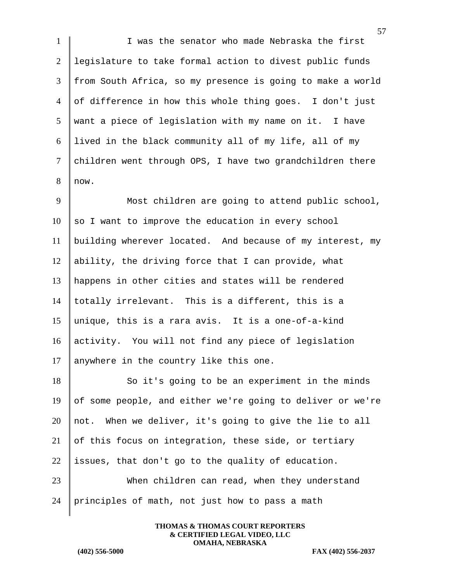1 I was the senator who made Nebraska the first 2 legislature to take formal action to divest public funds 3 from South Africa, so my presence is going to make a world 4 of difference in how this whole thing goes. I don't just 5 want a piece of legislation with my name on it. I have 6 lived in the black community all of my life, all of my 7 children went through OPS, I have two grandchildren there  $8$  now.

9 Most children are going to attend public school,  $10$  so I want to improve the education in every school 11 building wherever located. And because of my interest, my 12 ability, the driving force that I can provide, what 13 happens in other cities and states will be rendered 14 totally irrelevant. This is a different, this is a 15 || unique, this is a rara avis. It is a one-of-a-kind 16 activity. You will not find any piece of legislation 17 anywhere in the country like this one.

18 So it's going to be an experiment in the minds 19 of some people, and either we're going to deliver or we're 20 | not. When we deliver, it's going to give the lie to all 21 of this focus on integration, these side, or tertiary 22 issues, that don't go to the quality of education. 23 When children can read, when they understand 24 principles of math, not just how to pass a math

> **THOMAS & THOMAS COURT REPORTERS & CERTIFIED LEGAL VIDEO, LLC OMAHA, NEBRASKA**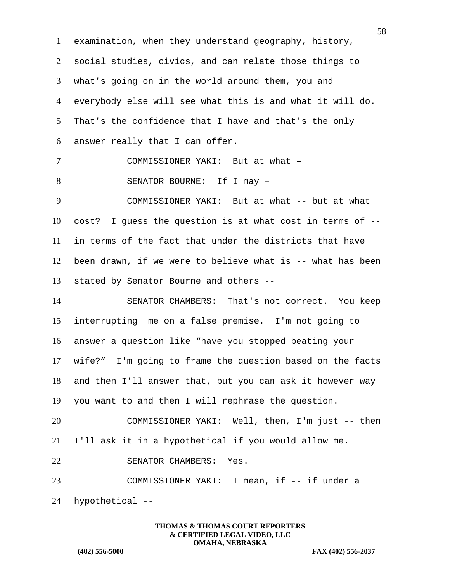1 examination, when they understand geography, history, 2 social studies, civics, and can relate those things to 3 what's going on in the world around them, you and 4 everybody else will see what this is and what it will do.  $5$  That's the confidence that I have and that's the only 6 answer really that I can offer. 7 COMMISSIONER YAKI: But at what -8 SENATOR BOURNE: If I may -9 COMMISSIONER YAKI: But at what -- but at what 10 cost? I guess the question is at what cost in terms of  $-$ - $11$  in terms of the fact that under the districts that have 12 | been drawn, if we were to believe what is  $-$ - what has been 13 stated by Senator Bourne and others --14 SENATOR CHAMBERS: That's not correct. You keep 15 interrupting me on a false premise. I'm not going to 16 answer a question like "have you stopped beating your 17 wife?" I'm going to frame the question based on the facts 18 and then I'll answer that, but you can ask it however way 19 you want to and then I will rephrase the question. 20 COMMISSIONER YAKI: Well, then, I'm just -- then 21 |  $I'$ ll ask it in a hypothetical if you would allow me. 22 SENATOR CHAMBERS: Yes. 23 COMMISSIONER YAKI: I mean, if -- if under a 24 hypothetical --

> **THOMAS & THOMAS COURT REPORTERS & CERTIFIED LEGAL VIDEO, LLC OMAHA, NEBRASKA**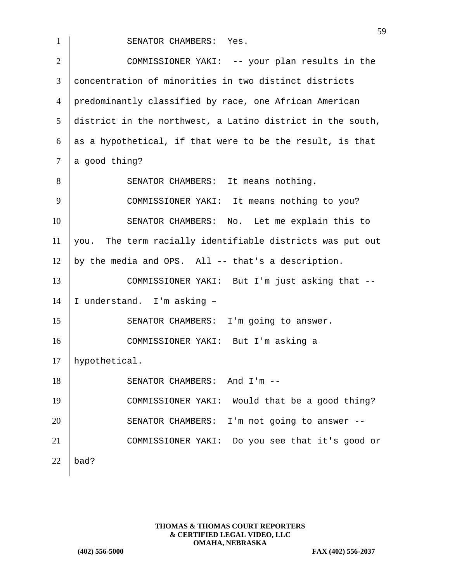1 SENATOR CHAMBERS: Yes. 2 COMMISSIONER YAKI: -- your plan results in the 3 concentration of minorities in two distinct districts 4 predominantly classified by race, one African American  $5$  district in the northwest, a Latino district in the south, 6 as a hypothetical, if that were to be the result, is that  $7 \parallel a \text{ good thing?}$ 8 SENATOR CHAMBERS: It means nothing. 9 COMMISSIONER YAKI: It means nothing to you? 10 SENATOR CHAMBERS: No. Let me explain this to  $11$  you. The term racially identifiable districts was put out 12 by the media and OPS. All -- that's a description. 13 COMMISSIONER YAKI: But I'm just asking that --14 | I understand. I'm asking -15 SENATOR CHAMBERS: I'm going to answer. 16 COMMISSIONER YAKI: But I'm asking a 17 | hypothetical. 18 SENATOR CHAMBERS: And I'm --19 COMMISSIONER YAKI: Would that be a good thing? 20 SENATOR CHAMBERS: I'm not going to answer --21 COMMISSIONER YAKI: Do you see that it's good or 22  $\vert$  bad?

> **THOMAS & THOMAS COURT REPORTERS & CERTIFIED LEGAL VIDEO, LLC OMAHA, NEBRASKA**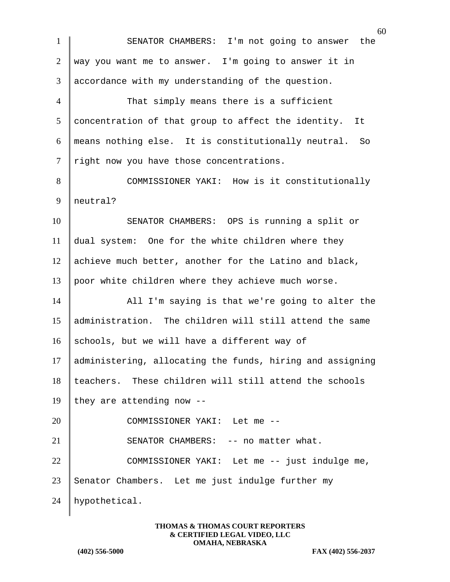60 1 SENATOR CHAMBERS: I'm not going to answer the 2 way you want me to answer. I'm going to answer it in 3 accordance with my understanding of the question. 4 That simply means there is a sufficient  $5$  concentration of that group to affect the identity. It 6 means nothing else. It is constitutionally neutral. So 7 | right now you have those concentrations. 8 COMMISSIONER YAKI: How is it constitutionally 9 neutral? 10 SENATOR CHAMBERS: OPS is running a split or 11 dual system: One for the white children where they 12 achieve much better, another for the Latino and black, 13 poor white children where they achieve much worse. 14 All I'm saying is that we're going to alter the 15 | administration. The children will still attend the same 16 schools, but we will have a different way of 17 administering, allocating the funds, hiring and assigning 18 teachers. These children will still attend the schools 19 they are attending now  $-$ 20 COMMISSIONER YAKI: Let me --21 | SENATOR CHAMBERS: -- no matter what. 22 COMMISSIONER YAKI: Let me -- just indulge me,  $23$  Senator Chambers. Let me just indulge further my 24 hypothetical.

> **THOMAS & THOMAS COURT REPORTERS & CERTIFIED LEGAL VIDEO, LLC OMAHA, NEBRASKA**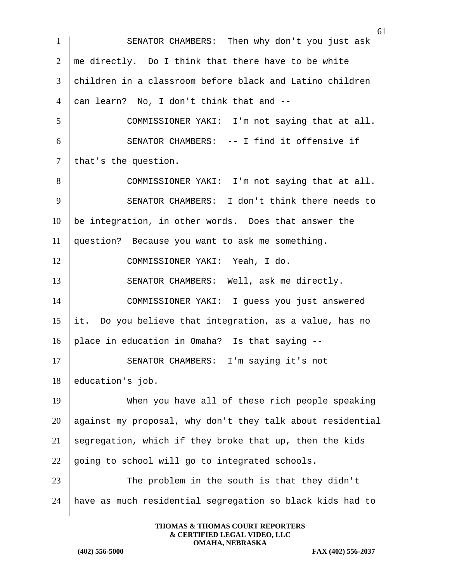61 1 SENATOR CHAMBERS: Then why don't you just ask  $2 \parallel$  me directly. Do I think that there have to be white 3 children in a classroom before black and Latino children 4 can learn? No, I don't think that and  $-$ -5 COMMISSIONER YAKI: I'm not saying that at all. 6 SENATOR CHAMBERS: -- I find it offensive if  $7$  that's the question. 8 COMMISSIONER YAKI: I'm not saying that at all. 9 SENATOR CHAMBERS: I don't think there needs to  $10$  be integration, in other words. Does that answer the 11 question? Because you want to ask me something. 12 | COMMISSIONER YAKI: Yeah, I do. 13 SENATOR CHAMBERS: Well, ask me directly. 14 COMMISSIONER YAKI: I guess you just answered 15 | it. Do you believe that integration, as a value, has no 16 place in education in Omaha? Is that saying -- 17 SENATOR CHAMBERS: I'm saying it's not 18 education's job. 19 When you have all of these rich people speaking 20 against my proposal, why don't they talk about residential 21 | segregation, which if they broke that up, then the kids 22 going to school will go to integrated schools. 23 The problem in the south is that they didn't 24 have as much residential segregation so black kids had to

> **THOMAS & THOMAS COURT REPORTERS & CERTIFIED LEGAL VIDEO, LLC OMAHA, NEBRASKA**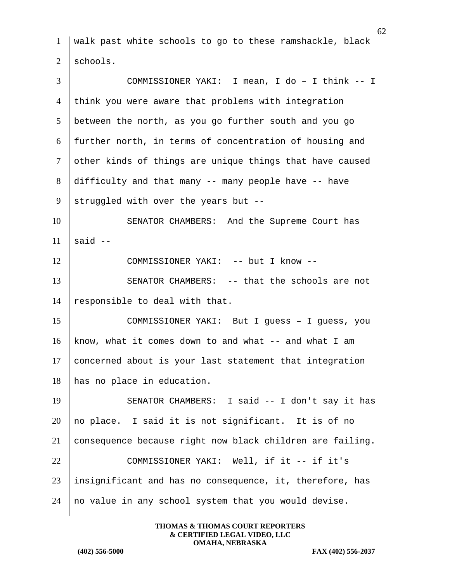1 walk past white schools to go to these ramshackle, black  $2 \mid$  schools. 3 COMMISSIONER YAKI: I mean, I do – I think -- I  $4$  think you were aware that problems with integration  $5$  between the north, as you go further south and you go 6 further north, in terms of concentration of housing and 7 other kinds of things are unique things that have caused 8 difficulty and that many  $-$ - many people have  $-$ - have 9 struggled with over the years but  $-$ -10 SENATOR CHAMBERS: And the Supreme Court has 11  $\parallel$  said --12 COMMISSIONER YAKI: -- but I know --13 SENATOR CHAMBERS: -- that the schools are not 14 | responsible to deal with that. 15 COMMISSIONER YAKI: But I guess – I guess, you 16 know, what it comes down to and what  $-$  and what I am 17 concerned about is your last statement that integration 18 has no place in education. 19 SENATOR CHAMBERS: I said -- I don't say it has 20  $\parallel$  no place. I said it is not significant. It is of no 21 consequence because right now black children are failing. 22 COMMISSIONER YAKI: Well, if it -- if it's  $23$  insignificant and has no consequence, it, therefore, has 24  $\parallel$  no value in any school system that you would devise.

> **THOMAS & THOMAS COURT REPORTERS & CERTIFIED LEGAL VIDEO, LLC OMAHA, NEBRASKA**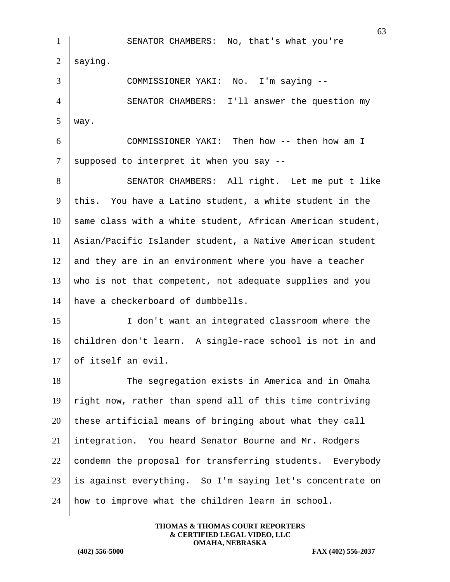63 1 SENATOR CHAMBERS: No, that's what you're  $2 \parallel$  saying. 3 COMMISSIONER YAKI: No. I'm saying --4 SENATOR CHAMBERS: I'll answer the question my  $5$  way. 6 COMMISSIONER YAKI: Then how -- then how am I  $7 \parallel$  supposed to interpret it when you say --8 SENATOR CHAMBERS: All right. Let me put t like 9 this. You have a Latino student, a white student in the  $10$  same class with a white student, African American student, 11 Asian/Pacific Islander student, a Native American student  $12$  and they are in an environment where you have a teacher 13 who is not that competent, not adequate supplies and you 14 have a checkerboard of dumbbells. 15 I don't want an integrated classroom where the 16 children don't learn. A single-race school is not in and 17 of itself an evil. 18 The segregation exists in America and in Omaha 19 right now, rather than spend all of this time contriving  $20$  these artificial means of bringing about what they call 21 integration. You heard Senator Bourne and Mr. Rodgers 22 condemn the proposal for transferring students. Everybody  $23$  is against everything. So I'm saying let's concentrate on 24 | how to improve what the children learn in school.

> **THOMAS & THOMAS COURT REPORTERS & CERTIFIED LEGAL VIDEO, LLC OMAHA, NEBRASKA**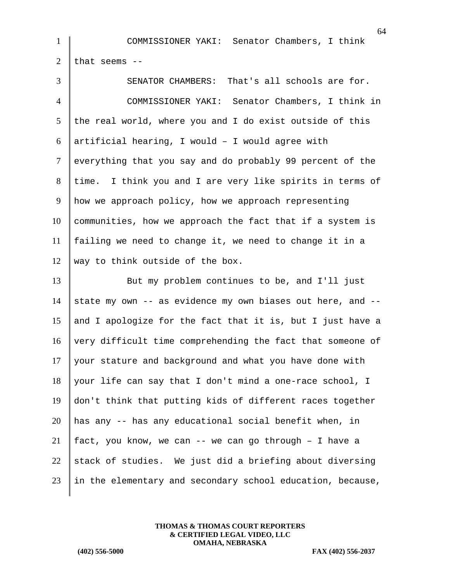|                | 6                                                          |
|----------------|------------------------------------------------------------|
| $\mathbf{1}$   | COMMISSIONER YAKI: Senator Chambers, I think               |
| $\overline{2}$ | that seems --                                              |
| 3              | That's all schools are for.<br>SENATOR CHAMBERS:           |
| $\overline{4}$ | COMMISSIONER YAKI: Senator Chambers, I think in            |
| 5              | the real world, where you and I do exist outside of this   |
| 6              | artificial hearing, I would - I would agree with           |
| $\tau$         | everything that you say and do probably 99 percent of the  |
| 8              | time. I think you and I are very like spirits in terms of  |
| 9              | how we approach policy, how we approach representing       |
| 10             | communities, how we approach the fact that if a system is  |
| 11             | failing we need to change it, we need to change it in a    |
| 12             | way to think outside of the box.                           |
| 13             | But my problem continues to be, and I'll just              |
| 14             | state my own -- as evidence my own biases out here, and -- |
| 15             | and I apologize for the fact that it is, but I just have a |
| 16             | very difficult time comprehending the fact that someone of |
| 17             | your stature and background and what you have done with    |
| 18             | your life can say that I don't mind a one-race school, I   |

 don't think that putting kids of different races together 20 | has any  $-$  has any educational social benefit when, in 21 | fact, you know, we can  $-$  we can go through  $-$  I have a 22 stack of studies. We just did a briefing about diversing in the elementary and secondary school education, because,

> **THOMAS & THOMAS COURT REPORTERS & CERTIFIED LEGAL VIDEO, LLC OMAHA, NEBRASKA**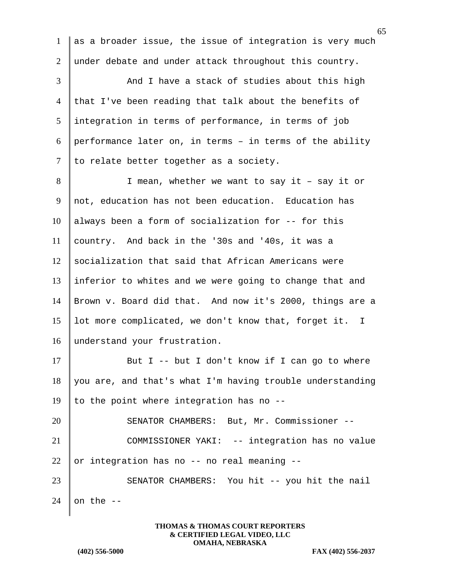1 as a broader issue, the issue of integration is very much 2 under debate and under attack throughout this country. 3 And I have a stack of studies about this high 4 that I've been reading that talk about the benefits of  $5$  integration in terms of performance, in terms of job 6 performance later on, in terms  $-$  in terms of the ability  $7$  to relate better together as a society. 8 | I mean, whether we want to say it – say it or 9 not, education has not been education. Education has  $10$  always been a form of socialization for -- for this 11 country. And back in the '30s and '40s, it was a  $12$  socialization that said that African Americans were 13 inferior to whites and we were going to change that and 14 Brown v. Board did that. And now it's 2000, things are a 15 lot more complicated, we don't know that, forget it. I 16 | understand your frustration. 17 But I -- but I don't know if I can go to where  $18$  you are, and that's what I'm having trouble understanding 19 | to the point where integration has no  $-$ -20 SENATOR CHAMBERS: But, Mr. Commissioner -- 21 COMMISSIONER YAKI: -- integration has no value 22 or integration has no  $-$  no real meaning  $-$ 23 SENATOR CHAMBERS: You hit -- you hit the nail 24 on the  $-$ 

> **THOMAS & THOMAS COURT REPORTERS & CERTIFIED LEGAL VIDEO, LLC OMAHA, NEBRASKA**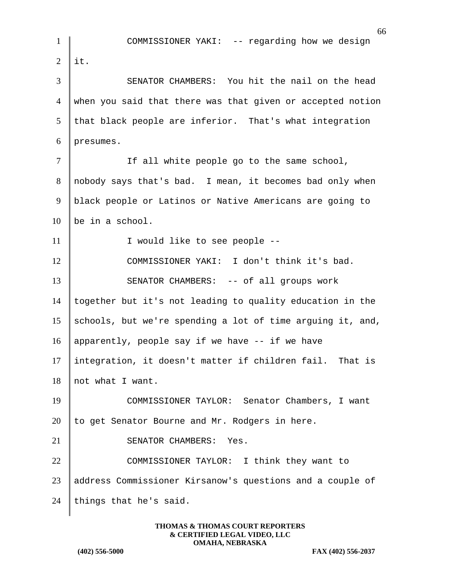66 1 COMMISSIONER YAKI: -- regarding how we design  $2$  | it. 3 SENATOR CHAMBERS: You hit the nail on the head 4 | when you said that there was that given or accepted notion  $5$  that black people are inferior. That's what integration  $6$  presumes. 7 | The all white people go to the same school, 8 nobody says that's bad. I mean, it becomes bad only when 9 black people or Latinos or Native Americans are going to  $10$  be in a school. 11 | I would like to see people --12 COMMISSIONER YAKI: I don't think it's bad. 13 SENATOR CHAMBERS: -- of all groups work 14 together but it's not leading to quality education in the 15 schools, but we're spending a lot of time arguing it, and, 16 | apparently, people say if we have  $-$  if we have 17 integration, it doesn't matter if children fail. That is 18 not what I want. 19 COMMISSIONER TAYLOR: Senator Chambers, I want 20  $\parallel$  to get Senator Bourne and Mr. Rodgers in here. 21 SENATOR CHAMBERS: Yes. 22 COMMISSIONER TAYLOR: I think they want to 23 address Commissioner Kirsanow's questions and a couple of 24 | things that he's said.

> **THOMAS & THOMAS COURT REPORTERS & CERTIFIED LEGAL VIDEO, LLC OMAHA, NEBRASKA**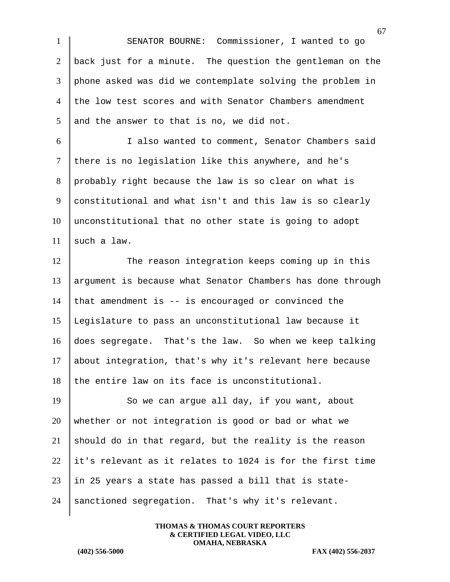SENATOR BOURNE: Commissioner, I wanted to go  $\vert$  back just for a minute. The question the gentleman on the phone asked was did we contemplate solving the problem in 4 the low test scores and with Senator Chambers amendment and the answer to that is no, we did not.

 I also wanted to comment, Senator Chambers said 7 there is no legislation like this anywhere, and he's probably right because the law is so clear on what is constitutional and what isn't and this law is so clearly unconstitutional that no other state is going to adopt 11 such a law.

12 The reason integration keeps coming up in this argument is because what Senator Chambers has done through 14 that amendment is  $-$  is encouraged or convinced the Legislature to pass an unconstitutional law because it does segregate. That's the law. So when we keep talking about integration, that's why it's relevant here because the entire law on its face is unconstitutional.

19 So we can argue all day, if you want, about 20 whether or not integration is good or bad or what we 21 should do in that regard, but the reality is the reason  $22$  it's relevant as it relates to 1024 is for the first time  $23$  | in 25 years a state has passed a bill that is state-24 sanctioned segregation. That's why it's relevant.

> **THOMAS & THOMAS COURT REPORTERS & CERTIFIED LEGAL VIDEO, LLC OMAHA, NEBRASKA**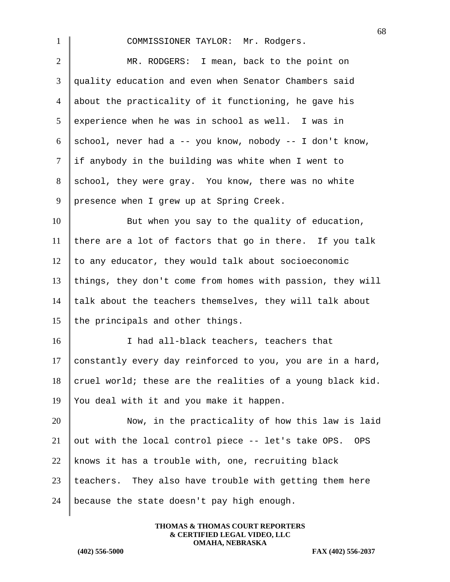68 1 COMMISSIONER TAYLOR: Mr. Rodgers. 2 MR. RODGERS: I mean, back to the point on 3 quality education and even when Senator Chambers said 4 about the practicality of it functioning, he gave his  $5$  experience when he was in school as well. I was in 6 school, never had a -- you know, nobody -- I don't know,  $7$  if anybody in the building was white when I went to 8 school, they were gray. You know, there was no white 9 presence when I grew up at Spring Creek. 10 But when you say to the quality of education, 11 there are a lot of factors that go in there. If you talk  $12$  to any educator, they would talk about socioeconomic 13 things, they don't come from homes with passion, they will 14  $\parallel$  talk about the teachers themselves, they will talk about 15 the principals and other things. 16 I had all-black teachers, teachers that 17 constantly every day reinforced to you, you are in a hard, 18 cruel world; these are the realities of a young black kid. 19 You deal with it and you make it happen. 20 Now, in the practicality of how this law is laid 21 out with the local control piece  $-$ - let's take OPS. OPS 22 knows it has a trouble with, one, recruiting black

 $23$  teachers. They also have trouble with getting them here 24 | because the state doesn't pay high enough.

> **THOMAS & THOMAS COURT REPORTERS & CERTIFIED LEGAL VIDEO, LLC OMAHA, NEBRASKA**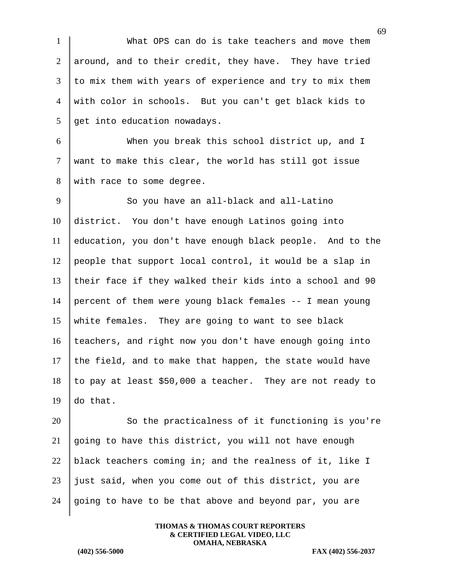1 What OPS can do is take teachers and move them 2 around, and to their credit, they have. They have tried  $3$  to mix them with years of experience and try to mix them 4 with color in schools. But you can't get black kids to  $5 \parallel$  get into education nowadays.

6 When you break this school district up, and I  $7$  want to make this clear, the world has still got issue 8 with race to some degree.

9 So you have an all-black and all-Latino 10 district. You don't have enough Latinos going into 11 education, you don't have enough black people. And to the 12 people that support local control, it would be a slap in 13 their face if they walked their kids into a school and 90 14 percent of them were young black females -- I mean young 15 white females. They are going to want to see black  $16$  teachers, and right now you don't have enough going into 17 the field, and to make that happen, the state would have 18 to pay at least \$50,000 a teacher. They are not ready to 19 do that.

20 So the practicalness of it functioning is you're  $21$  going to have this district, you will not have enough 22 black teachers coming in; and the realness of it, like I  $23$  just said, when you come out of this district, you are 24 going to have to be that above and beyond par, you are

> **THOMAS & THOMAS COURT REPORTERS & CERTIFIED LEGAL VIDEO, LLC OMAHA, NEBRASKA**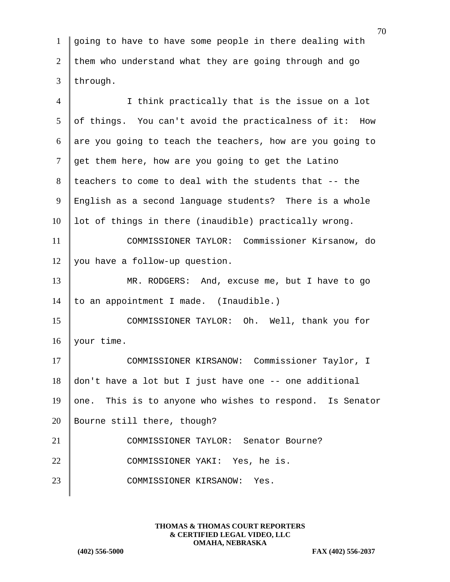1 going to have to have some people in there dealing with 2 them who understand what they are going through and go  $3$  through.

4 I think practically that is the issue on a lot  $5 \parallel$  of things. You can't avoid the practicalness of it: How 6 are you going to teach the teachers, how are you going to  $7 \parallel$  get them here, how are you going to get the Latino 8 teachers to come to deal with the students that -- the 9 English as a second language students? There is a whole  $10$  lot of things in there (inaudible) practically wrong. 11 COMMISSIONER TAYLOR: Commissioner Kirsanow, do 12 | you have a follow-up question. 13 MR. RODGERS: And, excuse me, but I have to go 14  $\vert$  to an appointment I made. (Inaudible.) 15 COMMISSIONER TAYLOR: Oh. Well, thank you for 16 your time. 17 COMMISSIONER KIRSANOW: Commissioner Taylor, I  $18$  don't have a lot but I just have one  $-$ - one additional 19 one. This is to anyone who wishes to respond. Is Senator 20 Bourne still there, though? 21 COMMISSIONER TAYLOR: Senator Bourne? 22 COMMISSIONER YAKI: Yes, he is. 23 COMMISSIONER KIRSANOW: Yes.

> **THOMAS & THOMAS COURT REPORTERS & CERTIFIED LEGAL VIDEO, LLC OMAHA, NEBRASKA**

**(402) 556-5000 FAX (402) 556-2037**

70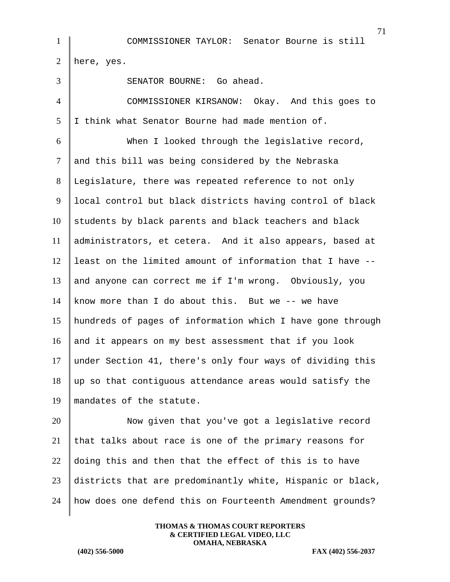1 COMMISSIONER TAYLOR: Senator Bourne is still 2 here, yes. 3 SENATOR BOURNE: Go ahead. 4 COMMISSIONER KIRSANOW: Okay. And this goes to  $5 \parallel I$  think what Senator Bourne had made mention of. 6 When I looked through the legislative record, 7 and this bill was being considered by the Nebraska 8 Legislature, there was repeated reference to not only 9 local control but black districts having control of black  $10$  students by black parents and black teachers and black 11 administrators, et cetera. And it also appears, based at  $12$  least on the limited amount of information that I have  $-$ -13 and anyone can correct me if I'm wrong. Obviously, you 14 know more than I do about this. But we  $-$ - we have 15 hundreds of pages of information which I have gone through 16 and it appears on my best assessment that if you look 17 under Section 41, there's only four ways of dividing this  $18$  up so that contiguous attendance areas would satisfy the 19 mandates of the statute. 20 Now given that you've got a legislative record 21 that talks about race is one of the primary reasons for

23 districts that are predominantly white, Hispanic or black, 24 how does one defend this on Fourteenth Amendment grounds?

22  $\parallel$  doing this and then that the effect of this is to have

**THOMAS & THOMAS COURT REPORTERS & CERTIFIED LEGAL VIDEO, LLC OMAHA, NEBRASKA**

**(402) 556-5000 FAX (402) 556-2037**

71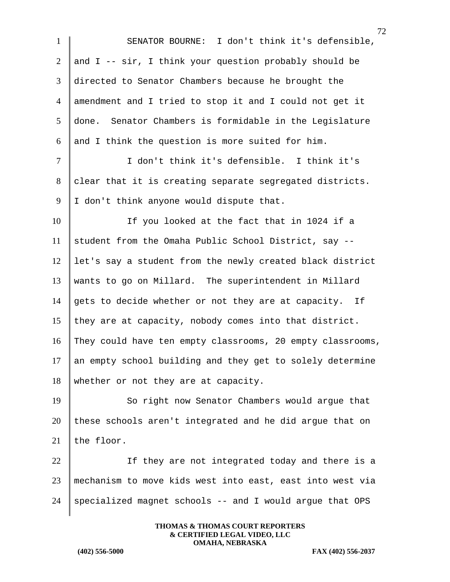1 SENATOR BOURNE: I don't think it's defensible, 2 and I --  $\sin$ , I think your question probably should be 3 directed to Senator Chambers because he brought the 4 amendment and I tried to stop it and I could not get it 5 done. Senator Chambers is formidable in the Legislature 6 and I think the question is more suited for him. 7 I don't think it's defensible. I think it's 8 clear that it is creating separate segregated districts. 9 | I don't think anyone would dispute that. 10 If you looked at the fact that in 1024 if a 11 student from the Omaha Public School District, say  $-$ 12 let's say a student from the newly created black district 13 wants to go on Millard. The superintendent in Millard 14 gets to decide whether or not they are at capacity. If 15 they are at capacity, nobody comes into that district. 16 They could have ten empty classrooms, 20 empty classrooms,  $17$  an empty school building and they get to solely determine 18 whether or not they are at capacity. 19 So right now Senator Chambers would argue that  $20$  these schools aren't integrated and he did argue that on 21 the floor. 22 | If they are not integrated today and there is a 23 mechanism to move kids west into east, east into west via 24 specialized magnet schools  $-$  and I would argue that OPS

> **THOMAS & THOMAS COURT REPORTERS & CERTIFIED LEGAL VIDEO, LLC OMAHA, NEBRASKA**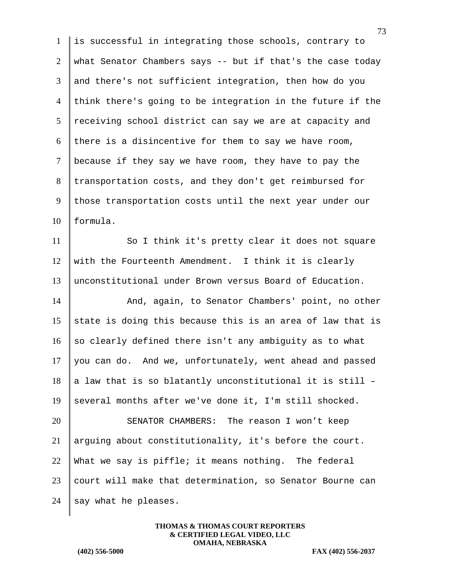1 is successful in integrating those schools, contrary to 2 what Senator Chambers says -- but if that's the case today 3 and there's not sufficient integration, then how do you  $4$  think there's going to be integration in the future if the  $5$  receiving school district can say we are at capacity and 6 there is a disincentive for them to say we have room, 7 because if they say we have room, they have to pay the 8 transportation costs, and they don't get reimbursed for 9 those transportation costs until the next year under our 10 formula.

11 So I think it's pretty clear it does not square 12 with the Fourteenth Amendment. I think it is clearly 13 unconstitutional under Brown versus Board of Education.

14 And, again, to Senator Chambers' point, no other 15 state is doing this because this is an area of law that is 16 so clearly defined there isn't any ambiguity as to what  $17$  you can do. And we, unfortunately, went ahead and passed 18 a law that is so blatantly unconstitutional it is still  $-$ 19 several months after we've done it, I'm still shocked.

 SENATOR CHAMBERS: The reason I won't keep arguing about constitutionality, it's before the court. 22 What we say is piffle; it means nothing. The federal court will make that determination, so Senator Bourne can  $\parallel$  say what he pleases.

> **THOMAS & THOMAS COURT REPORTERS & CERTIFIED LEGAL VIDEO, LLC OMAHA, NEBRASKA**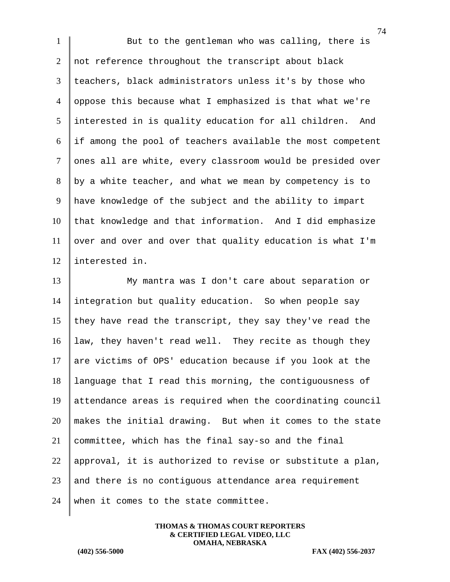1 But to the gentleman who was calling, there is 2 not reference throughout the transcript about black teachers, black administrators unless it's by those who oppose this because what I emphasized is that what we're interested in is quality education for all children. And if among the pool of teachers available the most competent 7 ones all are white, every classroom would be presided over by a white teacher, and what we mean by competency is to have knowledge of the subject and the ability to impart that knowledge and that information. And I did emphasize over and over and over that quality education is what I'm interested in. My mantra was I don't care about separation or

 integration but quality education. So when people say 15 they have read the transcript, they say they've read the law, they haven't read well. They recite as though they 17 are victims of OPS' education because if you look at the language that I read this morning, the contiguousness of attendance areas is required when the coordinating council makes the initial drawing. But when it comes to the state committee, which has the final say-so and the final 22 | approval, it is authorized to revise or substitute a plan, and there is no contiguous attendance area requirement 24 | when it comes to the state committee.

> **THOMAS & THOMAS COURT REPORTERS & CERTIFIED LEGAL VIDEO, LLC OMAHA, NEBRASKA**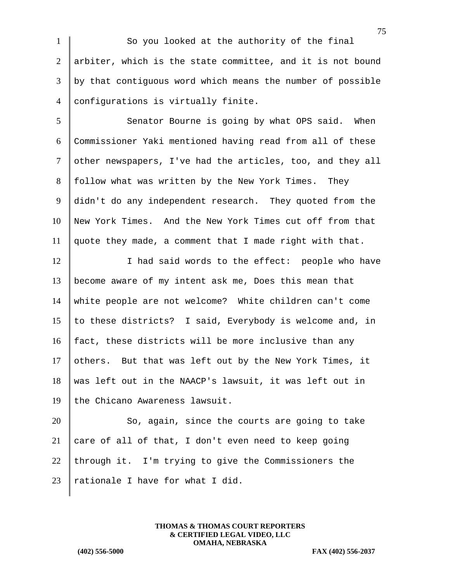1 So you looked at the authority of the final 2 arbiter, which is the state committee, and it is not bound 3 by that contiguous word which means the number of possible 4 configurations is virtually finite.

5 Senator Bourne is going by what OPS said. When 6 Commissioner Yaki mentioned having read from all of these 7 other newspapers, I've had the articles, too, and they all  $8$  follow what was written by the New York Times. They 9 didn't do any independent research. They quoted from the 10 New York Times. And the New York Times cut off from that 11 quote they made, a comment that I made right with that.

12 I contact in thad said words to the effect: people who have 13 become aware of my intent ask me, Does this mean that 14 white people are not welcome? White children can't come 15 | to these districts? I said, Everybody is welcome and, in 16  $\parallel$  fact, these districts will be more inclusive than any 17 others. But that was left out by the New York Times, it 18 was left out in the NAACP's lawsuit, it was left out in 19 the Chicano Awareness lawsuit.

20 So, again, since the courts are going to take 21 care of all of that, I don't even need to keep going 22 through it. I'm trying to give the Commissioners the 23 | rationale I have for what I did.

> **THOMAS & THOMAS COURT REPORTERS & CERTIFIED LEGAL VIDEO, LLC OMAHA, NEBRASKA**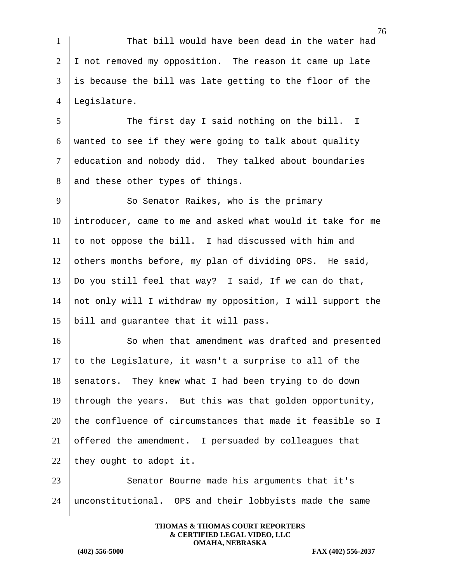1 That bill would have been dead in the water had  $2 \parallel$  I not removed my opposition. The reason it came up late 3 is because the bill was late getting to the floor of the 4 Legislature.

5 The first day I said nothing on the bill. I 6 wanted to see if they were going to talk about quality 7 education and nobody did. They talked about boundaries 8 and these other types of things.

9 So Senator Raikes, who is the primary 10 introducer, came to me and asked what would it take for me  $11$  to not oppose the bill. I had discussed with him and 12 others months before, my plan of dividing OPS. He said, 13 | Do you still feel that way? I said, If we can do that, 14 not only will I withdraw my opposition, I will support the 15 bill and guarantee that it will pass.

16 So when that amendment was drafted and presented 17  $\parallel$  to the Legislature, it wasn't a surprise to all of the  $18$  senators. They knew what I had been trying to do down 19 through the years. But this was that golden opportunity, 20 the confluence of circumstances that made it feasible so I 21  $\vert$  offered the amendment. I persuaded by colleagues that 22 they ought to adopt it.

23 Senator Bourne made his arguments that it's 24 unconstitutional. OPS and their lobbyists made the same

> **THOMAS & THOMAS COURT REPORTERS & CERTIFIED LEGAL VIDEO, LLC OMAHA, NEBRASKA**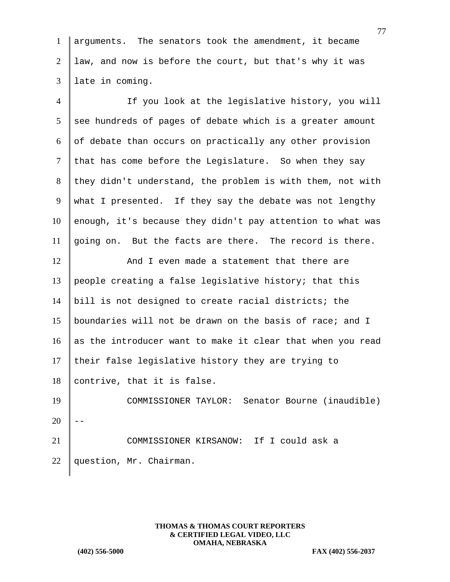1 arguments. The senators took the amendment, it became 2 law, and now is before the court, but that's why it was 3 late in coming.

4 If you look at the legislative history, you will  $5$  see hundreds of pages of debate which is a greater amount  $6 \parallel$  of debate than occurs on practically any other provision  $7$  that has come before the Legislature. So when they say 8 they didn't understand, the problem is with them, not with 9 what I presented. If they say the debate was not lengthy  $10$  enough, it's because they didn't pay attention to what was 11 going on. But the facts are there. The record is there. 12 And I even made a statement that there are

13 | people creating a false legislative history; that this 14 bill is not designed to create racial districts; the 15 boundaries will not be drawn on the basis of race; and I 16 as the introducer want to make it clear that when you read 17 their false legislative history they are trying to  $18$  contrive, that it is false. 19 COMMISSIONER TAYLOR: Senator Bourne (inaudible)  $20$ 21 COMMISSIONER KIRSANOW: If I could ask a

22 question, Mr. Chairman.

**THOMAS & THOMAS COURT REPORTERS & CERTIFIED LEGAL VIDEO, LLC OMAHA, NEBRASKA**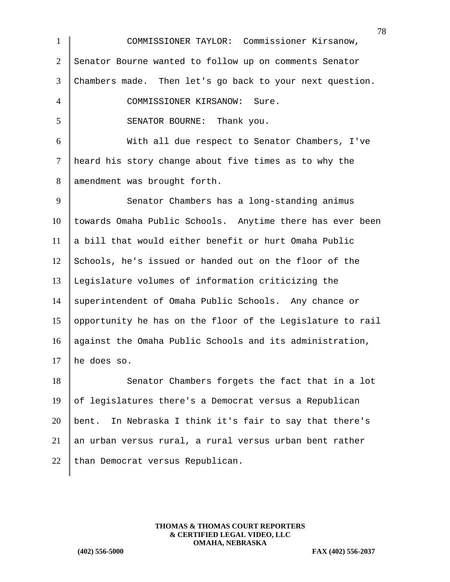| $\mathbf{1}$   | $\prime$<br>COMMISSIONER TAYLOR: Commissioner Kirsanow,    |
|----------------|------------------------------------------------------------|
| $\overline{2}$ | Senator Bourne wanted to follow up on comments Senator     |
| 3              | Chambers made. Then let's go back to your next question.   |
| $\overline{4}$ | COMMISSIONER KIRSANOW: Sure.                               |
| 5              | SENATOR BOURNE: Thank you.                                 |
| 6              | With all due respect to Senator Chambers, I've             |
| $\tau$         | heard his story change about five times as to why the      |
| 8              | amendment was brought forth.                               |
| 9              | Senator Chambers has a long-standing animus                |
| 10             | towards Omaha Public Schools. Anytime there has ever been  |
| 11             | a bill that would either benefit or hurt Omaha Public      |
| 12             | Schools, he's issued or handed out on the floor of the     |
| 13             | Legislature volumes of information criticizing the         |
| 14             | superintendent of Omaha Public Schools. Any chance or      |
| 15             | opportunity he has on the floor of the Legislature to rail |
| 16             | against the Omaha Public Schools and its administration,   |
| 17             | he does so.                                                |
| 18             | Senator Chambers forgets the fact that in a lot            |
| 19             | of legislatures there's a Democrat versus a Republican     |
| 20             | bent. In Nebraska I think it's fair to say that there's    |
| 21             | an urban versus rural, a rural versus urban bent rather    |
| 22             | than Democrat versus Republican.                           |
|                |                                                            |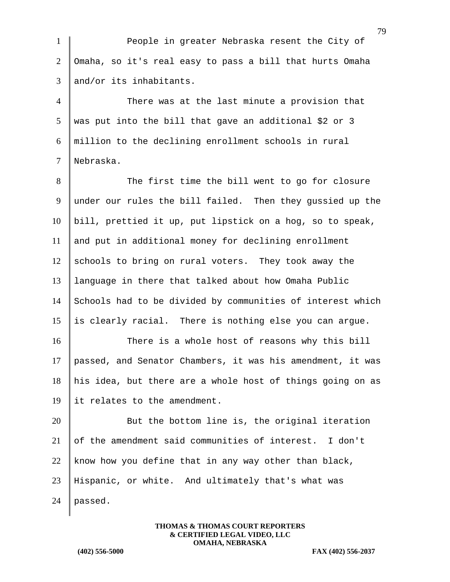1 People in greater Nebraska resent the City of 2 Omaha, so it's real easy to pass a bill that hurts Omaha  $3$  and/or its inhabitants.

 There was at the last minute a provision that  $5 \parallel$  was put into the bill that gave an additional \$2 or 3 million to the declining enrollment schools in rural Nebraska.

8 The first time the bill went to go for closure 9 under our rules the bill failed. Then they gussied up the 10 | bill, prettied it up, put lipstick on a hog, so to speak, 11 and put in additional money for declining enrollment  $12$  schools to bring on rural voters. They took away the 13 language in there that talked about how Omaha Public 14 Schools had to be divided by communities of interest which 15 is clearly racial. There is nothing else you can argue.

16 There is a whole host of reasons why this bill 17 passed, and Senator Chambers, it was his amendment, it was 18 his idea, but there are a whole host of things going on as 19 it relates to the amendment.

20 But the bottom line is, the original iteration 21  $\vert$  of the amendment said communities of interest. I don't 22 know how you define that in any way other than black, 23 Hispanic, or white. And ultimately that's what was 24  $\vert$  passed.

> **THOMAS & THOMAS COURT REPORTERS & CERTIFIED LEGAL VIDEO, LLC OMAHA, NEBRASKA**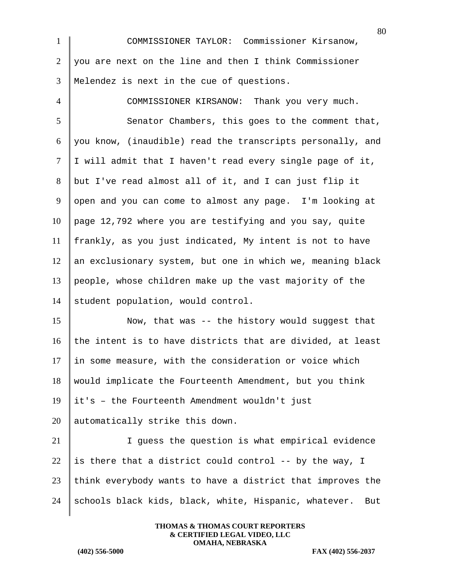1 COMMISSIONER TAYLOR: Commissioner Kirsanow,  $2 \mid$  you are next on the line and then I think Commissioner 3 Melendez is next in the cue of questions.

 COMMISSIONER KIRSANOW: Thank you very much. 5 Senator Chambers, this goes to the comment that, you know, (inaudible) read the transcripts personally, and | I will admit that I haven't read every single page of it, but I've read almost all of it, and I can just flip it 9 open and you can come to almost any page. I'm looking at page 12,792 where you are testifying and you say, quite frankly, as you just indicated, My intent is not to have an exclusionary system, but one in which we, meaning black people, whose children make up the vast majority of the 14 student population, would control.

15 Now, that was -- the history would suggest that 16 the intent is to have districts that are divided, at least in some measure, with the consideration or voice which would implicate the Fourteenth Amendment, but you think it's - the Fourteenth Amendment wouldn't just automatically strike this down.

 I guess the question is what empirical evidence 22 is there that a district could control -- by the way, I think everybody wants to have a district that improves the  $\parallel$  schools black kids, black, white, Hispanic, whatever. But

> **THOMAS & THOMAS COURT REPORTERS & CERTIFIED LEGAL VIDEO, LLC OMAHA, NEBRASKA**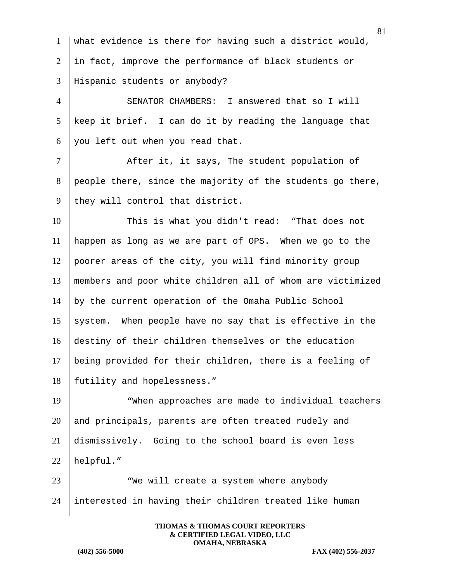| $\mathbf{1}$   | what evidence is there for having such a district would,   |
|----------------|------------------------------------------------------------|
| 2              | in fact, improve the performance of black students or      |
| 3              | Hispanic students or anybody?                              |
| $\overline{4}$ | SENATOR CHAMBERS: I answered that so I will                |
| 5              | keep it brief. I can do it by reading the language that    |
| 6              | you left out when you read that.                           |
| $\tau$         | After it, it says, The student population of               |
| 8              | people there, since the majority of the students go there, |
| 9              | they will control that district.                           |
| 10             | This is what you didn't read: "That does not               |
| 11             | happen as long as we are part of OPS. When we go to the    |
| 12             | poorer areas of the city, you will find minority group     |
| 13             | members and poor white children all of whom are victimized |
| 14             | by the current operation of the Omaha Public School        |
| 15             | system. When people have no say that is effective in the   |
| 16             | destiny of their children themselves or the education      |
| 17             | being provided for their children, there is a feeling of   |
| 18             | futility and hopelessness."                                |
| 19             | "When approaches are made to individual teachers           |
| 20             | and principals, parents are often treated rudely and       |
| 21             | dismissively. Going to the school board is even less       |
| 22             | helpful."                                                  |
| 23             | "We will create a system where anybody                     |

24 interested in having their children treated like human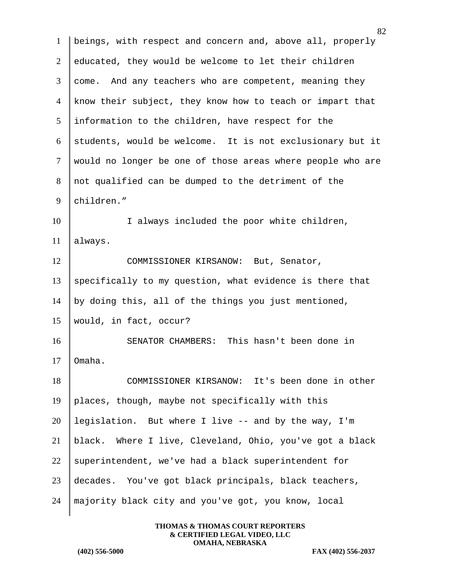beings, with respect and concern and, above all, properly educated, they would be welcome to let their children 3 come. And any teachers who are competent, meaning they know their subject, they know how to teach or impart that information to the children, have respect for the students, would be welcome. It is not exclusionary but it would no longer be one of those areas where people who are not qualified can be dumped to the detriment of the 9 children." 10 I always included the poor white children, 11 always. 12 COMMISSIONER KIRSANOW: But, Senator, specifically to my question, what evidence is there that 14 by doing this, all of the things you just mentioned, would, in fact, occur? SENATOR CHAMBERS: This hasn't been done in  $\blacksquare$  Omaha. COMMISSIONER KIRSANOW: It's been done in other  $\parallel$  places, though, maybe not specifically with this 20 | legislation. But where I live  $-$  and by the way, I'm  $\parallel$  black. Where I live, Cleveland, Ohio, you've got a black 22 superintendent, we've had a black superintendent for decades. You've got black principals, black teachers, majority black city and you've got, you know, local

> **THOMAS & THOMAS COURT REPORTERS & CERTIFIED LEGAL VIDEO, LLC OMAHA, NEBRASKA**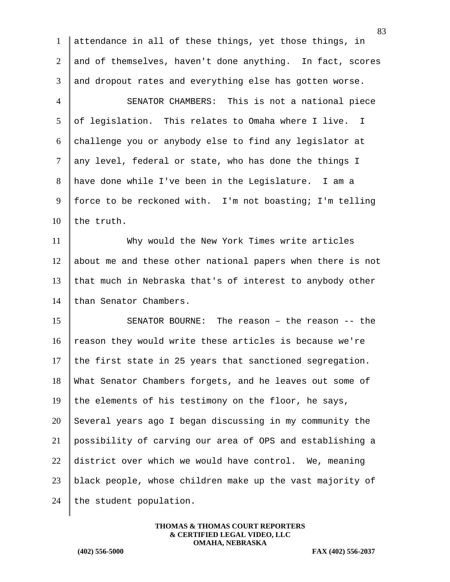|                 | 83                                                         |
|-----------------|------------------------------------------------------------|
| $\mathbf{1}$    | attendance in all of these things, yet those things, in    |
| $\overline{2}$  | and of themselves, haven't done anything. In fact, scores  |
| 3               | and dropout rates and everything else has gotten worse.    |
| $\overline{4}$  | SENATOR CHAMBERS: This is not a national piece             |
| $5\overline{)}$ | of legislation. This relates to Omaha where I live. I      |
| 6               | challenge you or anybody else to find any legislator at    |
| $\tau$          | any level, federal or state, who has done the things I     |
| 8               | have done while I've been in the Legislature. I am a       |
| 9               | force to be reckoned with. I'm not boasting; I'm telling   |
| 10              | the truth.                                                 |
| 11              | Why would the New York Times write articles                |
| 12              | about me and these other national papers when there is not |
| 13              | that much in Nebraska that's of interest to anybody other  |
| 14              | than Senator Chambers.                                     |
| 15              | SENATOR BOURNE: The reason - the reason -- the             |
| 16              | reason they would write these articles is because we're    |
| 17              | the first state in 25 years that sanctioned segregation.   |
| 18              | What Senator Chambers forgets, and he leaves out some of   |
| 19              | the elements of his testimony on the floor, he says,       |
| 20              | Several years ago I began discussing in my community the   |
| 21              | possibility of carving our area of OPS and establishing a  |
| 22              | district over which we would have control. We, meaning     |
| 23              | black people, whose children make up the vast majority of  |
| 24              | the student population.                                    |
|                 |                                                            |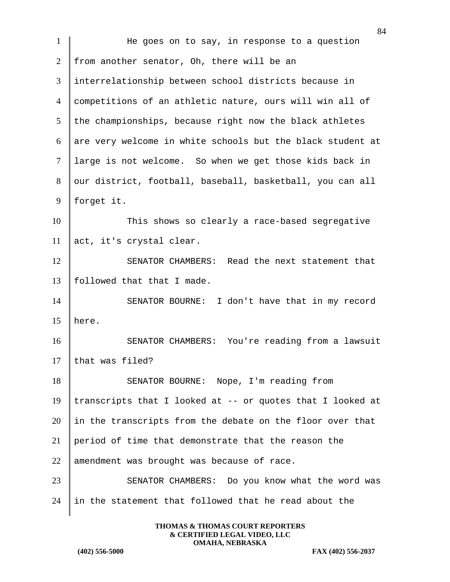|                | 84                                                         |
|----------------|------------------------------------------------------------|
| $\mathbf{1}$   | He goes on to say, in response to a question               |
| $\overline{2}$ | from another senator, Oh, there will be an                 |
| 3              | interrelationship between school districts because in      |
| $\overline{4}$ | competitions of an athletic nature, ours will win all of   |
| 5 <sup>5</sup> | the championships, because right now the black athletes    |
| 6              | are very welcome in white schools but the black student at |
| $\tau$         | large is not welcome. So when we get those kids back in    |
| 8              | our district, football, baseball, basketball, you can all  |
| 9              | forget it.                                                 |
| 10             | This shows so clearly a race-based segregative             |
| 11             | act, it's crystal clear.                                   |
| 12             | SENATOR CHAMBERS: Read the next statement that             |
| 13             | followed that that I made.                                 |
| 14             | SENATOR BOURNE: I don't have that in my record             |
| 15             | here.                                                      |
| 16             | SENATOR CHAMBERS: You're reading from a lawsuit            |
| 17             | that was filed?                                            |
| 18             | SENATOR BOURNE: Nope, I'm reading from                     |
| 19             | transcripts that I looked at -- or quotes that I looked at |
| 20             | in the transcripts from the debate on the floor over that  |
| 21             | period of time that demonstrate that the reason the        |
| 22             | amendment was brought was because of race.                 |
| 23             | SENATOR CHAMBERS: Do you know what the word was            |
| 24             | in the statement that followed that he read about the      |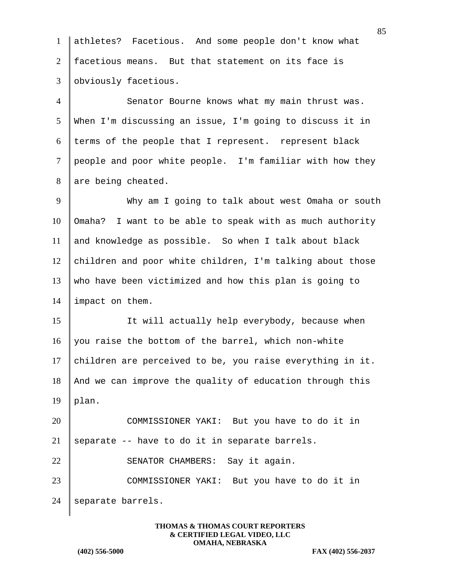1 athletes? Facetious. And some people don't know what 2 facetious means. But that statement on its face is 3 | obviously facetious. 4 Senator Bourne knows what my main thrust was. 5 When I'm discussing an issue, I'm going to discuss it in  $6$  terms of the people that I represent. represent black 7 people and poor white people. I'm familiar with how they  $8$  are being cheated. 9 Why am I going to talk about west Omaha or south  $10$  | Omaha? I want to be able to speak with as much authority 11 and knowledge as possible. So when I talk about black 12 children and poor white children, I'm talking about those 13 who have been victimized and how this plan is going to 14 | impact on them. 15 | It will actually help everybody, because when 16 you raise the bottom of the barrel, which non-white 17 children are perceived to be, you raise everything in it. 18 | And we can improve the quality of education through this  $19$  | plan. 20 COMMISSIONER YAKI: But you have to do it in 21 | separate  $-$  have to do it in separate barrels. 22 SENATOR CHAMBERS: Say it again. 23 COMMISSIONER YAKI: But you have to do it in 24 | separate barrels.

> **THOMAS & THOMAS COURT REPORTERS & CERTIFIED LEGAL VIDEO, LLC OMAHA, NEBRASKA**

**(402) 556-5000 FAX (402) 556-2037**

85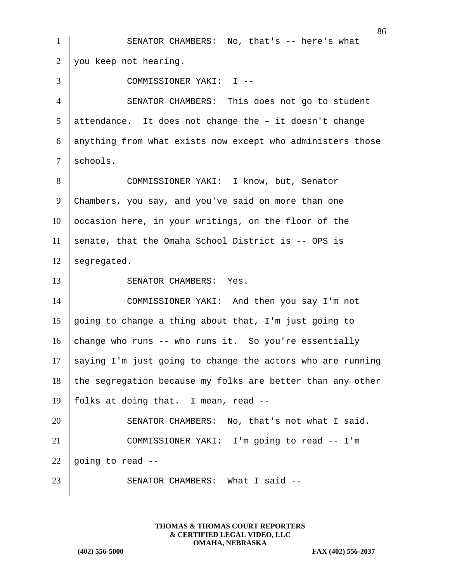86 1 SENATOR CHAMBERS: No, that's -- here's what  $2 \parallel$  you keep not hearing. 3 COMMISSIONER YAKI: I -- 4 SENATOR CHAMBERS: This does not go to student  $5$  attendance. It does not change the - it doesn't change 6 anything from what exists now except who administers those 7 schools. 8 COMMISSIONER YAKI: I know, but, Senator 9 Chambers, you say, and you've said on more than one  $10$  occasion here, in your writings, on the floor of the 11 senate, that the Omaha School District is  $-$  OPS is  $12$  seqregated. 13 SENATOR CHAMBERS: Yes. 14 COMMISSIONER YAKI: And then you say I'm not 15 going to change a thing about that, I'm just going to 16 change who runs -- who runs it. So you're essentially 17 saying I'm just going to change the actors who are running  $18$  the segregation because my folks are better than any other 19 | folks at doing that. I mean, read  $-$ -20 SENATOR CHAMBERS: No, that's not what I said. 21 COMMISSIONER YAKI: I'm going to read -- I'm 22 going to read  $-$ 23 | SENATOR CHAMBERS: What I said --

> **THOMAS & THOMAS COURT REPORTERS & CERTIFIED LEGAL VIDEO, LLC OMAHA, NEBRASKA**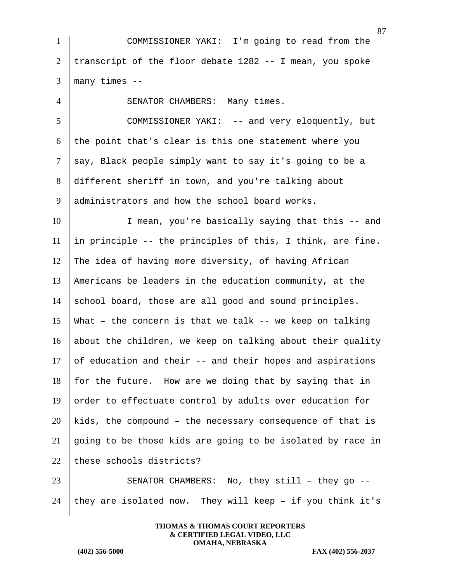1 COMMISSIONER YAKI: I'm going to read from the 2 transcript of the floor debate  $1282 - -$  I mean, you spoke  $3$  many times  $-$ 4 SENATOR CHAMBERS: Many times. 5 COMMISSIONER YAKI: -- and very eloquently, but  $6$  the point that's clear is this one statement where you 7 say, Black people simply want to say it's going to be a 8 different sheriff in town, and you're talking about 9 administrators and how the school board works. 10 I mean, you're basically saying that this -- and 11  $\parallel$  in principle -- the principles of this, I think, are fine. 12 The idea of having more diversity, of having African 13 Americans be leaders in the education community, at the 14 school board, those are all good and sound principles. 15 What – the concern is that we talk -- we keep on talking 16 about the children, we keep on talking about their quality 17 of education and their  $-$  and their hopes and aspirations  $18$  for the future. How are we doing that by saying that in 19 order to effectuate control by adults over education for  $20$  kids, the compound – the necessary consequence of that is 21 going to be those kids are going to be isolated by race in  $22$  these schools districts? 23 SENATOR CHAMBERS: No, they still - they go --24 they are isolated now. They will keep - if you think it's

> **THOMAS & THOMAS COURT REPORTERS & CERTIFIED LEGAL VIDEO, LLC OMAHA, NEBRASKA**

**(402) 556-5000 FAX (402) 556-2037**

87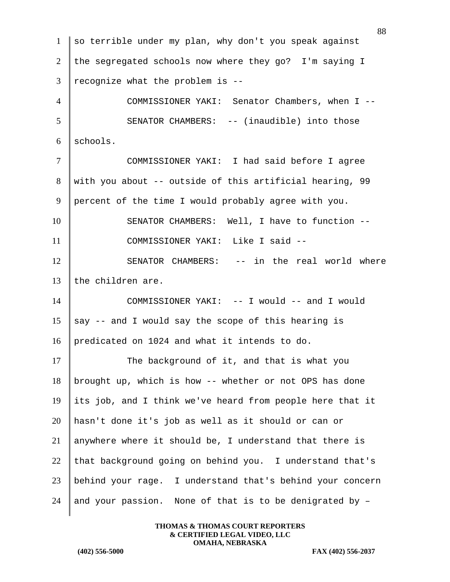1 so terrible under my plan, why don't you speak against 2 the segregated schools now where they go? I'm saying I  $3$  recognize what the problem is --4 COMMISSIONER YAKI: Senator Chambers, when I -- 5 SENATOR CHAMBERS: -- (inaudible) into those  $6 \vert$  schools. 7 COMMISSIONER YAKI: I had said before I agree 8 with you about -- outside of this artificial hearing, 99 9 percent of the time I would probably agree with you. 10 SENATOR CHAMBERS: Well, I have to function --11 | COMMISSIONER YAKI: Like I said --12 SENATOR CHAMBERS: -- in the real world where 13 the children are. 14 COMMISSIONER YAKI: -- I would -- and I would 15 say  $-$  and I would say the scope of this hearing is 16 predicated on 1024 and what it intends to do. 17 The background of it, and that is what you 18 brought up, which is how -- whether or not OPS has done 19 its job, and I think we've heard from people here that it 20 hasn't done it's job as well as it should or can or 21 anywhere where it should be, I understand that there is 22 that background going on behind you. I understand that's 23 behind your rage. I understand that's behind your concern 24 and your passion. None of that is to be denigrated by  $-$ 

> **THOMAS & THOMAS COURT REPORTERS & CERTIFIED LEGAL VIDEO, LLC OMAHA, NEBRASKA**

**(402) 556-5000 FAX (402) 556-2037**

88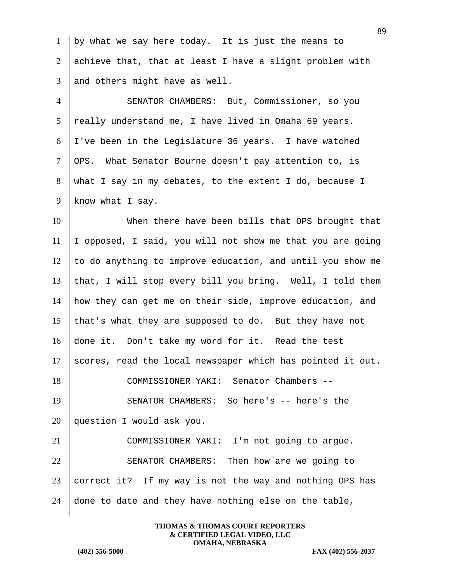| $\mathbf{1}$   | by what we say here today. It is just the means to         |
|----------------|------------------------------------------------------------|
| $\overline{2}$ | achieve that, that at least I have a slight problem with   |
| 3              | and others might have as well.                             |
| $\overline{4}$ | SENATOR CHAMBERS: But, Commissioner, so you                |
| 5              | really understand me, I have lived in Omaha 69 years.      |
| 6              | I've been in the Legislature 36 years. I have watched      |
| $\tau$         | OPS. What Senator Bourne doesn't pay attention to, is      |
| 8              | what I say in my debates, to the extent I do, because I    |
| 9              | know what I say.                                           |
| 10             | When there have been bills that OPS brought that           |
| 11             | I opposed, I said, you will not show me that you are going |
| 12             | to do anything to improve education, and until you show me |
| 13             | that, I will stop every bill you bring. Well, I told them  |
| 14             | how they can get me on their side, improve education, and  |
| 15             | that's what they are supposed to do. But they have not     |
| 16             | done it. Don't take my word for it. Read the test          |
| 17             | scores, read the local newspaper which has pointed it out. |
| 18             | COMMISSIONER YAKI: Senator Chambers --                     |
| 19             | SENATOR CHAMBERS: So here's -- here's the                  |
| 20             | question I would ask you.                                  |
| 21             | COMMISSIONER YAKI: I'm not going to argue.                 |
| 22             | SENATOR CHAMBERS: Then how are we going to                 |
| 23             | correct it? If my way is not the way and nothing OPS has   |
| 24             | done to date and they have nothing else on the table,      |
|                |                                                            |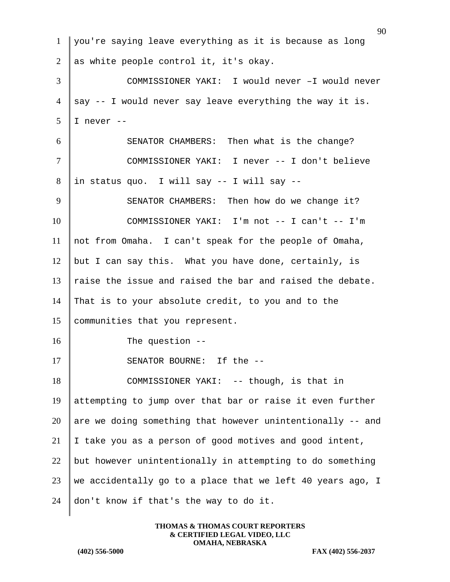| $\mathbf{1}$   | you're saying leave everything as it is because as long    |
|----------------|------------------------------------------------------------|
| $\overline{2}$ | as white people control it, it's okay.                     |
| 3              | COMMISSIONER YAKI: I would never -I would never            |
| $\overline{4}$ | say -- I would never say leave everything the way it is.   |
| 5              | I never --                                                 |
| 6              | SENATOR CHAMBERS: Then what is the change?                 |
| $\tau$         | COMMISSIONER YAKI: I never -- I don't believe              |
| 8              | in status quo. I will say -- I will say --                 |
| 9              | SENATOR CHAMBERS: Then how do we change it?                |
| 10             | COMMISSIONER YAKI: I'm not -- I can't -- I'm               |
| 11             | not from Omaha. I can't speak for the people of Omaha,     |
| 12             | but I can say this. What you have done, certainly, is      |
| 13             | raise the issue and raised the bar and raised the debate.  |
| 14             | That is to your absolute credit, to you and to the         |
| 15             | communities that you represent.                            |
| 16             | The question $-$ -                                         |
| 17             | SENATOR BOURNE: If the --                                  |
| 18             | COMMISSIONER YAKI: -- though, is that in                   |
| 19             | attempting to jump over that bar or raise it even further  |
| 20             | are we doing something that however unintentionally -- and |
| 21             | I take you as a person of good motives and good intent,    |
| 22             | but however unintentionally in attempting to do something  |
| 23             | we accidentally go to a place that we left 40 years ago, I |
| 24             | don't know if that's the way to do it.                     |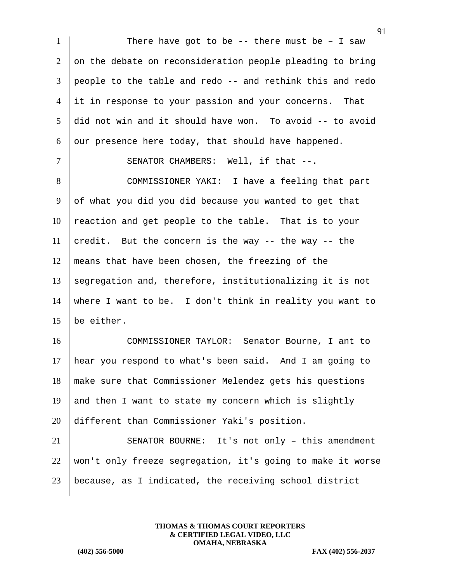1 There have got to be  $-$  there must be  $-$  I saw on the debate on reconsideration people pleading to bring people to the table and redo -- and rethink this and redo it in response to your passion and your concerns. That did not win and it should have won. To avoid -- to avoid 6 our presence here today, that should have happened. 7 | SENATOR CHAMBERS: Well, if that --. 8 COMMISSIONER YAKI: I have a feeling that part of what you did you did because you wanted to get that reaction and get people to the table. That is to your 11 credit. But the concern is the way  $-$  the way  $-$  the means that have been chosen, the freezing of the 13 segregation and, therefore, institutionalizing it is not 14 where I want to be. I don't think in reality you want to be either. COMMISSIONER TAYLOR: Senator Bourne, I ant to hear you respond to what's been said. And I am going to make sure that Commissioner Melendez gets his questions

19 and then I want to state my concern which is slightly 20 different than Commissioner Yaki's position.

21 SENATOR BOURNE: It's not only – this amendment 22 | won't only freeze segregation, it's going to make it worse 23 because, as I indicated, the receiving school district

> **THOMAS & THOMAS COURT REPORTERS & CERTIFIED LEGAL VIDEO, LLC OMAHA, NEBRASKA**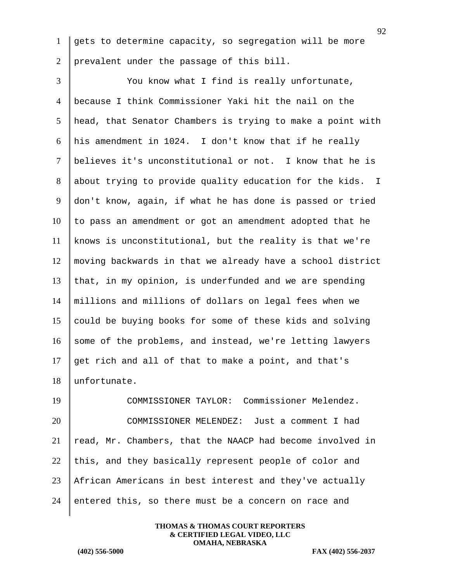1 gets to determine capacity, so segregation will be more 2 prevalent under the passage of this bill.

3 | You know what I find is really unfortunate, because I think Commissioner Yaki hit the nail on the head, that Senator Chambers is trying to make a point with his amendment in 1024. I don't know that if he really believes it's unconstitutional or not. I know that he is 8 about trying to provide quality education for the kids. I don't know, again, if what he has done is passed or tried to pass an amendment or got an amendment adopted that he knows is unconstitutional, but the reality is that we're moving backwards in that we already have a school district 13 that, in my opinion, is underfunded and we are spending millions and millions of dollars on legal fees when we 15 could be buying books for some of these kids and solving 16 some of the problems, and instead, we're letting lawyers 17 get rich and all of that to make a point, and that's unfortunate.

 COMMISSIONER TAYLOR: Commissioner Melendez. COMMISSIONER MELENDEZ: Just a comment I had read, Mr. Chambers, that the NAACP had become involved in 22 this, and they basically represent people of color and African Americans in best interest and they've actually 24 entered this, so there must be a concern on race and

> **THOMAS & THOMAS COURT REPORTERS & CERTIFIED LEGAL VIDEO, LLC OMAHA, NEBRASKA**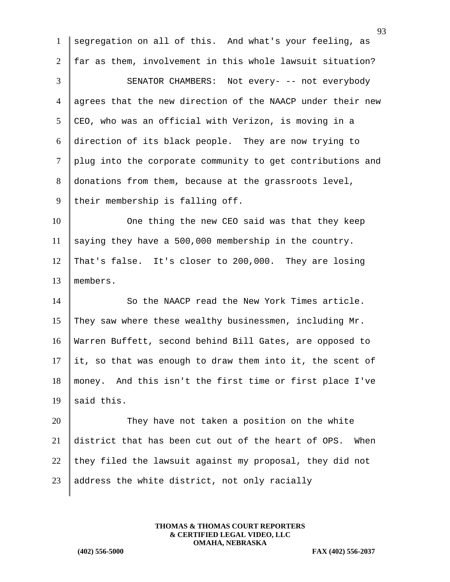1 segregation on all of this. And what's your feeling, as 2 far as them, involvement in this whole lawsuit situation? 3 SENATOR CHAMBERS: Not every- -- not everybody 4 agrees that the new direction of the NAACP under their new  $5$  CEO, who was an official with Verizon, is moving in a 6 direction of its black people. They are now trying to 7 plug into the corporate community to get contributions and 8 donations from them, because at the grassroots level, 9 their membership is falling off. 10 One thing the new CEO said was that they keep 11 saying they have a 500,000 membership in the country. 12 That's false. It's closer to 200,000. They are losing 13 members. 14 So the NAACP read the New York Times article. 15 They saw where these wealthy businessmen, including  $Mr.$ 16 Warren Buffett, second behind Bill Gates, are opposed to 17 it, so that was enough to draw them into it, the scent of 18 money. And this isn't the first time or first place I've 19  $\|$  said this. 20 They have not taken a position on the white 21 district that has been cut out of the heart of OPS. When 22 they filed the lawsuit against my proposal, they did not 23  $\parallel$  address the white district, not only racially

> **THOMAS & THOMAS COURT REPORTERS & CERTIFIED LEGAL VIDEO, LLC OMAHA, NEBRASKA**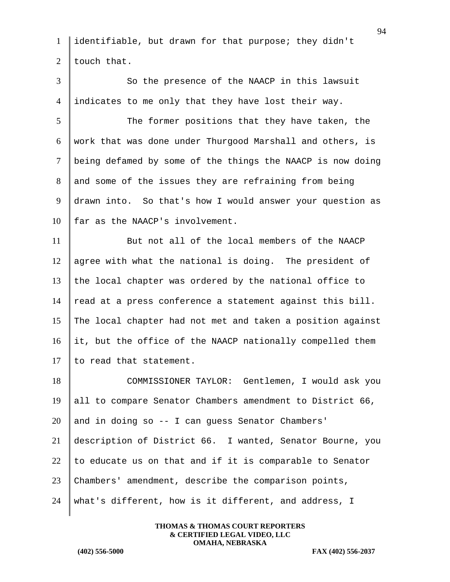1 identifiable, but drawn for that purpose; they didn't 2 | touch that.

3 So the presence of the NAACP in this lawsuit 4 indicates to me only that they have lost their way.

5 The former positions that they have taken, the work that was done under Thurgood Marshall and others, is being defamed by some of the things the NAACP is now doing and some of the issues they are refraining from being 9 drawn into. So that's how I would answer your question as | far as the NAACP's involvement.

11 But not all of the local members of the NAACP 12 agree with what the national is doing. The president of 13 the local chapter was ordered by the national office to 14  $\parallel$  read at a press conference a statement against this bill. 15 The local chapter had not met and taken a position against 16 it, but the office of the NAACP nationally compelled them 17  $\parallel$  to read that statement.

 COMMISSIONER TAYLOR: Gentlemen, I would ask you 19 all to compare Senator Chambers amendment to District  $66$ , and in doing so  $-$  I can quess Senator Chambers' description of District 66. I wanted, Senator Bourne, you 22 to educate us on that and if it is comparable to Senator Chambers' amendment, describe the comparison points, what's different, how is it different, and address, I

> **THOMAS & THOMAS COURT REPORTERS & CERTIFIED LEGAL VIDEO, LLC OMAHA, NEBRASKA**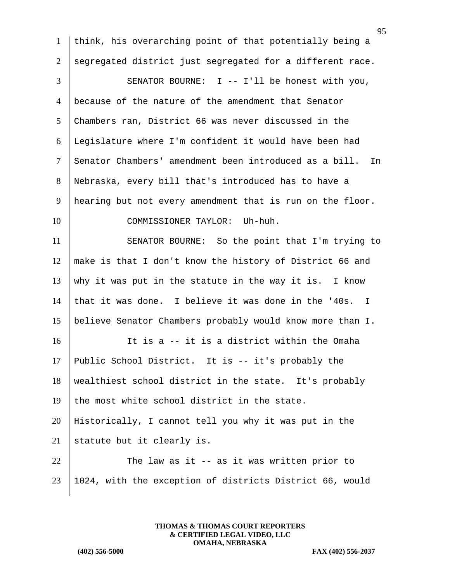think, his overarching point of that potentially being a 2 segregated district just segregated for a different race. 3 SENATOR BOURNE: I -- I'll be honest with you, because of the nature of the amendment that Senator Chambers ran, District 66 was never discussed in the Legislature where I'm confident it would have been had Senator Chambers' amendment been introduced as a bill. In Nebraska, every bill that's introduced has to have a hearing but not every amendment that is run on the floor. 10 COMMISSIONER TAYLOR: Uh-huh. 11 SENATOR BOURNE: So the point that I'm trying to make is that I don't know the history of District 66 and 13 why it was put in the statute in the way it is. I know 14 that it was done. I believe it was done in the '40s. I believe Senator Chambers probably would know more than I. It is a -- it is a district within the Omaha

17 Public School District. It is -- it's probably the 18 wealthiest school district in the state. It's probably 19 the most white school district in the state. 20 Historically, I cannot tell you why it was put in the 21 statute but it clearly is.

22  $\parallel$  The law as it -- as it was written prior to 23 1024, with the exception of districts District 66, would

> **THOMAS & THOMAS COURT REPORTERS & CERTIFIED LEGAL VIDEO, LLC OMAHA, NEBRASKA**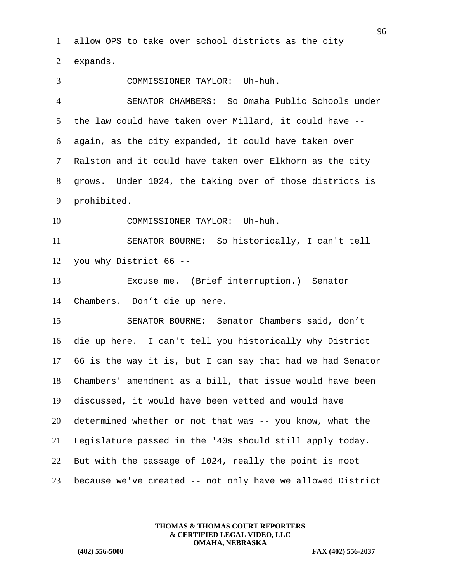allow OPS to take over school districts as the city  $\vert$  expands. COMMISSIONER TAYLOR: Uh-huh. SENATOR CHAMBERS: So Omaha Public Schools under 5 the law could have taken over Millard, it could have  $-$ - again, as the city expanded, it could have taken over 7 | Ralston and it could have taken over Elkhorn as the city 8 grows. Under 1024, the taking over of those districts is 9 prohibited. 10 COMMISSIONER TAYLOR: Uh-huh. SENATOR BOURNE: So historically, I can't tell 12 you why District 66 -- Excuse me. (Brief interruption.) Senator Chambers. Don't die up here. 15 SENATOR BOURNE: Senator Chambers said, don't die up here. I can't tell you historically why District  $\parallel$  66 is the way it is, but I can say that had we had Senator Chambers' amendment as a bill, that issue would have been discussed, it would have been vetted and would have 20 determined whether or not that was  $-$ - you know, what the Legislature passed in the '40s should still apply today. 22 But with the passage of 1024, really the point is moot because we've created -- not only have we allowed District

> **THOMAS & THOMAS COURT REPORTERS & CERTIFIED LEGAL VIDEO, LLC OMAHA, NEBRASKA**

**(402) 556-5000 FAX (402) 556-2037**

96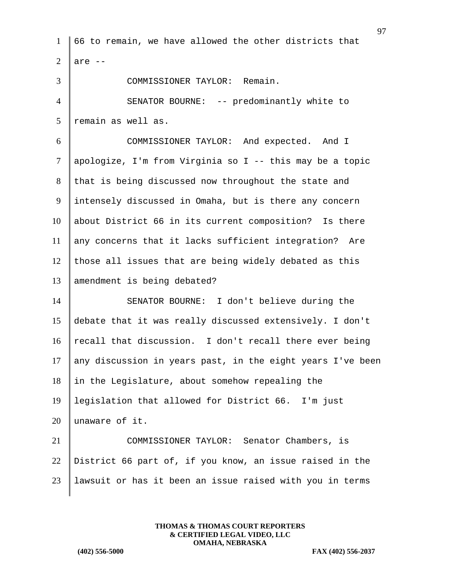|                 | 97                                                         |
|-----------------|------------------------------------------------------------|
| 1               | 66 to remain, we have allowed the other districts that     |
| $\overline{2}$  | are $--$                                                   |
| 3               | COMMISSIONER TAYLOR: Remain.                               |
| $\overline{4}$  | SENATOR BOURNE: -- predominantly white to                  |
| $5\overline{)}$ | remain as well as.                                         |
| 6               | COMMISSIONER TAYLOR: And expected. And I                   |
| $\tau$          | apologize, I'm from Virginia so I -- this may be a topic   |
| 8               | that is being discussed now throughout the state and       |
| 9               | intensely discussed in Omaha, but is there any concern     |
| 10              | about District 66 in its current composition? Is there     |
| 11              | any concerns that it lacks sufficient integration? Are     |
| 12              | those all issues that are being widely debated as this     |
| 13              | amendment is being debated?                                |
| 14              | SENATOR BOURNE: I don't believe during the                 |
| 15              | debate that it was really discussed extensively. I don't   |
| 16              | recall that discussion. I don't recall there ever being    |
| 17              | any discussion in years past, in the eight years I've been |
| 18              | in the Legislature, about somehow repealing the            |
| 19              | legislation that allowed for District 66. I'm just         |
| 20              | unaware of it.                                             |
| 21              | COMMISSIONER TAYLOR: Senator Chambers, is                  |
| 22              | District 66 part of, if you know, an issue raised in the   |
| 23              | lawsuit or has it been an issue raised with you in terms   |
|                 |                                                            |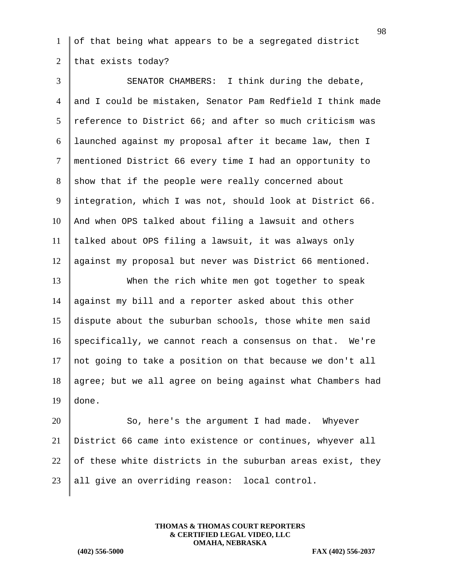of that being what appears to be a segregated district 2 that exists today?

3 SENATOR CHAMBERS: I think during the debate, and I could be mistaken, Senator Pam Redfield I think made  $r$  reference to District 66; and after so much criticism was launched against my proposal after it became law, then I mentioned District 66 every time I had an opportunity to show that if the people were really concerned about 9 integration, which I was not, should look at District 66. And when OPS talked about filing a lawsuit and others talked about OPS filing a lawsuit, it was always only against my proposal but never was District 66 mentioned. When the rich white men got together to speak against my bill and a reporter asked about this other dispute about the suburban schools, those white men said specifically, we cannot reach a consensus on that. We're 17 | not going to take a position on that because we don't all 18 agree; but we all agree on being against what Chambers had done. 20 So, here's the argument I had made. Whyever District 66 came into existence or continues, whyever all 22 of these white districts in the suburban areas exist, they

> **THOMAS & THOMAS COURT REPORTERS & CERTIFIED LEGAL VIDEO, LLC OMAHA, NEBRASKA**

all give an overriding reason: local control.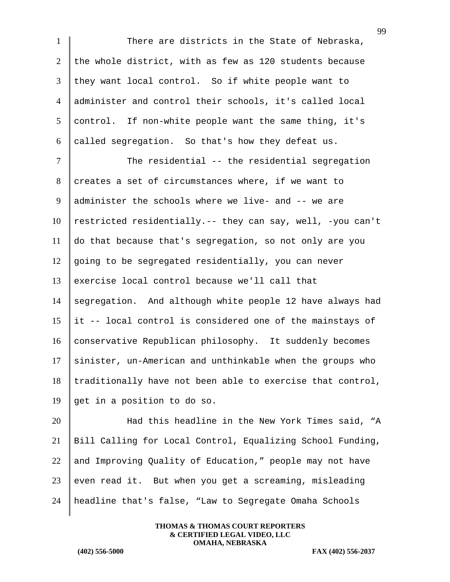1 There are districts in the State of Nebraska, 2 the whole district, with as few as 120 students because  $3$  they want local control. So if white people want to 4 administer and control their schools, it's called local 5 control. If non-white people want the same thing, it's 6 called segregation. So that's how they defeat us.

7 The residential -- the residential segregation 8 creates a set of circumstances where, if we want to administer the schools where we live- and -- we are 10 | restricted residentially.-- they can say, well, -you can't do that because that's segregation, so not only are you  $\parallel$  going to be segregated residentially, you can never exercise local control because we'll call that segregation. And although white people 12 have always had 15 | it -- local control is considered one of the mainstays of 16 conservative Republican philosophy. It suddenly becomes sinister, un-American and unthinkable when the groups who traditionally have not been able to exercise that control,  $\parallel$  get in a position to do so.

20 Had this headline in the New York Times said, "A 21 Bill Calling for Local Control, Equalizing School Funding, 22 and Improving Quality of Education," people may not have 23 even read it. But when you get a screaming, misleading 24 headline that's false, "Law to Segregate Omaha Schools

> **THOMAS & THOMAS COURT REPORTERS & CERTIFIED LEGAL VIDEO, LLC OMAHA, NEBRASKA**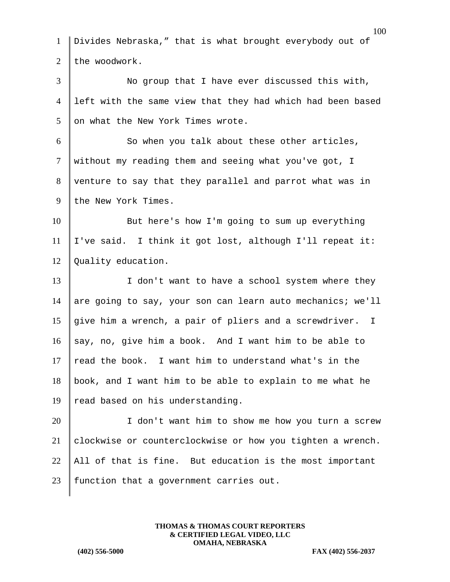| $\mathbf{1}$   | Divides Nebraska," that is what brought everybody out of     |
|----------------|--------------------------------------------------------------|
| $\overline{2}$ | the woodwork.                                                |
| 3              | No group that I have ever discussed this with,               |
| $\overline{4}$ | left with the same view that they had which had been based   |
| 5              | on what the New York Times wrote.                            |
| 6              | So when you talk about these other articles,                 |
| $\tau$         | without my reading them and seeing what you've got, I        |
| 8              | venture to say that they parallel and parrot what was in     |
| 9              | the New York Times.                                          |
| 10             | But here's how I'm going to sum up everything                |
| 11             | I've said. I think it got lost, although I'll repeat it:     |
| 12             | Quality education.                                           |
| 13             | I don't want to have a school system where they              |
| 14             | are going to say, your son can learn auto mechanics; we'll   |
| 15             | give him a wrench, a pair of pliers and a screwdriver.<br>I. |
| 16             | say, no, give him a book. And I want him to be able to       |
| 17             | read the book. I want him to understand what's in the        |
| 18             | book, and I want him to be able to explain to me what he     |
| 19             | read based on his understanding.                             |
| 20             | I don't want him to show me how you turn a screw             |
| 21             | clockwise or counterclockwise or how you tighten a wrench.   |
| 22             | All of that is fine. But education is the most important     |
| 23             | function that a government carries out.                      |
|                |                                                              |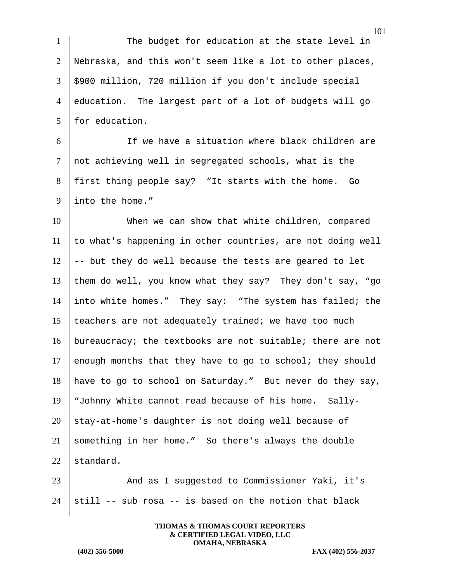1 The budget for education at the state level in 2 | Nebraska, and this won't seem like a lot to other places, 3 \$900 million, 720 million if you don't include special 4 education. The largest part of a lot of budgets will go 5 for education.

6 I Get The we have a situation where black children are 7 | not achieving well in segregated schools, what is the 8 first thing people say? "It starts with the home. Go 9 linto the home."

10 When we can show that white children, compared to what's happening in other countries, are not doing well  $\parallel$  -- but they do well because the tests are geared to let them do well, you know what they say? They don't say, "go into white homes." They say: "The system has failed; the 15 teachers are not adequately trained; we have too much bureaucracy; the textbooks are not suitable; there are not 17 enough months that they have to go to school; they should have to go to school on Saturday." But never do they say, "Johnny White cannot read because of his home. Sally- stay-at-home's daughter is not doing well because of something in her home." So there's always the double  $|$  standard.

23 And as I suggested to Commissioner Yaki, it's 24  $\vert$  still -- sub rosa -- is based on the notion that black

> **THOMAS & THOMAS COURT REPORTERS & CERTIFIED LEGAL VIDEO, LLC OMAHA, NEBRASKA**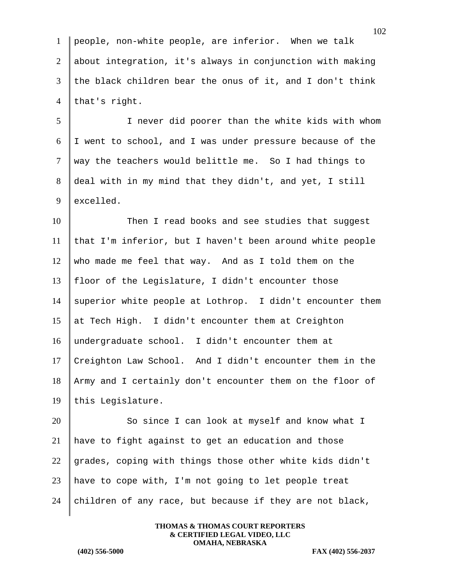people, non-white people, are inferior. When we talk about integration, it's always in conjunction with making the black children bear the onus of it, and I don't think 4 that's right.

5 I never did poorer than the white kids with whom 6 I went to school, and I was under pressure because of the 7 way the teachers would belittle me. So I had things to 8 deal with in my mind that they didn't, and yet, I still 9 excelled.

10 Then I read books and see studies that suggest  $11$  that I'm inferior, but I haven't been around white people 12 who made me feel that way. And as I told them on the 13 | floor of the Legislature, I didn't encounter those 14 superior white people at Lothrop. I didn't encounter them 15 at Tech High. I didn't encounter them at Creighton 16 undergraduate school. I didn't encounter them at 17 Creighton Law School. And I didn't encounter them in the 18 Army and I certainly don't encounter them on the floor of 19 this Legislature.

20 So since I can look at myself and know what I 21 have to fight against to get an education and those 22 grades, coping with things those other white kids didn't 23 have to cope with, I'm not going to let people treat 24 children of any race, but because if they are not black,

> **THOMAS & THOMAS COURT REPORTERS & CERTIFIED LEGAL VIDEO, LLC OMAHA, NEBRASKA**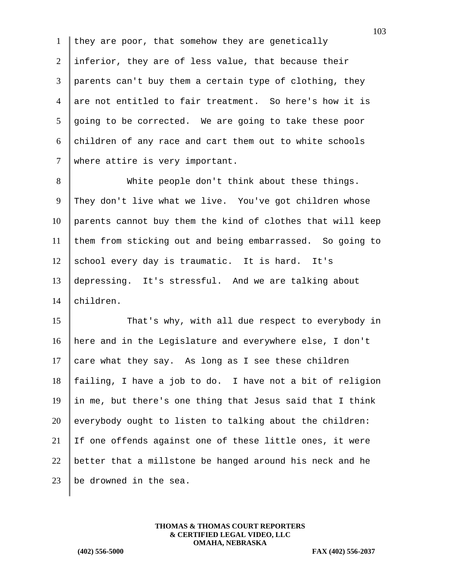1 they are poor, that somehow they are genetically 2 inferior, they are of less value, that because their 3 parents can't buy them a certain type of clothing, they 4 are not entitled to fair treatment. So here's how it is  $5 \parallel$  going to be corrected. We are going to take these poor  $6$  children of any race and cart them out to white schools 7 | where attire is very important.

8 White people don't think about these things. 9 They don't live what we live. You've got children whose parents cannot buy them the kind of clothes that will keep them from sticking out and being embarrassed. So going to school every day is traumatic. It is hard. It's depressing. It's stressful. And we are talking about children.

15 That's why, with all due respect to everybody in 16 here and in the Legislature and everywhere else, I don't 17 care what they say. As long as I see these children 18 failing, I have a job to do. I have not a bit of religion 19 in me, but there's one thing that Jesus said that I think  $20$  everybody ought to listen to talking about the children: 21 If one offends against one of these little ones, it were 22 better that a millstone be hanged around his neck and he 23  $\parallel$  be drowned in the sea.

> **THOMAS & THOMAS COURT REPORTERS & CERTIFIED LEGAL VIDEO, LLC OMAHA, NEBRASKA**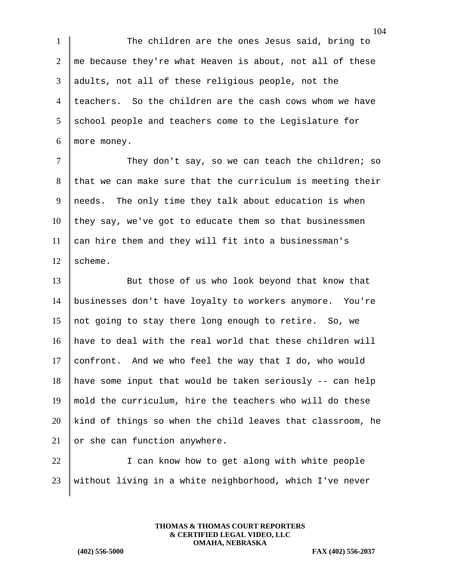1 The children are the ones Jesus said, bring to  $2 \parallel$  me because they're what Heaven is about, not all of these 3 adults, not all of these religious people, not the 4 teachers. So the children are the cash cows whom we have  $5$  school people and teachers come to the Legislature for 6 more money.

7 They don't say, so we can teach the children; so that we can make sure that the curriculum is meeting their needs. The only time they talk about education is when they say, we've got to educate them so that businessmen can hire them and they will fit into a businessman's  $12 \parallel$  scheme.

13 But those of us who look beyond that know that businesses don't have loyalty to workers anymore. You're not going to stay there long enough to retire. So, we have to deal with the real world that these children will 17 confront. And we who feel the way that I do, who would have some input that would be taken seriously -- can help mold the curriculum, hire the teachers who will do these kind of things so when the child leaves that classroom, he 21 or she can function anywhere.

22 | I can know how to get along with white people 23 without living in a white neighborhood, which I've never

> **THOMAS & THOMAS COURT REPORTERS & CERTIFIED LEGAL VIDEO, LLC OMAHA, NEBRASKA**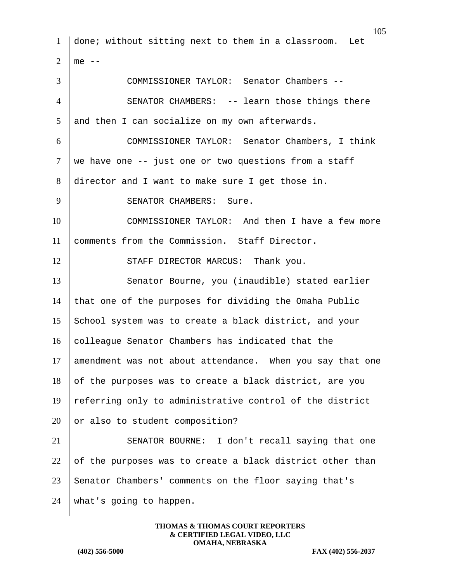1 done; without sitting next to them in a classroom. Let  $2 \parallel me --$ 3 COMMISSIONER TAYLOR: Senator Chambers -- 4 SENATOR CHAMBERS: -- learn those things there  $5$  and then I can socialize on my own afterwards. 6 COMMISSIONER TAYLOR: Senator Chambers, I think  $7$  we have one -- just one or two questions from a staff 8 director and I want to make sure I get those in. 9 SENATOR CHAMBERS: Sure. 10 COMMISSIONER TAYLOR: And then I have a few more 11 comments from the Commission. Staff Director. 12 STAFF DIRECTOR MARCUS: Thank you. 13 Senator Bourne, you (inaudible) stated earlier 14 that one of the purposes for dividing the Omaha Public 15 School system was to create a black district, and your 16 colleague Senator Chambers has indicated that the 17 amendment was not about attendance. When you say that one  $18$  of the purposes was to create a black district, are you 19  $\parallel$  referring only to administrative control of the district  $20$  or also to student composition? 21 SENATOR BOURNE: I don't recall saying that one 22  $\parallel$  of the purposes was to create a black district other than 23 Senator Chambers' comments on the floor saying that's 24 what's going to happen.

> **THOMAS & THOMAS COURT REPORTERS & CERTIFIED LEGAL VIDEO, LLC OMAHA, NEBRASKA**

**(402) 556-5000 FAX (402) 556-2037**

105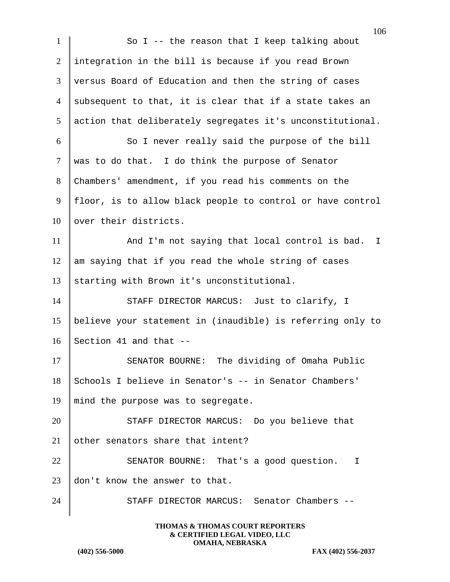| $\mathbf{1}$ | So I -- the reason that I keep talking about               |
|--------------|------------------------------------------------------------|
| 2            | integration in the bill is because if you read Brown       |
| 3            | versus Board of Education and then the string of cases     |
| 4            | subsequent to that, it is clear that if a state takes an   |
| 5            | action that deliberately segregates it's unconstitutional. |
| 6            | So I never really said the purpose of the bill             |
| $\tau$       | was to do that. I do think the purpose of Senator          |
| 8            | Chambers' amendment, if you read his comments on the       |
| 9            | floor, is to allow black people to control or have control |
| 10           | over their districts.                                      |
| 11           | And I'm not saying that local control is bad.<br>$\perp$   |
| 12           | am saying that if you read the whole string of cases       |
| 13           | starting with Brown it's unconstitutional.                 |
| 14           | STAFF DIRECTOR MARCUS: Just to clarify, I                  |
| 15           | believe your statement in (inaudible) is referring only to |
| 16           | Section 41 and that --                                     |
| 17           | The dividing of Omaha Public<br>SENATOR BOURNE:            |
| 18           | Schools I believe in Senator's -- in Senator Chambers'     |
| 19           | mind the purpose was to segregate.                         |
| 20           | STAFF DIRECTOR MARCUS: Do you believe that                 |
| 21           | other senators share that intent?                          |
| 22           | SENATOR BOURNE: That's a good question. I                  |
| 23           | don't know the answer to that.                             |
| 24           | STAFF DIRECTOR MARCUS: Senator Chambers --                 |
|              |                                                            |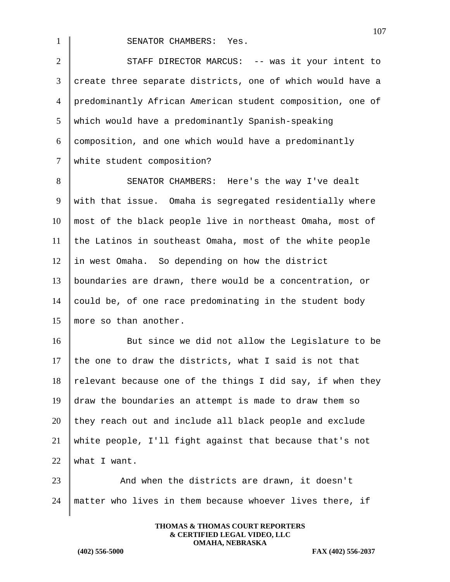1 SENATOR CHAMBERS: Yes.

2 STAFF DIRECTOR MARCUS: -- was it your intent to 3 create three separate districts, one of which would have a 4 predominantly African American student composition, one of 5 which would have a predominantly Spanish-speaking 6 composition, and one which would have a predominantly 7 | white student composition?

8 SENATOR CHAMBERS: Here's the way I've dealt 9 with that issue. Omaha is segregated residentially where most of the black people live in northeast Omaha, most of the Latinos in southeast Omaha, most of the white people in west Omaha. So depending on how the district boundaries are drawn, there would be a concentration, or could be, of one race predominating in the student body 15 more so than another.

16 But since we did not allow the Legislature to be 17 the one to draw the districts, what I said is not that 18 relevant because one of the things I did say, if when they 19  $\parallel$  draw the boundaries an attempt is made to draw them so  $20$  they reach out and include all black people and exclude 21 white people, I'll fight against that because that's not  $22$  what I want.

23 And when the districts are drawn, it doesn't  $24$  matter who lives in them because whoever lives there, if

> **THOMAS & THOMAS COURT REPORTERS & CERTIFIED LEGAL VIDEO, LLC OMAHA, NEBRASKA**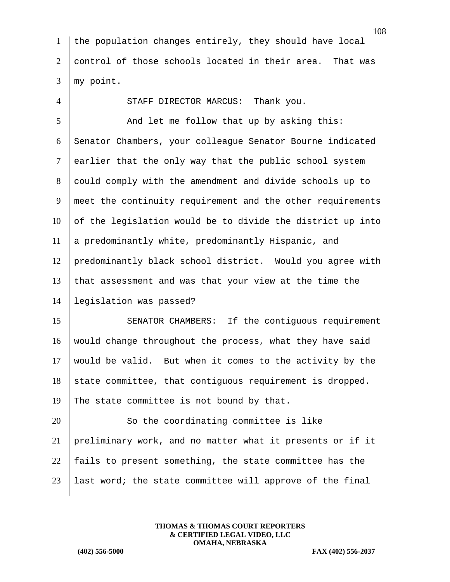1 the population changes entirely, they should have local 2 control of those schools located in their area. That was  $3 \parallel$  my point.

4 STAFF DIRECTOR MARCUS: Thank you.

5 And let me follow that up by asking this: Senator Chambers, your colleague Senator Bourne indicated earlier that the only way that the public school system 8 could comply with the amendment and divide schools up to meet the continuity requirement and the other requirements of the legislation would be to divide the district up into a predominantly white, predominantly Hispanic, and predominantly black school district. Would you agree with 13 that assessment and was that your view at the time the legislation was passed?

15 SENATOR CHAMBERS: If the contiguous requirement 16 would change throughout the process, what they have said 17 | would be valid. But when it comes to the activity by the  $18$  state committee, that contiguous requirement is dropped. 19 The state committee is not bound by that.

20 So the coordinating committee is like preliminary work, and no matter what it presents or if it  $\parallel$  fails to present something, the state committee has the | last word; the state committee will approve of the final

> **THOMAS & THOMAS COURT REPORTERS & CERTIFIED LEGAL VIDEO, LLC OMAHA, NEBRASKA**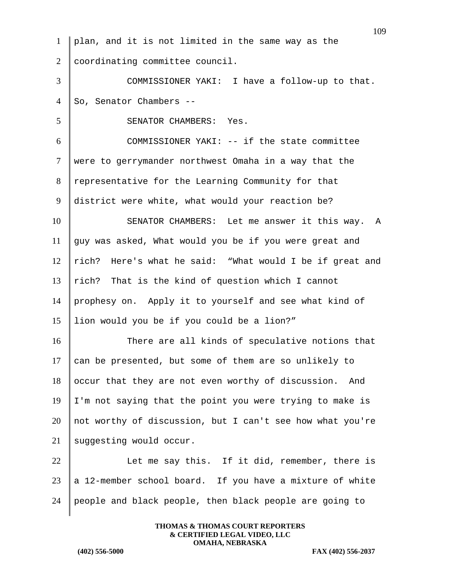109 plan, and it is not limited in the same way as the 2 coordinating committee council. COMMISSIONER YAKI: I have a follow-up to that. 4 So, Senator Chambers --5 SENATOR CHAMBERS: Yes. COMMISSIONER YAKI: -- if the state committee were to gerrymander northwest Omaha in a way that the 8 representative for the Learning Community for that district were white, what would your reaction be? 10 SENATOR CHAMBERS: Let me answer it this way. A guy was asked, What would you be if you were great and  $\parallel$  rich? Here's what he said: "What would I be if great and  $\vert$  rich? That is the kind of question which I cannot prophesy on. Apply it to yourself and see what kind of lion would you be if you could be a lion?" 16 There are all kinds of speculative notions that can be presented, but some of them are so unlikely to occur that they are not even worthy of discussion. And  $19 \parallel I \mod I$  and saying that the point you were trying to make is not worthy of discussion, but I can't see how what you're suggesting would occur. 22 U Let me say this. If it did, remember, there is  $\parallel$  a 12-member school board. If you have a mixture of white people and black people, then black people are going to

> **THOMAS & THOMAS COURT REPORTERS & CERTIFIED LEGAL VIDEO, LLC OMAHA, NEBRASKA**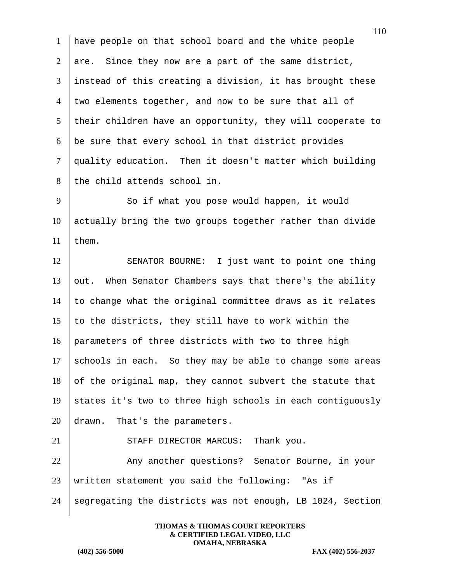have people on that school board and the white people 2 are. Since they now are a part of the same district, instead of this creating a division, it has brought these  $4 \parallel$  two elements together, and now to be sure that all of their children have an opportunity, they will cooperate to be sure that every school in that district provides quality education. Then it doesn't matter which building 8 the child attends school in.

9 So if what you pose would happen, it would  $10$  actually bring the two groups together rather than divide 11 | them.

12 SENATOR BOURNE: I just want to point one thing  $13$  out. When Senator Chambers says that there's the ability  $14$  to change what the original committee draws as it relates 15  $\parallel$  to the districts, they still have to work within the 16 parameters of three districts with two to three high 17 schools in each. So they may be able to change some areas 18 of the original map, they cannot subvert the statute that 19 states it's two to three high schools in each contiguously 20 drawn. That's the parameters.

21 STAFF DIRECTOR MARCUS: Thank you. 22 Any another questions? Senator Bourne, in your 23 written statement you said the following: "As if 24 segregating the districts was not enough, LB 1024, Section

> **THOMAS & THOMAS COURT REPORTERS & CERTIFIED LEGAL VIDEO, LLC OMAHA, NEBRASKA**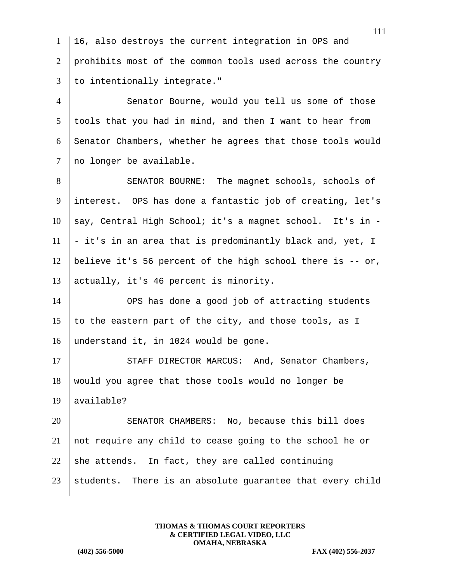1 | 16, also destroys the current integration in OPS and 2 prohibits most of the common tools used across the country  $3$  | to intentionally integrate."

4 Senator Bourne, would you tell us some of those  $5$  tools that you had in mind, and then I want to hear from 6 Senator Chambers, whether he agrees that those tools would 7 no longer be available.

8 SENATOR BOURNE: The magnet schools, schools of interest. OPS has done a fantastic job of creating, let's say, Central High School; it's a magnet school. It's in - - it's in an area that is predominantly black and, yet, I 12 | believe it's 56 percent of the high school there is  $-$  or, actually, it's 46 percent is minority.

14 OPS has done a good job of attracting students 15 | to the eastern part of the city, and those tools, as I 16 understand it, in 1024 would be gone.

17 STAFF DIRECTOR MARCUS: And, Senator Chambers, 18 would you agree that those tools would no longer be 19 available?

 SENATOR CHAMBERS: No, because this bill does not require any child to cease going to the school he or 22 she attends. In fact, they are called continuing students. There is an absolute guarantee that every child

> **THOMAS & THOMAS COURT REPORTERS & CERTIFIED LEGAL VIDEO, LLC OMAHA, NEBRASKA**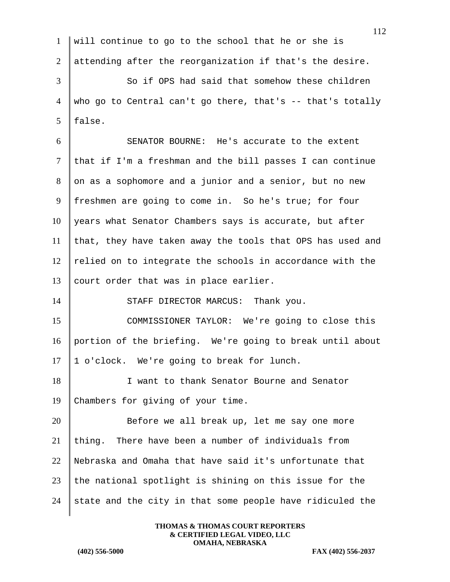|                | 112                                                           |
|----------------|---------------------------------------------------------------|
| 1              | will continue to go to the school that he or she is           |
| $\overline{2}$ | attending after the reorganization if that's the desire.      |
| 3              | So if OPS had said that somehow these children                |
| $\overline{4}$ | who go to Central can't go there, that's $-$ - that's totally |
| 5              | false.                                                        |
| 6              | SENATOR BOURNE: He's accurate to the extent                   |
| $\tau$         | that if I'm a freshman and the bill passes I can continue     |
| 8              | on as a sophomore and a junior and a senior, but no new       |
| 9              | freshmen are going to come in. So he's true; for four         |
| 10             | years what Senator Chambers says is accurate, but after       |
| 11             | that, they have taken away the tools that OPS has used and    |
| 12             | relied on to integrate the schools in accordance with the     |
| 13             | court order that was in place earlier.                        |
| 14             | STAFF DIRECTOR MARCUS: Thank you.                             |
| 15             | COMMISSIONER TAYLOR: We're going to close this                |
| 16             | portion of the briefing. We're going to break until about     |
| 17             | 1 o'clock. We're going to break for lunch.                    |
| 18             | I want to thank Senator Bourne and Senator                    |
| 19             | Chambers for giving of your time.                             |
| 20             | Before we all break up, let me say one more                   |
| 21             | There have been a number of individuals from<br>thing.        |
| 22             | Nebraska and Omaha that have said it's unfortunate that       |
| 23             | the national spotlight is shining on this issue for the       |
| 24             | state and the city in that some people have ridiculed the     |
|                |                                                               |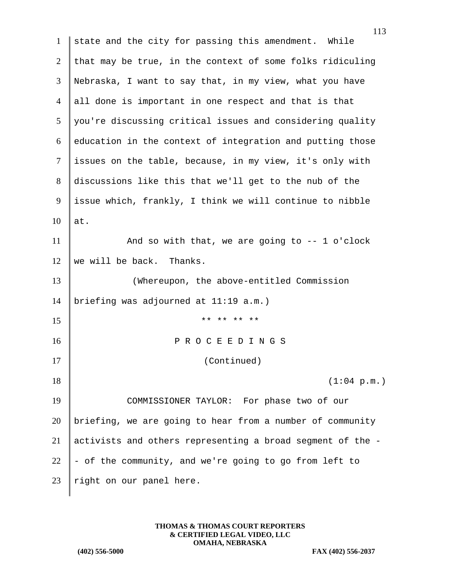1 state and the city for passing this amendment. While 2 that may be true, in the context of some folks ridiculing 3 Nebraska, I want to say that, in my view, what you have 4 all done is important in one respect and that is that  $5 \parallel$  you're discussing critical issues and considering quality  $6 \parallel$  education in the context of integration and putting those 7 | issues on the table, because, in my view, it's only with 8 discussions like this that we'll get to the nub of the 9 issue which, frankly, I think we will continue to nibble  $10$  at. 11 And so with that, we are going to -- 1 o'clock 12 | we will be back. Thanks. 13 Whereupon, the above-entitled Commission 14 briefing was adjourned at 11:19 a.m.)  $15$  \*\* \*\* \*\* \*\* 16 || PROCEEDINGS 17 (Continued)  $18$  (1:04 p.m.) 19 COMMISSIONER TAYLOR: For phase two of our 20 briefing, we are going to hear from a number of community 21  $\parallel$  activists and others representing a broad segment of the -22  $\parallel$  - of the community, and we're going to go from left to 23 | right on our panel here.

> **THOMAS & THOMAS COURT REPORTERS & CERTIFIED LEGAL VIDEO, LLC OMAHA, NEBRASKA**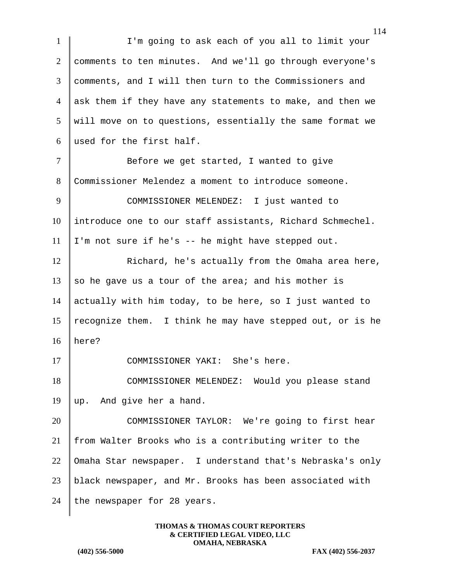114 1 I'm going to ask each of you all to limit your 2 comments to ten minutes. And we'll go through everyone's 3 comments, and I will then turn to the Commissioners and 4 ask them if they have any statements to make, and then we 5 will move on to questions, essentially the same format we 6 used for the first half. 7 | Before we get started, I wanted to give 8 Commissioner Melendez a moment to introduce someone. 9 COMMISSIONER MELENDEZ: I just wanted to 10 introduce one to our staff assistants, Richard Schmechel.  $11$  | I'm not sure if he's -- he might have stepped out. 12 **Richard, he's actually from the Omaha area here,** 13 so he gave us a tour of the area; and his mother is 14 actually with him today, to be here, so I just wanted to 15 | recognize them. I think he may have stepped out, or is he  $16$  here? 17 COMMISSIONER YAKI: She's here. 18 COMMISSIONER MELENDEZ: Would you please stand 19 up. And give her a hand. 20 COMMISSIONER TAYLOR: We're going to first hear 21 from Walter Brooks who is a contributing writer to the 22 Omaha Star newspaper. I understand that's Nebraska's only 23 black newspaper, and Mr. Brooks has been associated with 24 the newspaper for 28 years.

> **THOMAS & THOMAS COURT REPORTERS & CERTIFIED LEGAL VIDEO, LLC OMAHA, NEBRASKA**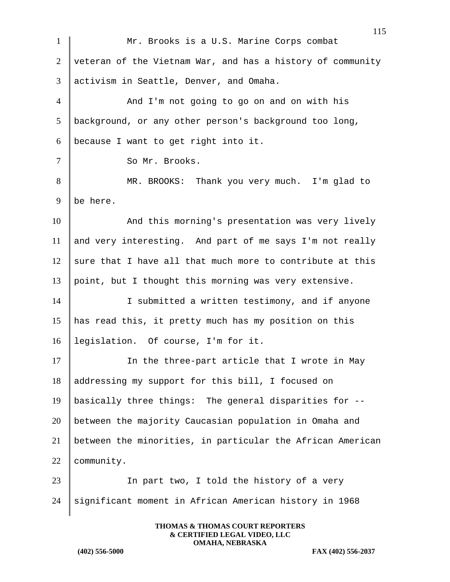|                | 115                                                        |
|----------------|------------------------------------------------------------|
| $\mathbf{1}$   | Mr. Brooks is a U.S. Marine Corps combat                   |
| $\overline{2}$ | veteran of the Vietnam War, and has a history of community |
| 3              | activism in Seattle, Denver, and Omaha.                    |
| $\overline{4}$ | And I'm not going to go on and on with his                 |
| 5              | background, or any other person's background too long,     |
| 6              | because I want to get right into it.                       |
| $\overline{7}$ | So Mr. Brooks.                                             |
| 8              | MR. BROOKS: Thank you very much. I'm glad to               |
| 9              | be here.                                                   |
| 10             | And this morning's presentation was very lively            |
| 11             | and very interesting. And part of me says I'm not really   |
| 12             | sure that I have all that much more to contribute at this  |
| 13             | point, but I thought this morning was very extensive.      |
| 14             | I submitted a written testimony, and if anyone             |
| 15             | has read this, it pretty much has my position on this      |
| 16             | legislation. Of course, I'm for it.                        |
| 17             | In the three-part article that I wrote in May              |
| 18             | addressing my support for this bill, I focused on          |
| 19             | basically three things: The general disparities for --     |
| 20             | between the majority Caucasian population in Omaha and     |
| 21             | between the minorities, in particular the African American |
| 22             | community.                                                 |
| 23             | In part two, I told the history of a very                  |
| 24             | significant moment in African American history in 1968     |
|                |                                                            |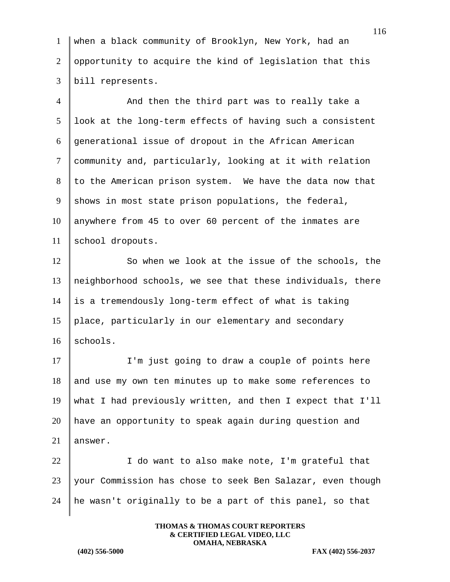| 1 when a black community of Brooklyn, New York, had an              |
|---------------------------------------------------------------------|
| $2\,$ $\,$ opportunity to acquire the kind of legislation that this |
| $3$   bill represents.                                              |

4 And then the third part was to really take a look at the long-term effects of having such a consistent generational issue of dropout in the African American community and, particularly, looking at it with relation to the American prison system. We have the data now that shows in most state prison populations, the federal, anywhere from 45 to over 60 percent of the inmates are 11 | school dropouts.

12 So when we look at the issue of the schools, the neighborhood schools, we see that these individuals, there is a tremendously long-term effect of what is taking place, particularly in our elementary and secondary  $|$  schools.

17 I'm just going to draw a couple of points here 18 and use my own ten minutes up to make some references to what I had previously written, and then I expect that I'll have an opportunity to speak again during question and  $\parallel$  answer.

22 | I do want to also make note, I'm grateful that your Commission has chose to seek Ben Salazar, even though 24  $\parallel$  he wasn't originally to be a part of this panel, so that

> **THOMAS & THOMAS COURT REPORTERS & CERTIFIED LEGAL VIDEO, LLC OMAHA, NEBRASKA**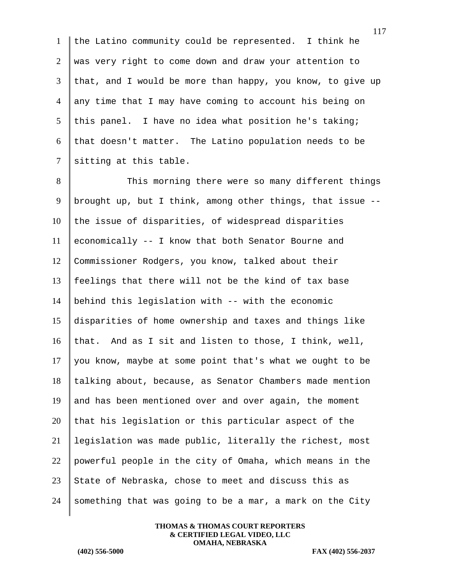1 the Latino community could be represented. I think he 2 was very right to come down and draw your attention to  $3$  that, and I would be more than happy, you know, to give up 4 any time that I may have coming to account his being on 5 this panel. I have no idea what position he's taking; 6 that doesn't matter. The Latino population needs to be 7 sitting at this table.

8 This morning there were so many different things 9 | brought up, but I think, among other things, that issue  $-$ - $10$  the issue of disparities, of widespread disparities 11 economically  $-$ - I know that both Senator Bourne and 12 Commissioner Rodgers, you know, talked about their 13 feelings that there will not be the kind of tax base 14 behind this legislation with -- with the economic 15 disparities of home ownership and taxes and things like 16 that. And as I sit and listen to those, I think, well, 17 you know, maybe at some point that's what we ought to be  $18$  talking about, because, as Senator Chambers made mention 19 and has been mentioned over and over again, the moment  $20$  that his legislation or this particular aspect of the 21 legislation was made public, literally the richest, most 22 powerful people in the city of Omaha, which means in the 23 State of Nebraska, chose to meet and discuss this as 24 something that was going to be a mar, a mark on the City

> **THOMAS & THOMAS COURT REPORTERS & CERTIFIED LEGAL VIDEO, LLC OMAHA, NEBRASKA**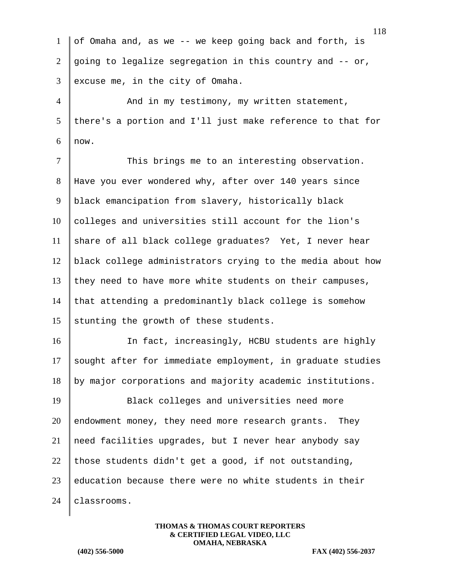1 of Omaha and, as we -- we keep going back and forth, is 2  $\vert$  going to legalize segregation in this country and  $\vert$ - or,  $3$  excuse me, in the city of Omaha. 4 And in my testimony, my written statement,  $5$  there's a portion and I'll just make reference to that for  $6 \mid \text{now}.$ 7 | This brings me to an interesting observation. 8 Have you ever wondered why, after over 140 years since 9 | black emancipation from slavery, historically black  $10$  colleges and universities still account for the lion's  $11$  share of all black college graduates? Yet, I never hear 12 black college administrators crying to the media about how 13 they need to have more white students on their campuses, 14 that attending a predominantly black college is somehow 15 stunting the growth of these students. 16 In fact, increasingly, HCBU students are highly 17 sought after for immediate employment, in graduate studies 18 by major corporations and majority academic institutions. 19 Black colleges and universities need more 20 endowment money, they need more research grants. They 21 | need facilities upgrades, but I never hear anybody say 22 those students didn't get a good, if not outstanding,  $23$  education because there were no white students in their 24 | classrooms.

> **THOMAS & THOMAS COURT REPORTERS & CERTIFIED LEGAL VIDEO, LLC OMAHA, NEBRASKA**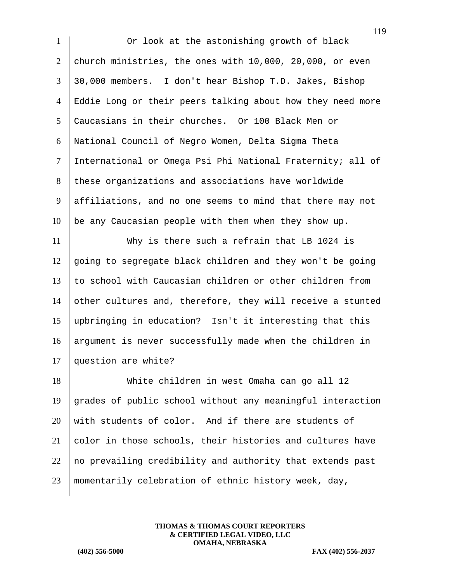1 Or look at the astonishing growth of black church ministries, the ones with 10,000, 20,000, or even 30,000 members. I don't hear Bishop T.D. Jakes, Bishop Eddie Long or their peers talking about how they need more Caucasians in their churches. Or 100 Black Men or National Council of Negro Women, Delta Sigma Theta International or Omega Psi Phi National Fraternity; all of 8 these organizations and associations have worldwide 9 | affiliations, and no one seems to mind that there may not be any Caucasian people with them when they show up. Why is there such a refrain that LB 1024 is going to segregate black children and they won't be going to school with Caucasian children or other children from 14 other cultures and, therefore, they will receive a stunted upbringing in education? Isn't it interesting that this argument is never successfully made when the children in 17 question are white? White children in west Omaha can go all 12 grades of public school without any meaningful interaction

 with students of color. And if there are students of color in those schools, their histories and cultures have no prevailing credibility and authority that extends past momentarily celebration of ethnic history week, day,

> **THOMAS & THOMAS COURT REPORTERS & CERTIFIED LEGAL VIDEO, LLC OMAHA, NEBRASKA**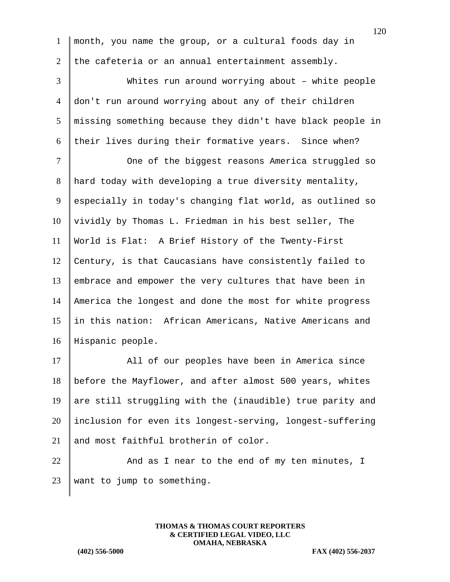1 month, you name the group, or a cultural foods day in 2 the cafeteria or an annual entertainment assembly.

 Whites run around worrying about – white people don't run around worrying about any of their children missing something because they didn't have black people in 6 their lives during their formative years. Since when?

7 | One of the biggest reasons America struggled so hard today with developing a true diversity mentality, 9 especially in today's changing flat world, as outlined so vividly by Thomas L. Friedman in his best seller, The World is Flat: A Brief History of the Twenty-First Century, is that Caucasians have consistently failed to embrace and empower the very cultures that have been in America the longest and done the most for white progress in this nation: African Americans, Native Americans and Hispanic people.

17 All of our peoples have been in America since 18 before the Mayflower, and after almost 500 years, whites 19 are still struggling with the (inaudible) true parity and 20 inclusion for even its longest-serving, longest-suffering 21 and most faithful brotherin of color.

 $22$   $\parallel$  And as I near to the end of my ten minutes, I 23 | want to jump to something.

> **THOMAS & THOMAS COURT REPORTERS & CERTIFIED LEGAL VIDEO, LLC OMAHA, NEBRASKA**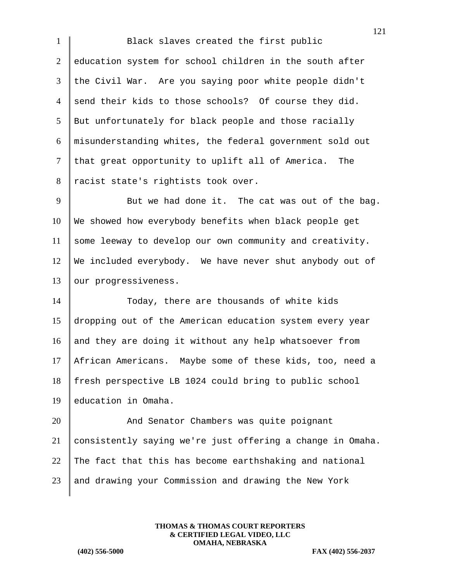1 Black slaves created the first public 2 education system for school children in the south after 3 the Civil War. Are you saying poor white people didn't 4 send their kids to those schools? Of course they did. 5 But unfortunately for black people and those racially 6 misunderstanding whites, the federal government sold out  $7$  that great opportunity to uplift all of America. The 8 | racist state's rightists took over.

 $9 \parallel$  But we had done it. The cat was out of the bag. 10 We showed how everybody benefits when black people get 11 some leeway to develop our own community and creativity. 12 We included everybody. We have never shut anybody out of 13 | our progressiveness.

14 Today, there are thousands of white kids dropping out of the American education system every year 16 and they are doing it without any help whatsoever from African Americans. Maybe some of these kids, too, need a fresh perspective LB 1024 could bring to public school education in Omaha.

20 And Senator Chambers was quite poignant 21 consistently saying we're just offering a change in Omaha. 22 The fact that this has become earthshaking and national  $23$  and drawing your Commission and drawing the New York

> **THOMAS & THOMAS COURT REPORTERS & CERTIFIED LEGAL VIDEO, LLC OMAHA, NEBRASKA**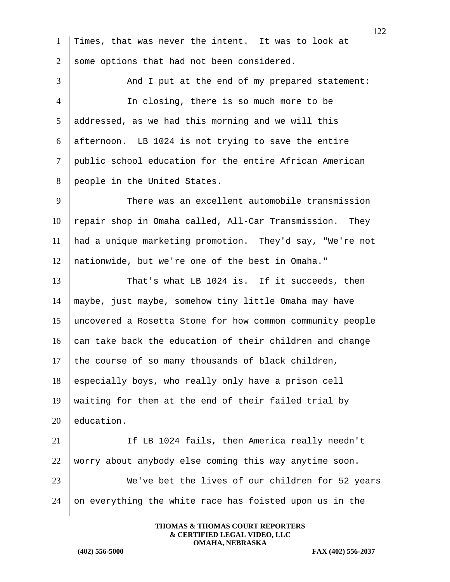Times, that was never the intent. It was to look at 2 some options that had not been considered. 3 And I put at the end of my prepared statement: In closing, there is so much more to be addressed, as we had this morning and we will this afternoon. LB 1024 is not trying to save the entire public school education for the entire African American people in the United States. 9 There was an excellent automobile transmission 10 | repair shop in Omaha called, All-Car Transmission. They had a unique marketing promotion. They'd say, "We're not nationwide, but we're one of the best in Omaha." 13 That's what LB 1024 is. If it succeeds, then maybe, just maybe, somehow tiny little Omaha may have uncovered a Rosetta Stone for how common community people  $\|$  can take back the education of their children and change 17 the course of so many thousands of black children, especially boys, who really only have a prison cell waiting for them at the end of their failed trial by  $\parallel$  education. If LB 1024 fails, then America really needn't 22 worry about anybody else coming this way anytime soon. We've bet the lives of our children for 52 years on everything the white race has foisted upon us in the

**THOMAS & THOMAS COURT REPORTERS & CERTIFIED LEGAL VIDEO, LLC OMAHA, NEBRASKA**

**(402) 556-5000 FAX (402) 556-2037**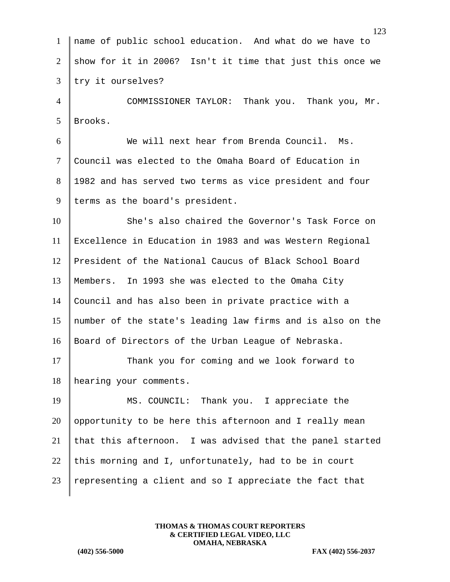| $\mathbf{1}$    | name of public school education. And what do we have to    |
|-----------------|------------------------------------------------------------|
| 2               | show for it in 2006? Isn't it time that just this once we  |
| 3               | try it ourselves?                                          |
| $\overline{4}$  | COMMISSIONER TAYLOR: Thank you. Thank you, Mr.             |
| $5\overline{)}$ | Brooks.                                                    |
| 6               | We will next hear from Brenda Council. Ms.                 |
| $\tau$          | Council was elected to the Omaha Board of Education in     |
| 8               | 1982 and has served two terms as vice president and four   |
| 9               | terms as the board's president.                            |
| 10              | She's also chaired the Governor's Task Force on            |
| 11              | Excellence in Education in 1983 and was Western Regional   |
| 12              | President of the National Caucus of Black School Board     |
| 13              | Members. In 1993 she was elected to the Omaha City         |
| 14              | Council and has also been in private practice with a       |
| 15              | number of the state's leading law firms and is also on the |
| 16              | Board of Directors of the Urban League of Nebraska.        |
| 17              | Thank you for coming and we look forward to                |
| 18              | hearing your comments.                                     |
| 19              | MS. COUNCIL: Thank you. I appreciate the                   |
| 20              | opportunity to be here this afternoon and I really mean    |
| 21              | that this afternoon. I was advised that the panel started  |
| 22              | this morning and I, unfortunately, had to be in court      |
| 23              | representing a client and so I appreciate the fact that    |
|                 |                                                            |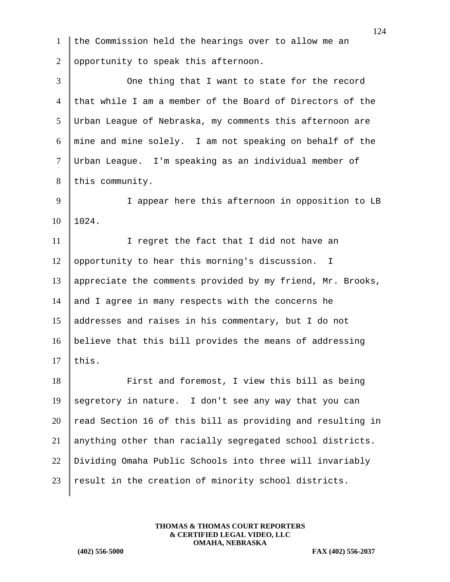| $\mathbf{1}$    | the Commission held the hearings over to allow me an       |
|-----------------|------------------------------------------------------------|
| $\overline{2}$  | opportunity to speak this afternoon.                       |
| $\overline{3}$  | One thing that I want to state for the record              |
| 4               | that while I am a member of the Board of Directors of the  |
| $5\overline{)}$ | Urban League of Nebraska, my comments this afternoon are   |
| 6               | mine and mine solely. I am not speaking on behalf of the   |
| $\tau$          | Urban League. I'm speaking as an individual member of      |
| 8               | this community.                                            |
| 9               | I appear here this afternoon in opposition to LB           |
| 10              | 1024.                                                      |
| 11              | I regret the fact that I did not have an                   |
| 12              | opportunity to hear this morning's discussion.<br>T.       |
| 13              | appreciate the comments provided by my friend, Mr. Brooks, |
| 14              | and I agree in many respects with the concerns he          |
| 15              | addresses and raises in his commentary, but I do not       |
| 16              | believe that this bill provides the means of addressing    |
| 17              | this.                                                      |
| 18              | First and foremost, I view this bill as being              |
| 19              | segretory in nature. I don't see any way that you can      |
| 20              | read Section 16 of this bill as providing and resulting in |
| 21              | anything other than racially segregated school districts.  |
| 22              | Dividing Omaha Public Schools into three will invariably   |
| 23              | result in the creation of minority school districts.       |
|                 |                                                            |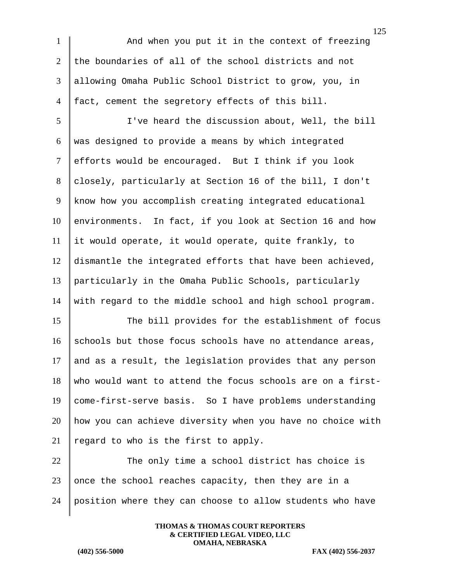1 And when you put it in the context of freezing 2 the boundaries of all of the school districts and not 3 allowing Omaha Public School District to grow, you, in 4  $\vert$  fact, cement the segretory effects of this bill.

 I've heard the discussion about, Well, the bill  $6 \parallel$  was designed to provide a means by which integrated 7 efforts would be encouraged. But I think if you look 8 closely, particularly at Section 16 of the bill, I don't know how you accomplish creating integrated educational environments. In fact, if you look at Section 16 and how it would operate, it would operate, quite frankly, to dismantle the integrated efforts that have been achieved, particularly in the Omaha Public Schools, particularly with regard to the middle school and high school program.

15 The bill provides for the establishment of focus 16 schools but those focus schools have no attendance areas, 17 and as a result, the legislation provides that any person  $18$  who would want to attend the focus schools are on a first-19 come-first-serve basis. So I have problems understanding 20 how you can achieve diversity when you have no choice with 21 | regard to who is the first to apply.

 $22$  The only time a school district has choice is 23 || once the school reaches capacity, then they are in a 24 position where they can choose to allow students who have

> **THOMAS & THOMAS COURT REPORTERS & CERTIFIED LEGAL VIDEO, LLC OMAHA, NEBRASKA**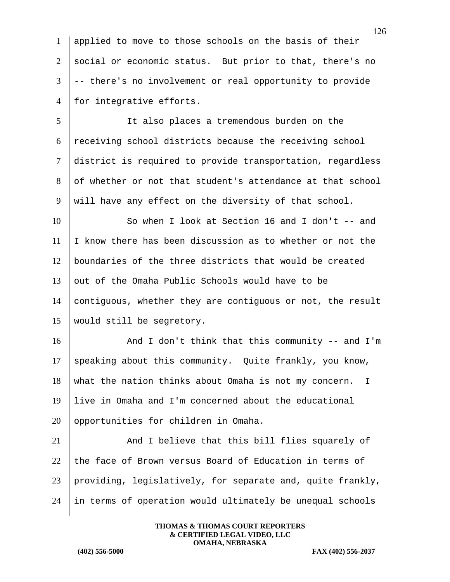1 applied to move to those schools on the basis of their 2 social or economic status. But prior to that, there's no  $3$   $\vert$  -- there's no involvement or real opportunity to provide 4 for integrative efforts.

5 It also places a tremendous burden on the 6 receiving school districts because the receiving school 7 district is required to provide transportation, regardless 8 of whether or not that student's attendance at that school 9 Will have any effect on the diversity of that school.

 So when I look at Section 16 and I don't -- and  $\parallel$  I know there has been discussion as to whether or not the boundaries of the three districts that would be created out of the Omaha Public Schools would have to be contiguous, whether they are contiguous or not, the result 15 | would still be segretory.

16 And I don't think that this community -- and I'm 17 speaking about this community. Quite frankly, you know,  $18$  what the nation thinks about Omaha is not my concern. I 19 live in Omaha and I'm concerned about the educational  $20$  | opportunities for children in Omaha.

21 And I believe that this bill flies squarely of the face of Brown versus Board of Education in terms of providing, legislatively, for separate and, quite frankly, in terms of operation would ultimately be unequal schools

> **THOMAS & THOMAS COURT REPORTERS & CERTIFIED LEGAL VIDEO, LLC OMAHA, NEBRASKA**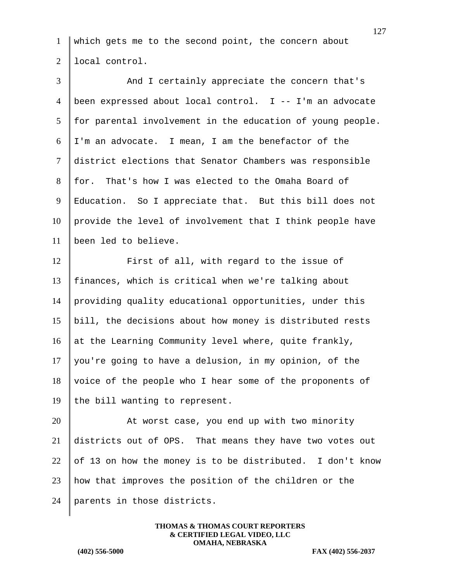which gets me to the second point, the concern about 2 local control.

3 And I certainly appreciate the concern that's been expressed about local control. I -- I'm an advocate for parental involvement in the education of young people. I'm an advocate. I mean, I am the benefactor of the district elections that Senator Chambers was responsible for. That's how I was elected to the Omaha Board of Education. So I appreciate that. But this bill does not provide the level of involvement that I think people have been led to believe. **First of all, with regard to the issue of**  finances, which is critical when we're talking about providing quality educational opportunities, under this bill, the decisions about how money is distributed rests 16 at the Learning Community level where, quite frankly, 17 | you're going to have a delusion, in my opinion, of the voice of the people who I hear some of the proponents of 19 the bill wanting to represent. 20 | At worst case, you end up with two minority districts out of OPS. That means they have two votes out 22 of 13 on how the money is to be distributed. I don't know how that improves the position of the children or the

parents in those districts.

**THOMAS & THOMAS COURT REPORTERS & CERTIFIED LEGAL VIDEO, LLC OMAHA, NEBRASKA**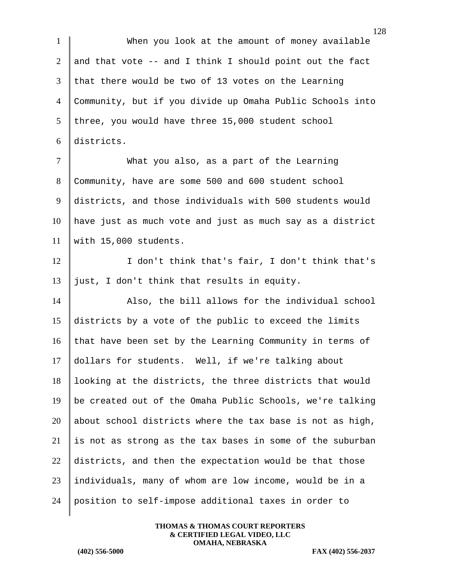When you look at the amount of money available 2 and that vote  $-$  and I think I should point out the fact that there would be two of 13 votes on the Learning Community, but if you divide up Omaha Public Schools into three, you would have three 15,000 student school districts.

 What you also, as a part of the Learning 8 Community, have are some 500 and 600 student school districts, and those individuals with 500 students would have just as much vote and just as much say as a district with 15,000 students.

12 I don't think that's fair, I don't think that's 13 just, I don't think that results in equity.

14 Also, the bill allows for the individual school 15 districts by a vote of the public to exceed the limits 16 that have been set by the Learning Community in terms of 17 dollars for students. Well, if we're talking about 18 looking at the districts, the three districts that would 19 | be created out of the Omaha Public Schools, we're talking 20 about school districts where the tax base is not as high,  $21$  is not as strong as the tax bases in some of the suburban 22 districts, and then the expectation would be that those 23 individuals, many of whom are low income, would be in a 24 position to self-impose additional taxes in order to

> **THOMAS & THOMAS COURT REPORTERS & CERTIFIED LEGAL VIDEO, LLC OMAHA, NEBRASKA**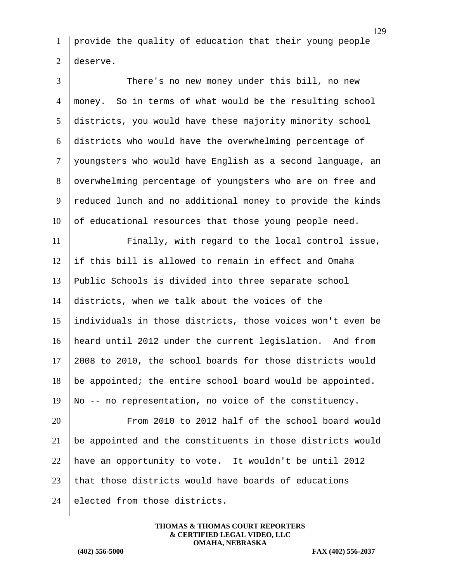provide the quality of education that their young people 2 deserve.

 There's no new money under this bill, no new money. So in terms of what would be the resulting school districts, you would have these majority minority school districts who would have the overwhelming percentage of 7 | youngsters who would have English as a second language, an 8 | overwhelming percentage of youngsters who are on free and 9 reduced lunch and no additional money to provide the kinds of educational resources that those young people need. Finally, with regard to the local control issue,

 if this bill is allowed to remain in effect and Omaha Public Schools is divided into three separate school districts, when we talk about the voices of the individuals in those districts, those voices won't even be heard until 2012 under the current legislation. And from 2008 to 2010, the school boards for those districts would be appointed; the entire school board would be appointed. No -- no representation, no voice of the constituency.

 From 2010 to 2012 half of the school board would be appointed and the constituents in those districts would 22 have an opportunity to vote. It wouldn't be until 2012 23 that those districts would have boards of educations elected from those districts.

> **THOMAS & THOMAS COURT REPORTERS & CERTIFIED LEGAL VIDEO, LLC OMAHA, NEBRASKA**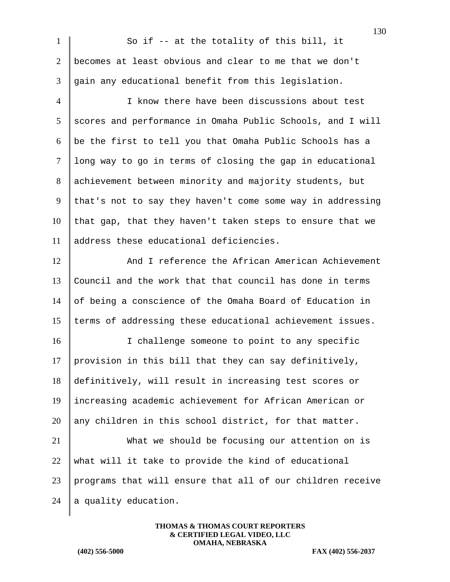|                | 130                                                        |
|----------------|------------------------------------------------------------|
| $\mathbf{1}$   | So if -- at the totality of this bill, it                  |
| $\overline{2}$ | becomes at least obvious and clear to me that we don't     |
| 3              | gain any educational benefit from this legislation.        |
| $\overline{4}$ | I know there have been discussions about test              |
| 5              | scores and performance in Omaha Public Schools, and I will |
| 6              | be the first to tell you that Omaha Public Schools has a   |
| $\tau$         | long way to go in terms of closing the gap in educational  |
| 8              | achievement between minority and majority students, but    |
| 9              | that's not to say they haven't come some way in addressing |
| 10             | that gap, that they haven't taken steps to ensure that we  |
| 11             | address these educational deficiencies.                    |
| 12             | And I reference the African American Achievement           |
| 13             | Council and the work that that council has done in terms   |
| 14             | of being a conscience of the Omaha Board of Education in   |
| 15             | terms of addressing these educational achievement issues.  |
| 16             | I challenge someone to point to any specific               |
| 17             | provision in this bill that they can say definitively,     |
| 18             | definitively, will result in increasing test scores or     |
| 19             | increasing academic achievement for African American or    |
| 20             | any children in this school district, for that matter.     |
| 21             | What we should be focusing our attention on is             |
| 22             | what will it take to provide the kind of educational       |
| 23             | programs that will ensure that all of our children receive |
| 24             | a quality education.                                       |
|                |                                                            |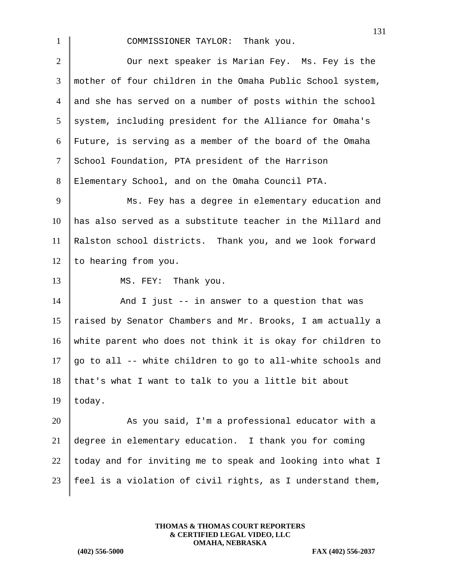1 COMMISSIONER TAYLOR: Thank you.

2 Our next speaker is Marian Fey. Ms. Fey is the mother of four children in the Omaha Public School system, and she has served on a number of posts within the school system, including president for the Alliance for Omaha's Future, is serving as a member of the board of the Omaha 7 School Foundation, PTA president of the Harrison Elementary School, and on the Omaha Council PTA. 9 Ms. Fey has a degree in elementary education and has also served as a substitute teacher in the Millard and Ralston school districts. Thank you, and we look forward  $\vert$  to hearing from you. 13 MS. FEY: Thank you.  $\parallel$  And I just -- in answer to a question that was 15 | raised by Senator Chambers and Mr. Brooks, I am actually a white parent who does not think it is okay for children to  $\parallel$  go to all -- white children to go to all-white schools and that's what I want to talk to you a little bit about 19  $|$  today. 20 As you said, I'm a professional educator with a degree in elementary education. I thank you for coming  $\parallel$  today and for inviting me to speak and looking into what I

23  $\parallel$  feel is a violation of civil rights, as I understand them,

**THOMAS & THOMAS COURT REPORTERS & CERTIFIED LEGAL VIDEO, LLC OMAHA, NEBRASKA**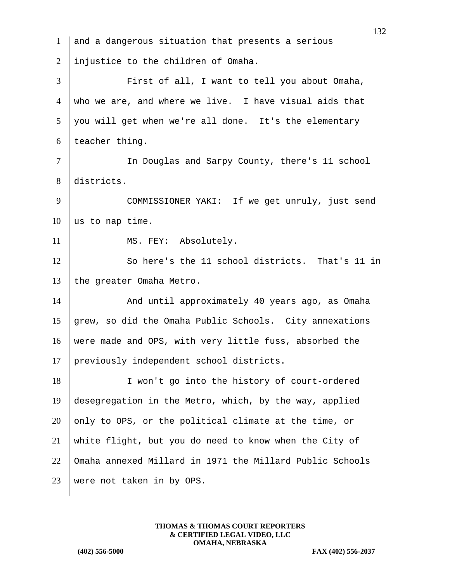| $\mathbf{1}$   | and a dangerous situation that presents a serious        |
|----------------|----------------------------------------------------------|
| 2              | injustice to the children of Omaha.                      |
| 3              | First of all, I want to tell you about Omaha,            |
| $\overline{4}$ | who we are, and where we live. I have visual aids that   |
| 5              | you will get when we're all done. It's the elementary    |
| 6              | teacher thing.                                           |
| 7              | In Douglas and Sarpy County, there's 11 school           |
| 8              | districts.                                               |
| 9              | COMMISSIONER YAKI: If we get unruly, just send           |
| 10             | us to nap time.                                          |
| 11             | MS. FEY: Absolutely.                                     |
| 12             | So here's the 11 school districts. That's 11 in          |
| 13             | the greater Omaha Metro.                                 |
| 14             | And until approximately 40 years ago, as Omaha           |
| 15             | grew, so did the Omaha Public Schools. City annexations  |
| 16             | were made and OPS, with very little fuss, absorbed the   |
| 17             | previously independent school districts.                 |
| 18             | I won't go into the history of court-ordered             |
| 19             | desegregation in the Metro, which, by the way, applied   |
| 20             | only to OPS, or the political climate at the time, or    |
| 21             | white flight, but you do need to know when the City of   |
| 22             | Omaha annexed Millard in 1971 the Millard Public Schools |
| 23             | were not taken in by OPS.                                |
|                |                                                          |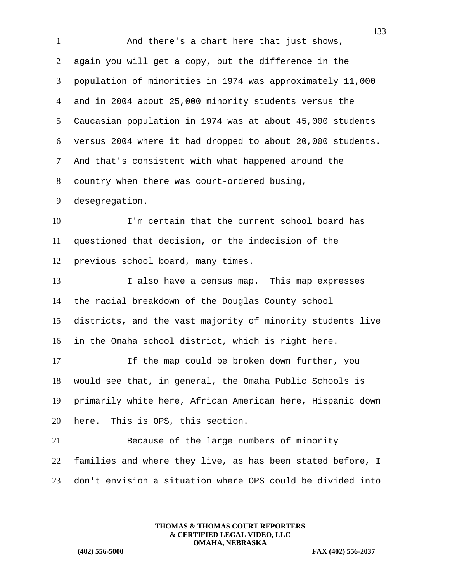1 And there's a chart here that just shows, 2 again you will get a copy, but the difference in the 3 population of minorities in 1974 was approximately 11,000 4 and in 2004 about 25,000 minority students versus the 5 Caucasian population in 1974 was at about 45,000 students  $6$  versus 2004 where it had dropped to about 20,000 students. 7 | And that's consistent with what happened around the  $8$  country when there was court-ordered busing, 9 desegregation. 10 I'm certain that the current school board has 11 questioned that decision, or the indecision of the 12 previous school board, many times. 13 I also have a census map. This map expresses 14 the racial breakdown of the Douglas County school 15 districts, and the vast majority of minority students live 16 in the Omaha school district, which is right here. 17 If the map could be broken down further, you 18 would see that, in general, the Omaha Public Schools is 19 primarily white here, African American here, Hispanic down 20 | here. This is OPS, this section. 21 Because of the large numbers of minority 22  $\parallel$  families and where they live, as has been stated before, I 23 don't envision a situation where OPS could be divided into

> **THOMAS & THOMAS COURT REPORTERS & CERTIFIED LEGAL VIDEO, LLC OMAHA, NEBRASKA**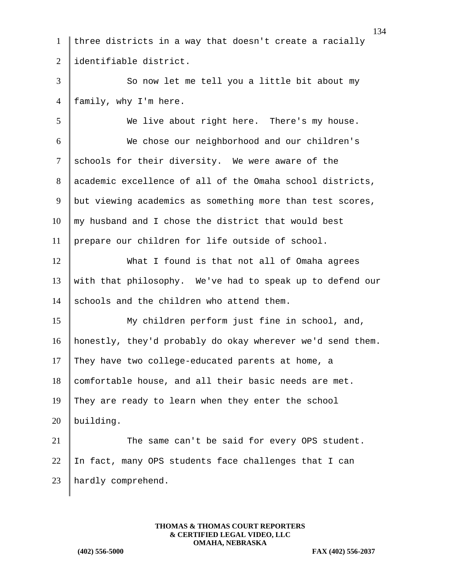three districts in a way that doesn't create a racially 2 identifiable district. 3 So now let me tell you a little bit about my 4 | family, why I'm here. We live about right here. There's my house. We chose our neighborhood and our children's schools for their diversity. We were aware of the academic excellence of all of the Omaha school districts, 9 but viewing academics as something more than test scores, my husband and I chose the district that would best prepare our children for life outside of school. What I found is that not all of Omaha agrees with that philosophy. We've had to speak up to defend our 14 schools and the children who attend them. My children perform just fine in school, and, honestly, they'd probably do okay wherever we'd send them. 17 They have two college-educated parents at home, a comfortable house, and all their basic needs are met. They are ready to learn when they enter the school building. 21 The same can't be said for every OPS student. 22 In fact, many OPS students face challenges that I can hardly comprehend.

> **THOMAS & THOMAS COURT REPORTERS & CERTIFIED LEGAL VIDEO, LLC OMAHA, NEBRASKA**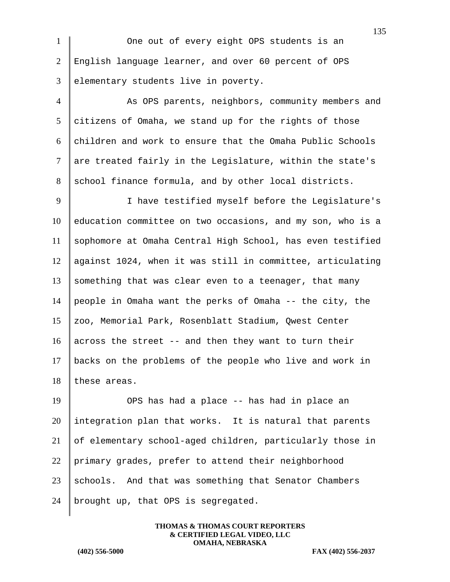1 One out of every eight OPS students is an 2 English language learner, and over 60 percent of OPS 3 elementary students live in poverty.

4 As OPS parents, neighbors, community members and  $5$  citizens of Omaha, we stand up for the rights of those  $6$  children and work to ensure that the Omaha Public Schools  $7$  are treated fairly in the Legislature, within the state's 8 school finance formula, and by other local districts.

9 | I have testified myself before the Legislature's 10 education committee on two occasions, and my son, who is a 11 sophomore at Omaha Central High School, has even testified 12 against 1024, when it was still in committee, articulating 13 something that was clear even to a teenager, that many 14 people in Omaha want the perks of Omaha  $-$ - the city, the 15 zoo, Memorial Park, Rosenblatt Stadium, Qwest Center 16 across the street  $-$  and then they want to turn their 17 backs on the problems of the people who live and work in 18 these areas.

 OPS has had a place -- has had in place an integration plan that works. It is natural that parents of elementary school-aged children, particularly those in 22 primary grades, prefer to attend their neighborhood schools. And that was something that Senator Chambers brought up, that OPS is segregated.

> **THOMAS & THOMAS COURT REPORTERS & CERTIFIED LEGAL VIDEO, LLC OMAHA, NEBRASKA**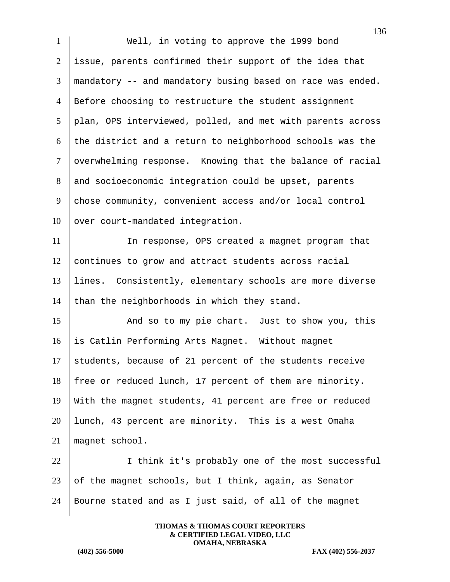136 1 Well, in voting to approve the 1999 bond 2 issue, parents confirmed their support of the idea that 3 mandatory -- and mandatory busing based on race was ended. 4 Before choosing to restructure the student assignment 5 plan, OPS interviewed, polled, and met with parents across  $6$  the district and a return to neighborhood schools was the 7 | overwhelming response. Knowing that the balance of racial 8 and socioeconomic integration could be upset, parents 9 chose community, convenient access and/or local control  $10$  over court-mandated integration. 11 In response, OPS created a magnet program that 12 continues to grow and attract students across racial 13 lines. Consistently, elementary schools are more diverse 14 than the neighborhoods in which they stand. 15 And so to my pie chart. Just to show you, this 16 is Catlin Performing Arts Magnet. Without magnet  $17$  students, because of 21 percent of the students receive 18 free or reduced lunch, 17 percent of them are minority. 19 With the magnet students, 41 percent are free or reduced 20 lunch, 43 percent are minority. This is a west Omaha 21 magnet school. 22 | I think it's probably one of the most successful 23 of the magnet schools, but I think, again, as Senator 24 Bourne stated and as I just said, of all of the magnet

> **THOMAS & THOMAS COURT REPORTERS & CERTIFIED LEGAL VIDEO, LLC OMAHA, NEBRASKA**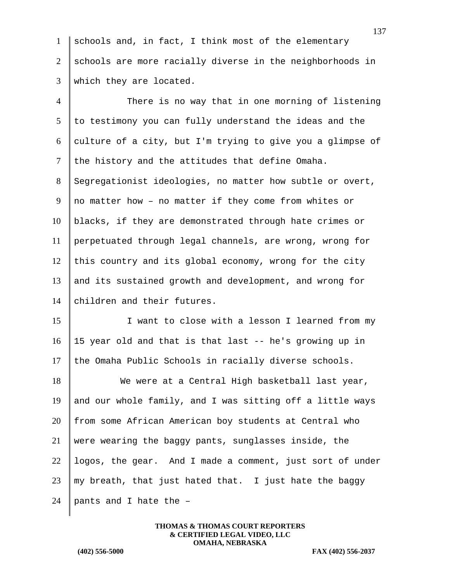1 schools and, in fact, I think most of the elementary 2 schools are more racially diverse in the neighborhoods in 3 which they are located.

 There is no way that in one morning of listening to testimony you can fully understand the ideas and the 6 culture of a city, but I'm trying to give you a glimpse of the history and the attitudes that define Omaha. 8 Segregationist ideologies, no matter how subtle or overt,  $\parallel$  no matter how - no matter if they come from whites or blacks, if they are demonstrated through hate crimes or perpetuated through legal channels, are wrong, wrong for 12 | this country and its global economy, wrong for the city and its sustained growth and development, and wrong for 14 children and their futures.

15 I want to close with a lesson I learned from my 16 15 year old and that is that last -- he's growing up in 17 the Omaha Public Schools in racially diverse schools.

18 We were at a Central High basketball last year, 19 and our whole family, and I was sitting off a little ways 20 from some African American boy students at Central who 21 were wearing the baggy pants, sunglasses inside, the  $22$  logos, the gear. And I made a comment, just sort of under 23  $\parallel$  my breath, that just hated that. I just hate the baggy 24 | pants and I hate the  $-$ 

> **THOMAS & THOMAS COURT REPORTERS & CERTIFIED LEGAL VIDEO, LLC OMAHA, NEBRASKA**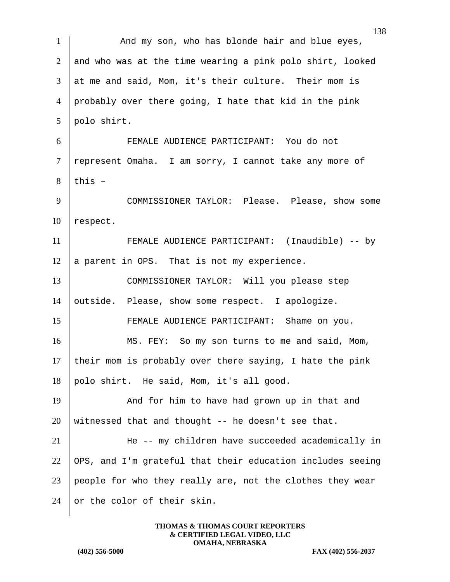| $\mathbf{1}$   | And my son, who has blonde hair and blue eyes,             |
|----------------|------------------------------------------------------------|
| $\overline{2}$ | and who was at the time wearing a pink polo shirt, looked  |
| 3              | at me and said, Mom, it's their culture. Their mom is      |
| $\overline{4}$ | probably over there going, I hate that kid in the pink     |
| 5              | polo shirt.                                                |
| 6              | FEMALE AUDIENCE PARTICIPANT: You do not                    |
| $\tau$         | represent Omaha. I am sorry, I cannot take any more of     |
| 8              | this $-$                                                   |
| 9              | COMMISSIONER TAYLOR: Please. Please, show some             |
| 10             | respect.                                                   |
| 11             | FEMALE AUDIENCE PARTICIPANT: (Inaudible) -- by             |
| 12             | a parent in OPS. That is not my experience.                |
| 13             | COMMISSIONER TAYLOR: Will you please step                  |
| 14             | outside. Please, show some respect. I apologize.           |
| 15             | FEMALE AUDIENCE PARTICIPANT: Shame on you.                 |
| 16             | MS. FEY: So my son turns to me and said, Mom,              |
| 17             | their mom is probably over there saying, I hate the pink   |
| 18             | polo shirt. He said, Mom, it's all good.                   |
| 19             | And for him to have had grown up in that and               |
| 20             | witnessed that and thought -- he doesn't see that.         |
| 21             | He -- my children have succeeded academically in           |
| 22             | OPS, and I'm grateful that their education includes seeing |
| 23             | people for who they really are, not the clothes they wear  |
| 24             | or the color of their skin.                                |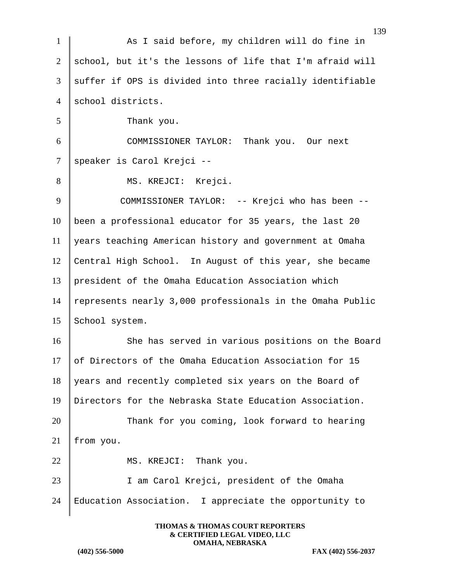|                | 139                                                       |
|----------------|-----------------------------------------------------------|
| $\mathbf{1}$   | As I said before, my children will do fine in             |
| 2              | school, but it's the lessons of life that I'm afraid will |
| 3              | suffer if OPS is divided into three racially identifiable |
| $\overline{4}$ | school districts.                                         |
| 5              | Thank you.                                                |
| 6              | COMMISSIONER TAYLOR: Thank you. Our next                  |
| $\tau$         | speaker is Carol Krejci --                                |
| 8              | MS. KREJCI: Krejci.                                       |
| 9              | COMMISSIONER TAYLOR: -- Krejci who has been --            |
| 10             | been a professional educator for 35 years, the last 20    |
| 11             | years teaching American history and government at Omaha   |
| 12             | Central High School. In August of this year, she became   |
| 13             | president of the Omaha Education Association which        |
| 14             | represents nearly 3,000 professionals in the Omaha Public |
| 15             | School system.                                            |
| 16             | She has served in various positions on the Board          |
| 17             | of Directors of the Omaha Education Association for 15    |
| 18             | years and recently completed six years on the Board of    |
| 19             | Directors for the Nebraska State Education Association.   |
| 20             | Thank for you coming, look forward to hearing             |
| 21             | from you.                                                 |
| 22             | Thank you.<br>MS. KREJCI:                                 |
| 23             | I am Carol Krejci, president of the Omaha                 |
| 24             | Education Association. I appreciate the opportunity to    |
|                |                                                           |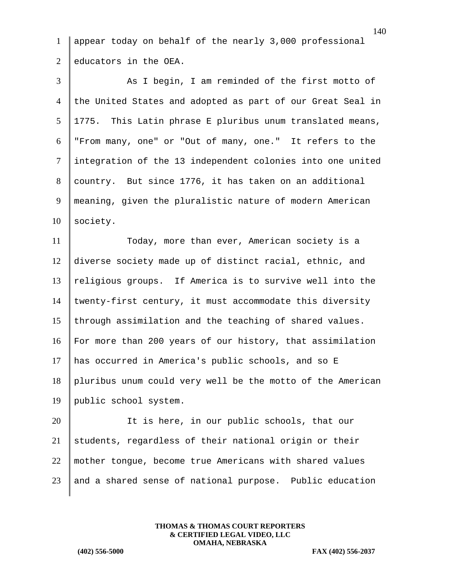1 appear today on behalf of the nearly 3,000 professional  $2 \parallel$  educators in the OEA.

3 As I begin, I am reminded of the first motto of 4 the United States and adopted as part of our Great Seal in  $5 \parallel 1775$ . This Latin phrase E pluribus unum translated means, 6 "From many, one" or "Out of many, one." It refers to the 7 integration of the 13 independent colonies into one united 8 country. But since 1776, it has taken on an additional 9 meaning, given the pluralistic nature of modern American 10 society. 11 Today, more than ever, American society is a 12 diverse society made up of distinct racial, ethnic, and  $13$  religious groups. If America is to survive well into the 14 twenty-first century, it must accommodate this diversity 15 through assimilation and the teaching of shared values. 16 For more than 200 years of our history, that assimilation 17 has occurred in America's public schools, and so E 18 pluribus unum could very well be the motto of the American 19 | public school system.

 It is here, in our public schools, that our students, regardless of their national origin or their 22 | mother tongue, become true Americans with shared values and a shared sense of national purpose. Public education

> **THOMAS & THOMAS COURT REPORTERS & CERTIFIED LEGAL VIDEO, LLC OMAHA, NEBRASKA**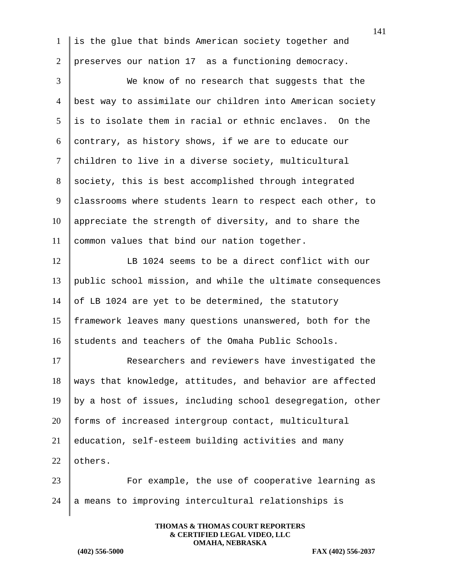1 is the glue that binds American society together and 2 preserves our nation 17 as a functioning democracy.

3 We know of no research that suggests that the 4 best way to assimilate our children into American society 5 is to isolate them in racial or ethnic enclaves. On the 6 contrary, as history shows, if we are to educate our 7 children to live in a diverse society, multicultural 8 society, this is best accomplished through integrated 9 classrooms where students learn to respect each other, to  $10$  appreciate the strength of diversity, and to share the 11 | common values that bind our nation together. 12 LB 1024 seems to be a direct conflict with our 13 public school mission, and while the ultimate consequences 14 of LB 1024 are yet to be determined, the statutory 15 framework leaves many questions unanswered, both for the 16 students and teachers of the Omaha Public Schools. 17 Researchers and reviewers have investigated the  $18$  ways that knowledge, attitudes, and behavior are affected 19 by a host of issues, including school desegregation, other

20 forms of increased intergroup contact, multicultural  $21$  education, self-esteem building activities and many

 $22$  others.

23 | For example, the use of cooperative learning as  $24$   $\parallel$  a means to improving intercultural relationships is

> **THOMAS & THOMAS COURT REPORTERS & CERTIFIED LEGAL VIDEO, LLC OMAHA, NEBRASKA**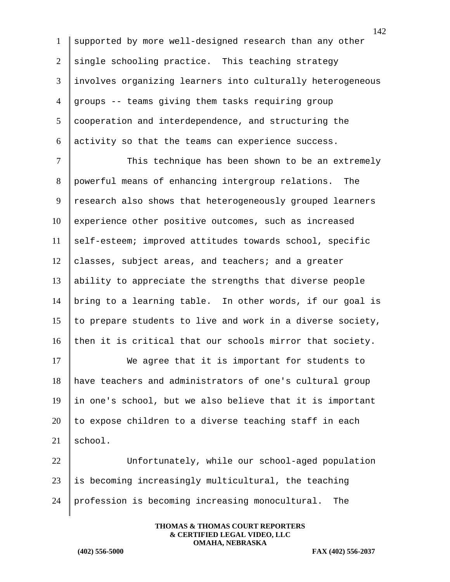supported by more well-designed research than any other 2 single schooling practice. This teaching strategy involves organizing learners into culturally heterogeneous groups -- teams giving them tasks requiring group cooperation and interdependence, and structuring the activity so that the teams can experience success.

7 | This technique has been shown to be an extremely 8 powerful means of enhancing intergroup relations. The 9 research also shows that heterogeneously grouped learners 10 experience other positive outcomes, such as increased 11 self-esteem; improved attitudes towards school, specific  $12$  classes, subject areas, and teachers; and a greater 13 ability to appreciate the strengths that diverse people 14 bring to a learning table. In other words, if our goal is 15  $\parallel$  to prepare students to live and work in a diverse society, 16 then it is critical that our schools mirror that society.

17 We agree that it is important for students to 18 have teachers and administrators of one's cultural group 19 in one's school, but we also believe that it is important  $20$  to expose children to a diverse teaching staff in each  $21$  school.

22 Unfortunately, while our school-aged population  $23$  is becoming increasingly multicultural, the teaching 24 profession is becoming increasing monocultural. The

> **THOMAS & THOMAS COURT REPORTERS & CERTIFIED LEGAL VIDEO, LLC OMAHA, NEBRASKA**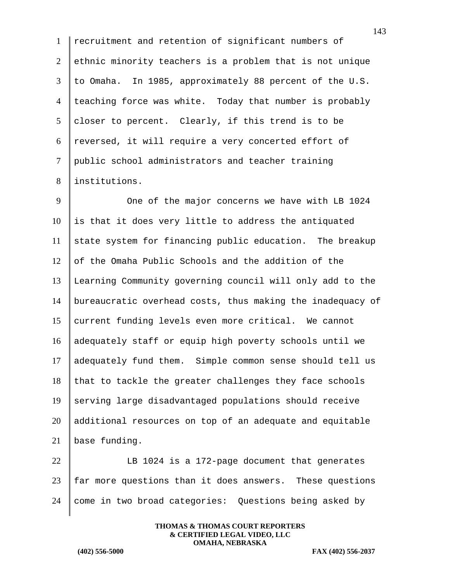recruitment and retention of significant numbers of ethnic minority teachers is a problem that is not unique to Omaha. In 1985, approximately 88 percent of the U.S. 4 teaching force was white. Today that number is probably 5 closer to percent. Clearly, if this trend is to be  $6 \parallel$  reversed, it will require a very concerted effort of public school administrators and teacher training 8 linstitutions.

9 One of the major concerns we have with LB 1024 is that it does very little to address the antiquated state system for financing public education. The breakup of the Omaha Public Schools and the addition of the Learning Community governing council will only add to the bureaucratic overhead costs, thus making the inadequacy of 15 current funding levels even more critical. We cannot adequately staff or equip high poverty schools until we adequately fund them. Simple common sense should tell us that to tackle the greater challenges they face schools serving large disadvantaged populations should receive additional resources on top of an adequate and equitable base funding.

 $\parallel$  LB 1024 is a 172-page document that generates far more questions than it does answers. These questions 24 come in two broad categories: Questions being asked by

> **THOMAS & THOMAS COURT REPORTERS & CERTIFIED LEGAL VIDEO, LLC OMAHA, NEBRASKA**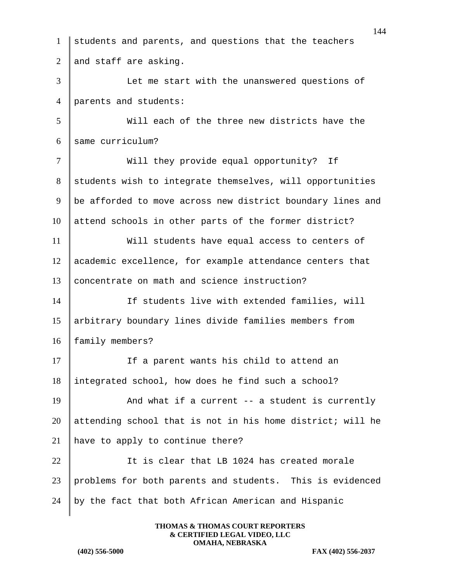students and parents, and questions that the teachers 2 and staff are asking. Let me start with the unanswered questions of parents and students: Will each of the three new districts have the 6 same curriculum? 7 | Will they provide equal opportunity? If 8 students wish to integrate themselves, will opportunities 9 | be afforded to move across new district boundary lines and attend schools in other parts of the former district? Will students have equal access to centers of academic excellence, for example attendance centers that 13 concentrate on math and science instruction? If students live with extended families, will arbitrary boundary lines divide families members from 16 | family members? 17 If a parent wants his child to attend an integrated school, how does he find such a school?  $\parallel$  And what if a current -- a student is currently attending school that is not in his home district; will he 21 | have to apply to continue there? **I** It is clear that LB 1024 has created morale problems for both parents and students. This is evidenced by the fact that both African American and Hispanic

> **THOMAS & THOMAS COURT REPORTERS & CERTIFIED LEGAL VIDEO, LLC OMAHA, NEBRASKA**

**(402) 556-5000 FAX (402) 556-2037**

144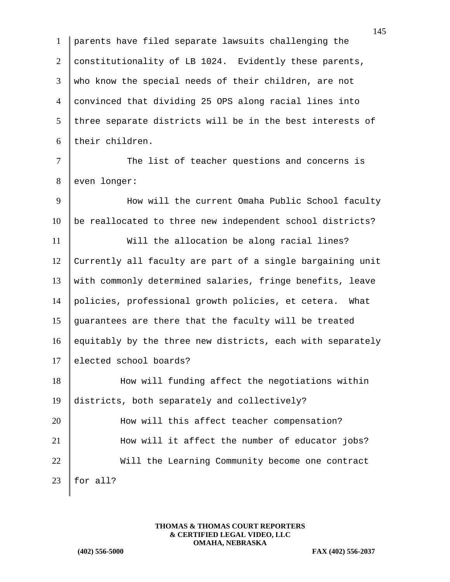1 parents have filed separate lawsuits challenging the 2 constitutionality of LB 1024. Evidently these parents, 3 who know the special needs of their children, are not 4 convinced that dividing 25 OPS along racial lines into  $5$  three separate districts will be in the best interests of 6 their children. 7 The list of teacher questions and concerns is 8 even longer: 9 | How will the current Omaha Public School faculty  $10$  be reallocated to three new independent school districts? 11 Will the allocation be along racial lines? 12 Currently all faculty are part of a single bargaining unit 13 with commonly determined salaries, fringe benefits, leave 14 policies, professional growth policies, et cetera. What 15 guarantees are there that the faculty will be treated 16 equitably by the three new districts, each with separately 17 elected school boards? 18 How will funding affect the negotiations within 19 districts, both separately and collectively? 20 How will this affect teacher compensation? 21 How will it affect the number of educator jobs? 22 Will the Learning Community become one contract 23 | for all?

> **THOMAS & THOMAS COURT REPORTERS & CERTIFIED LEGAL VIDEO, LLC OMAHA, NEBRASKA**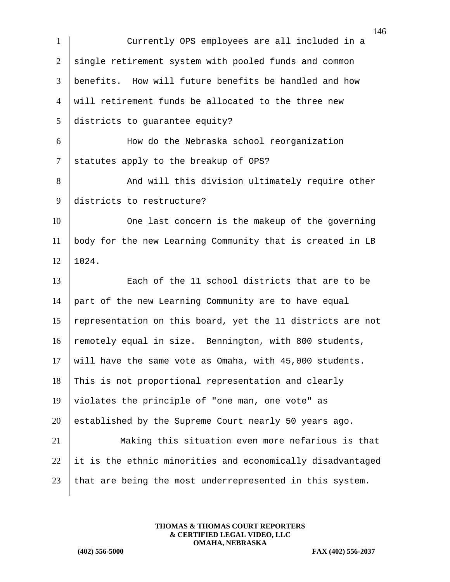| $\mathbf{1}$   | 140<br>Currently OPS employees are all included in a       |
|----------------|------------------------------------------------------------|
| $\overline{2}$ | single retirement system with pooled funds and common      |
| 3              | benefits. How will future benefits be handled and how      |
| $\overline{4}$ | will retirement funds be allocated to the three new        |
| 5              | districts to guarantee equity?                             |
| 6              | How do the Nebraska school reorganization                  |
| $\tau$         | statutes apply to the breakup of OPS?                      |
| 8              | And will this division ultimately require other            |
| 9              | districts to restructure?                                  |
| 10             | One last concern is the makeup of the governing            |
| 11             | body for the new Learning Community that is created in LB  |
| 12             | 1024.                                                      |
| 13             | Each of the 11 school districts that are to be             |
| 14             | part of the new Learning Community are to have equal       |
| 15             | representation on this board, yet the 11 districts are not |
| 16             | remotely equal in size. Bennington, with 800 students,     |
| 17             | will have the same vote as Omaha, with 45,000 students.    |
| 18             | This is not proportional representation and clearly        |
| 19             | violates the principle of "one man, one vote" as           |
| 20             | established by the Supreme Court nearly 50 years ago.      |
| 21             | Making this situation even more nefarious is that          |
| 22             | it is the ethnic minorities and economically disadvantaged |
| 23             | that are being the most underrepresented in this system.   |
|                |                                                            |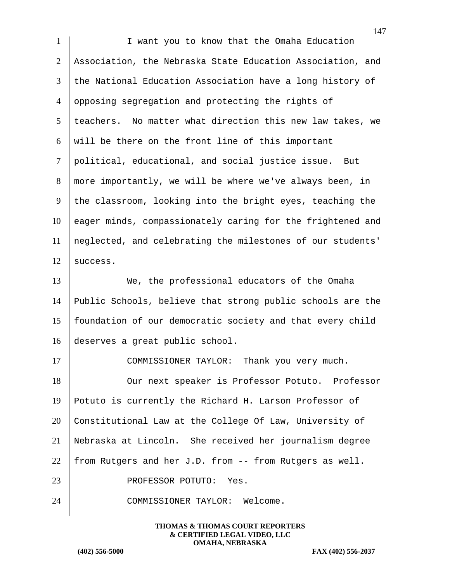| $\mathbf{1}$   | I want you to know that the Omaha Education                |
|----------------|------------------------------------------------------------|
| $\overline{2}$ | Association, the Nebraska State Education Association, and |
| 3              | the National Education Association have a long history of  |
| $\overline{4}$ | opposing segregation and protecting the rights of          |
| 5              | teachers. No matter what direction this new law takes, we  |
| 6              | will be there on the front line of this important          |
| $\tau$         | political, educational, and social justice issue.<br>But   |
| 8              | more importantly, we will be where we've always been, in   |
| 9              | the classroom, looking into the bright eyes, teaching the  |
| 10             | eager minds, compassionately caring for the frightened and |
| 11             | neglected, and celebrating the milestones of our students' |
| 12             | success.                                                   |
| 13             | We, the professional educators of the Omaha                |
| 14             | Public Schools, believe that strong public schools are the |
| 15             | foundation of our democratic society and that every child  |
| 16             | deserves a great public school.                            |
| 17             | COMMISSIONER TAYLOR:<br>Thank you very much.               |
| 18             | Our next speaker is Professor Potuto. Professor            |
| 19             | Potuto is currently the Richard H. Larson Professor of     |
| 20             | Constitutional Law at the College Of Law, University of    |
| 21             | Nebraska at Lincoln. She received her journalism degree    |
| 22             | from Rutgers and her J.D. from -- from Rutgers as well.    |
| 23             | PROFESSOR POTUTO: Yes.                                     |
| 24             | COMMISSIONER TAYLOR: Welcome.                              |
|                |                                                            |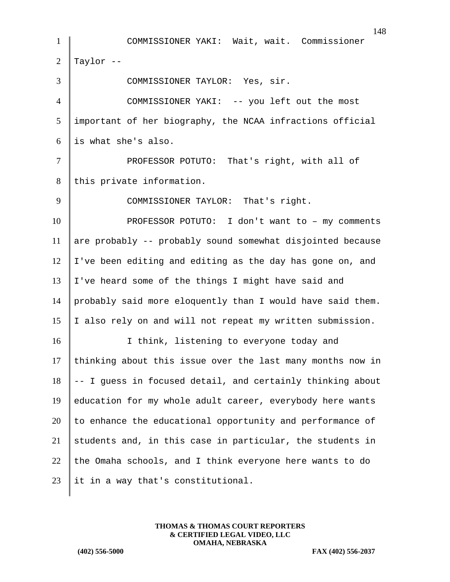1 COMMISSIONER YAKI: Wait, wait. Commissioner 2  $\vert$  Taylor --3 COMMISSIONER TAYLOR: Yes, sir. 4 COMMISSIONER YAKI: -- you left out the most 5 important of her biography, the NCAA infractions official  $6$  is what she's also. 7 | PROFESSOR POTUTO: That's right, with all of 8 this private information. 9 COMMISSIONER TAYLOR: That's right. 10 **PROFESSOR POTUTO:** I don't want to – my comments 11 are probably  $-$ - probably sound somewhat disjointed because  $12$  I've been editing and editing as the day has gone on, and 13 I've heard some of the things I might have said and 14 probably said more eloquently than I would have said them. 15 I also rely on and will not repeat my written submission. 16 I think, listening to everyone today and  $17$  thinking about this issue over the last many months now in  $18$  -- I guess in focused detail, and certainly thinking about 19 education for my whole adult career, everybody here wants  $20$  to enhance the educational opportunity and performance of 21 students and, in this case in particular, the students in 22 the Omaha schools, and I think everyone here wants to do 23 | it in a way that's constitutional.

> **THOMAS & THOMAS COURT REPORTERS & CERTIFIED LEGAL VIDEO, LLC OMAHA, NEBRASKA**

**(402) 556-5000 FAX (402) 556-2037**

148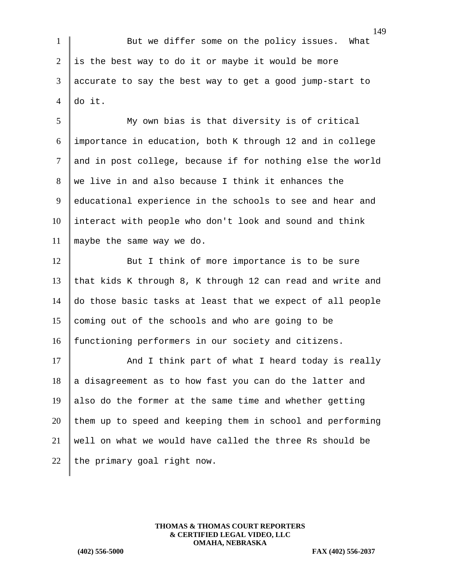1 But we differ some on the policy issues. What  $2 \parallel$  is the best way to do it or maybe it would be more 3 accurate to say the best way to get a good jump-start to 4 do it.

 My own bias is that diversity is of critical importance in education, both K through 12 and in college 7 and in post college, because if for nothing else the world  $8 \parallel$  we live in and also because I think it enhances the educational experience in the schools to see and hear and interact with people who don't look and sound and think maybe the same way we do.

12 But I think of more importance is to be sure 13 | that kids K through 8, K through 12 can read and write and 14 do those basic tasks at least that we expect of all people 15 coming out of the schools and who are going to be 16 functioning performers in our society and citizens.

17 And I think part of what I heard today is really  $18$  a disagreement as to how fast you can do the latter and 19 also do the former at the same time and whether getting  $20$  them up to speed and keeping them in school and performing  $21$  well on what we would have called the three Rs should be 22 the primary goal right now.

> **THOMAS & THOMAS COURT REPORTERS & CERTIFIED LEGAL VIDEO, LLC OMAHA, NEBRASKA**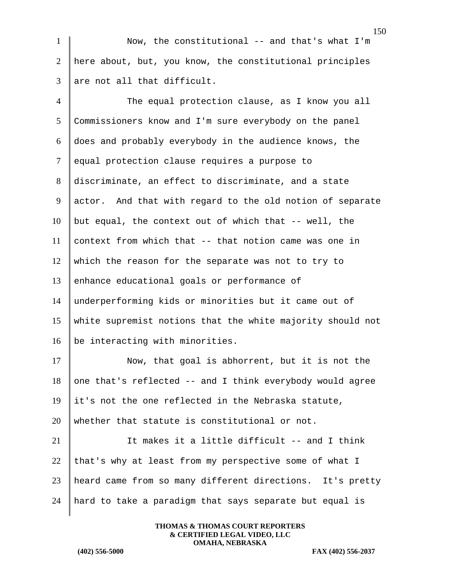1 Now, the constitutional -- and that's what I'm 2 here about, but, you know, the constitutional principles 3 are not all that difficult.

 The equal protection clause, as I know you all Commissioners know and I'm sure everybody on the panel does and probably everybody in the audience knows, the 7 equal protection clause requires a purpose to 8 discriminate, an effect to discriminate, and a state actor. And that with regard to the old notion of separate but equal, the context out of which that -- well, the 11 context from which that  $-$ - that notion came was one in which the reason for the separate was not to try to 13 enhance educational goals or performance of underperforming kids or minorities but it came out of white supremist notions that the white majority should not  $\vert$  be interacting with minorities.

17 Now, that goal is abhorrent, but it is not the 18 one that's reflected  $--$  and I think everybody would agree  $19$  it's not the one reflected in the Nebraska statute, 20 | whether that statute is constitutional or not.

 $\parallel$  It makes it a little difficult -- and I think 22 that's why at least from my perspective some of what I heard came from so many different directions. It's pretty hard to take a paradigm that says separate but equal is

> **THOMAS & THOMAS COURT REPORTERS & CERTIFIED LEGAL VIDEO, LLC OMAHA, NEBRASKA**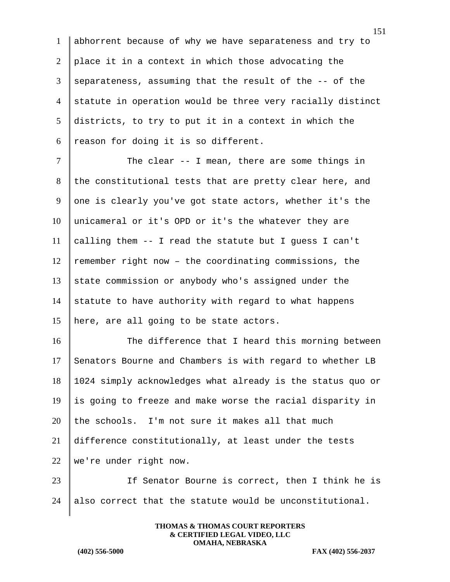1 abhorrent because of why we have separateness and try to 2 place it in a context in which those advocating the 3 separateness, assuming that the result of the  $-$ - of the 4 statute in operation would be three very racially distinct 5 districts, to try to put it in a context in which the 6 reason for doing it is so different.

7 The clear -- I mean, there are some things in 8 the constitutional tests that are pretty clear here, and 9 one is clearly you've got state actors, whether it's the 10 unicameral or it's OPD or it's the whatever they are 11 calling them  $-$  I read the statute but I guess I can't 12 | remember right now - the coordinating commissions, the 13 state commission or anybody who's assigned under the 14 statute to have authority with regard to what happens 15 | here, are all going to be state actors.

16 The difference that I heard this morning between 17 Senators Bourne and Chambers is with regard to whether LB 18 1024 simply acknowledges what already is the status quo or  $19$  is going to freeze and make worse the racial disparity in 20 the schools. I'm not sure it makes all that much 21 difference constitutionally, at least under the tests 22 we're under right now.

23 | If Senator Bourne is correct, then I think he is 24 also correct that the statute would be unconstitutional.

> **THOMAS & THOMAS COURT REPORTERS & CERTIFIED LEGAL VIDEO, LLC OMAHA, NEBRASKA**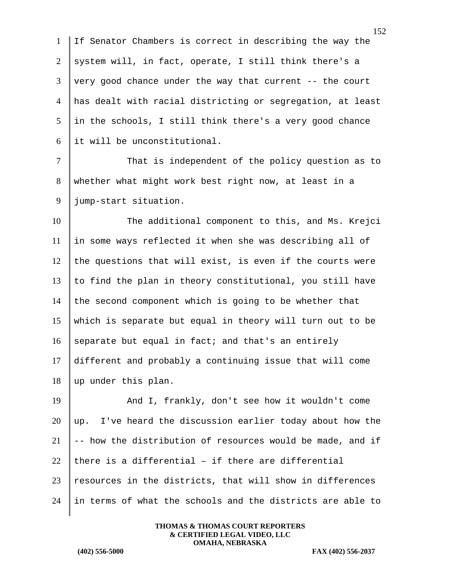If Senator Chambers is correct in describing the way the 2 system will, in fact, operate, I still think there's a  $3 \parallel$  very good chance under the way that current -- the court has dealt with racial districting or segregation, at least in the schools, I still think there's a very good chance it will be unconstitutional.

7 That is independent of the policy question as to 8 whether what might work best right now, at least in a 9 jump-start situation.

10 The additional component to this, and Ms. Krejci in some ways reflected it when she was describing all of the questions that will exist, is even if the courts were  $\parallel$  to find the plan in theory constitutional, you still have 14 the second component which is going to be whether that which is separate but equal in theory will turn out to be 16 separate but equal in fact; and that's an entirely different and probably a continuing issue that will come up under this plan.

19 And I, frankly, don't see how it wouldn't come  $20$  up. I've heard the discussion earlier today about how the 21  $\parallel$  -- how the distribution of resources would be made, and if 22 there is a differential - if there are differential 23 | resources in the districts, that will show in differences  $24$  in terms of what the schools and the districts are able to

> **THOMAS & THOMAS COURT REPORTERS & CERTIFIED LEGAL VIDEO, LLC OMAHA, NEBRASKA**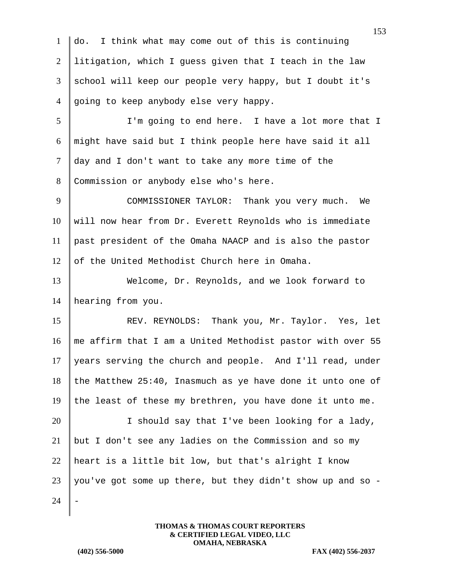do. I think what may come out of this is continuing litigation, which I guess given that I teach in the law 3 school will keep our people very happy, but I doubt it's  $\parallel$  going to keep anybody else very happy. I'm going to end here. I have a lot more that I 6 | might have said but I think people here have said it all day and I don't want to take any more time of the 8 Commission or anybody else who's here. 9 COMMISSIONER TAYLOR: Thank you very much. We will now hear from Dr. Everett Reynolds who is immediate past president of the Omaha NAACP and is also the pastor 12 of the United Methodist Church here in Omaha. Welcome, Dr. Reynolds, and we look forward to hearing from you. 15 REV. REYNOLDS: Thank you, Mr. Taylor. Yes, let me affirm that I am a United Methodist pastor with over 55 years serving the church and people. And I'll read, under

 $18$  the Matthew 25:40, Inasmuch as ye have done it unto one of 19 the least of these my brethren, you have done it unto me.

20 I should say that I've been looking for a lady, 21  $\vert$  but I don't see any ladies on the Commission and so my 22 | heart is a little bit low, but that's alright I know  $23$  you've got some up there, but they didn't show up and so - $24$ 

> **THOMAS & THOMAS COURT REPORTERS & CERTIFIED LEGAL VIDEO, LLC OMAHA, NEBRASKA**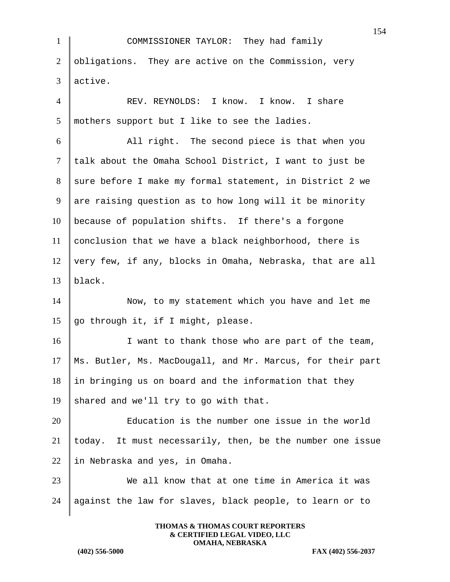|                | 154                                                        |
|----------------|------------------------------------------------------------|
| $\mathbf{1}$   | COMMISSIONER TAYLOR: They had family                       |
| $\overline{2}$ | obligations. They are active on the Commission, very       |
| 3              | active.                                                    |
| $\overline{4}$ | REV. REYNOLDS: I know. I know. I share                     |
| 5              | mothers support but I like to see the ladies.              |
| 6              | All right. The second piece is that when you               |
| $\tau$         | talk about the Omaha School District, I want to just be    |
| 8              | sure before I make my formal statement, in District 2 we   |
| 9              | are raising question as to how long will it be minority    |
| 10             | because of population shifts. If there's a forgone         |
| 11             | conclusion that we have a black neighborhood, there is     |
| 12             | very few, if any, blocks in Omaha, Nebraska, that are all  |
| 13             | black.                                                     |
| 14             | Now, to my statement which you have and let me             |
| 15             | go through it, if I might, please.                         |
| 16             | I want to thank those who are part of the team,            |
| 17             | Ms. Butler, Ms. MacDougall, and Mr. Marcus, for their part |
| 18             | in bringing us on board and the information that they      |
| 19             | shared and we'll try to go with that.                      |
| 20             | Education is the number one issue in the world             |
| 21             | today. It must necessarily, then, be the number one issue  |
| 22             | in Nebraska and yes, in Omaha.                             |
| 23             | We all know that at one time in America it was             |
| 24             | against the law for slaves, black people, to learn or to   |
|                |                                                            |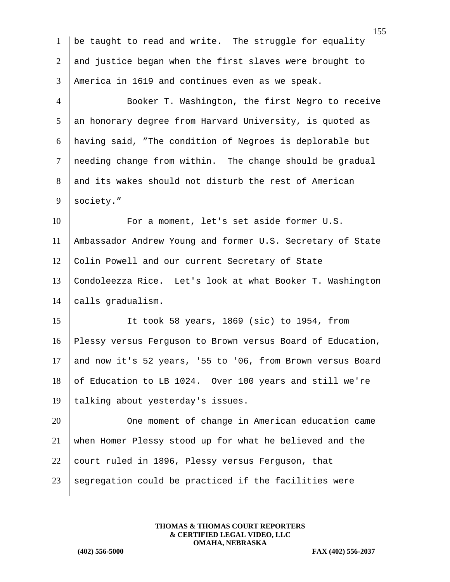| $\mathbf{1}$    | be taught to read and write. The struggle for equality     |
|-----------------|------------------------------------------------------------|
| 2               | and justice began when the first slaves were brought to    |
| 3               | America in 1619 and continues even as we speak.            |
| $\overline{4}$  | Booker T. Washington, the first Negro to receive           |
| $5\overline{)}$ | an honorary degree from Harvard University, is quoted as   |
| 6               | having said, "The condition of Negroes is deplorable but   |
| $\tau$          | needing change from within. The change should be gradual   |
| 8               | and its wakes should not disturb the rest of American      |
| 9               | society."                                                  |
| 10              | For a moment, let's set aside former U.S.                  |
| 11              | Ambassador Andrew Young and former U.S. Secretary of State |
| 12              | Colin Powell and our current Secretary of State            |
| 13              | Condoleezza Rice. Let's look at what Booker T. Washington  |
| 14              | calls gradualism.                                          |
| 15              | It took 58 years, 1869 (sic) to 1954, from                 |
| 16              | Plessy versus Ferguson to Brown versus Board of Education, |
| 17              | and now it's 52 years, '55 to '06, from Brown versus Board |
| 18              | of Education to LB 1024. Over 100 years and still we're    |
| 19              | talking about yesterday's issues.                          |
| 20              | One moment of change in American education came            |
| 21              | when Homer Plessy stood up for what he believed and the    |
| 22              | court ruled in 1896, Plessy versus Ferguson, that          |
| 23              | segregation could be practiced if the facilities were      |
|                 |                                                            |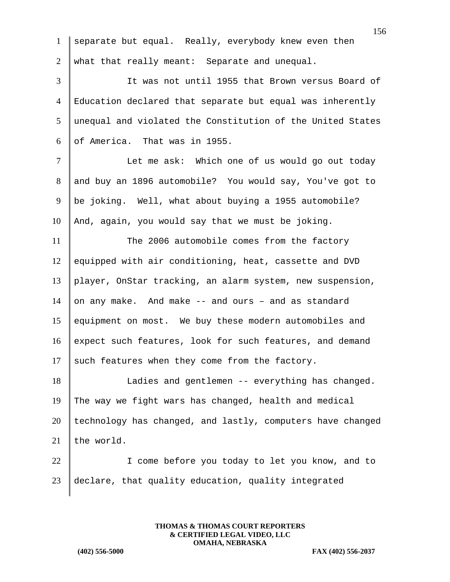|                | 15                                                         |
|----------------|------------------------------------------------------------|
| $\mathbf{1}$   | separate but equal. Really, everybody knew even then       |
| $\overline{2}$ | what that really meant: Separate and unequal.              |
| 3              | It was not until 1955 that Brown versus Board of           |
| $\overline{4}$ | Education declared that separate but equal was inherently  |
| 5              | unequal and violated the Constitution of the United States |
| 6              | of America. That was in 1955.                              |
| $\tau$         | Let me ask: Which one of us would go out today             |
| 8              | and buy an 1896 automobile? You would say, You've got to   |
| 9              | be joking. Well, what about buying a 1955 automobile?      |
| 10             | And, again, you would say that we must be joking.          |
| 11             | The 2006 automobile comes from the factory                 |
| 12             | equipped with air conditioning, heat, cassette and DVD     |
| 13             | player, OnStar tracking, an alarm system, new suspension,  |
| 14             | on any make. And make -- and ours - and as standard        |
| 15             | equipment on most. We buy these modern automobiles and     |
| 16             | expect such features, look for such features, and demand   |
| 17             | such features when they come from the factory.             |
| 18             | Ladies and gentlemen -- everything has changed.            |
| 19             | The way we fight wars has changed, health and medical      |
| 20             | technology has changed, and lastly, computers have changed |
| 21             | the world.                                                 |
| 22             | I come before you today to let you know, and to            |
| 23             | declare, that quality education, quality integrated        |
|                |                                                            |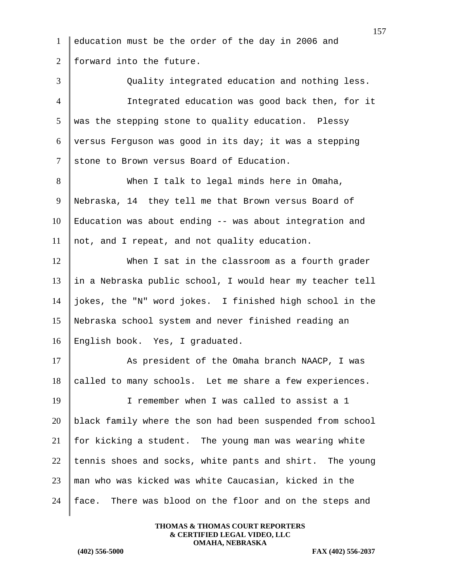education must be the order of the day in 2006 and 2 | forward into the future. Quality integrated education and nothing less. Integrated education was good back then, for it was the stepping stone to quality education. Plessy 6 versus Ferguson was good in its day; it was a stepping 7 stone to Brown versus Board of Education. When I talk to legal minds here in Omaha, Nebraska, 14 they tell me that Brown versus Board of Education was about ending -- was about integration and not, and I repeat, and not quality education. When I sat in the classroom as a fourth grader in a Nebraska public school, I would hear my teacher tell jokes, the "N" word jokes. I finished high school in the Nebraska school system and never finished reading an English book. Yes, I graduated. 17 As president of the Omaha branch NAACP, I was called to many schools. Let me share a few experiences. I remember when I was called to assist a 1 black family where the son had been suspended from school  $\parallel$  for kicking a student. The young man was wearing white 22 tennis shoes and socks, white pants and shirt. The young man who was kicked was white Caucasian, kicked in the  $\parallel$  face. There was blood on the floor and on the steps and

> **THOMAS & THOMAS COURT REPORTERS & CERTIFIED LEGAL VIDEO, LLC OMAHA, NEBRASKA**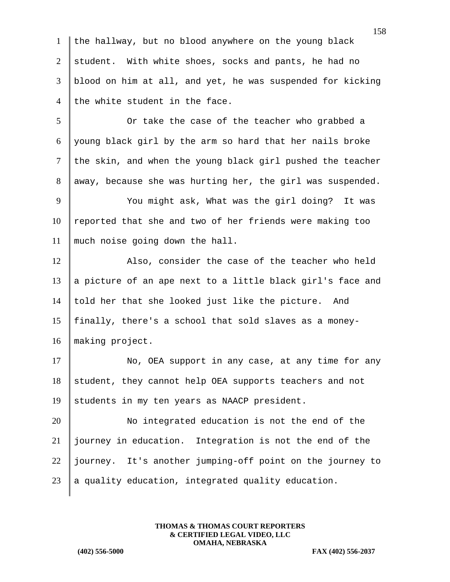1 the hallway, but no blood anywhere on the young black 2 student. With white shoes, socks and pants, he had no 3 blood on him at all, and yet, he was suspended for kicking 4 the white student in the face.

5 Or take the case of the teacher who grabbed a 6 young black girl by the arm so hard that her nails broke  $7$  the skin, and when the young black girl pushed the teacher 8 | away, because she was hurting her, the girl was suspended.

9 You might ask, What was the girl doing? It was  $10$  reported that she and two of her friends were making too 11 much noise going down the hall.

12 Also, consider the case of the teacher who held 13  $\parallel$  a picture of an ape next to a little black girl's face and 14 told her that she looked just like the picture. And 15 finally, there's a school that sold slaves as a money-16 making project.

17 No, OEA support in any case, at any time for any  $18$  student, they cannot help OEA supports teachers and not 19 students in my ten years as NAACP president.

20 No integrated education is not the end of the 21 journey in education. Integration is not the end of the 22 journey. It's another jumping-off point on the journey to 23  $\parallel$  a quality education, integrated quality education.

> **THOMAS & THOMAS COURT REPORTERS & CERTIFIED LEGAL VIDEO, LLC OMAHA, NEBRASKA**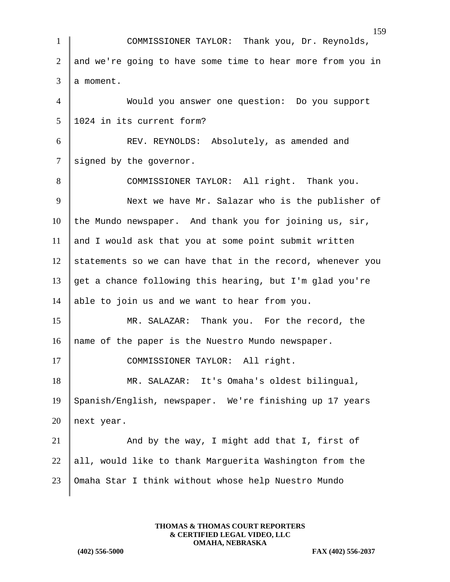|                 | 159                                                        |
|-----------------|------------------------------------------------------------|
| $\mathbf{1}$    | COMMISSIONER TAYLOR: Thank you, Dr. Reynolds,              |
| $\overline{2}$  | and we're going to have some time to hear more from you in |
| 3               | a moment.                                                  |
| $\overline{4}$  | Would you answer one question: Do you support              |
| $5\overline{)}$ | 1024 in its current form?                                  |
| 6               | REV. REYNOLDS: Absolutely, as amended and                  |
| $\tau$          | signed by the governor.                                    |
| 8               | COMMISSIONER TAYLOR: All right. Thank you.                 |
| 9               | Next we have Mr. Salazar who is the publisher of           |
| 10              | the Mundo newspaper. And thank you for joining us, sir,    |
| 11              | and I would ask that you at some point submit written      |
| 12              | statements so we can have that in the record, whenever you |
| 13              | get a chance following this hearing, but I'm glad you're   |
| 14              | able to join us and we want to hear from you.              |
| 15              | MR. SALAZAR: Thank you. For the record, the                |
| 16              | name of the paper is the Nuestro Mundo newspaper.          |
| 17              | COMMISSIONER TAYLOR: All right.                            |
| 18              | MR. SALAZAR: It's Omaha's oldest bilingual,                |
| 19              | Spanish/English, newspaper. We're finishing up 17 years    |
| 20              | next year.                                                 |
| 21              | And by the way, I might add that I, first of               |
| 22              | all, would like to thank Marguerita Washington from the    |
| 23              | Omaha Star I think without whose help Nuestro Mundo        |
|                 |                                                            |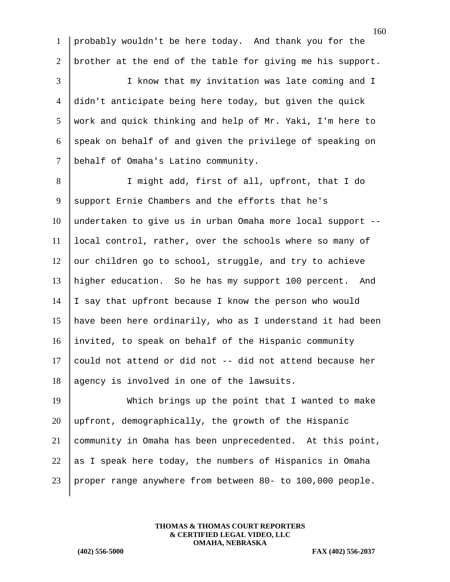probably wouldn't be here today. And thank you for the brother at the end of the table for giving me his support. I know that my invitation was late coming and I didn't anticipate being here today, but given the quick work and quick thinking and help of Mr. Yaki, I'm here to  $6 \parallel$  speak on behalf of and given the privilege of speaking on 7 | behalf of Omaha's Latino community. 8 | I might add, first of all, upfront, that I do 9 support Ernie Chambers and the efforts that he's undertaken to give us in urban Omaha more local support -- local control, rather, over the schools where so many of our children go to school, struggle, and try to achieve higher education. So he has my support 100 percent. And  $\parallel$  I say that upfront because I know the person who would have been here ordinarily, who as I understand it had been invited, to speak on behalf of the Hispanic community 17 could not attend or did not  $-$ - did not attend because her 18 agency is involved in one of the lawsuits.

 Which brings up the point that I wanted to make upfront, demographically, the growth of the Hispanic community in Omaha has been unprecedented. At this point, 22 as I speak here today, the numbers of Hispanics in Omaha proper range anywhere from between 80- to 100,000 people.

> **THOMAS & THOMAS COURT REPORTERS & CERTIFIED LEGAL VIDEO, LLC OMAHA, NEBRASKA**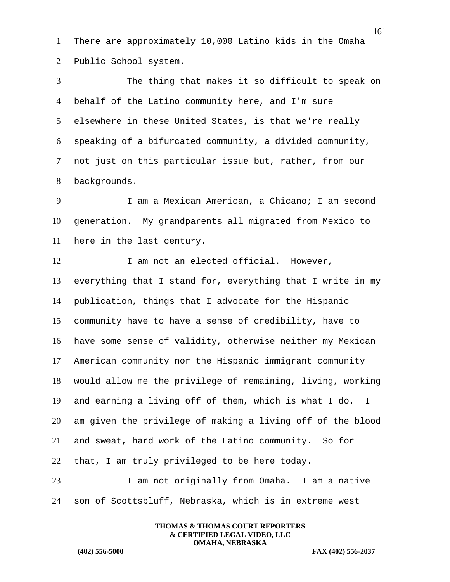1 There are approximately 10,000 Latino kids in the Omaha 2 Public School system. 3 The thing that makes it so difficult to speak on 4 behalf of the Latino community here, and I'm sure 5 elsewhere in these United States, is that we're really 6 speaking of a bifurcated community, a divided community, 7 not just on this particular issue but, rather, from our 8 | backgrounds. 9 I am a Mexican American, a Chicano; I am second 10 generation. My grandparents all migrated from Mexico to 11 here in the last century. 12 I am not an elected official. However, 13 everything that I stand for, everything that I write in my 14 publication, things that I advocate for the Hispanic 15 community have to have a sense of credibility, have to 16 have some sense of validity, otherwise neither my Mexican 17 American community nor the Hispanic immigrant community  $18$  would allow me the privilege of remaining, living, working 19 and earning a living off of them, which is what I do. I  $20$  am given the privilege of making a living off of the blood 21 and sweat, hard work of the Latino community. So for 22 that, I am truly privileged to be here today. 23 I am not originally from Omaha. I am a native  $24$  son of Scottsbluff, Nebraska, which is in extreme west

> **THOMAS & THOMAS COURT REPORTERS & CERTIFIED LEGAL VIDEO, LLC OMAHA, NEBRASKA**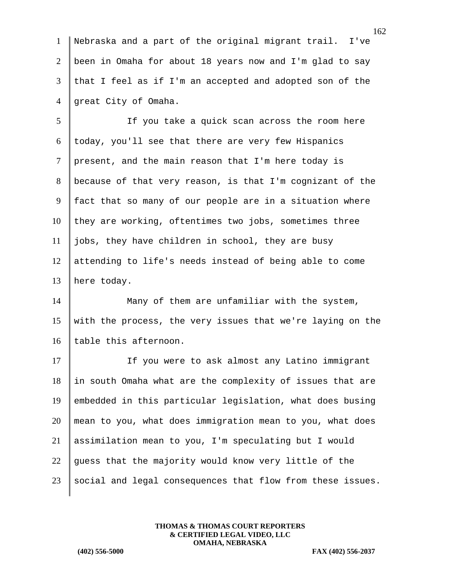Nebraska and a part of the original migrant trail. I've been in Omaha for about 18 years now and I'm glad to say that I feel as if I'm an accepted and adopted son of the 4 | qreat City of Omaha.

5 | If you take a quick scan across the room here today, you'll see that there are very few Hispanics present, and the main reason that I'm here today is because of that very reason, is that I'm cognizant of the fact that so many of our people are in a situation where they are working, oftentimes two jobs, sometimes three jobs, they have children in school, they are busy attending to life's needs instead of being able to come here today.

14 Many of them are unfamiliar with the system, 15 with the process, the very issues that we're laying on the 16 table this afternoon.

17 If you were to ask almost any Latino immigrant 18 In south Omaha what are the complexity of issues that are 19 | embedded in this particular legislation, what does busing 20 mean to you, what does immigration mean to you, what does 21 assimilation mean to you, I'm speculating but I would 22 guess that the majority would know very little of the  $23$  social and legal consequences that flow from these issues.

> **THOMAS & THOMAS COURT REPORTERS & CERTIFIED LEGAL VIDEO, LLC OMAHA, NEBRASKA**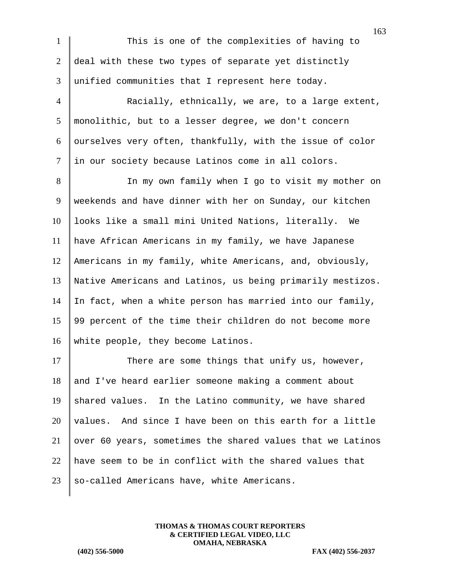1 This is one of the complexities of having to 2 deal with these two types of separate yet distinctly 3 unified communities that I represent here today. 4 Racially, ethnically, we are, to a large extent, 5 monolithic, but to a lesser degree, we don't concern  $6$  ourselves very often, thankfully, with the issue of color 7 | in our society because Latinos come in all colors. 8 | In my own family when I go to visit my mother on 9 | weekends and have dinner with her on Sunday, our kitchen 10 | looks like a small mini United Nations, literally. We 11 have African Americans in my family, we have Japanese 12 Americans in my family, white Americans, and, obviously, 13 Native Americans and Latinos, us being primarily mestizos. 14 In fact, when a white person has married into our family, 15 99 percent of the time their children do not become more 16 white people, they become Latinos.

17 There are some things that unify us, however, and I've heard earlier someone making a comment about 19 shared values. In the Latino community, we have shared  $\vert$  values. And since I have been on this earth for a little over 60 years, sometimes the shared values that we Latinos have seem to be in conflict with the shared values that so-called Americans have, white Americans.

> **THOMAS & THOMAS COURT REPORTERS & CERTIFIED LEGAL VIDEO, LLC OMAHA, NEBRASKA**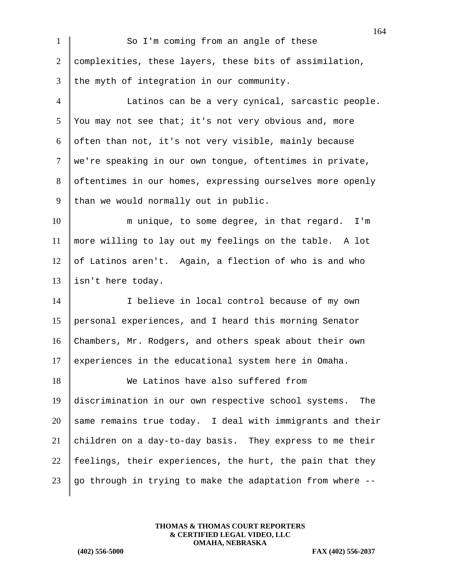| $\mathbf{1}$   | ιv<br>So I'm coming from an angle of these                  |
|----------------|-------------------------------------------------------------|
| 2              | complexities, these layers, these bits of assimilation,     |
| 3              | the myth of integration in our community.                   |
| $\overline{4}$ | Latinos can be a very cynical, sarcastic people.            |
| 5              | You may not see that; it's not very obvious and, more       |
| 6              | often than not, it's not very visible, mainly because       |
| $\tau$         | we're speaking in our own tongue, oftentimes in private,    |
| 8              | oftentimes in our homes, expressing ourselves more openly   |
| 9              | than we would normally out in public.                       |
| 10             | m unique, to some degree, in that regard. I'm               |
| 11             | more willing to lay out my feelings on the table. A lot     |
| 12             | of Latinos aren't. Again, a flection of who is and who      |
| 13             | isn't here today.                                           |
| 14             | I believe in local control because of my own                |
| 15             | personal experiences, and I heard this morning Senator      |
| 16             | Chambers, Mr. Rodgers, and others speak about their own     |
| 17             | experiences in the educational system here in Omaha.        |
| 18             | We Latinos have also suffered from                          |
| 19             | discrimination in our own respective school systems.<br>The |
| 20             | same remains true today. I deal with immigrants and their   |
| 21             | children on a day-to-day basis. They express to me their    |
| 22             | feelings, their experiences, the hurt, the pain that they   |
| 23             | go through in trying to make the adaptation from where --   |
|                |                                                             |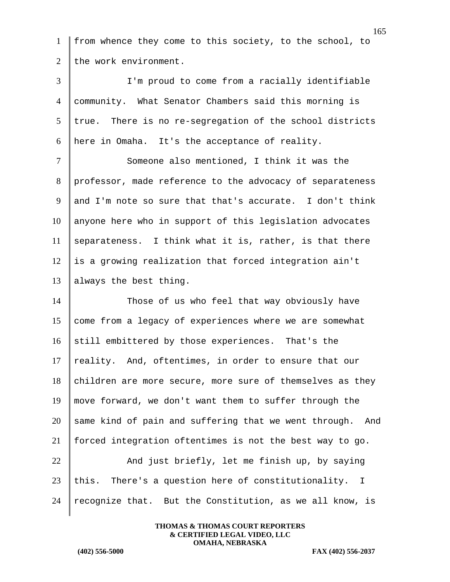1 from whence they come to this society, to the school, to 2 the work environment.

 I'm proud to come from a racially identifiable community. What Senator Chambers said this morning is true. There is no re-segregation of the school districts here in Omaha. It's the acceptance of reality.

7 Someone also mentioned, I think it was the 8 professor, made reference to the advocacy of separateness 9 and I'm note so sure that that's accurate. I don't think  $10$  anyone here who in support of this legislation advocates  $11$  separateness. I think what it is, rather, is that there  $12$  is a growing realization that forced integration ain't 13 | always the best thing.

14 Those of us who feel that way obviously have 15 come from a legacy of experiences where we are somewhat 16 still embittered by those experiences. That's the 17  $\parallel$  reality. And, oftentimes, in order to ensure that our  $18$  children are more secure, more sure of themselves as they 19 | move forward, we don't want them to suffer through the  $20$  same kind of pain and suffering that we went through. And 21 forced integration oftentimes is not the best way to go. 22  $\parallel$  And just briefly, let me finish up, by saying

23 | this. There's a question here of constitutionality. I 24 | recognize that. But the Constitution, as we all know, is

> **THOMAS & THOMAS COURT REPORTERS & CERTIFIED LEGAL VIDEO, LLC OMAHA, NEBRASKA**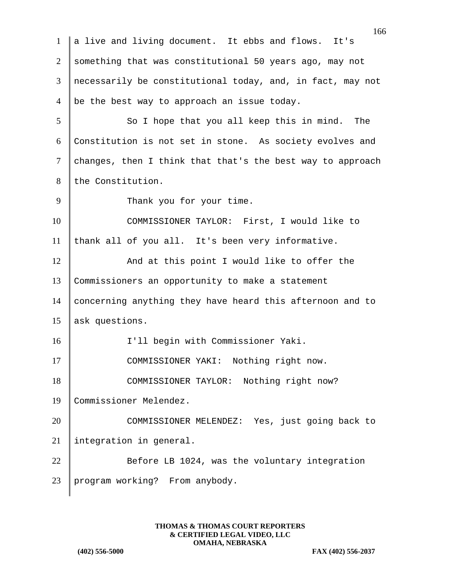166 1 a live and living document. It ebbs and flows. It's 2 something that was constitutional 50 years ago, may not 3 necessarily be constitutional today, and, in fact, may not 4  $\vert$  be the best way to approach an issue today. 5 So I hope that you all keep this in mind. The 6 Constitution is not set in stone. As society evolves and  $7$  changes, then I think that that's the best way to approach 8 the Constitution. 9 Thank you for your time. 10 | COMMISSIONER TAYLOR: First, I would like to  $11$  thank all of you all. It's been very informative. 12 And at this point I would like to offer the 13 Commissioners an opportunity to make a statement 14 concerning anything they have heard this afternoon and to 15 ask questions. 16 | I'll begin with Commissioner Yaki. 17 COMMISSIONER YAKI: Nothing right now. 18 COMMISSIONER TAYLOR: Nothing right now? 19 Commissioner Melendez. 20 COMMISSIONER MELENDEZ: Yes, just going back to 21 integration in general. 22 Before LB 1024, was the voluntary integration 23 program working? From anybody.

> **THOMAS & THOMAS COURT REPORTERS & CERTIFIED LEGAL VIDEO, LLC OMAHA, NEBRASKA**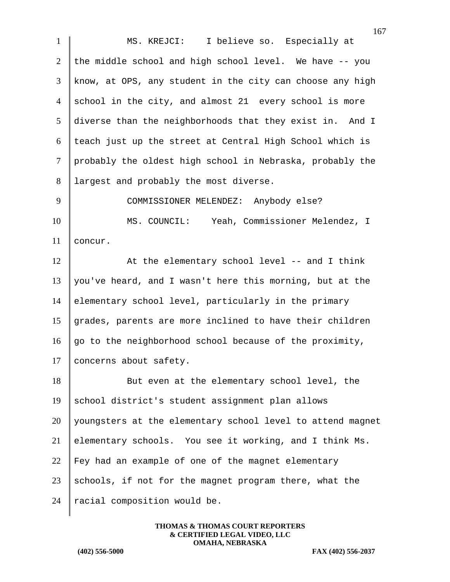1 MS. KREJCI: I believe so. Especially at 2 the middle school and high school level. We have  $-$ - you 3 know, at OPS, any student in the city can choose any high 4 school in the city, and almost 21 every school is more 5 diverse than the neighborhoods that they exist in. And I  $6$  teach just up the street at Central High School which is 7 probably the oldest high school in Nebraska, probably the 8 | largest and probably the most diverse. 9 COMMISSIONER MELENDEZ: Anybody else? 10 | MS. COUNCIL: Yeah, Commissioner Melendez, I

11 concur.

12 At the elementary school level -- and I think 13 you've heard, and I wasn't here this morning, but at the 14 elementary school level, particularly in the primary 15 grades, parents are more inclined to have their children 16 go to the neighborhood school because of the proximity, 17 | concerns about safety.

18 But even at the elementary school level, the 19 school district's student assignment plan allows  $20$  | youngsters at the elementary school level to attend magnet 21 elementary schools. You see it working, and I think Ms.  $22$  Fey had an example of one of the magnet elementary 23 schools, if not for the magnet program there, what the 24 | racial composition would be.

> **THOMAS & THOMAS COURT REPORTERS & CERTIFIED LEGAL VIDEO, LLC OMAHA, NEBRASKA**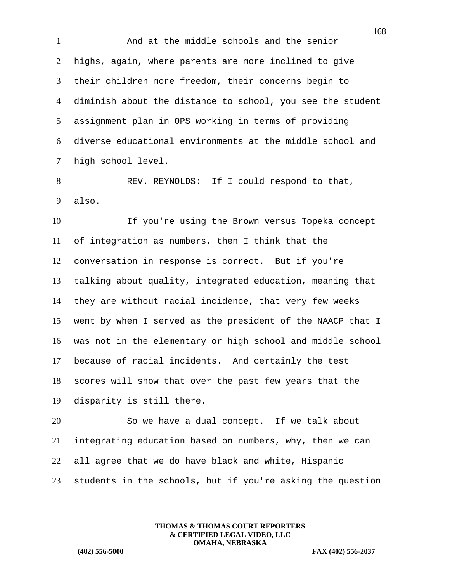1 And at the middle schools and the senior 2 highs, again, where parents are more inclined to give 3 their children more freedom, their concerns begin to 4 diminish about the distance to school, you see the student 5 assignment plan in OPS working in terms of providing 6 diverse educational environments at the middle school and 7 high school level. 8 REV. REYNOLDS: If I could respond to that,  $9$  also. 10 If you're using the Brown versus Topeka concept 11 of integration as numbers, then I think that the 12 | conversation in response is correct. But if you're  $13$  talking about quality, integrated education, meaning that 14 they are without racial incidence, that very few weeks 15 went by when I served as the president of the NAACP that I 16 was not in the elementary or high school and middle school 17 because of racial incidents. And certainly the test  $18$  scores will show that over the past few years that the 19 disparity is still there. 20 So we have a dual concept. If we talk about 21 integrating education based on numbers, why, then we can 22 all agree that we do have black and white, Hispanic 23 students in the schools, but if you're asking the question

> **THOMAS & THOMAS COURT REPORTERS & CERTIFIED LEGAL VIDEO, LLC OMAHA, NEBRASKA**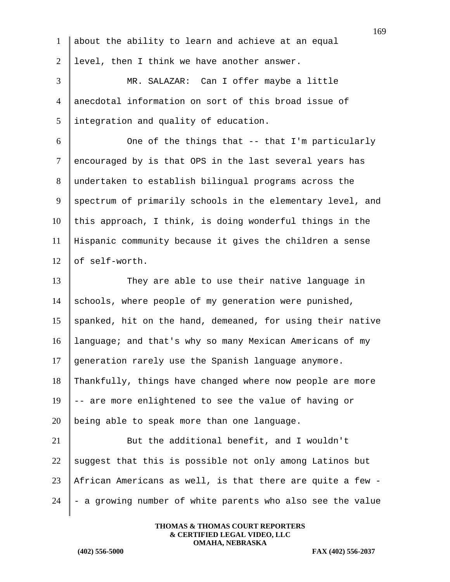|                | 169                                                        |
|----------------|------------------------------------------------------------|
| $\mathbf{1}$   | about the ability to learn and achieve at an equal         |
| $\overline{2}$ | level, then I think we have another answer.                |
| 3              | MR. SALAZAR: Can I offer maybe a little                    |
| $\overline{4}$ | anecdotal information on sort of this broad issue of       |
| 5              | integration and quality of education.                      |
| 6              | One of the things that -- that I'm particularly            |
| $\tau$         | encouraged by is that OPS in the last several years has    |
| 8              | undertaken to establish bilingual programs across the      |
| 9              | spectrum of primarily schools in the elementary level, and |
| 10             | this approach, I think, is doing wonderful things in the   |
| 11             | Hispanic community because it gives the children a sense   |
| 12             | of self-worth.                                             |
| 13             | They are able to use their native language in              |
| 14             | schools, where people of my generation were punished,      |
| 15             | spanked, hit on the hand, demeaned, for using their native |
| 16             | language; and that's why so many Mexican Americans of my   |
| 17             | generation rarely use the Spanish language anymore.        |
| 18             | Thankfully, things have changed where now people are more  |
| 19             | -- are more enlightened to see the value of having or      |
| 20             | being able to speak more than one language.                |
| 21             | But the additional benefit, and I wouldn't                 |
| 22             | suggest that this is possible not only among Latinos but   |
| 23             | African Americans as well, is that there are quite a few - |
| 24             | - a growing number of white parents who also see the value |
|                |                                                            |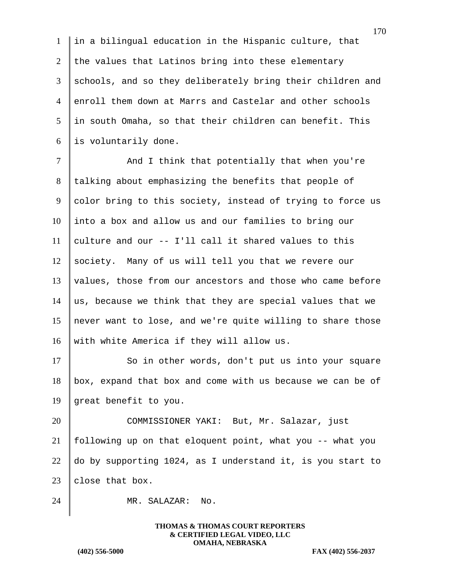in a bilingual education in the Hispanic culture, that 2 the values that Latinos bring into these elementary 3 schools, and so they deliberately bring their children and enroll them down at Marrs and Castelar and other schools in south Omaha, so that their children can benefit. This is voluntarily done.

7 | And I think that potentially that when you're 8 | talking about emphasizing the benefits that people of 9 color bring to this society, instead of trying to force us 10 into a box and allow us and our families to bring our 11 culture and our  $--$  I'll call it shared values to this 12 society. Many of us will tell you that we revere our 13 values, those from our ancestors and those who came before 14 as, because we think that they are special values that we 15 never want to lose, and we're quite willing to share those 16 | with white America if they will allow us.

17 So in other words, don't put us into your square  $18$  box, expand that box and come with us because we can be of 19 great benefit to you.

20 COMMISSIONER YAKI: But, Mr. Salazar, just following up on that eloquent point, what you -- what you  $\parallel$  do by supporting 1024, as I understand it, is you start to  $|$  close that box.

24 MR. SALAZAR: No.

**THOMAS & THOMAS COURT REPORTERS & CERTIFIED LEGAL VIDEO, LLC OMAHA, NEBRASKA**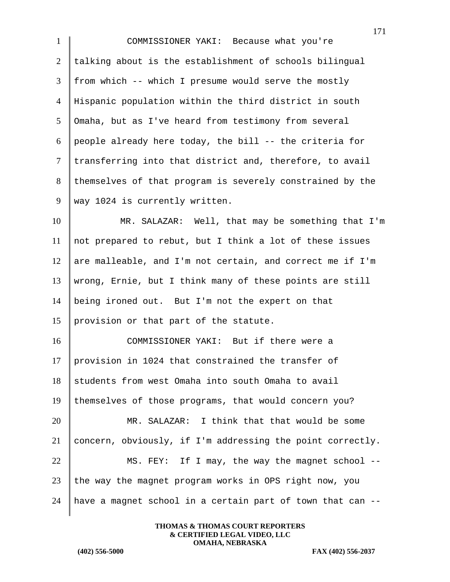COMMISSIONER YAKI: Because what you're talking about is the establishment of schools bilingual from which -- which I presume would serve the mostly Hispanic population within the third district in south Omaha, but as I've heard from testimony from several 6 people already here today, the bill  $-$  the criteria for transferring into that district and, therefore, to avail 8 themselves of that program is severely constrained by the 9 | way 1024 is currently written.

 MR. SALAZAR: Well, that may be something that I'm not prepared to rebut, but I think a lot of these issues 12 are malleable, and I'm not certain, and correct me if I'm wrong, Ernie, but I think many of these points are still being ironed out. But I'm not the expert on that provision or that part of the statute.

 COMMISSIONER YAKI: But if there were a provision in 1024 that constrained the transfer of students from west Omaha into south Omaha to avail themselves of those programs, that would concern you? MR. SALAZAR: I think that that would be some concern, obviously, if I'm addressing the point correctly.  $\parallel$  MS. FEY: If I may, the way the magnet school -- the way the magnet program works in OPS right now, you 24 | have a magnet school in a certain part of town that can  $-$ -

> **THOMAS & THOMAS COURT REPORTERS & CERTIFIED LEGAL VIDEO, LLC OMAHA, NEBRASKA**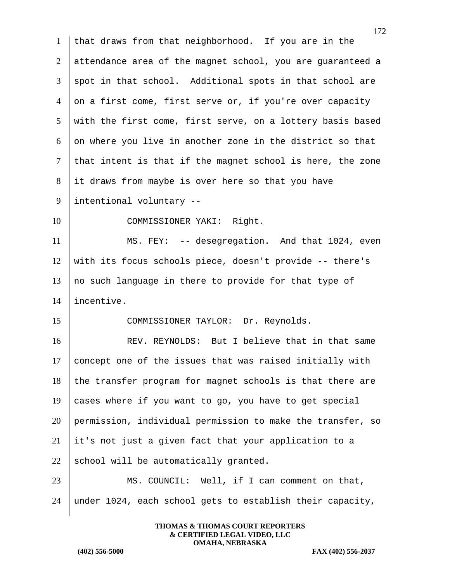172 that draws from that neighborhood. If you are in the attendance area of the magnet school, you are guaranteed a  $3 \parallel$  spot in that school. Additional spots in that school are 4 on a first come, first serve or, if you're over capacity with the first come, first serve, on a lottery basis based on where you live in another zone in the district so that that intent is that if the magnet school is here, the zone it draws from maybe is over here so that you have intentional voluntary -- 10 COMMISSIONER YAKI: Right. MS. FEY: -- desegregation. And that 1024, even with its focus schools piece, doesn't provide -- there's no such language in there to provide for that type of incentive. 15 COMMISSIONER TAYLOR: Dr. Reynolds. 16 REV. REYNOLDS: But I believe that in that same concept one of the issues that was raised initially with the transfer program for magnet schools is that there are 19 cases where if you want to go, you have to get special permission, individual permission to make the transfer, so it's not just a given fact that your application to a 22 school will be automatically granted. 23 MS. COUNCIL: Well, if I can comment on that, under 1024, each school gets to establish their capacity,

> **THOMAS & THOMAS COURT REPORTERS & CERTIFIED LEGAL VIDEO, LLC OMAHA, NEBRASKA**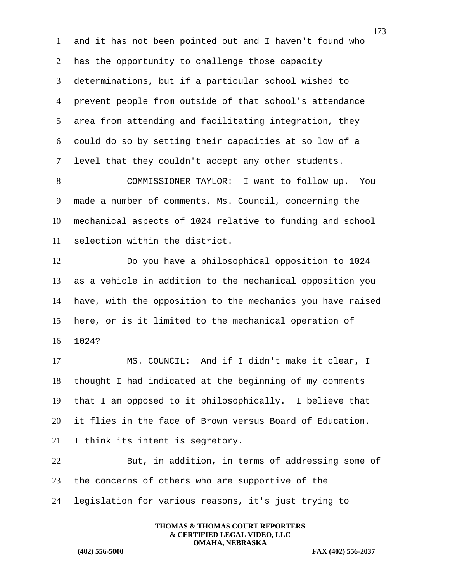and it has not been pointed out and I haven't found who 2 has the opportunity to challenge those capacity determinations, but if a particular school wished to prevent people from outside of that school's attendance area from attending and facilitating integration, they  $6 \parallel$  could do so by setting their capacities at so low of a level that they couldn't accept any other students. 8 COMMISSIONER TAYLOR: I want to follow up. You

9 | made a number of comments, Ms. Council, concerning the 10 mechanical aspects of 1024 relative to funding and school  $11$  selection within the district.

 Do you have a philosophical opposition to 1024 as a vehicle in addition to the mechanical opposition you have, with the opposition to the mechanics you have raised here, or is it limited to the mechanical operation of 16 1024?

17 MS. COUNCIL: And if I didn't make it clear, I  $18$  thought I had indicated at the beginning of my comments 19 that I am opposed to it philosophically. I believe that 20 it flies in the face of Brown versus Board of Education. 21 I think its intent is segretory.

22 But, in addition, in terms of addressing some of  $23$  the concerns of others who are supportive of the 24 legislation for various reasons, it's just trying to

> **THOMAS & THOMAS COURT REPORTERS & CERTIFIED LEGAL VIDEO, LLC OMAHA, NEBRASKA**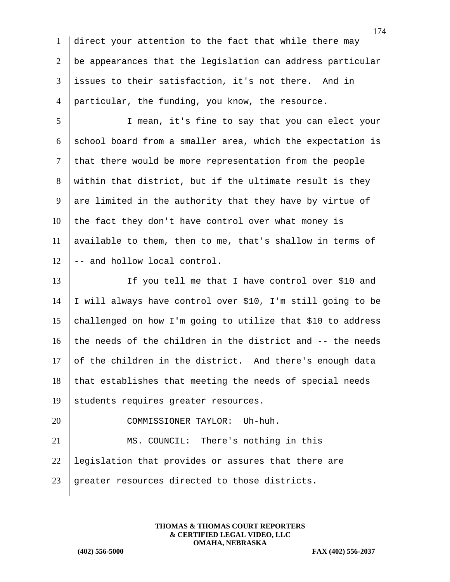direct your attention to the fact that while there may be appearances that the legislation can address particular issues to their satisfaction, it's not there. And in particular, the funding, you know, the resource.

5 I mean, it's fine to say that you can elect your 6 school board from a smaller area, which the expectation is  $7$  that there would be more representation from the people 8 within that district, but if the ultimate result is they 9 are limited in the authority that they have by virtue of  $10$  the fact they don't have control over what money is 11 | available to them, then to me, that's shallow in terms of  $12$   $\parallel$  -- and hollow local control.

13 If you tell me that I have control over \$10 and 14 I will always have control over \$10, I'm still going to be 15 challenged on how I'm going to utilize that \$10 to address 16 the needs of the children in the district and  $-$ - the needs 17 of the children in the district. And there's enough data  $18$  that establishes that meeting the needs of special needs 19 students requires greater resources.

20 COMMISSIONER TAYLOR: Uh-huh. 21 MS. COUNCIL: There's nothing in this 22 legislation that provides or assures that there are 23 greater resources directed to those districts.

> **THOMAS & THOMAS COURT REPORTERS & CERTIFIED LEGAL VIDEO, LLC OMAHA, NEBRASKA**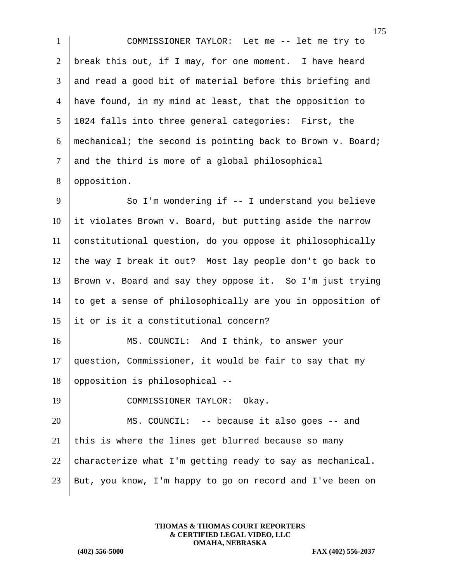COMMISSIONER TAYLOR: Let me -- let me try to break this out, if I may, for one moment. I have heard and read a good bit of material before this briefing and have found, in my mind at least, that the opposition to 1024 falls into three general categories: First, the 6 | mechanical; the second is pointing back to Brown v. Board; and the third is more of a global philosophical 8 | opposition. 9 So I'm wondering if -- I understand you believe

 it violates Brown v. Board, but putting aside the narrow constitutional question, do you oppose it philosophically 12 the way I break it out? Most lay people don't go back to Brown v. Board and say they oppose it. So I'm just trying  $\parallel$  to get a sense of philosophically are you in opposition of 15 It or is it a constitutional concern?

16 MS. COUNCIL: And I think, to answer your 17 question, Commissioner, it would be fair to say that my  $18$  opposition is philosophical --

19 COMMISSIONER TAYLOR: Okay.

20 MS. COUNCIL: -- because it also goes -- and 21 this is where the lines get blurred because so many 22 characterize what I'm getting ready to say as mechanical. 23 But, you know, I'm happy to go on record and I've been on

> **THOMAS & THOMAS COURT REPORTERS & CERTIFIED LEGAL VIDEO, LLC OMAHA, NEBRASKA**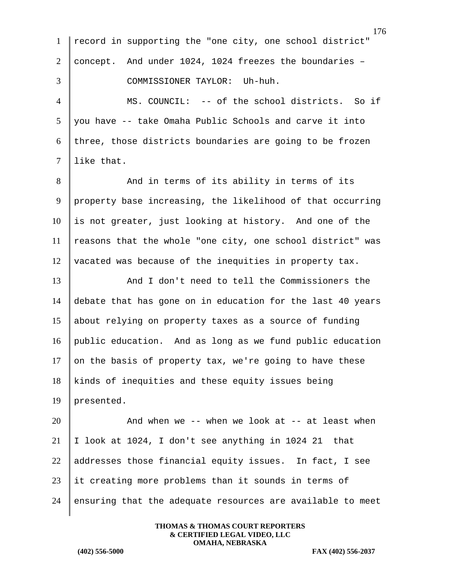|                | 176                                                        |
|----------------|------------------------------------------------------------|
| $\mathbf{1}$   | record in supporting the "one city, one school district"   |
| $\overline{2}$ | concept. And under 1024, 1024 freezes the boundaries -     |
| 3              | COMMISSIONER TAYLOR: Uh-huh.                               |
| $\overline{4}$ | MS. COUNCIL: -- of the school districts. So if             |
| 5              | you have -- take Omaha Public Schools and carve it into    |
| 6              | three, those districts boundaries are going to be frozen   |
| $\tau$         | like that.                                                 |
| 8              | And in terms of its ability in terms of its                |
| 9              | property base increasing, the likelihood of that occurring |
| 10             | is not greater, just looking at history. And one of the    |
| 11             | reasons that the whole "one city, one school district" was |
| 12             | vacated was because of the inequities in property tax.     |
| 13             | And I don't need to tell the Commissioners the             |
| 14             | debate that has gone on in education for the last 40 years |
| 15             | about relying on property taxes as a source of funding     |
| 16             | public education. And as long as we fund public education  |
| 17             | on the basis of property tax, we're going to have these    |
| 18             | kinds of inequities and these equity issues being          |
| 19             | presented.                                                 |
| 20             | And when we -- when we look at -- at least when            |
| 21             | I look at 1024, I don't see anything in 1024 21 that       |
| 22             | addresses those financial equity issues. In fact, I see    |
| 23             | it creating more problems than it sounds in terms of       |
| 24             | ensuring that the adequate resources are available to meet |
|                |                                                            |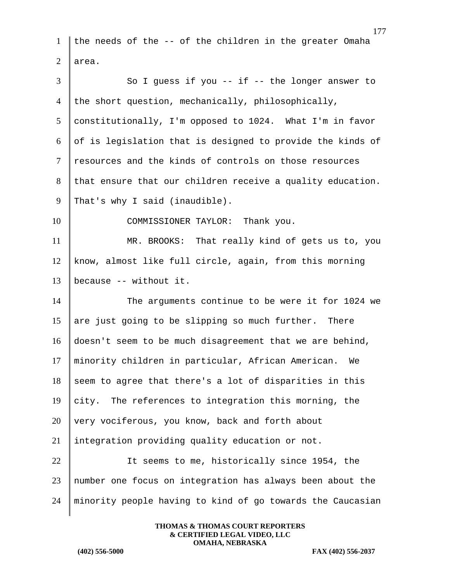1 the needs of the -- of the children in the greater Omaha 2 area.

3 So I guess if you -- if -- the longer answer to 4 the short question, mechanically, philosophically, 5 constitutionally, I'm opposed to 1024. What I'm in favor  $6 \parallel$  of is legislation that is designed to provide the kinds of 7 resources and the kinds of controls on those resources 8 that ensure that our children receive a quality education. 9 That's why I said (inaudible).

10 COMMISSIONER TAYLOR: Thank you.

11 MR. BROOKS: That really kind of gets us to, you 12 know, almost like full circle, again, from this morning 13 | because  $-$  without it.

14 The arguments continue to be were it for 1024 we 15 are just going to be slipping so much further. There 16 doesn't seem to be much disagreement that we are behind, 17 minority children in particular, African American. We  $18$  seem to agree that there's a lot of disparities in this 19 city. The references to integration this morning, the  $20$  very vociferous, you know, back and forth about 21 | integration providing quality education or not. 22 U It seems to me, historically since 1954, the 23 number one focus on integration has always been about the

> **THOMAS & THOMAS COURT REPORTERS & CERTIFIED LEGAL VIDEO, LLC OMAHA, NEBRASKA**

24 minority people having to kind of go towards the Caucasian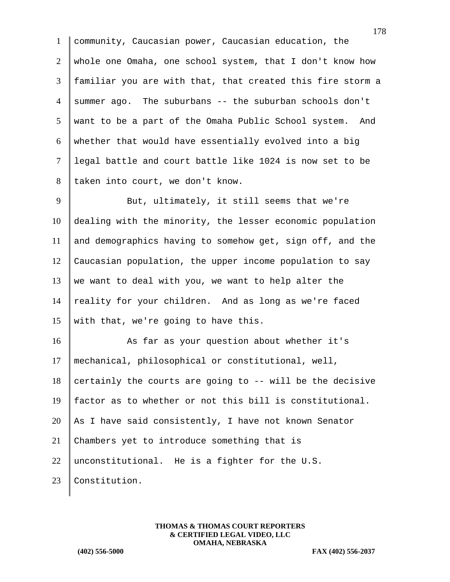community, Caucasian power, Caucasian education, the whole one Omaha, one school system, that I don't know how familiar you are with that, that created this fire storm a 4 summer ago. The suburbans  $-$  the suburban schools don't want to be a part of the Omaha Public School system. And whether that would have essentially evolved into a big legal battle and court battle like 1024 is now set to be 8 taken into court, we don't know.

9 But, ultimately, it still seems that we're 10 dealing with the minority, the lesser economic population 11 and demographics having to somehow get, sign off, and the 12 Caucasian population, the upper income population to say 13 we want to deal with you, we want to help alter the 14  $\parallel$  reality for your children. And as long as we're faced 15 with that, we're going to have this.

16 As far as your question about whether it's 17 mechanical, philosophical or constitutional, well,  $18$  certainly the courts are going to  $-$ - will be the decisive 19 factor as to whether or not this bill is constitutional. 20 As I have said consistently, I have not known Senator 21 Chambers yet to introduce something that is 22 unconstitutional. He is a fighter for the U.S. 23 Constitution.

> **THOMAS & THOMAS COURT REPORTERS & CERTIFIED LEGAL VIDEO, LLC OMAHA, NEBRASKA**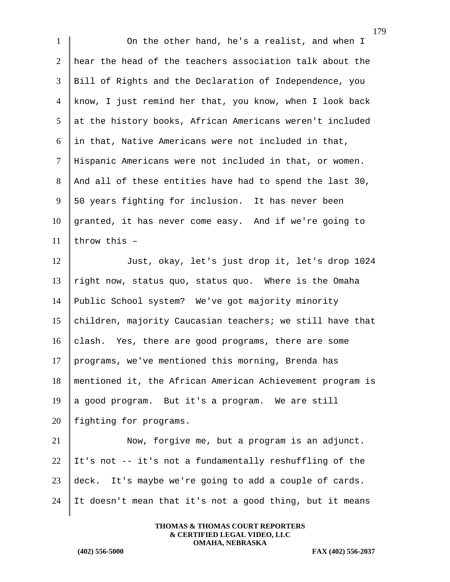1 On the other hand, he's a realist, and when I 2 hear the head of the teachers association talk about the 3 Bill of Rights and the Declaration of Independence, you 4 know, I just remind her that, you know, when I look back  $5$  at the history books, African Americans weren't included  $6$  in that, Native Americans were not included in that, 7 Hispanic Americans were not included in that, or women. 8 | And all of these entities have had to spend the last 30, 9 50 years fighting for inclusion. It has never been 10 granted, it has never come easy. And if we're going to 11 throw this  $-$ 12 Just, okay, let's just drop it, let's drop 1024 13  $\parallel$  right now, status quo, status quo. Where is the Omaha 14 Public School system? We've got majority minority 15 children, majority Caucasian teachers; we still have that 16 clash. Yes, there are good programs, there are some 17 programs, we've mentioned this morning, Brenda has 18 mentioned it, the African American Achievement program is 19 a good program. But it's a program. We are still 20 | fighting for programs. 21 | Now, forgive me, but a program is an adjunct. 22 It's not -- it's not a fundamentally reshuffling of the 23 deck. It's maybe we're going to add a couple of cards. 24 It doesn't mean that it's not a good thing, but it means

> **THOMAS & THOMAS COURT REPORTERS & CERTIFIED LEGAL VIDEO, LLC OMAHA, NEBRASKA**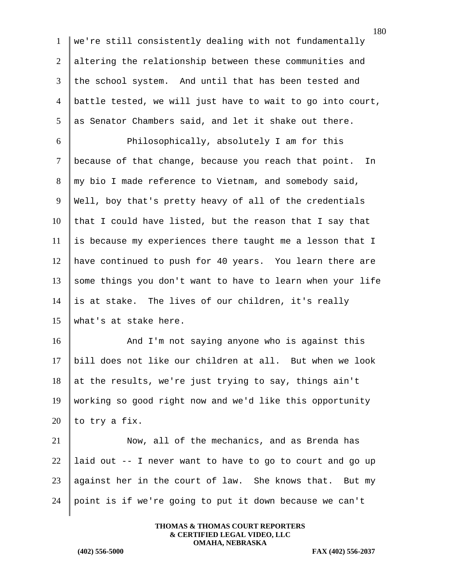180 1 we're still consistently dealing with not fundamentally 2 altering the relationship between these communities and 3 the school system. And until that has been tested and 4 battle tested, we will just have to wait to go into court,  $5$  as Senator Chambers said, and let it shake out there. 6 **Philosophically, absolutely I am for this** 7 because of that change, because you reach that point. In  $8 \parallel$  my bio I made reference to Vietnam, and somebody said, 9 Well, boy that's pretty heavy of all of the credentials  $10$  that I could have listed, but the reason that I say that  $11$  is because my experiences there taught me a lesson that I 12 have continued to push for 40 years. You learn there are 13 some things you don't want to have to learn when your life 14 is at stake. The lives of our children, it's really 15 what's at stake here. 16 And I'm not saying anyone who is against this 17 bill does not like our children at all. But when we look 18 at the results, we're just trying to say, things ain't 19 working so good right now and we'd like this opportunity 20 | to try a fix. 21 Now, all of the mechanics, and as Brenda has 22 | laid out  $-$ - I never want to have to go to court and go up 23 against her in the court of law. She knows that. But my 24 point is if we're going to put it down because we can't

> **THOMAS & THOMAS COURT REPORTERS & CERTIFIED LEGAL VIDEO, LLC OMAHA, NEBRASKA**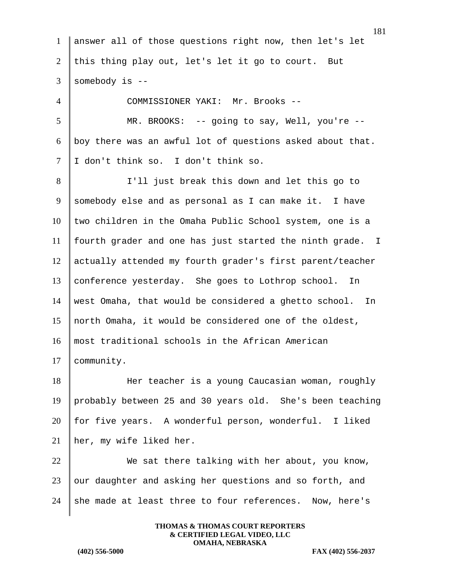|                | 181                                                         |
|----------------|-------------------------------------------------------------|
| 1              | answer all of those questions right now, then let's let     |
| $\overline{2}$ | this thing play out, let's let it go to court. But          |
| 3              | somebody is --                                              |
| $\overline{4}$ | COMMISSIONER YAKI: Mr. Brooks --                            |
| 5              | MR. BROOKS: $-$ - going to say, Well, you're $-$ -          |
| 6              | boy there was an awful lot of questions asked about that.   |
| 7              | I don't think so. I don't think so.                         |
| 8              | I'll just break this down and let this go to                |
| 9              | somebody else and as personal as I can make it. I have      |
| 10             | two children in the Omaha Public School system, one is a    |
| 11             | fourth grader and one has just started the ninth grade. I   |
| 12             | actually attended my fourth grader's first parent/teacher   |
| 13             | conference yesterday. She goes to Lothrop school. In        |
| 14             | west Omaha, that would be considered a ghetto school.<br>In |
| 15             | north Omaha, it would be considered one of the oldest,      |
| 16             | most traditional schools in the African American            |
| 17             | community.                                                  |
| 18             | Her teacher is a young Caucasian woman, roughly             |
| 19             | probably between 25 and 30 years old. She's been teaching   |
| 20             | for five years. A wonderful person, wonderful. I liked      |
| 21             | her, my wife liked her.                                     |
| 22             | We sat there talking with her about, you know,              |
| 23             | our daughter and asking her questions and so forth, and     |
| 24             | she made at least three to four references. Now, here's     |
|                |                                                             |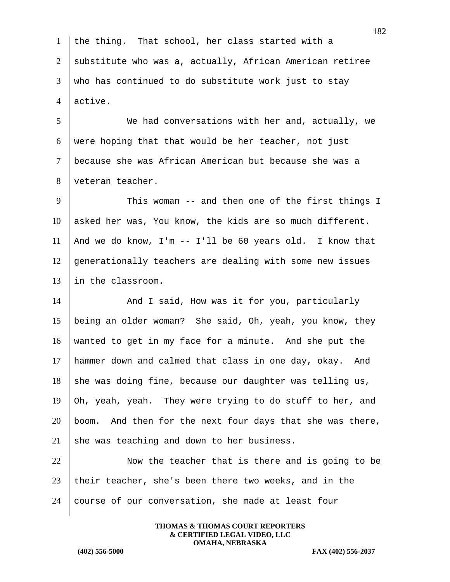1 the thing. That school, her class started with a 2 substitute who was a, actually, African American retiree  $3 \parallel$  who has continued to do substitute work just to stay 4 active.

5 We had conversations with her and, actually, we 6 were hoping that that would be her teacher, not just 7 because she was African American but because she was a 8 veteran teacher.

9 This woman -- and then one of the first things I 10 asked her was, You know, the kids are so much different. 11 | And we do know, I'm  $-$  I'll be 60 years old. I know that 12 generationally teachers are dealing with some new issues 13 I in the classroom.

14 And I said, How was it for you, particularly being an older woman? She said, Oh, yeah, you know, they wanted to get in my face for a minute. And she put the hammer down and calmed that class in one day, okay. And she was doing fine, because our daughter was telling us,  $\phi$  Oh, yeah, yeah. They were trying to do stuff to her, and boom. And then for the next four days that she was there, 21 she was teaching and down to her business.

22 Now the teacher that is there and is going to be 23 their teacher, she's been there two weeks, and in the  $24$  course of our conversation, she made at least four

> **THOMAS & THOMAS COURT REPORTERS & CERTIFIED LEGAL VIDEO, LLC OMAHA, NEBRASKA**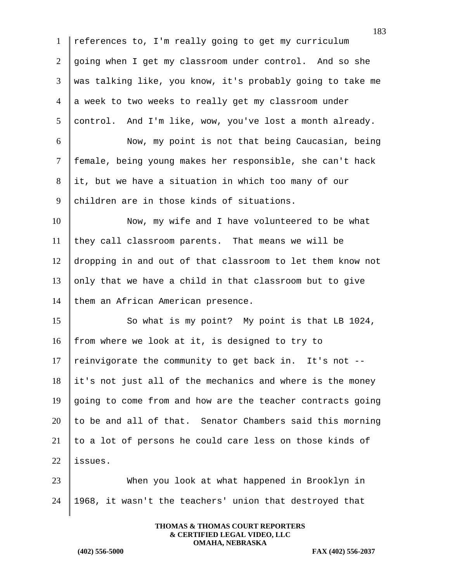references to, I'm really going to get my curriculum going when I get my classroom under control. And so she was talking like, you know, it's probably going to take me 4 a week to two weeks to really get my classroom under control. And I'm like, wow, you've lost a month already. Now, my point is not that being Caucasian, being female, being young makes her responsible, she can't hack it, but we have a situation in which too many of our 9 children are in those kinds of situations. 10 Now, my wife and I have volunteered to be what they call classroom parents. That means we will be dropping in and out of that classroom to let them know not  $\Box$  only that we have a child in that classroom but to give 14 them an African American presence. 15 So what is my point? My point is that LB 1024,  $\parallel$  from where we look at it, is designed to try to 17 | reinvigorate the community to get back in. It's not  $-$ - it's not just all of the mechanics and where is the money  $\parallel$  going to come from and how are the teacher contracts going to be and all of that. Senator Chambers said this morning  $\parallel$  to a lot of persons he could care less on those kinds of  $|$  issues. When you look at what happened in Brooklyn in 1968, it wasn't the teachers' union that destroyed that

> **THOMAS & THOMAS COURT REPORTERS & CERTIFIED LEGAL VIDEO, LLC OMAHA, NEBRASKA**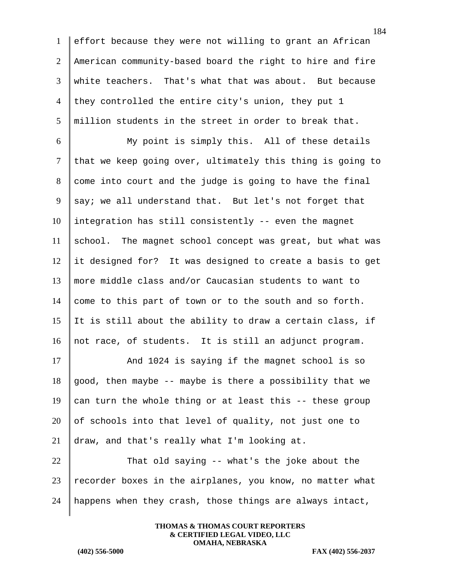effort because they were not willing to grant an African American community-based board the right to hire and fire white teachers. That's what that was about. But because 4 they controlled the entire city's union, they put 1 million students in the street in order to break that.

 My point is simply this. All of these details that we keep going over, ultimately this thing is going to come into court and the judge is going to have the final 9 say; we all understand that. But let's not forget that integration has still consistently -- even the magnet school. The magnet school concept was great, but what was it designed for? It was designed to create a basis to get more middle class and/or Caucasian students to want to 14 come to this part of town or to the south and so forth. 15 It is still about the ability to draw a certain class, if not race, of students. It is still an adjunct program.

17 And 1024 is saying if the magnet school is so 18 good, then maybe  $-$ - maybe is there a possibility that we 19 can turn the whole thing or at least this  $-$ - these group 20 of schools into that level of quality, not just one to 21 draw, and that's really what I'm looking at.

 $22$  That old saying -- what's the joke about the  $23$  recorder boxes in the airplanes, you know, no matter what 24 | happens when they crash, those things are always intact,

> **THOMAS & THOMAS COURT REPORTERS & CERTIFIED LEGAL VIDEO, LLC OMAHA, NEBRASKA**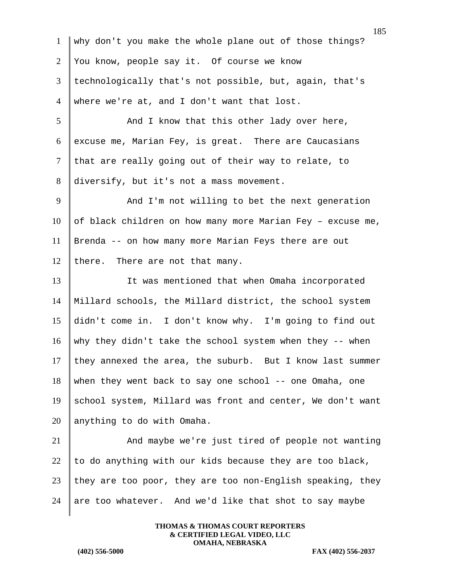185 1 why don't you make the whole plane out of those things? 2 You know, people say it. Of course we know 3 technologically that's not possible, but, again, that's 4 where we're at, and I don't want that lost. 5 And I know that this other lady over here, 6 excuse me, Marian Fey, is great. There are Caucasians  $7$  that are really going out of their way to relate, to 8 diversify, but it's not a mass movement. 9 And I'm not willing to bet the next generation 10 of black children on how many more Marian Fey - excuse me, 11 Brenda -- on how many more Marian Feys there are out 12 there. There are not that many. 13 U It was mentioned that when Omaha incorporated 14 Millard schools, the Millard district, the school system 15 didn't come in. I don't know why. I'm going to find out 16 why they didn't take the school system when they  $-$ - when 17 they annexed the area, the suburb. But I know last summer 18 when they went back to say one school -- one Omaha, one 19 school system, Millard was front and center, We don't want  $20$  anything to do with Omaha. 21 And maybe we're just tired of people not wanting 22 to do anything with our kids because they are too black,  $23$  they are too poor, they are too non-English speaking, they 24 are too whatever. And we'd like that shot to say maybe

> **THOMAS & THOMAS COURT REPORTERS & CERTIFIED LEGAL VIDEO, LLC OMAHA, NEBRASKA**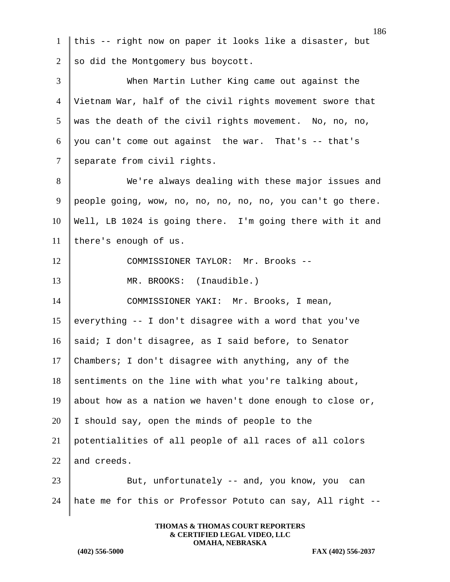186 1 this -- right now on paper it looks like a disaster, but 2 so did the Montgomery bus boycott. 3 When Martin Luther King came out against the 4 Vietnam War, half of the civil rights movement swore that  $5 \parallel$  was the death of the civil rights movement. No, no, no, 6 you can't come out against the war. That's  $-$  that's 7 separate from civil rights. 8 We're always dealing with these major issues and 9 people going, wow, no, no, no, no, no, you can't go there. 10 Well, LB 1024 is going there. I'm going there with it and 11 | there's enough of us. 12 COMMISSIONER TAYLOR: Mr. Brooks --13 MR. BROOKS: (Inaudible.) 14 COMMISSIONER YAKI: Mr. Brooks, I mean, 15 everything  $-$  I don't disagree with a word that you've 16 said; I don't disagree, as I said before, to Senator 17 Chambers; I don't disagree with anything, any of the 18 sentiments on the line with what you're talking about, 19 about how as a nation we haven't done enough to close or, 20  $\parallel$  I should say, open the minds of people to the 21 potentialities of all people of all races of all colors  $22$  and creeds. 23 Sut, unfortunately -- and, you know, you can 24 hate me for this or Professor Potuto can say, All right --

> **THOMAS & THOMAS COURT REPORTERS & CERTIFIED LEGAL VIDEO, LLC OMAHA, NEBRASKA**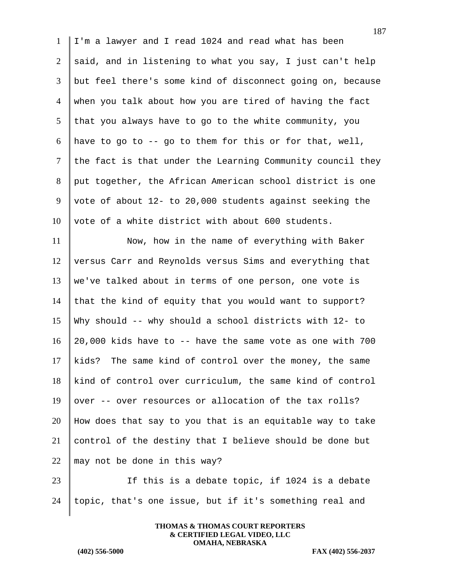I'm a lawyer and I read 1024 and read what has been 2 said, and in listening to what you say, I just can't help but feel there's some kind of disconnect going on, because when you talk about how you are tired of having the fact that you always have to go to the white community, you 6 have to go to -- go to them for this or for that, well, the fact is that under the Learning Community council they 8 put together, the African American school district is one vote of about 12- to 20,000 students against seeking the vote of a white district with about 600 students.

11 Now, how in the name of everything with Baker versus Carr and Reynolds versus Sims and everything that 13 | we've talked about in terms of one person, one vote is 14 that the kind of equity that you would want to support? Why should -- why should a school districts with 12- to 20,000 kids have to  $-$ - have the same vote as one with 700 kids? The same kind of control over the money, the same kind of control over curriculum, the same kind of control 19 over  $-$  over resources or allocation of the tax rolls? How does that say to you that is an equitable way to take control of the destiny that I believe should be done but  $\parallel$  may not be done in this way?

23 | If this is a debate topic, if 1024 is a debate 24 topic, that's one issue, but if it's something real and

> **THOMAS & THOMAS COURT REPORTERS & CERTIFIED LEGAL VIDEO, LLC OMAHA, NEBRASKA**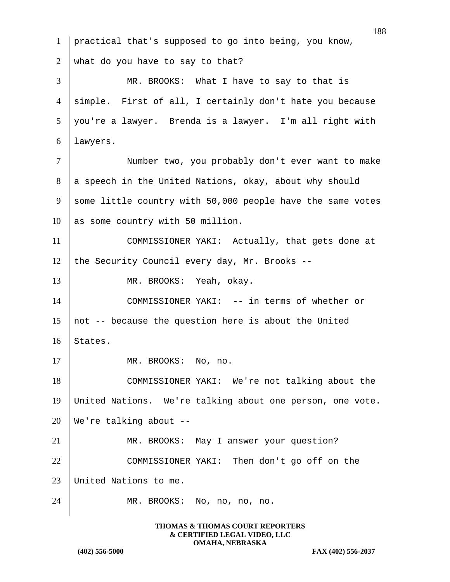1 practical that's supposed to go into being, you know, 2 what do you have to say to that? 3 MR. BROOKS: What I have to say to that is 4 simple. First of all, I certainly don't hate you because 5 you're a lawyer. Brenda is a lawyer. I'm all right with 6 lawyers. 7 | Number two, you probably don't ever want to make 8 a speech in the United Nations, okay, about why should 9 some little country with 50,000 people have the same votes 10 as some country with 50 million. 11 COMMISSIONER YAKI: Actually, that gets done at 12 the Security Council every day, Mr. Brooks  $-$ -13 MR. BROOKS: Yeah, okay. 14 COMMISSIONER YAKI: -- in terms of whether or 15 || not -- because the question here is about the United 16 States. 17 MR. BROOKS: No, no. 18 COMMISSIONER YAKI: We're not talking about the 19 United Nations. We're talking about one person, one vote. 20  $\parallel$  We're talking about --21 MR. BROOKS: May I answer your question? 22 COMMISSIONER YAKI: Then don't go off on the 23 United Nations to me. 24 MR. BROOKS: No, no, no, no.

> **THOMAS & THOMAS COURT REPORTERS & CERTIFIED LEGAL VIDEO, LLC OMAHA, NEBRASKA**

**(402) 556-5000 FAX (402) 556-2037**

188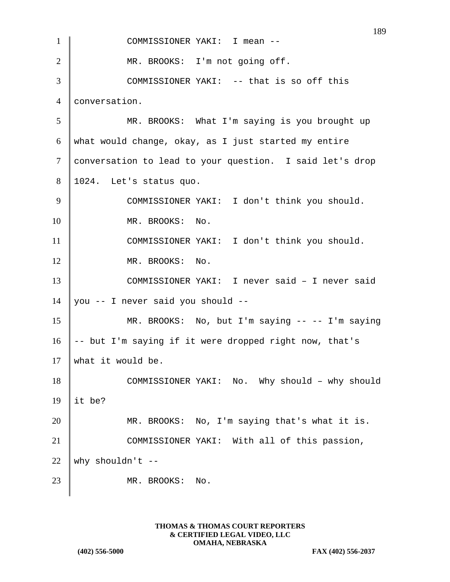|                | 189                                                      |
|----------------|----------------------------------------------------------|
| 1              | COMMISSIONER YAKI: I mean --                             |
| $\overline{2}$ | MR. BROOKS: I'm not going off.                           |
| 3              | COMMISSIONER YAKI: -- that is so off this                |
| $\overline{4}$ | conversation.                                            |
| 5              | MR. BROOKS: What I'm saying is you brought up            |
| 6              | what would change, okay, as I just started my entire     |
| 7              | conversation to lead to your question. I said let's drop |
| 8              | 1024. Let's status quo.                                  |
| 9              | COMMISSIONER YAKI: I don't think you should.             |
| 10             | MR. BROOKS: No.                                          |
| 11             | COMMISSIONER YAKI: I don't think you should.             |
| 12             | MR. BROOKS: No.                                          |
| 13             | COMMISSIONER YAKI: I never said - I never said           |
| 14             | you -- I never said you should --                        |
| 15             | MR. BROOKS: No, but I'm saying -- -- I'm saying          |
| 16             | -- but I'm saying if it were dropped right now, that's   |
| 17             | what it would be.                                        |
| 18             | COMMISSIONER YAKI: No. Why should - why should           |
| 19             | it be?                                                   |
| 20             | MR. BROOKS: No, I'm saying that's what it is.            |
| 21             | COMMISSIONER YAKI: With all of this passion,             |
| 22             | why shouldn't $--$                                       |
| 23             | MR. BROOKS:<br>No.                                       |
|                |                                                          |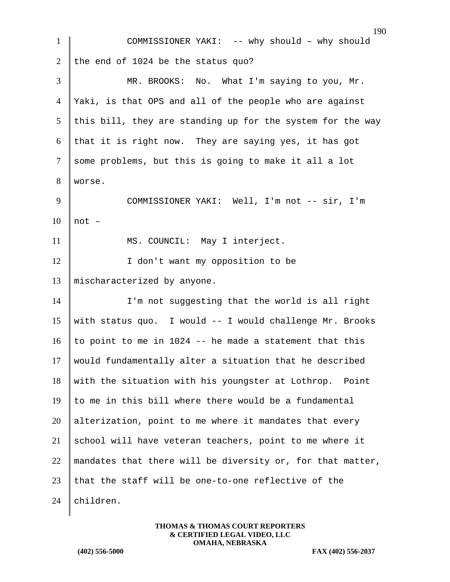| $\mathbf{1}$   | 17<br>COMMISSIONER YAKI: -- why should - why should        |
|----------------|------------------------------------------------------------|
| $\overline{2}$ | the end of 1024 be the status quo?                         |
| 3              | MR. BROOKS: No. What I'm saying to you, Mr.                |
| 4              | Yaki, is that OPS and all of the people who are against    |
| 5              | this bill, they are standing up for the system for the way |
| 6              | that it is right now. They are saying yes, it has got      |
| $\tau$         | some problems, but this is going to make it all a lot      |
| 8              | worse.                                                     |
| 9              | COMMISSIONER YAKI: Well, I'm not -- sir, I'm               |
| 10             | not -                                                      |
| 11             | MS. COUNCIL: May I interject.                              |
| 12             | I don't want my opposition to be                           |
| 13             | mischaracterized by anyone.                                |
| 14             | I'm not suggesting that the world is all right             |
| 15             | with status quo. I would -- I would challenge Mr. Brooks   |
| 16             | to point to me in 1024 -- he made a statement that this    |
| 17             | would fundamentally alter a situation that he described    |
| 18             | with the situation with his youngster at Lothrop.<br>Point |
| 19             | to me in this bill where there would be a fundamental      |
| 20             | alterization, point to me where it mandates that every     |
| 21             | school will have veteran teachers, point to me where it    |
| 22             | mandates that there will be diversity or, for that matter, |
| 23             | that the staff will be one-to-one reflective of the        |
| 24             | children.                                                  |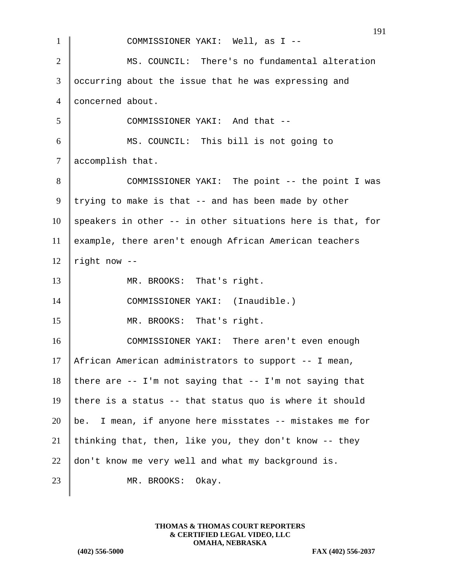| $\mathbf{1}$   | COMMISSIONER YAKI: Well, as I --                              |
|----------------|---------------------------------------------------------------|
| $\overline{2}$ | MS. COUNCIL: There's no fundamental alteration                |
| 3              | occurring about the issue that he was expressing and          |
| $\overline{4}$ | concerned about.                                              |
| 5              | COMMISSIONER YAKI: And that --                                |
| 6              | MS. COUNCIL: This bill is not going to                        |
| $\tau$         | accomplish that.                                              |
| 8              | COMMISSIONER YAKI: The point -- the point I was               |
| 9              | trying to make is that -- and has been made by other          |
| 10             | speakers in other -- in other situations here is that, for    |
| 11             | example, there aren't enough African American teachers        |
| 12             | right now --                                                  |
| 13             | MR. BROOKS: That's right.                                     |
| 14             | COMMISSIONER YAKI: (Inaudible.)                               |
| 15             | MR. BROOKS: That's right.                                     |
| 16             | COMMISSIONER YAKI: There aren't even enough                   |
| 17             | African American administrators to support -- I mean,         |
| 18             | there are $-$ - I'm not saying that $-$ - I'm not saying that |
| 19             | there is a status -- that status quo is where it should       |
| 20             | be. I mean, if anyone here misstates -- mistakes me for       |
| 21             | thinking that, then, like you, they don't know -- they        |
| 22             | don't know me very well and what my background is.            |
| 23             | MR. BROOKS:<br>Okay.                                          |
|                |                                                               |

**(402) 556-5000 FAX (402) 556-2037**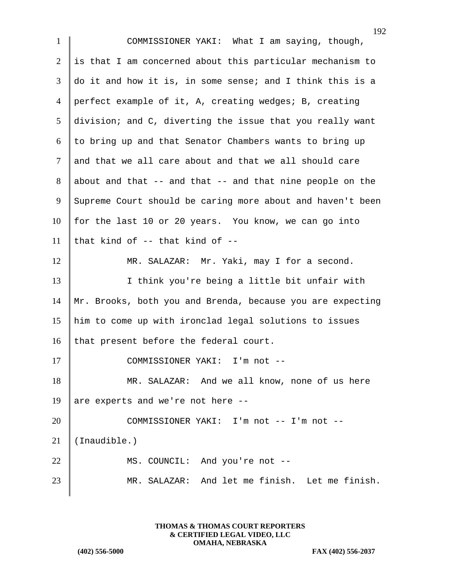| $\mathbf{1}$   | COMMISSIONER YAKI: What I am saying, though,               |
|----------------|------------------------------------------------------------|
| $\overline{2}$ | is that I am concerned about this particular mechanism to  |
| 3              | do it and how it is, in some sense; and I think this is a  |
| $\overline{4}$ | perfect example of it, A, creating wedges; B, creating     |
| 5              | division; and C, diverting the issue that you really want  |
| 6              | to bring up and that Senator Chambers wants to bring up    |
| $\tau$         | and that we all care about and that we all should care     |
| 8              | about and that -- and that -- and that nine people on the  |
| 9              | Supreme Court should be caring more about and haven't been |
| 10             | for the last 10 or 20 years. You know, we can go into      |
| 11             | that kind of $-$ - that kind of $-$ -                      |
| 12             | MR. SALAZAR: Mr. Yaki, may I for a second.                 |
| 13             | I think you're being a little bit unfair with              |
| 14             | Mr. Brooks, both you and Brenda, because you are expecting |
| 15             | him to come up with ironclad legal solutions to issues     |
| 16             | that present before the federal court.                     |
| 17             | $I'm not --$<br>COMMISSIONER YAKI:                         |
| 18             | MR. SALAZAR: And we all know, none of us here              |
| 19             | are experts and we're not here --                          |
| 20             | COMMISSIONER YAKI: I'm not -- I'm not --                   |
| 21             | (Inaudible.)                                               |
| 22             | MS. COUNCIL: And you're not --                             |
| 23             | MR. SALAZAR: And let me finish. Let me finish.             |
|                |                                                            |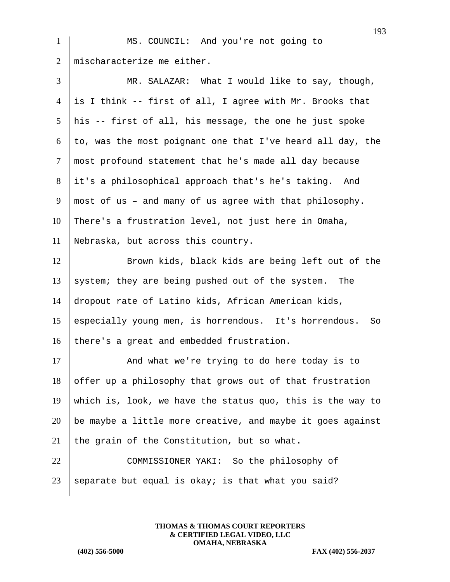1 | MS. COUNCIL: And you're not going to 2  $\parallel$  mischaracterize me either.

| 3      | MR. SALAZAR: What I would like to say, though,              |
|--------|-------------------------------------------------------------|
| 4      | is I think -- first of all, I agree with Mr. Brooks that    |
| 5      | his -- first of all, his message, the one he just spoke     |
| 6      | to, was the most poignant one that I've heard all day, the  |
| $\tau$ | most profound statement that he's made all day because      |
| 8      | it's a philosophical approach that's he's taking. And       |
| 9      | most of us - and many of us agree with that philosophy.     |
| 10     | There's a frustration level, not just here in Omaha,        |
| 11     | Nebraska, but across this country.                          |
| 12     | Brown kids, black kids are being left out of the            |
| 13     | system; they are being pushed out of the system. The        |
| 14     | dropout rate of Latino kids, African American kids,         |
| 15     | especially young men, is horrendous. It's horrendous.<br>So |
| 16     | there's a great and embedded frustration.                   |
| 17     | And what we're trying to do here today is to                |
| 18     | offer up a philosophy that grows out of that frustration    |
| 19     | which is, look, we have the status quo, this is the way to  |
| 20     | be maybe a little more creative, and maybe it goes against  |
| 21     | the grain of the Constitution, but so what.                 |
| 22     | COMMISSIONER YAKI: So the philosophy of                     |
| 23     | separate but equal is okay; is that what you said?          |

**THOMAS & THOMAS COURT REPORTERS & CERTIFIED LEGAL VIDEO, LLC OMAHA, NEBRASKA**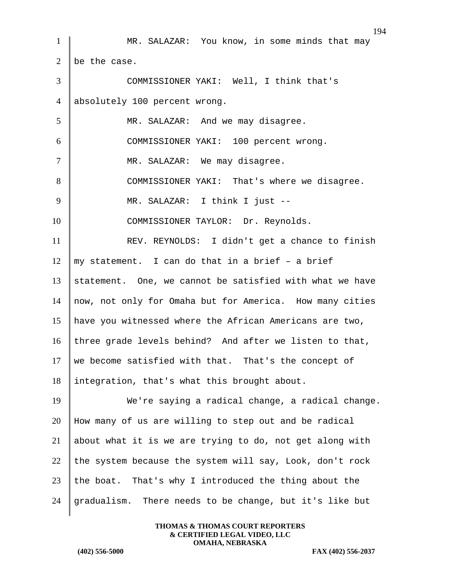1 MR. SALAZAR: You know, in some minds that may 2  $\vert$  be the case. 3 COMMISSIONER YAKI: Well, I think that's 4 absolutely 100 percent wrong. 5 MR. SALAZAR: And we may disagree. 6 COMMISSIONER YAKI: 100 percent wrong. 7 | MR. SALAZAR: We may disagree. 8 COMMISSIONER YAKI: That's where we disagree. 9 MR. SALAZAR: I think I just --10 COMMISSIONER TAYLOR: Dr. Reynolds. 11 | REV. REYNOLDS: I didn't get a chance to finish  $12 \parallel$  my statement. I can do that in a brief - a brief 13 statement. One, we cannot be satisfied with what we have 14  $\parallel$  now, not only for Omaha but for America. How many cities 15 have you witnessed where the African Americans are two, 16 | three grade levels behind? And after we listen to that, 17 we become satisfied with that. That's the concept of 18 integration, that's what this brought about. 19 We're saying a radical change, a radical change. 20 How many of us are willing to step out and be radical 21 about what it is we are trying to do, not get along with 22 the system because the system will say, Look, don't rock 23 the boat. That's why I introduced the thing about the 24 gradualism. There needs to be change, but it's like but

> **THOMAS & THOMAS COURT REPORTERS & CERTIFIED LEGAL VIDEO, LLC OMAHA, NEBRASKA**

**(402) 556-5000 FAX (402) 556-2037**

194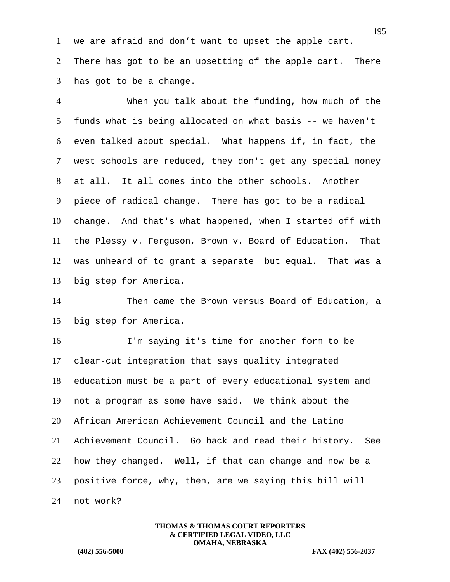1 we are afraid and don't want to upset the apple cart. 2 There has got to be an upsetting of the apple cart. There 3 has got to be a change.

4 When you talk about the funding, how much of the  $5$  funds what is being allocated on what basis -- we haven't 6 even talked about special. What happens if, in fact, the 7 west schools are reduced, they don't get any special money 8 at all. It all comes into the other schools. Another 9 piece of radical change. There has got to be a radical  $10$  change. And that's what happened, when I started off with 11 the Plessy v. Ferguson, Brown v. Board of Education. That 12 was unheard of to grant a separate but equal. That was a 13 big step for America.

14 Then came the Brown versus Board of Education, a 15 big step for America.

 I'm saying it's time for another form to be clear-cut integration that says quality integrated education must be a part of every educational system and 19 || not a program as some have said. We think about the African American Achievement Council and the Latino Achievement Council. Go back and read their history. See 22 | how they changed. Well, if that can change and now be a positive force, why, then, are we saying this bill will 24 not work?

> **THOMAS & THOMAS COURT REPORTERS & CERTIFIED LEGAL VIDEO, LLC OMAHA, NEBRASKA**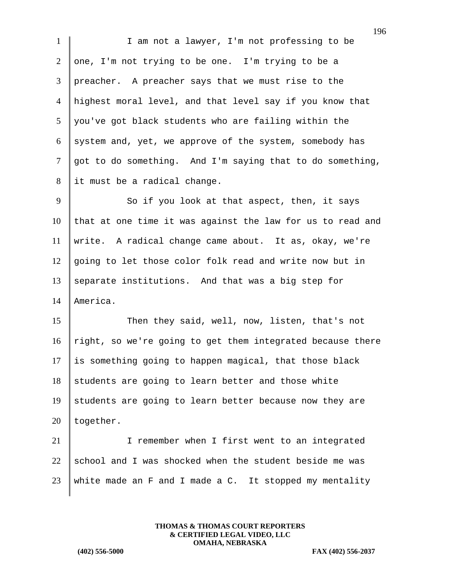1 I I am not a lawyer, I'm not professing to be 2 one, I'm not trying to be one. I'm trying to be a 3 preacher. A preacher says that we must rise to the 4 highest moral level, and that level say if you know that  $5 \parallel$  you've got black students who are failing within the 6 system and, yet, we approve of the system, somebody has 7 got to do something. And I'm saying that to do something, 8 it must be a radical change.

9 So if you look at that aspect, then, it says  $10$  that at one time it was against the law for us to read and 11 write. A radical change came about. It as, okay, we're 12 going to let those color folk read and write now but in 13 separate institutions. And that was a big step for 14 America.

15 Then they said, well, now, listen, that's not  $\mid$  right, so we're going to get them integrated because there is something going to happen magical, that those black students are going to learn better and those white students are going to learn better because now they are  $\vert$  together.

21 I remember when I first went to an integrated  $22$  school and I was shocked when the student beside me was 23 | white made an F and I made a C. It stopped my mentality

> **THOMAS & THOMAS COURT REPORTERS & CERTIFIED LEGAL VIDEO, LLC OMAHA, NEBRASKA**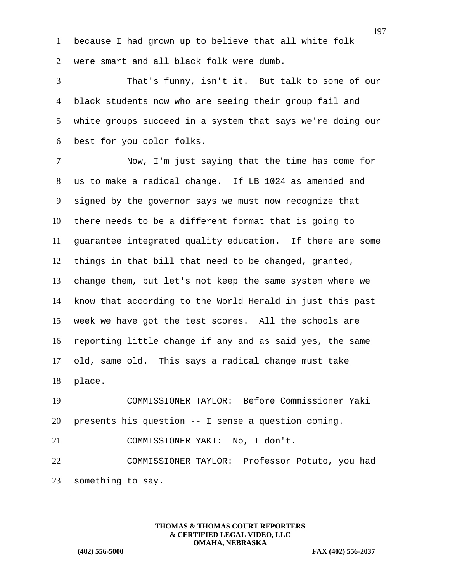1 because I had grown up to believe that all white folk 2 were smart and all black folk were dumb.

3 That's funny, isn't it. But talk to some of our black students now who are seeing their group fail and white groups succeed in a system that says we're doing our best for you color folks.

7 | Now, I'm just saying that the time has come for 8 us to make a radical change. If LB 1024 as amended and  $9$  signed by the governor says we must now recognize that  $10$  there needs to be a different format that is going to 11 guarantee integrated quality education. If there are some 12 things in that bill that need to be changed, granted, 13 change them, but let's not keep the same system where we 14 know that according to the World Herald in just this past 15 week we have got the test scores. All the schools are 16 reporting little change if any and as said yes, the same  $17$  old, same old. This says a radical change must take  $18$  | place. 19 COMMISSIONER TAYLOR: Before Commissioner Yaki

20 presents his question -- I sense a question coming.

21 COMMISSIONER YAKI: No, I don't. 22 COMMISSIONER TAYLOR: Professor Potuto, you had 23 Something to say.

> **THOMAS & THOMAS COURT REPORTERS & CERTIFIED LEGAL VIDEO, LLC OMAHA, NEBRASKA**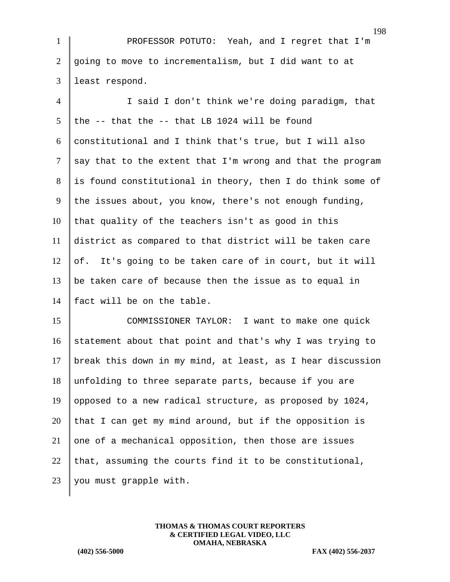1 PROFESSOR POTUTO: Yeah, and I regret that I'm 2  $\vert$  going to move to incrementalism, but I did want to at 3 least respond.

4 I said I don't think we're doing paradigm, that 5 the  $-$ - that the  $-$ - that LB 1024 will be found 6 constitutional and I think that's true, but I will also  $7 \parallel$  say that to the extent that I'm wrong and that the program  $8$  is found constitutional in theory, then I do think some of 9 the issues about, you know, there's not enough funding,  $10$  that quality of the teachers isn't as good in this 11 district as compared to that district will be taken care 12 of. It's going to be taken care of in court, but it will 13  $\parallel$  be taken care of because then the issue as to equal in 14 fact will be on the table. 15 COMMISSIONER TAYLOR: I want to make one quick 16 statement about that point and that's why I was trying to

17 | break this down in my mind, at least, as I hear discussion 18 unfolding to three separate parts, because if you are 19 opposed to a new radical structure, as proposed by 1024, 20 that I can get my mind around, but if the opposition is 21 one of a mechanical opposition, then those are issues 22 that, assuming the courts find it to be constitutional, 23 | you must grapple with.

> **THOMAS & THOMAS COURT REPORTERS & CERTIFIED LEGAL VIDEO, LLC OMAHA, NEBRASKA**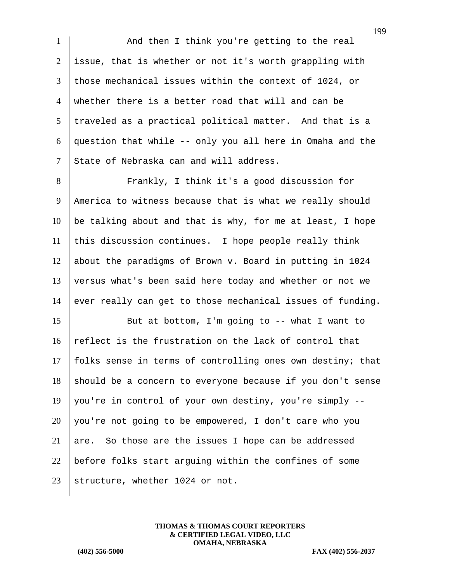1 And then I think you're getting to the real 2 issue, that is whether or not it's worth grappling with 3 those mechanical issues within the context of 1024, or 4 whether there is a better road that will and can be  $5$  traveled as a practical political matter. And that is a 6 question that while  $--$  only you all here in Omaha and the 7 State of Nebraska can and will address.

8 | Frankly, I think it's a good discussion for 9 America to witness because that is what we really should 10 | be talking about and that is why, for me at least, I hope  $11$  this discussion continues. I hope people really think 12 about the paradigms of Brown v. Board in putting in 1024 13 versus what's been said here today and whether or not we 14 ever really can get to those mechanical issues of funding.

15 But at bottom, I'm going to -- what I want to 16  $\parallel$  reflect is the frustration on the lack of control that 17 folks sense in terms of controlling ones own destiny; that  $18$  should be a concern to everyone because if you don't sense 19 | you're in control of your own destiny, you're simply  $20$  you're not going to be empowered, I don't care who you 21 are. So those are the issues I hope can be addressed 22 | before folks start arguing within the confines of some 23 | structure, whether 1024 or not.

> **THOMAS & THOMAS COURT REPORTERS & CERTIFIED LEGAL VIDEO, LLC OMAHA, NEBRASKA**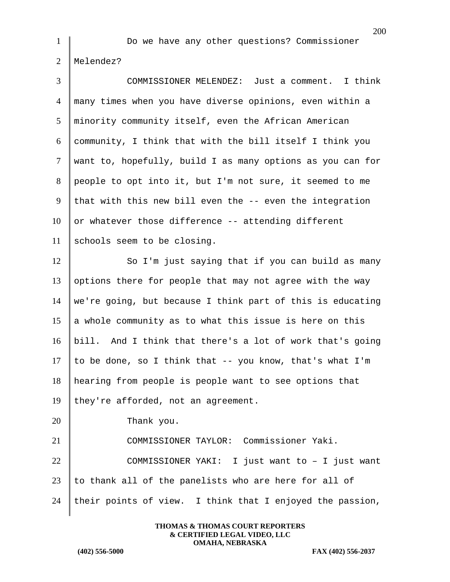1 Do we have any other questions? Commissioner Melendez?

| $\overline{3}$ | COMMISSIONER MELENDEZ: Just a comment. I think             |
|----------------|------------------------------------------------------------|
| $\overline{4}$ | many times when you have diverse opinions, even within a   |
| 5              | minority community itself, even the African American       |
| 6              | community, I think that with the bill itself I think you   |
| $\tau$         | want to, hopefully, build I as many options as you can for |
| 8              | people to opt into it, but I'm not sure, it seemed to me   |
| 9              | that with this new bill even the -- even the integration   |
| 10             | or whatever those difference -- attending different        |
| 11             | schools seem to be closing.                                |
| 12             | So I'm just saying that if you can build as many           |
| 13             | options there for people that may not agree with the way   |
| 14             | we're going, but because I think part of this is educating |
| 15             | a whole community as to what this issue is here on this    |
| 16             | bill. And I think that there's a lot of work that's going  |
| 17             | to be done, so I think that -- you know, that's what I'm   |
| 18             | hearing from people is people want to see options that     |
| 19             | they're afforded, not an agreement.                        |
| 20             | Thank you.                                                 |
| 21             | COMMISSIONER TAYLOR: Commissioner Yaki.                    |
| 22             | COMMISSIONER YAKI: I just want to - I just want            |
| 23             | to thank all of the panelists who are here for all of      |
| 24             | their points of view. I think that I enjoyed the passion,  |

**THOMAS & THOMAS COURT REPORTERS & CERTIFIED LEGAL VIDEO, LLC OMAHA, NEBRASKA**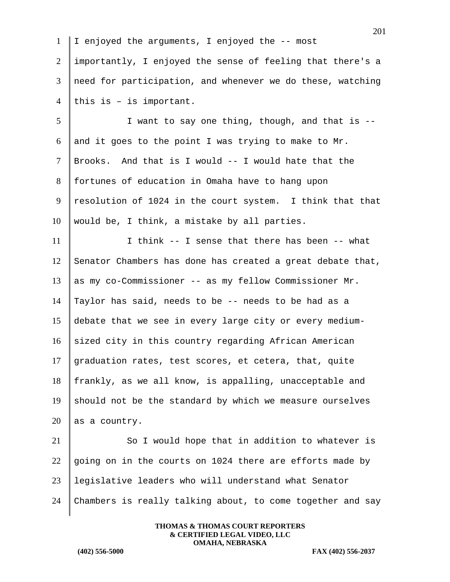|                | 201                                                        |
|----------------|------------------------------------------------------------|
| $\mathbf{1}$   | I enjoyed the arguments, I enjoyed the -- most             |
| $\overline{2}$ | importantly, I enjoyed the sense of feeling that there's a |
| 3              | need for participation, and whenever we do these, watching |
| $\overline{4}$ | this is $-$ is important.                                  |
| 5              | I want to say one thing, though, and that is --            |
| 6              | and it goes to the point I was trying to make to Mr.       |
| $\tau$         | Brooks. And that is I would -- I would hate that the       |
| 8              | fortunes of education in Omaha have to hang upon           |
| 9              | resolution of 1024 in the court system. I think that that  |
| 10             | would be, I think, a mistake by all parties.               |
| 11             | I think -- I sense that there has been -- what             |
| 12             | Senator Chambers has done has created a great debate that, |
| 13             | as my co-Commissioner -- as my fellow Commissioner Mr.     |
| 14             | Taylor has said, needs to be -- needs to be had as a       |
| 15             | debate that we see in every large city or every medium-    |
| 16             | sized city in this country regarding African American      |
| 17             | graduation rates, test scores, et cetera, that, quite      |
| 18             | frankly, as we all know, is appalling, unacceptable and    |
| 19             | should not be the standard by which we measure ourselves   |
| 20             | as a country.                                              |
| 21             | So I would hope that in addition to whatever is            |
| 22             | going on in the courts on 1024 there are efforts made by   |
| 23             | legislative leaders who will understand what Senator       |
| 24             | Chambers is really talking about, to come together and say |
|                |                                                            |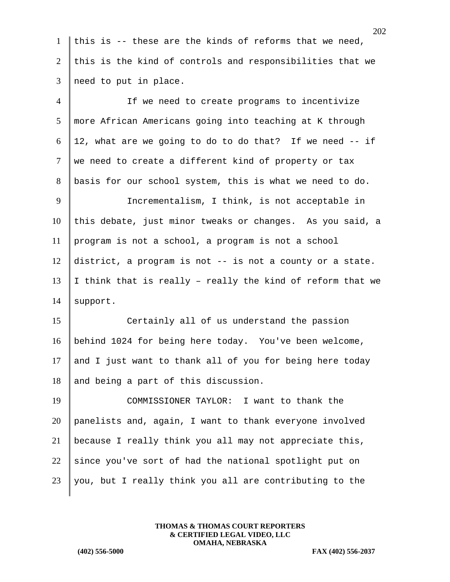1 this is -- these are the kinds of reforms that we need, 2 this is the kind of controls and responsibilities that we  $3$  | need to put in place.

4 If we need to create programs to incentivize 5 more African Americans going into teaching at K through 6 | 12, what are we going to do to do that? If we need  $-$  if  $7$  we need to create a different kind of property or tax 8 basis for our school system, this is what we need to do. 9 | Incrementalism, I think, is not acceptable in  $10$  this debate, just minor tweaks or changes. As you said, a 11 program is not a school, a program is not a school 12 district, a program is not -- is not a county or a state. 13 I think that is really - really the kind of reform that we 14 | support. 15 Certainly all of us understand the passion

16 behind 1024 for being here today. You've been welcome, 17 and I just want to thank all of you for being here today 18 and being a part of this discussion.

19 COMMISSIONER TAYLOR: I want to thank the 20 panelists and, again, I want to thank everyone involved 21 because I really think you all may not appreciate this, 22 since you've sort of had the national spotlight put on 23 | you, but I really think you all are contributing to the

> **THOMAS & THOMAS COURT REPORTERS & CERTIFIED LEGAL VIDEO, LLC OMAHA, NEBRASKA**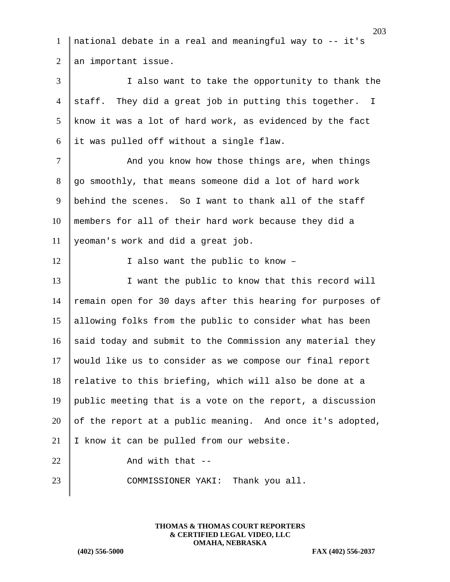1 national debate in a real and meaningful way to -- it's 2  $\parallel$  an important issue.

3 I also want to take the opportunity to thank the 4 staff. They did a great job in putting this together. I 5 know it was a lot of hard work, as evidenced by the fact  $6$  it was pulled off without a single flaw.

7 | And you know how those things are, when things 8 go smoothly, that means someone did a lot of hard work 9 behind the scenes. So I want to thank all of the staff 10 members for all of their hard work because they did a 11 yeoman's work and did a great job.

12 I also want the public to know -

13 I want the public to know that this record will 14 | remain open for 30 days after this hearing for purposes of 15 allowing folks from the public to consider what has been 16 said today and submit to the Commission any material they 17 would like us to consider as we compose our final report  $18$  relative to this briefing, which will also be done at a 19 public meeting that is a vote on the report, a discussion 20 of the report at a public meaning. And once it's adopted, 21 I know it can be pulled from our website. 22  $\parallel$  And with that  $-$ 

23 COMMISSIONER YAKI: Thank you all.

**THOMAS & THOMAS COURT REPORTERS & CERTIFIED LEGAL VIDEO, LLC OMAHA, NEBRASKA**